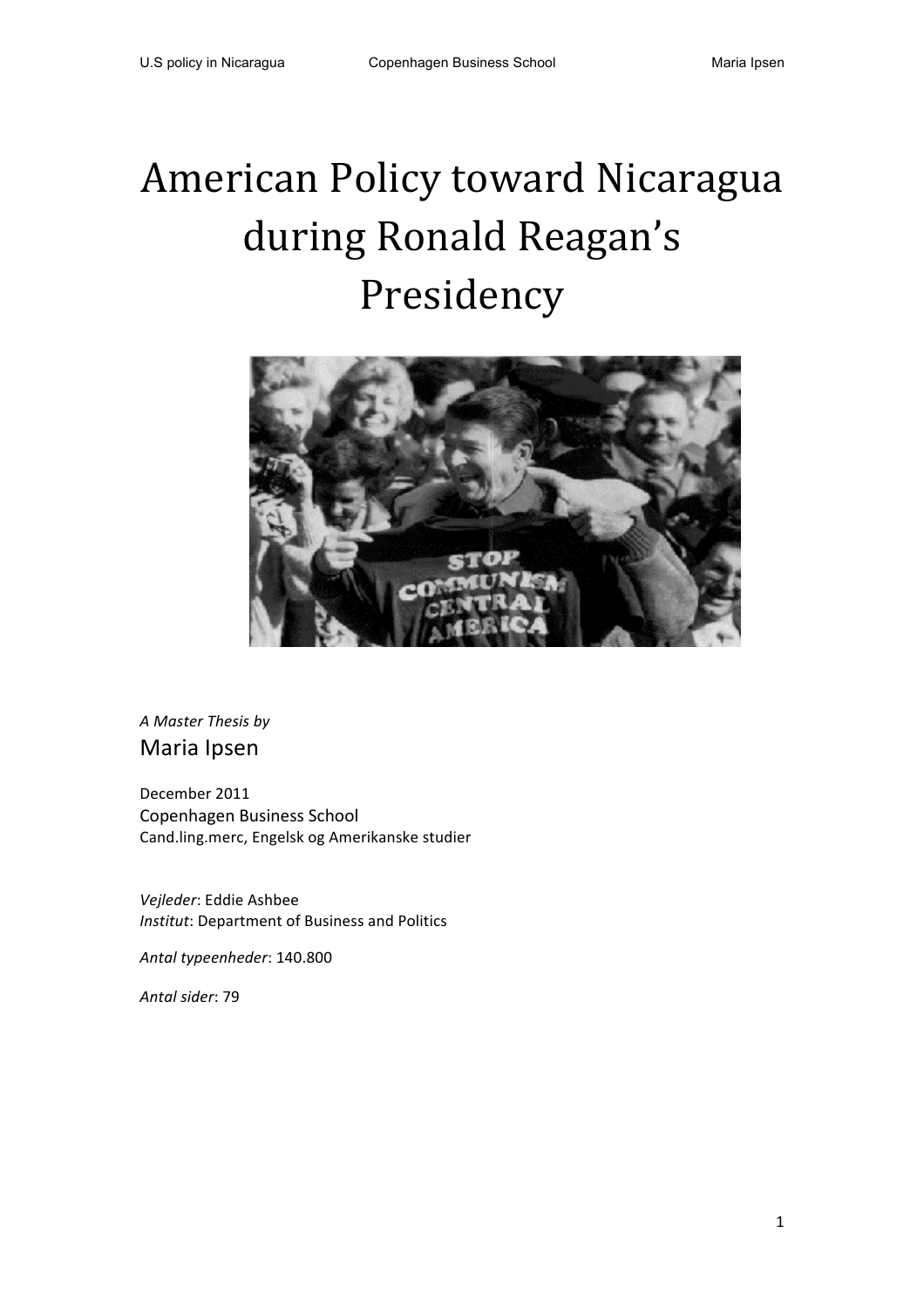# American Policy toward Nicaragua during Ronald Reagan's Presidency



*A Master Thesis by* Maria Ipsen

December 2011 Copenhagen Business School Cand.ling.merc, Engelsk og Amerikanske studier

*Vejleder*: Eddie Ashbee *Institut: Department of Business and Politics* 

*Antal typeenheder*: 140.800

*Antal sider*: 79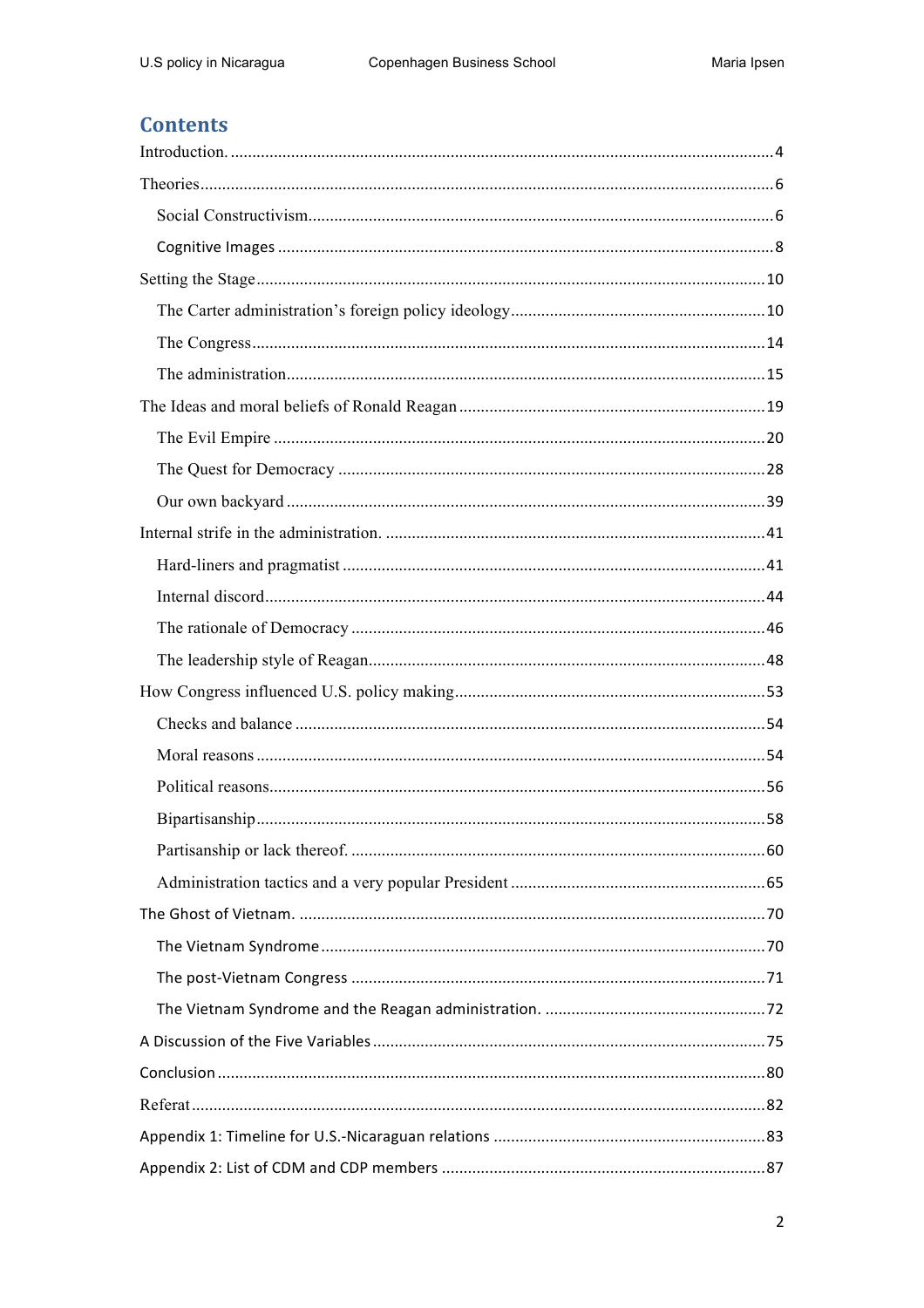# **Contents**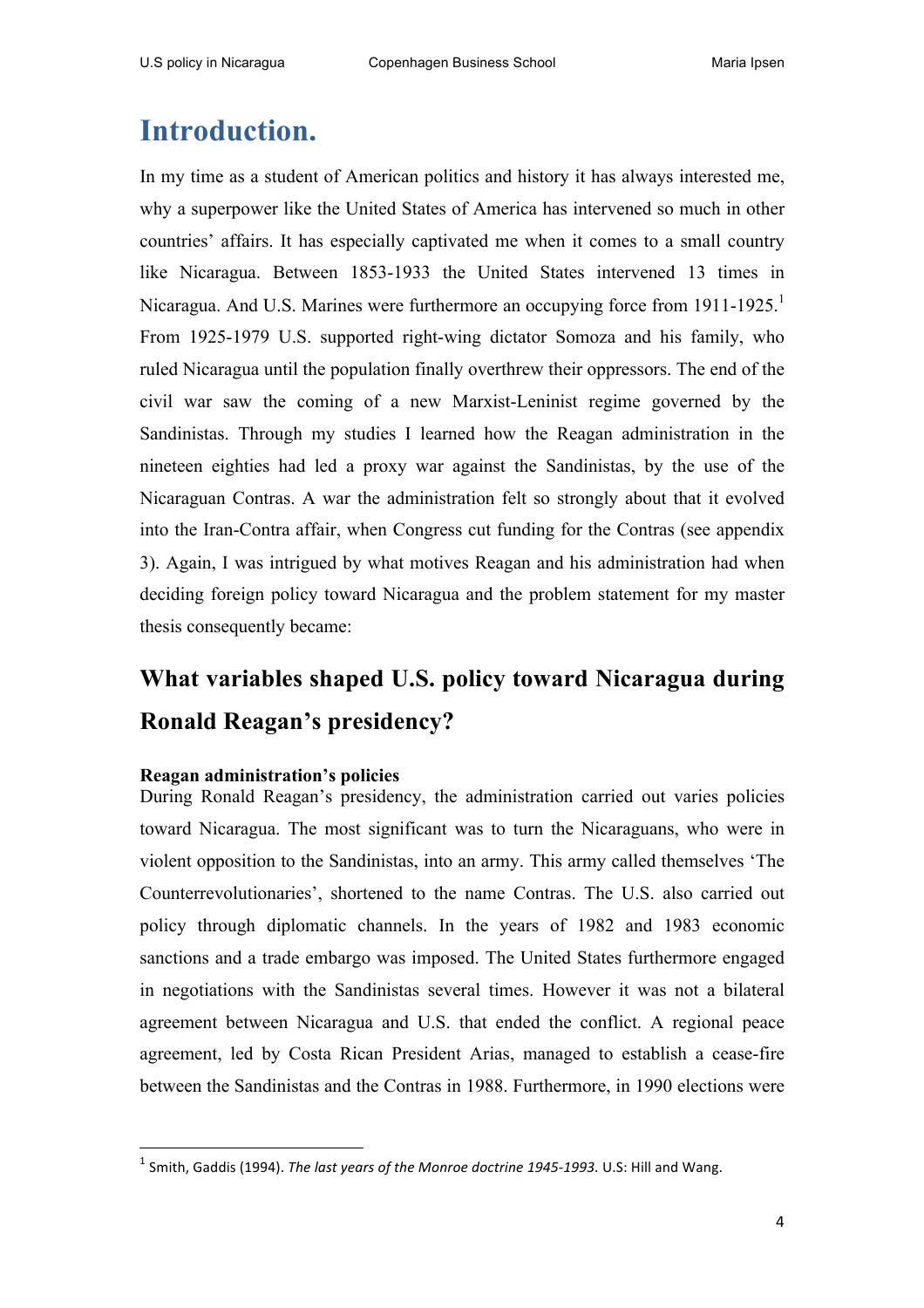# **Introduction.**

In my time as a student of American politics and history it has always interested me, why a superpower like the United States of America has intervened so much in other countries' affairs. It has especially captivated me when it comes to a small country like Nicaragua. Between 1853-1933 the United States intervened 13 times in Nicaragua. And U.S. Marines were furthermore an occupying force from 1911-1925.<sup>1</sup> From 1925-1979 U.S. supported right-wing dictator Somoza and his family, who ruled Nicaragua until the population finally overthrew their oppressors. The end of the civil war saw the coming of a new Marxist-Leninist regime governed by the Sandinistas. Through my studies I learned how the Reagan administration in the nineteen eighties had led a proxy war against the Sandinistas, by the use of the Nicaraguan Contras. A war the administration felt so strongly about that it evolved into the Iran-Contra affair, when Congress cut funding for the Contras (see appendix 3). Again, I was intrigued by what motives Reagan and his administration had when deciding foreign policy toward Nicaragua and the problem statement for my master thesis consequently became:

# **What variables shaped U.S. policy toward Nicaragua during Ronald Reagan's presidency?**

### **Reagan administration's policies**

<u> 1989 - Jan Samuel Barbara, margaret e</u>

During Ronald Reagan's presidency, the administration carried out varies policies toward Nicaragua. The most significant was to turn the Nicaraguans, who were in violent opposition to the Sandinistas, into an army. This army called themselves 'The Counterrevolutionaries', shortened to the name Contras. The U.S. also carried out policy through diplomatic channels. In the years of 1982 and 1983 economic sanctions and a trade embargo was imposed. The United States furthermore engaged in negotiations with the Sandinistas several times. However it was not a bilateral agreement between Nicaragua and U.S. that ended the conflict. A regional peace agreement, led by Costa Rican President Arias, managed to establish a cease-fire between the Sandinistas and the Contras in 1988. Furthermore, in 1990 elections were

 $<sup>1</sup>$  Smith, Gaddis (1994). *The last vears of the Monroe doctrine 1945-1993*. U.S: Hill and Wang.</sup>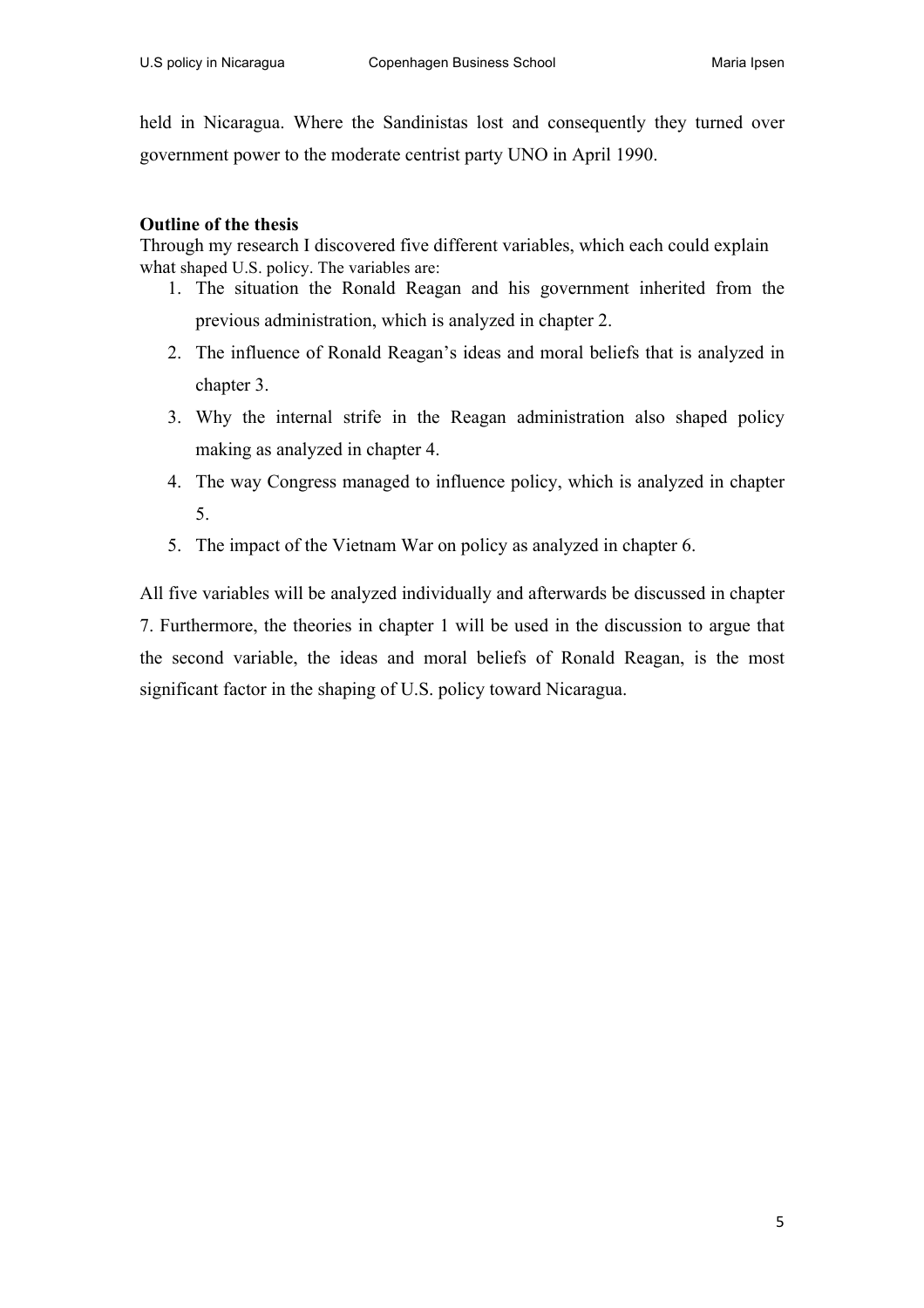held in Nicaragua. Where the Sandinistas lost and consequently they turned over government power to the moderate centrist party UNO in April 1990.

#### **Outline of the thesis**

Through my research I discovered five different variables, which each could explain what shaped U.S. policy. The variables are:

- 1. The situation the Ronald Reagan and his government inherited from the previous administration, which is analyzed in chapter 2.
- 2. The influence of Ronald Reagan's ideas and moral beliefs that is analyzed in chapter 3.
- 3. Why the internal strife in the Reagan administration also shaped policy making as analyzed in chapter 4.
- 4. The way Congress managed to influence policy, which is analyzed in chapter 5.
- 5. The impact of the Vietnam War on policy as analyzed in chapter 6.

All five variables will be analyzed individually and afterwards be discussed in chapter 7. Furthermore, the theories in chapter 1 will be used in the discussion to argue that the second variable, the ideas and moral beliefs of Ronald Reagan, is the most significant factor in the shaping of U.S. policy toward Nicaragua.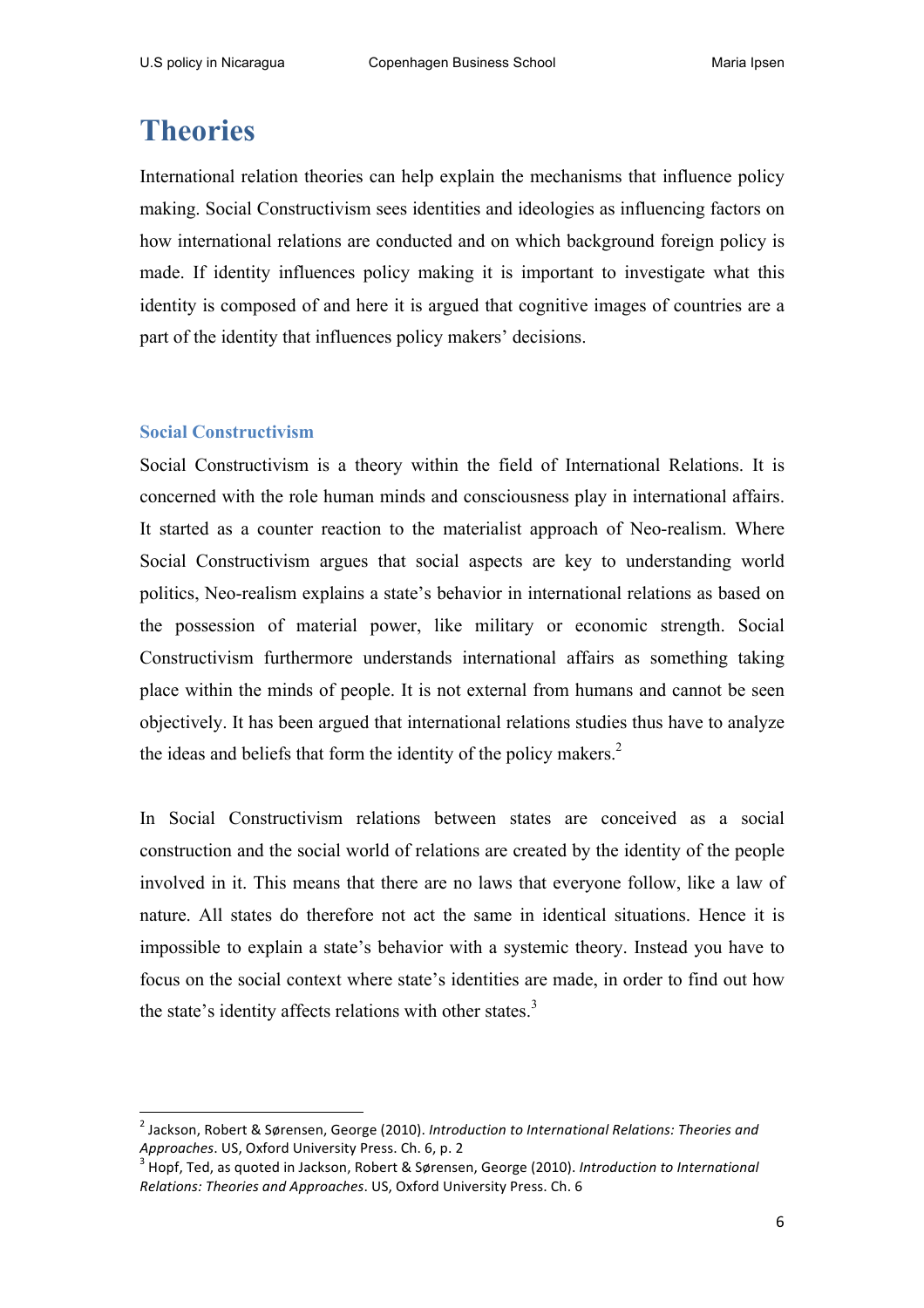# **Theories**

International relation theories can help explain the mechanisms that influence policy making. Social Constructivism sees identities and ideologies as influencing factors on how international relations are conducted and on which background foreign policy is made. If identity influences policy making it is important to investigate what this identity is composed of and here it is argued that cognitive images of countries are a part of the identity that influences policy makers' decisions.

#### **Social Constructivism**

Social Constructivism is a theory within the field of International Relations. It is concerned with the role human minds and consciousness play in international affairs. It started as a counter reaction to the materialist approach of Neo-realism. Where Social Constructivism argues that social aspects are key to understanding world politics, Neo-realism explains a state's behavior in international relations as based on the possession of material power, like military or economic strength. Social Constructivism furthermore understands international affairs as something taking place within the minds of people. It is not external from humans and cannot be seen objectively. It has been argued that international relations studies thus have to analyze the ideas and beliefs that form the identity of the policy makers.<sup>2</sup>

In Social Constructivism relations between states are conceived as a social construction and the social world of relations are created by the identity of the people involved in it. This means that there are no laws that everyone follow, like a law of nature. All states do therefore not act the same in identical situations. Hence it is impossible to explain a state's behavior with a systemic theory. Instead you have to focus on the social context where state's identities are made, in order to find out how the state's identity affects relations with other states.<sup>3</sup>

<sup>&</sup>lt;sup>2</sup> Jackson, Robert & Sørensen, George (2010). Introduction to International Relations: Theories and *Approaches*. US, Oxford University Press. Ch. 6, p. 2<br><sup>3</sup> Hopf, Ted, as quoted in Jackson, Robert & Sørensen, George (2010). *Introduction to International* 

*Relations: Theories and Approaches.* US, Oxford University Press. Ch. 6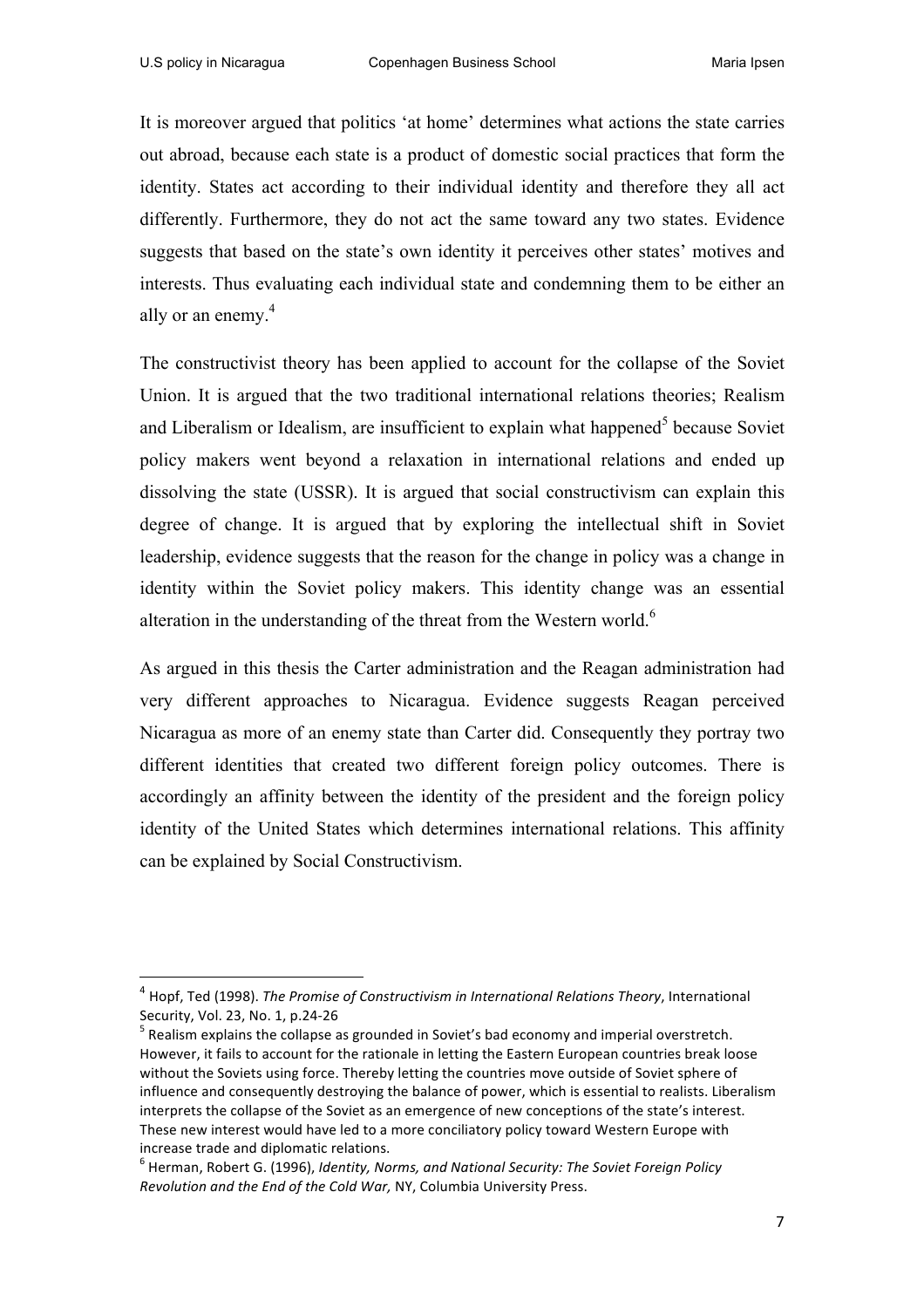It is moreover argued that politics 'at home' determines what actions the state carries out abroad, because each state is a product of domestic social practices that form the identity. States act according to their individual identity and therefore they all act differently. Furthermore, they do not act the same toward any two states. Evidence suggests that based on the state's own identity it perceives other states' motives and interests. Thus evaluating each individual state and condemning them to be either an ally or an enemy.<sup>4</sup>

The constructivist theory has been applied to account for the collapse of the Soviet Union. It is argued that the two traditional international relations theories; Realism and Liberalism or Idealism, are insufficient to explain what happened $<sup>5</sup>$  because Soviet</sup> policy makers went beyond a relaxation in international relations and ended up dissolving the state (USSR). It is argued that social constructivism can explain this degree of change. It is argued that by exploring the intellectual shift in Soviet leadership, evidence suggests that the reason for the change in policy was a change in identity within the Soviet policy makers. This identity change was an essential alteration in the understanding of the threat from the Western world.<sup>6</sup>

As argued in this thesis the Carter administration and the Reagan administration had very different approaches to Nicaragua. Evidence suggests Reagan perceived Nicaragua as more of an enemy state than Carter did. Consequently they portray two different identities that created two different foreign policy outcomes. There is accordingly an affinity between the identity of the president and the foreign policy identity of the United States which determines international relations. This affinity can be explained by Social Constructivism.

<sup>&</sup>lt;sup>4</sup> Hopf, Ted (1998). *The Promise of Constructivism in International Relations Theory*, International Security, Vol. 23, No. 1, p.24-26<br><sup>5</sup> Realism explains the collapse as grounded in Soviet's bad economy and imperial overstretch.

However, it fails to account for the rationale in letting the Eastern European countries break loose without the Soviets using force. Thereby letting the countries move outside of Soviet sphere of influence and consequently destroying the balance of power, which is essential to realists. Liberalism interprets the collapse of the Soviet as an emergence of new conceptions of the state's interest. These new interest would have led to a more conciliatory policy toward Western Europe with increase trade and diplomatic relations.

<sup>&</sup>lt;sup>6</sup> Herman, Robert G. (1996), Identity, Norms, and National Security: The Soviet Foreign Policy *Revolution and the End of the Cold War, NY, Columbia University Press.*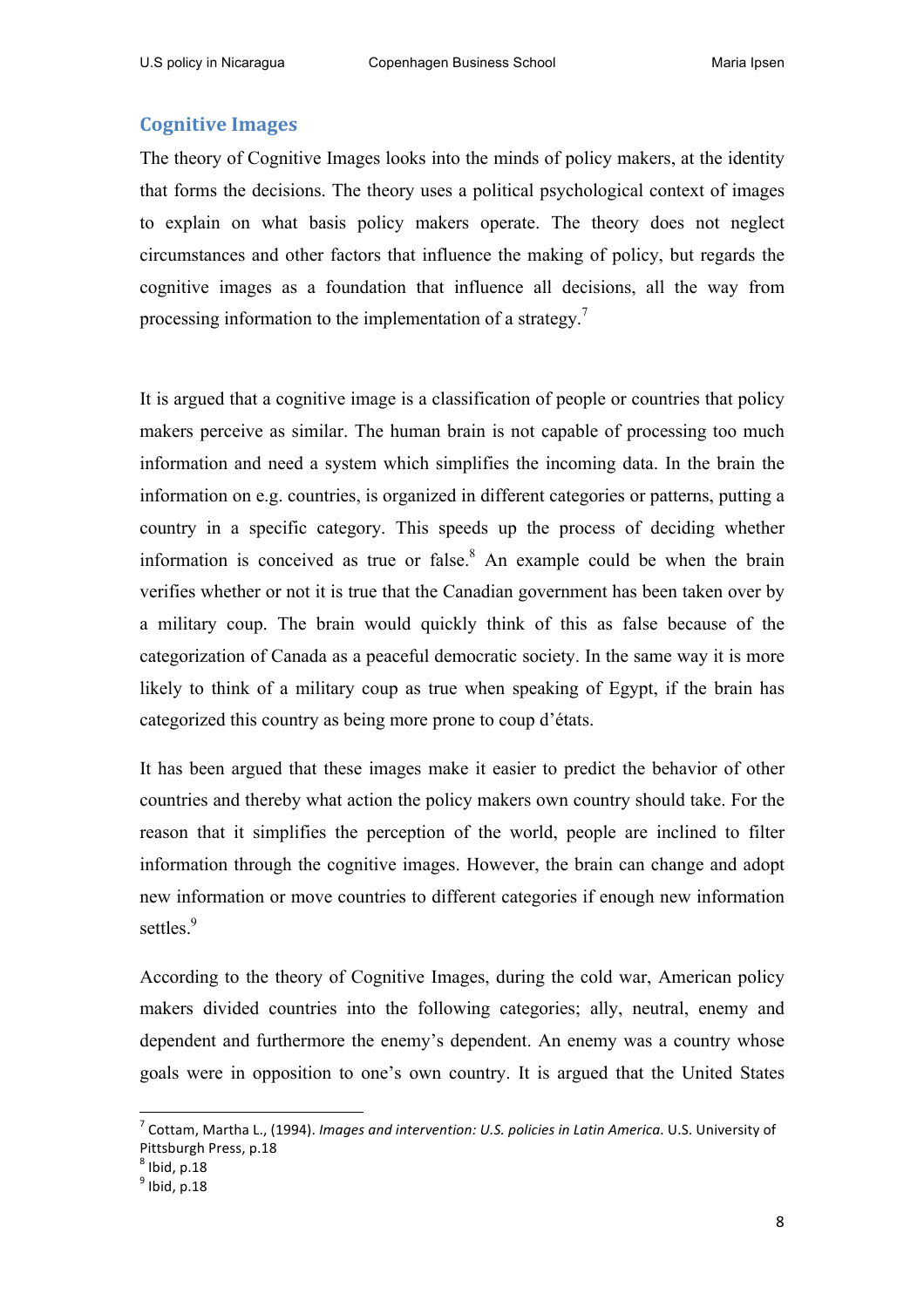### **Cognitive Images**

The theory of Cognitive Images looks into the minds of policy makers, at the identity that forms the decisions. The theory uses a political psychological context of images to explain on what basis policy makers operate. The theory does not neglect circumstances and other factors that influence the making of policy, but regards the cognitive images as a foundation that influence all decisions, all the way from processing information to the implementation of a strategy.<sup>7</sup>

It is argued that a cognitive image is a classification of people or countries that policy makers perceive as similar. The human brain is not capable of processing too much information and need a system which simplifies the incoming data. In the brain the information on e.g. countries, is organized in different categories or patterns, putting a country in a specific category. This speeds up the process of deciding whether information is conceived as true or false.<sup>8</sup> An example could be when the brain verifies whether or not it is true that the Canadian government has been taken over by a military coup. The brain would quickly think of this as false because of the categorization of Canada as a peaceful democratic society. In the same way it is more likely to think of a military coup as true when speaking of Egypt, if the brain has categorized this country as being more prone to coup d'états.

It has been argued that these images make it easier to predict the behavior of other countries and thereby what action the policy makers own country should take. For the reason that it simplifies the perception of the world, people are inclined to filter information through the cognitive images. However, the brain can change and adopt new information or move countries to different categories if enough new information settles.<sup>9</sup>

According to the theory of Cognitive Images, during the cold war, American policy makers divided countries into the following categories; ally, neutral, enemy and dependent and furthermore the enemy's dependent. An enemy was a country whose goals were in opposition to one's own country. It is argued that the United States

<sup>&</sup>lt;sup>7</sup> Cottam, Martha L., (1994). *Images and intervention: U.S. policies in Latin America*. U.S. University of Pittsburgh Press, p.18

 $<sup>8</sup>$  Ibid, p.18</sup>

 $<sup>9</sup>$  Ibid, p.18</sup>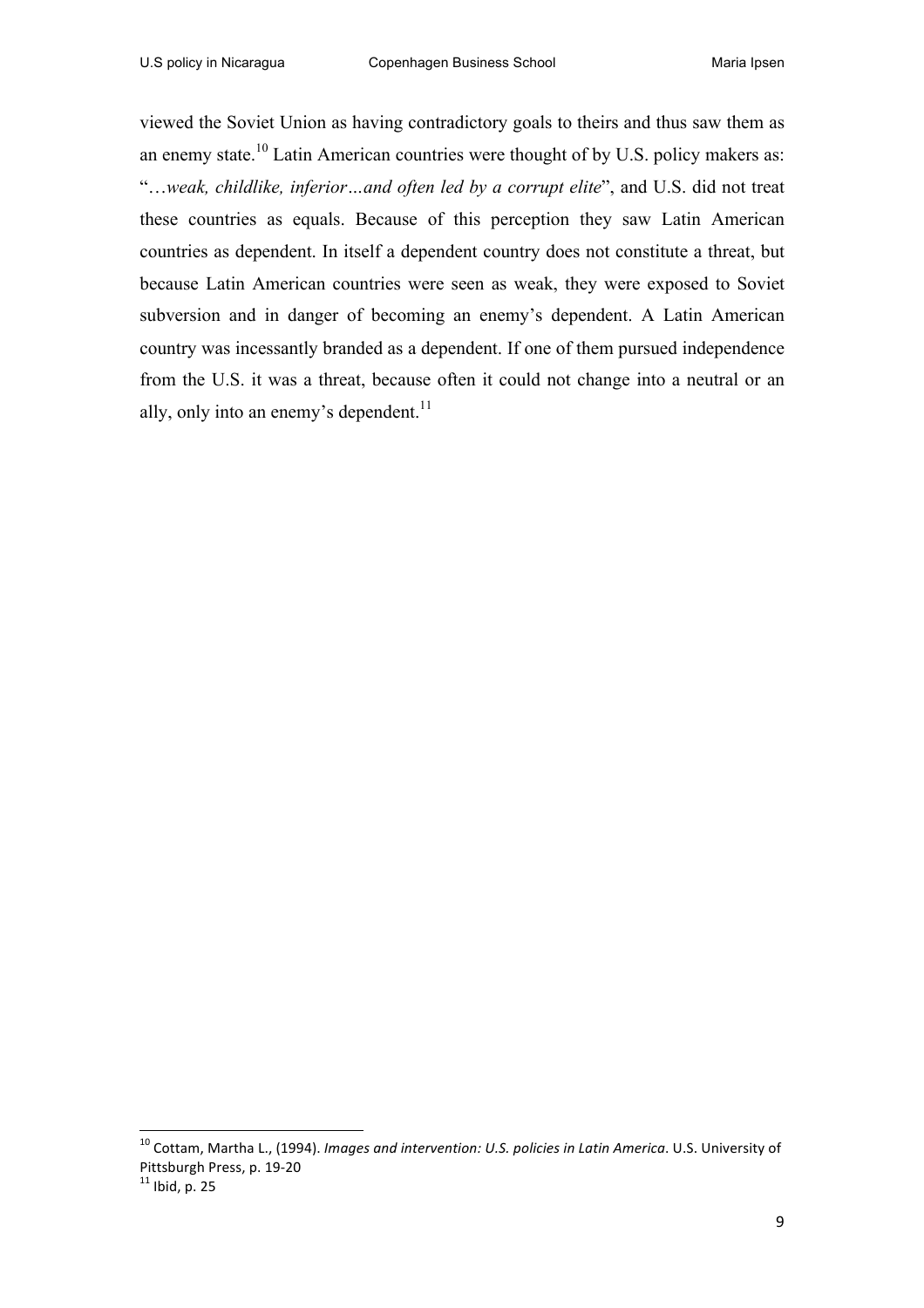viewed the Soviet Union as having contradictory goals to theirs and thus saw them as an enemy state.<sup>10</sup> Latin American countries were thought of by U.S. policy makers as: "…*weak, childlike, inferior…and often led by a corrupt elite*", and U.S. did not treat these countries as equals. Because of this perception they saw Latin American countries as dependent. In itself a dependent country does not constitute a threat, but because Latin American countries were seen as weak, they were exposed to Soviet subversion and in danger of becoming an enemy's dependent. A Latin American country was incessantly branded as a dependent. If one of them pursued independence from the U.S. it was a threat, because often it could not change into a neutral or an ally, only into an enemy's dependent. $^{11}$ 

<sup>&</sup>lt;sup>10</sup> Cottam, Martha L., (1994). *Imgges and intervention: U.S. policies in Latin America*. U.S. University of Pittsburgh Press, p. 19-20<br><sup>11</sup> Ibid. p. 25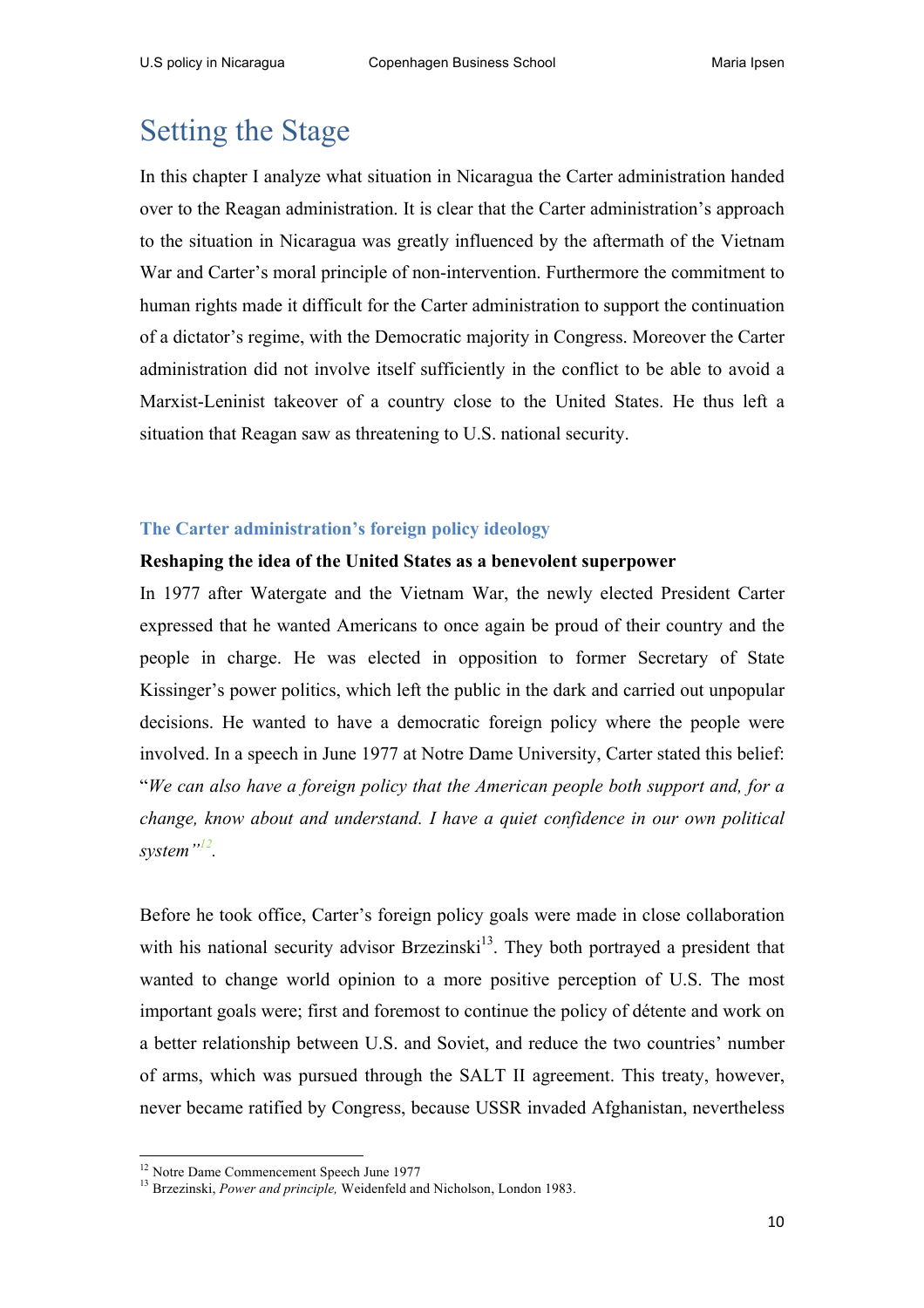# Setting the Stage

In this chapter I analyze what situation in Nicaragua the Carter administration handed over to the Reagan administration. It is clear that the Carter administration's approach to the situation in Nicaragua was greatly influenced by the aftermath of the Vietnam War and Carter's moral principle of non-intervention. Furthermore the commitment to human rights made it difficult for the Carter administration to support the continuation of a dictator's regime, with the Democratic majority in Congress. Moreover the Carter administration did not involve itself sufficiently in the conflict to be able to avoid a Marxist-Leninist takeover of a country close to the United States. He thus left a situation that Reagan saw as threatening to U.S. national security.

#### **The Carter administration's foreign policy ideology**

#### **Reshaping the idea of the United States as a benevolent superpower**

In 1977 after Watergate and the Vietnam War, the newly elected President Carter expressed that he wanted Americans to once again be proud of their country and the people in charge. He was elected in opposition to former Secretary of State Kissinger's power politics, which left the public in the dark and carried out unpopular decisions. He wanted to have a democratic foreign policy where the people were involved. In a speech in June 1977 at Notre Dame University, Carter stated this belief: "*We can also have a foreign policy that the American people both support and, for a change, know about and understand. I have a quiet confidence in our own political system"12.* 

Before he took office, Carter's foreign policy goals were made in close collaboration with his national security advisor Brzezinski<sup>13</sup>. They both portrayed a president that wanted to change world opinion to a more positive perception of U.S. The most important goals were; first and foremost to continue the policy of détente and work on a better relationship between U.S. and Soviet, and reduce the two countries' number of arms, which was pursued through the SALT II agreement. This treaty, however, never became ratified by Congress, because USSR invaded Afghanistan, nevertheless

<sup>&</sup>lt;sup>12</sup> Notre Dame Commencement Speech June 1977<br><sup>13</sup> Brzezinski, *Power and principle*, Weidenfeld and Nicholson, London 1983.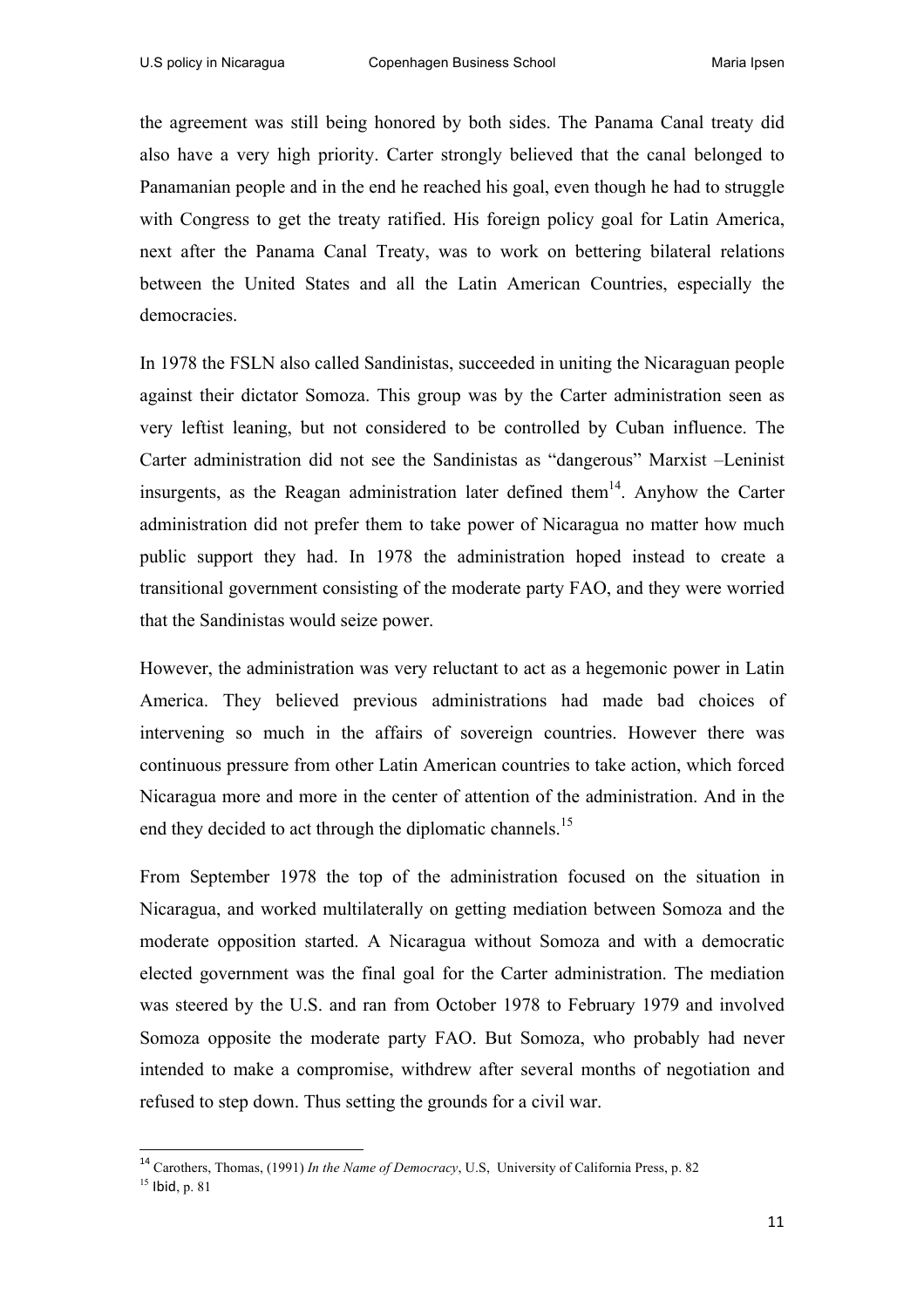the agreement was still being honored by both sides. The Panama Canal treaty did also have a very high priority. Carter strongly believed that the canal belonged to Panamanian people and in the end he reached his goal, even though he had to struggle with Congress to get the treaty ratified. His foreign policy goal for Latin America, next after the Panama Canal Treaty, was to work on bettering bilateral relations between the United States and all the Latin American Countries, especially the democracies.

In 1978 the FSLN also called Sandinistas, succeeded in uniting the Nicaraguan people against their dictator Somoza. This group was by the Carter administration seen as very leftist leaning, but not considered to be controlled by Cuban influence. The Carter administration did not see the Sandinistas as "dangerous" Marxist –Leninist insurgents, as the Reagan administration later defined them<sup>14</sup>. Anyhow the Carter administration did not prefer them to take power of Nicaragua no matter how much public support they had. In 1978 the administration hoped instead to create a transitional government consisting of the moderate party FAO, and they were worried that the Sandinistas would seize power.

However, the administration was very reluctant to act as a hegemonic power in Latin America. They believed previous administrations had made bad choices of intervening so much in the affairs of sovereign countries. However there was continuous pressure from other Latin American countries to take action, which forced Nicaragua more and more in the center of attention of the administration. And in the end they decided to act through the diplomatic channels.<sup>15</sup>

From September 1978 the top of the administration focused on the situation in Nicaragua, and worked multilaterally on getting mediation between Somoza and the moderate opposition started. A Nicaragua without Somoza and with a democratic elected government was the final goal for the Carter administration. The mediation was steered by the U.S. and ran from October 1978 to February 1979 and involved Somoza opposite the moderate party FAO. But Somoza, who probably had never intended to make a compromise, withdrew after several months of negotiation and refused to step down. Thus setting the grounds for a civil war.

<sup>14</sup> Carothers, Thomas, (1991) *In the Name of Democracy*, U.S, University of California Press, p. 82

<sup>15</sup> Ibid, p. 81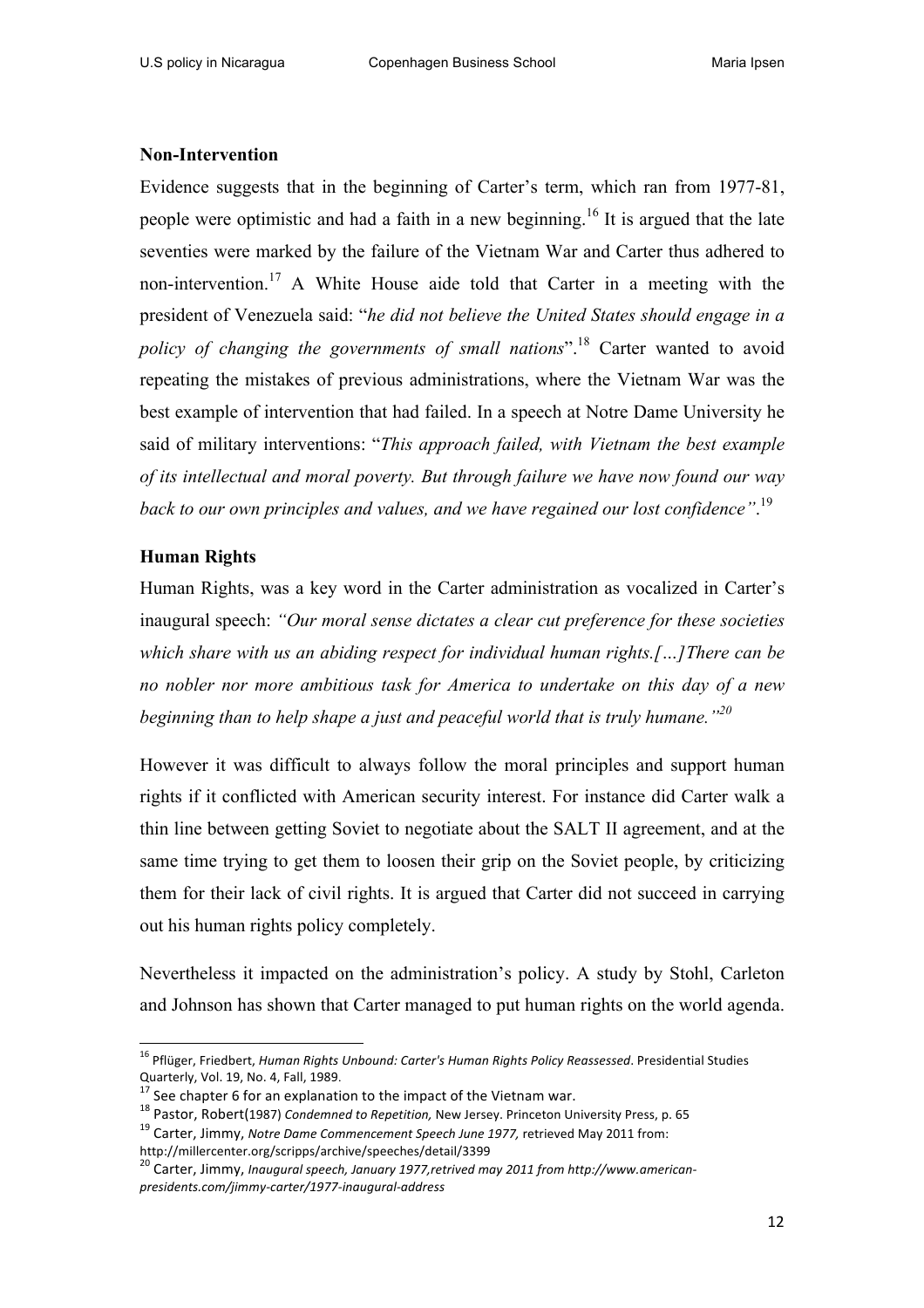#### **Non-Intervention**

Evidence suggests that in the beginning of Carter's term, which ran from 1977-81, people were optimistic and had a faith in a new beginning.<sup>16</sup> It is argued that the late seventies were marked by the failure of the Vietnam War and Carter thus adhered to non-intervention.<sup>17</sup> A White House aide told that Carter in a meeting with the president of Venezuela said: "*he did not believe the United States should engage in a policy of changing the governments of small nations*".18 Carter wanted to avoid repeating the mistakes of previous administrations, where the Vietnam War was the best example of intervention that had failed. In a speech at Notre Dame University he said of military interventions: "*This approach failed, with Vietnam the best example of its intellectual and moral poverty. But through failure we have now found our way back to our own principles and values, and we have regained our lost confidence"*. 19

#### **Human Rights**

Human Rights, was a key word in the Carter administration as vocalized in Carter's inaugural speech: *"Our moral sense dictates a clear cut preference for these societies which share with us an abiding respect for individual human rights.[…]There can be no nobler nor more ambitious task for America to undertake on this day of a new beginning than to help shape a just and peaceful world that is truly humane."20*

However it was difficult to always follow the moral principles and support human rights if it conflicted with American security interest. For instance did Carter walk a thin line between getting Soviet to negotiate about the SALT II agreement, and at the same time trying to get them to loosen their grip on the Soviet people, by criticizing them for their lack of civil rights. It is argued that Carter did not succeed in carrying out his human rights policy completely.

Nevertheless it impacted on the administration's policy. A study by Stohl, Carleton and Johnson has shown that Carter managed to put human rights on the world agenda.

<sup>&</sup>lt;sup>16</sup> Pflüger, Friedbert, *Human Rights Unbound: Carter's Human Rights Policy Reassessed*. Presidential Studies Quarterly, Vol. 19, No. 4, Fall, 1989.<br><sup>17</sup> See chapter 6 for an explanation to the impact of the Vietnam war.<br><sup>18</sup> Pastor, Robert(1987) Condemned to Repetition, New Jersey. Princeton University Press, p. 65<br><sup>19</sup> Carter, J

http://millercenter.org/scripps/archive/speeches/detail/3399<br><sup>20</sup> Carter. Jimmy. *Inaugural speech, January 1977,retrived may 2011 from http://www.american-*

*presidents.com/jimmy-carter/1977-inaugural-address*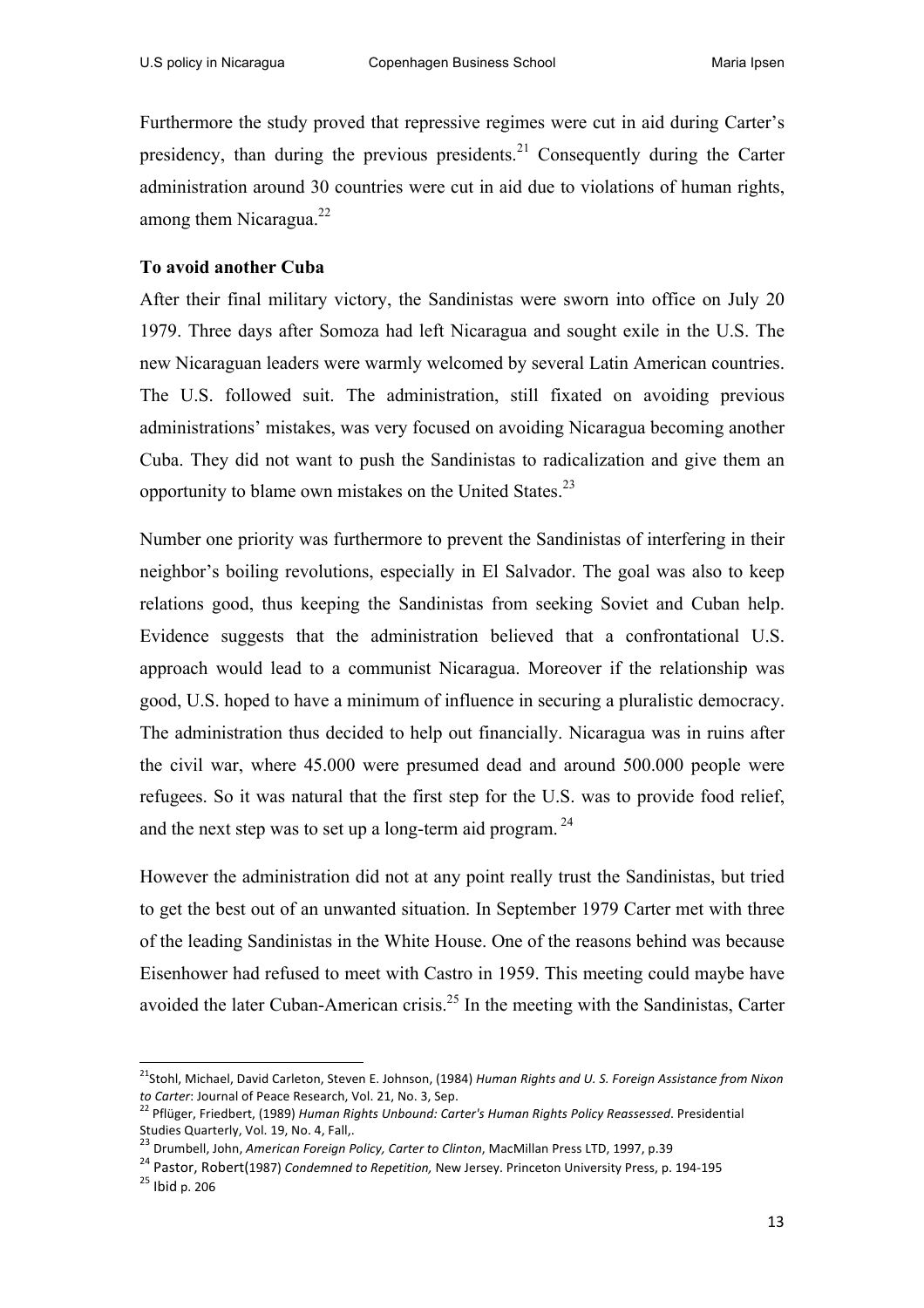Furthermore the study proved that repressive regimes were cut in aid during Carter's presidency, than during the previous presidents.<sup>21</sup> Consequently during the Carter administration around 30 countries were cut in aid due to violations of human rights, among them Nicaragua. $^{22}$ 

#### **To avoid another Cuba**

After their final military victory, the Sandinistas were sworn into office on July 20 1979. Three days after Somoza had left Nicaragua and sought exile in the U.S. The new Nicaraguan leaders were warmly welcomed by several Latin American countries. The U.S. followed suit. The administration, still fixated on avoiding previous administrations' mistakes, was very focused on avoiding Nicaragua becoming another Cuba. They did not want to push the Sandinistas to radicalization and give them an opportunity to blame own mistakes on the United States.<sup>23</sup>

Number one priority was furthermore to prevent the Sandinistas of interfering in their neighbor's boiling revolutions, especially in El Salvador. The goal was also to keep relations good, thus keeping the Sandinistas from seeking Soviet and Cuban help. Evidence suggests that the administration believed that a confrontational U.S. approach would lead to a communist Nicaragua. Moreover if the relationship was good, U.S. hoped to have a minimum of influence in securing a pluralistic democracy. The administration thus decided to help out financially. Nicaragua was in ruins after the civil war, where 45.000 were presumed dead and around 500.000 people were refugees. So it was natural that the first step for the U.S. was to provide food relief, and the next step was to set up a long-term aid program.<sup>24</sup>

However the administration did not at any point really trust the Sandinistas, but tried to get the best out of an unwanted situation. In September 1979 Carter met with three of the leading Sandinistas in the White House. One of the reasons behind was because Eisenhower had refused to meet with Castro in 1959. This meeting could maybe have avoided the later Cuban-American crisis.<sup>25</sup> In the meeting with the Sandinistas, Carter

<sup>&</sup>lt;sup>21</sup>Stohl, Michael, David Carleton, Steven E. Johnson, (1984) *Human Rights and U. S. Foreign Assistance from Nixon*<br>to Carter: Journal of Peace Research, Vol. 21, No. 3, Sep.

<sup>&</sup>lt;sup>22</sup> Pflüger, Friedbert, (1989) *Human Rights Unbound: Carter's Human Rights Policy Reassessed.* Presidential Studies Quarterly, Vol. 19, No. 4, Fall,.<br><sup>23</sup> Drumbell, John, *American Foreign Policy, Carter to Clinton*, MacMillan Press LTD, 1997, p.39

<sup>&</sup>lt;sup>24</sup> Pastor, Robert(1987) *Condemned to Repetition*, New Jersey. Princeton University Press, p. 194-195<br><sup>25</sup> Ibid p. 206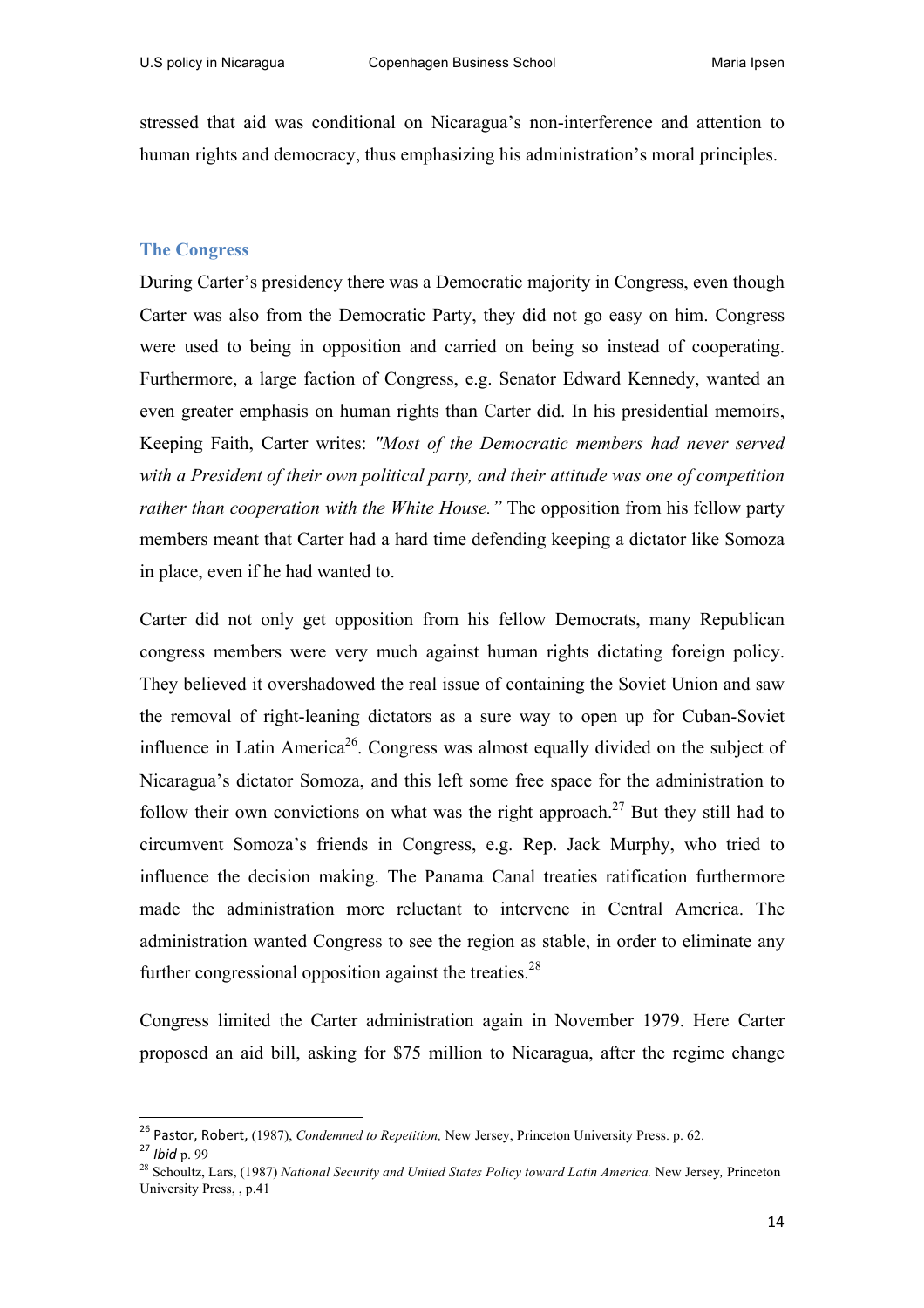stressed that aid was conditional on Nicaragua's non-interference and attention to human rights and democracy, thus emphasizing his administration's moral principles.

#### **The Congress**

During Carter's presidency there was a Democratic majority in Congress, even though Carter was also from the Democratic Party, they did not go easy on him. Congress were used to being in opposition and carried on being so instead of cooperating. Furthermore, a large faction of Congress, e.g. Senator Edward Kennedy, wanted an even greater emphasis on human rights than Carter did. In his presidential memoirs, Keeping Faith, Carter writes: *"Most of the Democratic members had never served with a President of their own political party, and their attitude was one of competition rather than cooperation with the White House."* The opposition from his fellow party members meant that Carter had a hard time defending keeping a dictator like Somoza in place, even if he had wanted to.

Carter did not only get opposition from his fellow Democrats, many Republican congress members were very much against human rights dictating foreign policy. They believed it overshadowed the real issue of containing the Soviet Union and saw the removal of right-leaning dictators as a sure way to open up for Cuban-Soviet influence in Latin America<sup>26</sup>. Congress was almost equally divided on the subject of Nicaragua's dictator Somoza, and this left some free space for the administration to follow their own convictions on what was the right approach.<sup>27</sup> But they still had to circumvent Somoza's friends in Congress, e.g. Rep. Jack Murphy, who tried to influence the decision making. The Panama Canal treaties ratification furthermore made the administration more reluctant to intervene in Central America. The administration wanted Congress to see the region as stable, in order to eliminate any further congressional opposition against the treaties.<sup>28</sup>

Congress limited the Carter administration again in November 1979. Here Carter proposed an aid bill, asking for \$75 million to Nicaragua, after the regime change

<sup>&</sup>lt;sup>26</sup> Pastor, Robert, (1987), *Condemned to Repetition*, New Jersey, Princeton University Press. p. 62.<br><sup>27</sup> *Ibid* p. 99

<sup>28</sup> Schoultz, Lars, (1987) *National Security and United States Policy toward Latin America.* New Jersey*,* Princeton University Press, , p.41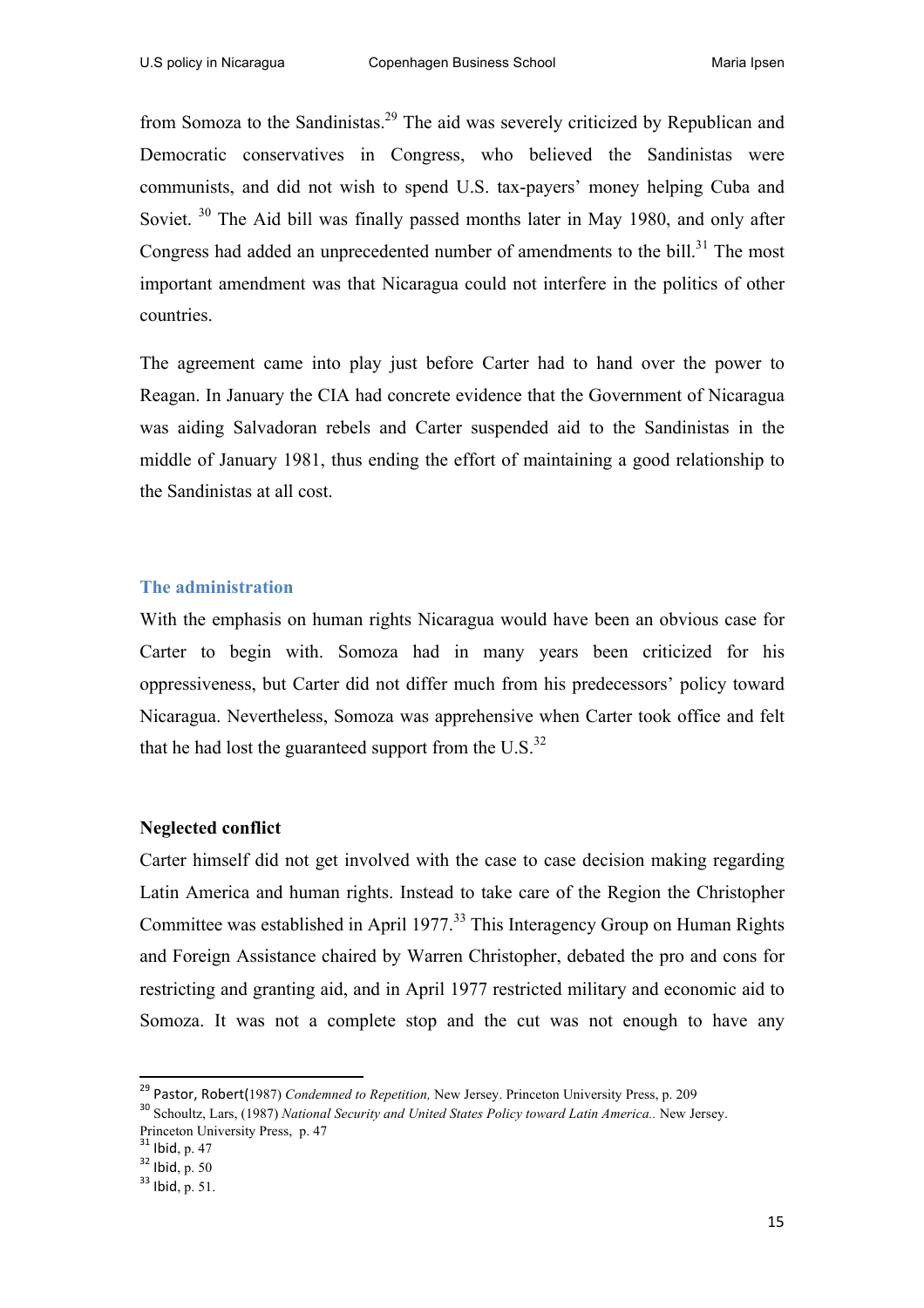from Somoza to the Sandinistas.29 The aid was severely criticized by Republican and Democratic conservatives in Congress, who believed the Sandinistas were communists, and did not wish to spend U.S. tax-payers' money helping Cuba and Soviet.<sup>30</sup> The Aid bill was finally passed months later in May 1980, and only after Congress had added an unprecedented number of amendments to the bill. $31$  The most important amendment was that Nicaragua could not interfere in the politics of other countries.

The agreement came into play just before Carter had to hand over the power to Reagan. In January the CIA had concrete evidence that the Government of Nicaragua was aiding Salvadoran rebels and Carter suspended aid to the Sandinistas in the middle of January 1981, thus ending the effort of maintaining a good relationship to the Sandinistas at all cost.

#### **The administration**

With the emphasis on human rights Nicaragua would have been an obvious case for Carter to begin with. Somoza had in many years been criticized for his oppressiveness, but Carter did not differ much from his predecessors' policy toward Nicaragua. Nevertheless, Somoza was apprehensive when Carter took office and felt that he had lost the guaranteed support from the  $U.S.^{32}$ 

#### **Neglected conflict**

Carter himself did not get involved with the case to case decision making regarding Latin America and human rights. Instead to take care of the Region the Christopher Committee was established in April 1977.<sup>33</sup> This Interagency Group on Human Rights and Foreign Assistance chaired by Warren Christopher, debated the pro and cons for restricting and granting aid, and in April 1977 restricted military and economic aid to Somoza. It was not a complete stop and the cut was not enough to have any

<sup>&</sup>lt;sup>29</sup> Pastor, Robert(1987) *Condemned to Repetition*, New Jersey. Princeton University Press, p. 209 30 Schoultz, Lars, (1987) *National Security and United States Policy toward Latin America.*. New Jersey.

Princeton University Press, p. 47<br> $31$  Ibid, p. 47<br> $32$  Ibid, p. 50<br> $33$  Ibid, p. 51.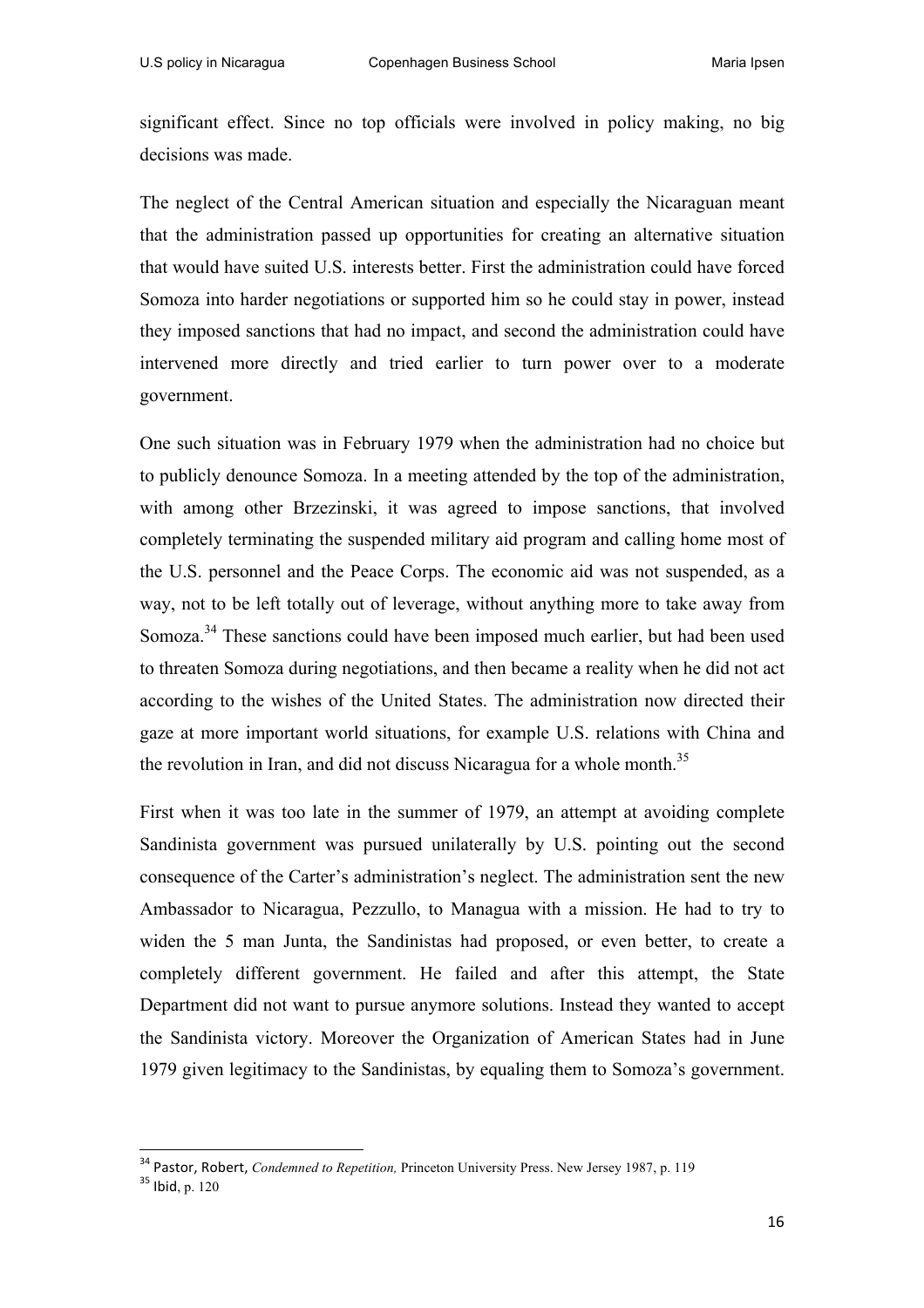significant effect. Since no top officials were involved in policy making, no big decisions was made.

The neglect of the Central American situation and especially the Nicaraguan meant that the administration passed up opportunities for creating an alternative situation that would have suited U.S. interests better. First the administration could have forced Somoza into harder negotiations or supported him so he could stay in power, instead they imposed sanctions that had no impact, and second the administration could have intervened more directly and tried earlier to turn power over to a moderate government.

One such situation was in February 1979 when the administration had no choice but to publicly denounce Somoza. In a meeting attended by the top of the administration, with among other Brzezinski, it was agreed to impose sanctions, that involved completely terminating the suspended military aid program and calling home most of the U.S. personnel and the Peace Corps. The economic aid was not suspended, as a way, not to be left totally out of leverage, without anything more to take away from Somoza.<sup>34</sup> These sanctions could have been imposed much earlier, but had been used to threaten Somoza during negotiations, and then became a reality when he did not act according to the wishes of the United States. The administration now directed their gaze at more important world situations, for example U.S. relations with China and the revolution in Iran, and did not discuss Nicaragua for a whole month.<sup>35</sup>

First when it was too late in the summer of 1979, an attempt at avoiding complete Sandinista government was pursued unilaterally by U.S. pointing out the second consequence of the Carter's administration's neglect. The administration sent the new Ambassador to Nicaragua, Pezzullo, to Managua with a mission. He had to try to widen the 5 man Junta, the Sandinistas had proposed, or even better, to create a completely different government. He failed and after this attempt, the State Department did not want to pursue anymore solutions. Instead they wanted to accept the Sandinista victory. Moreover the Organization of American States had in June 1979 given legitimacy to the Sandinistas, by equaling them to Somoza's government.

<sup>&</sup>lt;sup>34</sup> Pastor, Robert, *Condemned to Repetition*, Princeton University Press. New Jersey 1987, p. 119<br><sup>35</sup> Ibid. p. 120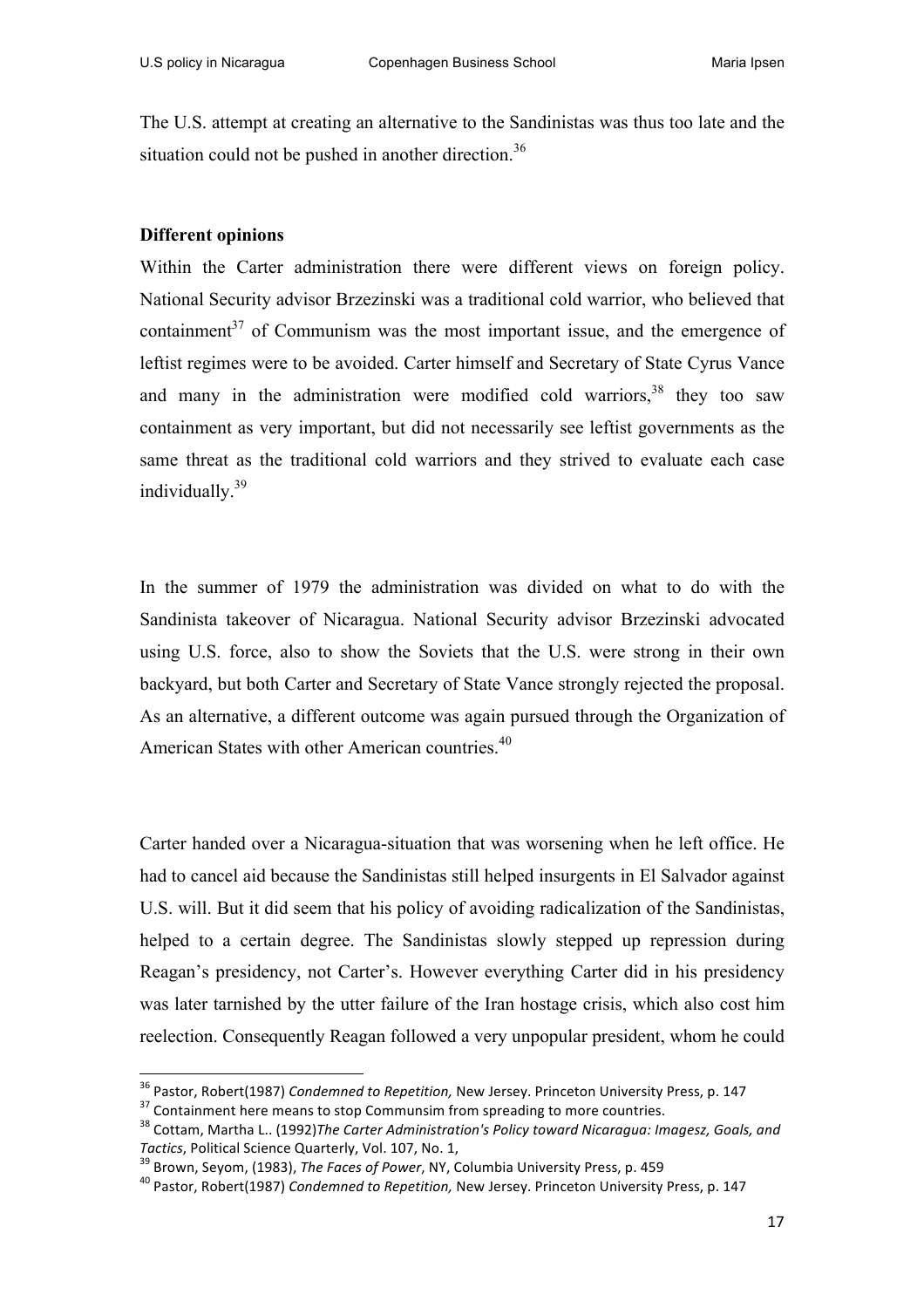The U.S. attempt at creating an alternative to the Sandinistas was thus too late and the situation could not be pushed in another direction.<sup>36</sup>

#### **Different opinions**

Within the Carter administration there were different views on foreign policy. National Security advisor Brzezinski was a traditional cold warrior, who believed that containment $37$  of Communism was the most important issue, and the emergence of leftist regimes were to be avoided. Carter himself and Secretary of State Cyrus Vance and many in the administration were modified cold warriors,  $38$  they too saw containment as very important, but did not necessarily see leftist governments as the same threat as the traditional cold warriors and they strived to evaluate each case individually.39

In the summer of 1979 the administration was divided on what to do with the Sandinista takeover of Nicaragua. National Security advisor Brzezinski advocated using U.S. force, also to show the Soviets that the U.S. were strong in their own backyard, but both Carter and Secretary of State Vance strongly rejected the proposal. As an alternative, a different outcome was again pursued through the Organization of American States with other American countries.<sup>40</sup>

Carter handed over a Nicaragua-situation that was worsening when he left office. He had to cancel aid because the Sandinistas still helped insurgents in El Salvador against U.S. will. But it did seem that his policy of avoiding radicalization of the Sandinistas, helped to a certain degree. The Sandinistas slowly stepped up repression during Reagan's presidency, not Carter's. However everything Carter did in his presidency was later tarnished by the utter failure of the Iran hostage crisis, which also cost him reelection. Consequently Reagan followed a very unpopular president, whom he could

<sup>&</sup>lt;sup>36</sup> Pastor, Robert(1987) Condemned to Repetition, New Jersey. Princeton University Press, p. 147<br><sup>37</sup> Containment here means to stop Communsim from spreading to more countries.<br><sup>38</sup> Cottam, Martha L.. (1992)*The Carter A* 

Tactics, Political Science Quarterly, Vol. 107, No. 1,<br><sup>39</sup> Brown, Seyom, (1983), *The Faces of Power*, NY, Columbia University Press, p. 459<br><sup>40</sup> Pastor. Robert(1987) Condemned to Repetition, New Jersey. Princeton Univers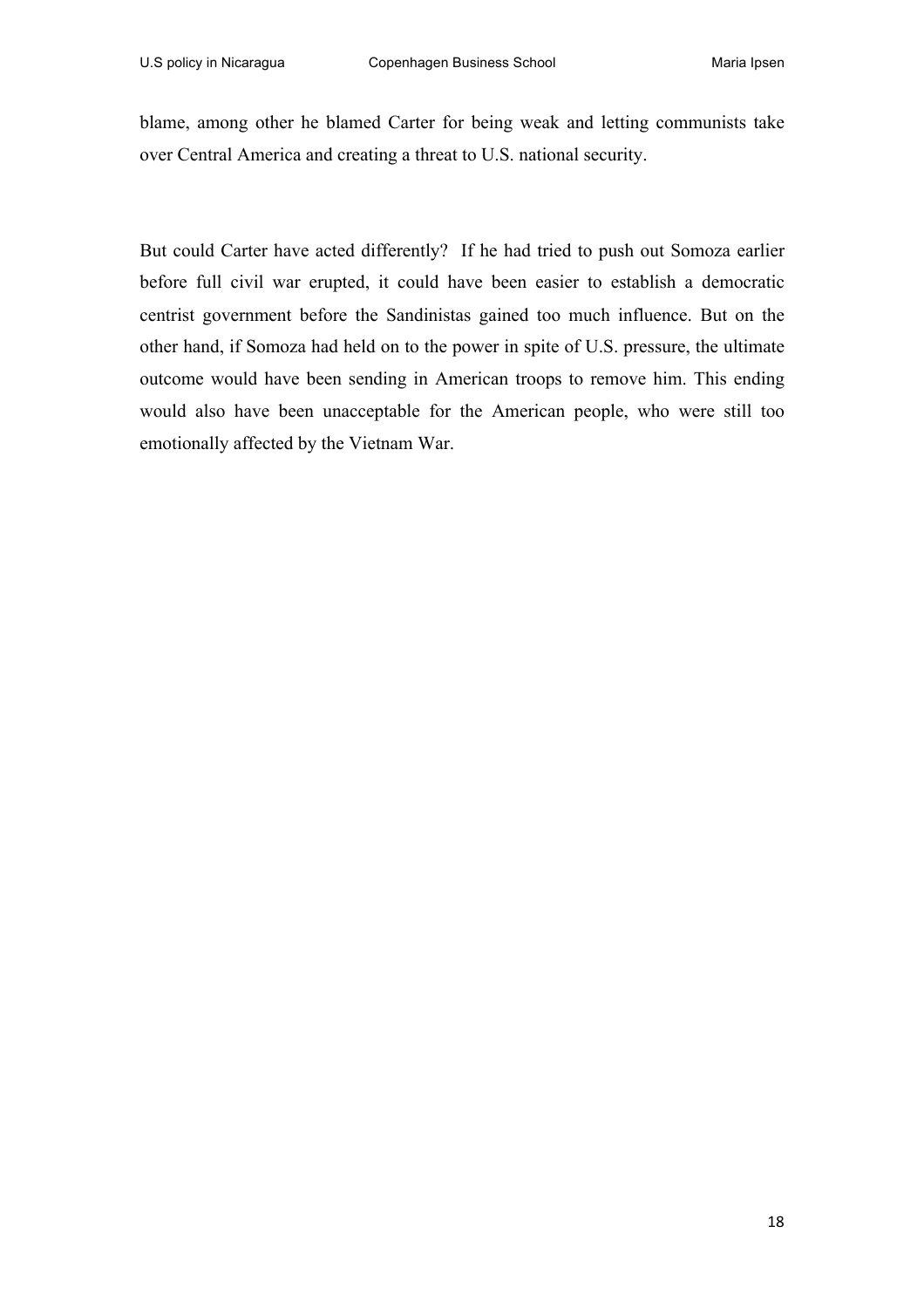blame, among other he blamed Carter for being weak and letting communists take over Central America and creating a threat to U.S. national security.

But could Carter have acted differently? If he had tried to push out Somoza earlier before full civil war erupted, it could have been easier to establish a democratic centrist government before the Sandinistas gained too much influence. But on the other hand, if Somoza had held on to the power in spite of U.S. pressure, the ultimate outcome would have been sending in American troops to remove him. This ending would also have been unacceptable for the American people, who were still too emotionally affected by the Vietnam War.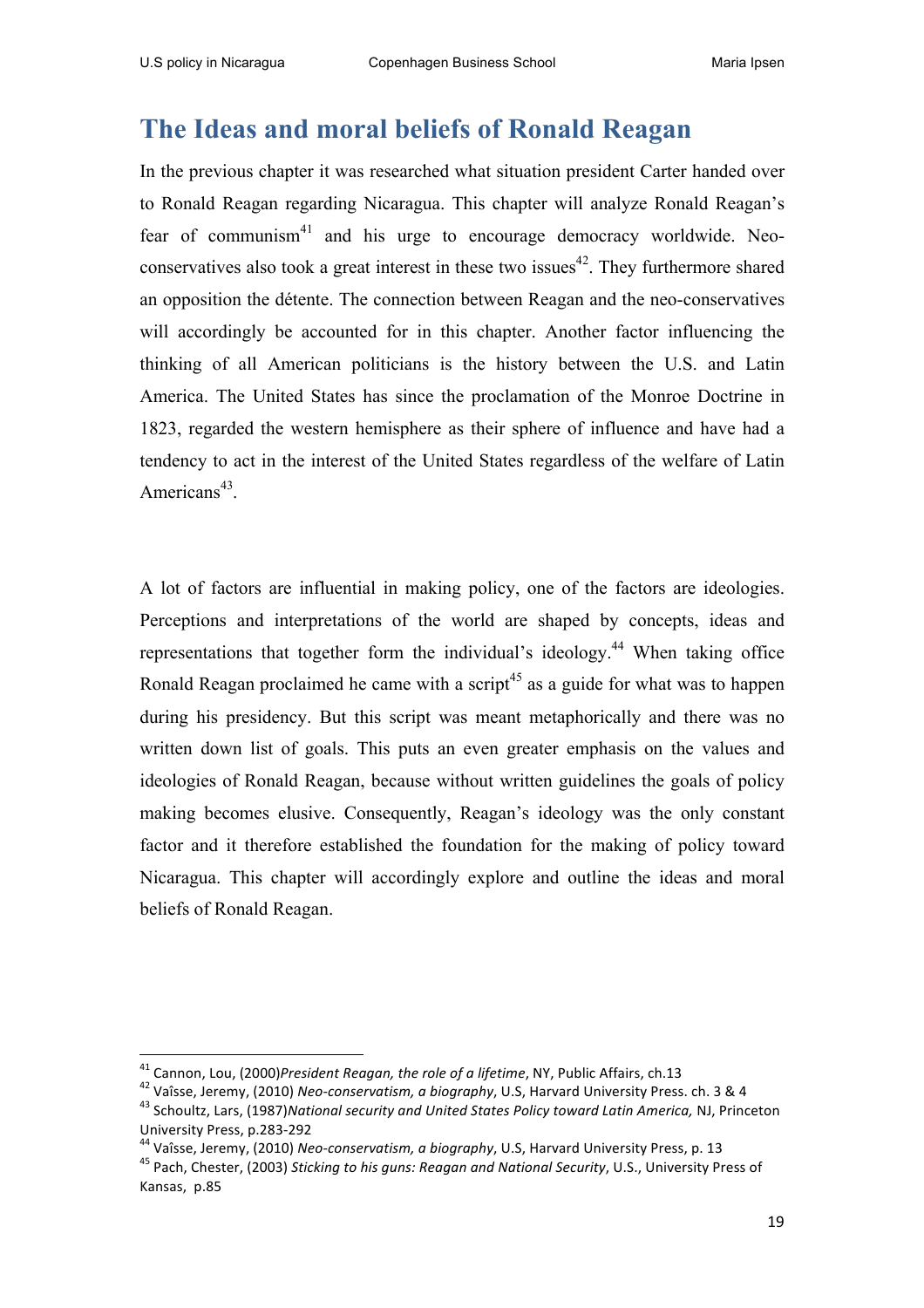# **The Ideas and moral beliefs of Ronald Reagan**

In the previous chapter it was researched what situation president Carter handed over to Ronald Reagan regarding Nicaragua. This chapter will analyze Ronald Reagan's fear of communism<sup>41</sup> and his urge to encourage democracy worldwide. Neoconservatives also took a great interest in these two issues<sup>42</sup>. They furthermore shared an opposition the détente. The connection between Reagan and the neo-conservatives will accordingly be accounted for in this chapter. Another factor influencing the thinking of all American politicians is the history between the U.S. and Latin America. The United States has since the proclamation of the Monroe Doctrine in 1823, regarded the western hemisphere as their sphere of influence and have had a tendency to act in the interest of the United States regardless of the welfare of Latin Americans<sup>43</sup>.

A lot of factors are influential in making policy, one of the factors are ideologies. Perceptions and interpretations of the world are shaped by concepts, ideas and representations that together form the individual's ideology.<sup>44</sup> When taking office Ronald Reagan proclaimed he came with a script<sup>45</sup> as a guide for what was to happen during his presidency. But this script was meant metaphorically and there was no written down list of goals. This puts an even greater emphasis on the values and ideologies of Ronald Reagan, because without written guidelines the goals of policy making becomes elusive. Consequently, Reagan's ideology was the only constant factor and it therefore established the foundation for the making of policy toward Nicaragua. This chapter will accordingly explore and outline the ideas and moral beliefs of Ronald Reagan.

 

<sup>&</sup>lt;sup>41</sup> Cannon, Lou, (2000) President Reagan, the role of a lifetime, NY, Public Affairs, ch.13<br><sup>42</sup> Vaîsse, Jeremy, (2010) Neo-conservatism, a biography, U.S, Harvard University Press. ch. 3 & 4<br><sup>43</sup> Schoultz, Lars, (1987) University Press, p.283-292<br><sup>44</sup> Vaîsse, Jeremy, (2010) Neo-conservatism, a biography, U.S, Harvard University Press, p. 13<br><sup>45</sup> Pach, Chester, (2003) Sticking to his guns: Reagan and National Security, U.S., University Pr

Kansas, p.85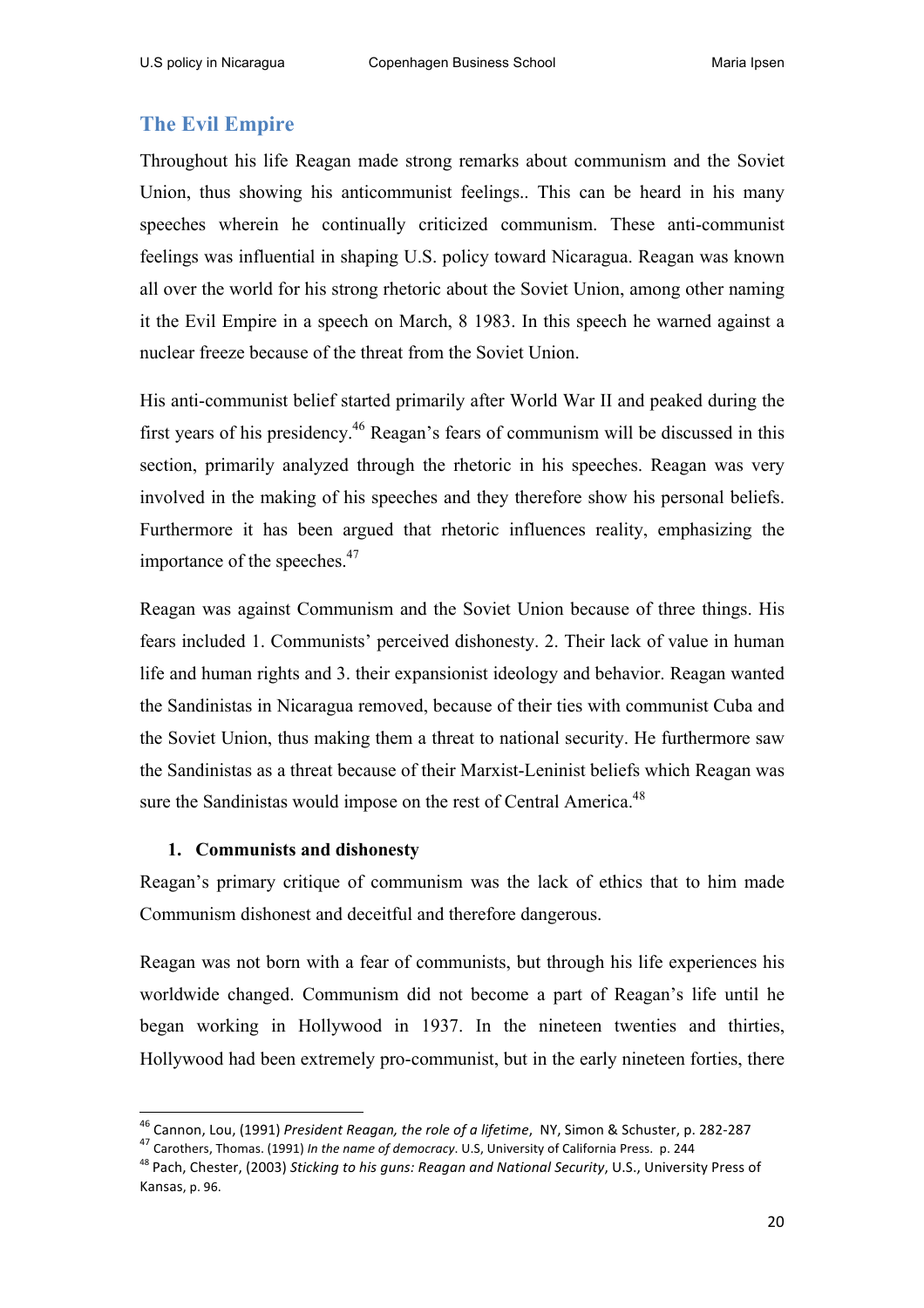## **The Evil Empire**

Throughout his life Reagan made strong remarks about communism and the Soviet Union, thus showing his anticommunist feelings.. This can be heard in his many speeches wherein he continually criticized communism. These anti-communist feelings was influential in shaping U.S. policy toward Nicaragua. Reagan was known all over the world for his strong rhetoric about the Soviet Union, among other naming it the Evil Empire in a speech on March, 8 1983. In this speech he warned against a nuclear freeze because of the threat from the Soviet Union.

His anti-communist belief started primarily after World War II and peaked during the first years of his presidency.<sup>46</sup> Reagan's fears of communism will be discussed in this section, primarily analyzed through the rhetoric in his speeches. Reagan was very involved in the making of his speeches and they therefore show his personal beliefs. Furthermore it has been argued that rhetoric influences reality, emphasizing the importance of the speeches.<sup>47</sup>

Reagan was against Communism and the Soviet Union because of three things. His fears included 1. Communists' perceived dishonesty. 2. Their lack of value in human life and human rights and 3. their expansionist ideology and behavior. Reagan wanted the Sandinistas in Nicaragua removed, because of their ties with communist Cuba and the Soviet Union, thus making them a threat to national security. He furthermore saw the Sandinistas as a threat because of their Marxist-Leninist beliefs which Reagan was sure the Sandinistas would impose on the rest of Central America.<sup>48</sup>

### **1. Communists and dishonesty**

Reagan's primary critique of communism was the lack of ethics that to him made Communism dishonest and deceitful and therefore dangerous.

Reagan was not born with a fear of communists, but through his life experiences his worldwide changed. Communism did not become a part of Reagan's life until he began working in Hollywood in 1937. In the nineteen twenties and thirties, Hollywood had been extremely pro-communist, but in the early nineteen forties, there

<sup>&</sup>lt;sup>46</sup> Cannon, Lou, (1991) *President Reagan, the role of a lifetime*, *NY*, Simon & Schuster, p. 282-287 <sup>47</sup> Carothers, Thomas. (1991) *In the name of democracy*. U.S, University of California Press. p. 244

<sup>&</sup>lt;sup>48</sup> Pach, Chester, (2003) Sticking to his guns: Reagan and National Security, U.S., University Press of Kansas, p. 96.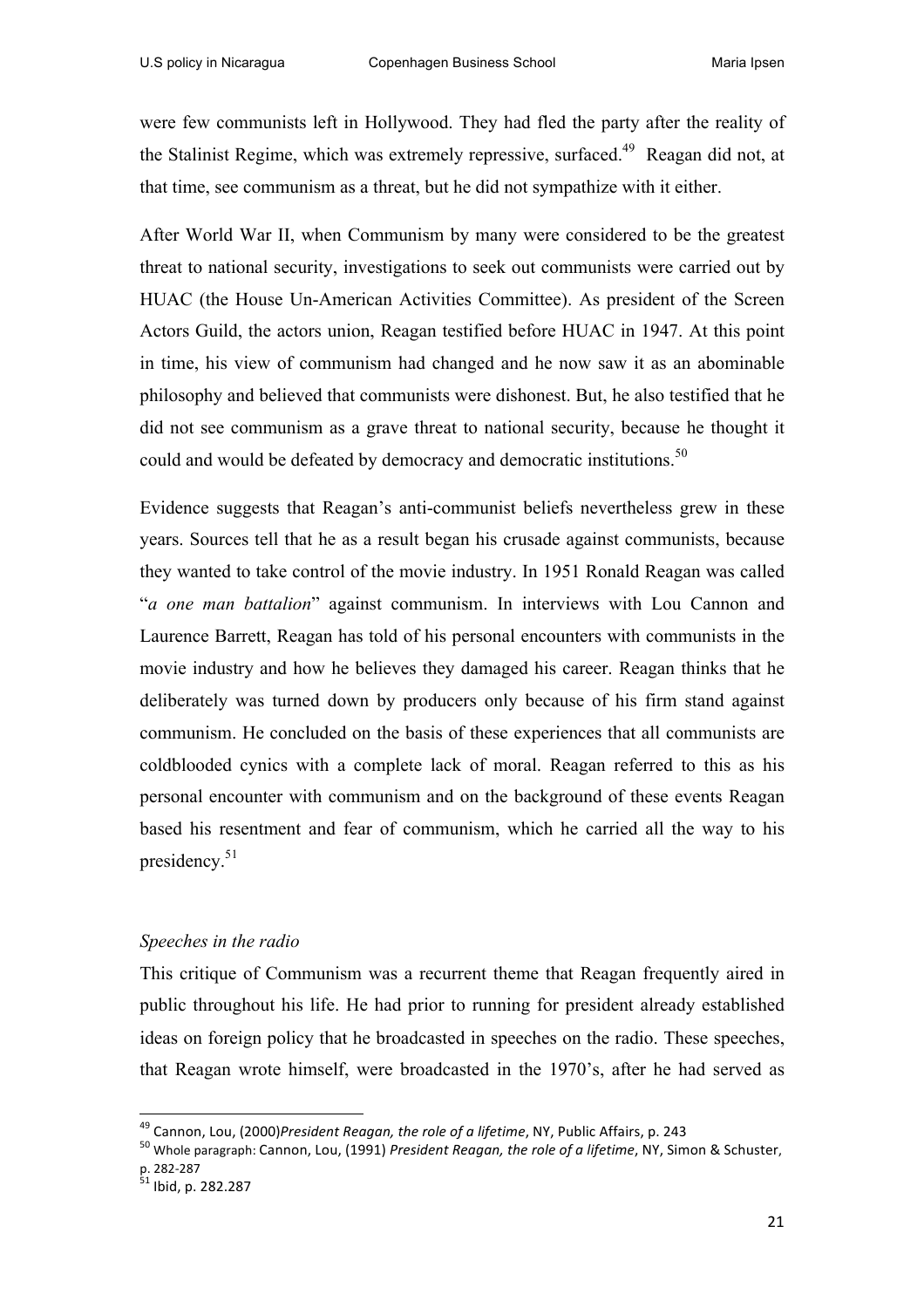were few communists left in Hollywood. They had fled the party after the reality of the Stalinist Regime, which was extremely repressive, surfaced.<sup>49</sup> Reagan did not, at that time, see communism as a threat, but he did not sympathize with it either.

After World War II, when Communism by many were considered to be the greatest threat to national security, investigations to seek out communists were carried out by HUAC (the House Un-American Activities Committee). As president of the Screen Actors Guild, the actors union, Reagan testified before HUAC in 1947. At this point in time, his view of communism had changed and he now saw it as an abominable philosophy and believed that communists were dishonest. But, he also testified that he did not see communism as a grave threat to national security, because he thought it could and would be defeated by democracy and democratic institutions.<sup>50</sup>

Evidence suggests that Reagan's anti-communist beliefs nevertheless grew in these years. Sources tell that he as a result began his crusade against communists, because they wanted to take control of the movie industry. In 1951 Ronald Reagan was called "*a one man battalion*" against communism. In interviews with Lou Cannon and Laurence Barrett, Reagan has told of his personal encounters with communists in the movie industry and how he believes they damaged his career. Reagan thinks that he deliberately was turned down by producers only because of his firm stand against communism. He concluded on the basis of these experiences that all communists are coldblooded cynics with a complete lack of moral. Reagan referred to this as his personal encounter with communism and on the background of these events Reagan based his resentment and fear of communism, which he carried all the way to his presidency.<sup>51</sup>

#### *Speeches in the radio*

This critique of Communism was a recurrent theme that Reagan frequently aired in public throughout his life. He had prior to running for president already established ideas on foreign policy that he broadcasted in speeches on the radio. These speeches, that Reagan wrote himself, were broadcasted in the 1970's, after he had served as

<sup>&</sup>lt;sup>49</sup> Cannon, Lou, (2000) President Reagan, the role of a lifetime, NY, Public Affairs, p. 243

<sup>&</sup>lt;sup>50</sup> Whole paragraph: Cannon, Lou, (1991) President Reagan, the role of a lifetime, NY, Simon & Schuster, p. 282-287<br> $51$  Ibid, p. 282.287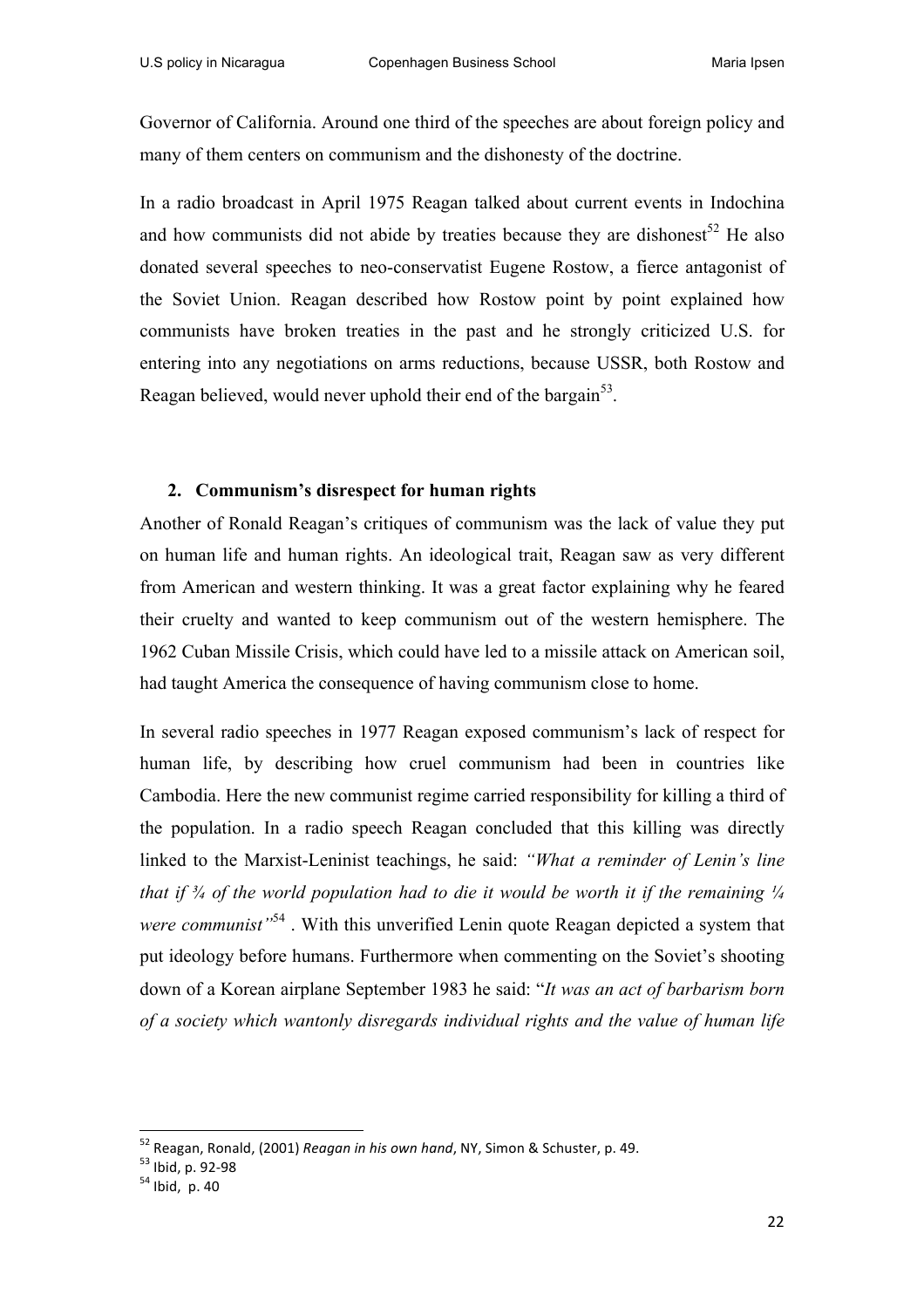Governor of California. Around one third of the speeches are about foreign policy and many of them centers on communism and the dishonesty of the doctrine.

In a radio broadcast in April 1975 Reagan talked about current events in Indochina and how communists did not abide by treaties because they are dishonest<sup>52</sup> He also donated several speeches to neo-conservatist Eugene Rostow, a fierce antagonist of the Soviet Union. Reagan described how Rostow point by point explained how communists have broken treaties in the past and he strongly criticized U.S. for entering into any negotiations on arms reductions, because USSR, both Rostow and Reagan believed, would never uphold their end of the bargain<sup>53</sup>.

#### **2. Communism's disrespect for human rights**

Another of Ronald Reagan's critiques of communism was the lack of value they put on human life and human rights. An ideological trait, Reagan saw as very different from American and western thinking. It was a great factor explaining why he feared their cruelty and wanted to keep communism out of the western hemisphere. The 1962 Cuban Missile Crisis, which could have led to a missile attack on American soil, had taught America the consequence of having communism close to home.

In several radio speeches in 1977 Reagan exposed communism's lack of respect for human life, by describing how cruel communism had been in countries like Cambodia. Here the new communist regime carried responsibility for killing a third of the population. In a radio speech Reagan concluded that this killing was directly linked to the Marxist-Leninist teachings, he said: *"What a reminder of Lenin's line that if*  $\frac{3}{4}$  of the world population had to die it would be worth it if the remaining  $\frac{1}{4}$ *were communist*<sup>54</sup>. With this unverified Lenin quote Reagan depicted a system that put ideology before humans. Furthermore when commenting on the Soviet's shooting down of a Korean airplane September 1983 he said: "*It was an act of barbarism born of a society which wantonly disregards individual rights and the value of human life* 

<sup>&</sup>lt;sup>52</sup> Reagan, Ronald, (2001) *Reagan in his own hand,* NY, Simon & Schuster, p. 49.<br><sup>53</sup> Ibid, p. 92-98<br><sup>54</sup> Ibid, p. 40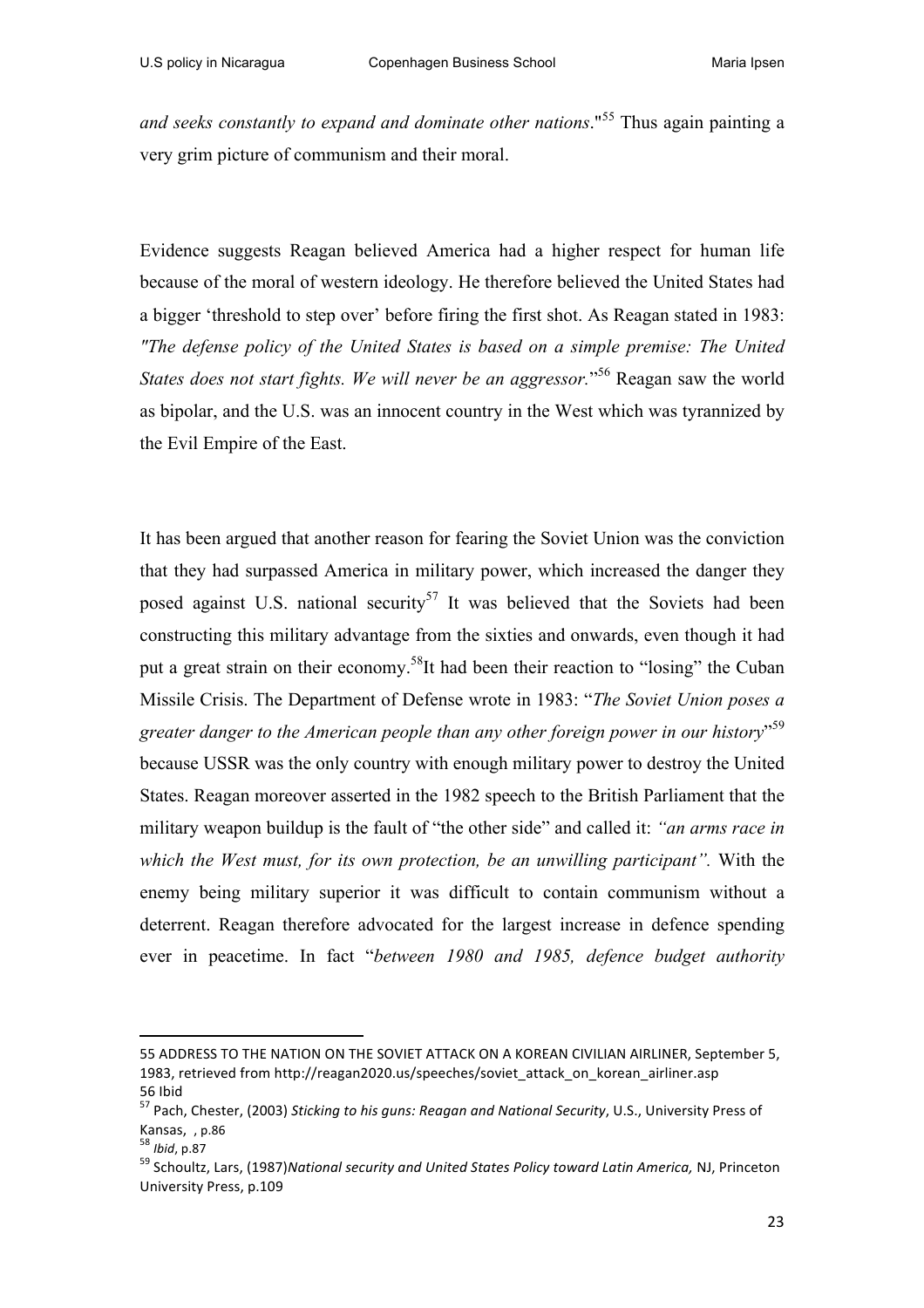*and seeks constantly to expand and dominate other nations*."<sup>55</sup> Thus again painting a very grim picture of communism and their moral.

Evidence suggests Reagan believed America had a higher respect for human life because of the moral of western ideology. He therefore believed the United States had a bigger 'threshold to step over' before firing the first shot. As Reagan stated in 1983: *"The defense policy of the United States is based on a simple premise: The United*  States does not start fights. We will never be an aggressor."<sup>56</sup> Reagan saw the world as bipolar, and the U.S. was an innocent country in the West which was tyrannized by the Evil Empire of the East.

It has been argued that another reason for fearing the Soviet Union was the conviction that they had surpassed America in military power, which increased the danger they posed against U.S. national security<sup>57</sup> It was believed that the Soviets had been constructing this military advantage from the sixties and onwards, even though it had put a great strain on their economy.<sup>58</sup>It had been their reaction to "losing" the Cuban Missile Crisis. The Department of Defense wrote in 1983: "*The Soviet Union poses a greater danger to the American people than any other foreign power in our history*" 59 because USSR was the only country with enough military power to destroy the United States. Reagan moreover asserted in the 1982 speech to the British Parliament that the military weapon buildup is the fault of "the other side" and called it: *"an arms race in which the West must, for its own protection, be an unwilling participant".* With the enemy being military superior it was difficult to contain communism without a deterrent. Reagan therefore advocated for the largest increase in defence spending ever in peacetime. In fact "*between 1980 and 1985, defence budget authority* 

<sup>55</sup> ADDRESS TO THE NATION ON THE SOVIET ATTACK ON A KOREAN CIVILIAN AIRLINER, September 5, 1983, retrieved from http://reagan2020.us/speeches/soviet\_attack\_on\_korean\_airliner.asp

<sup>56</sup> Ibid<br><sup>57</sup> Pach, Chester, (2003) *Sticking to his guns: Reagan and National Security*, U.S., University Press of Kansas, , p.86<br><sup>58</sup> *Ibid*. p.87

<sup>59</sup> Schoultz, Lars, (1987)*National security and United States Policy toward Latin America, NJ, Princeton* University Press, p.109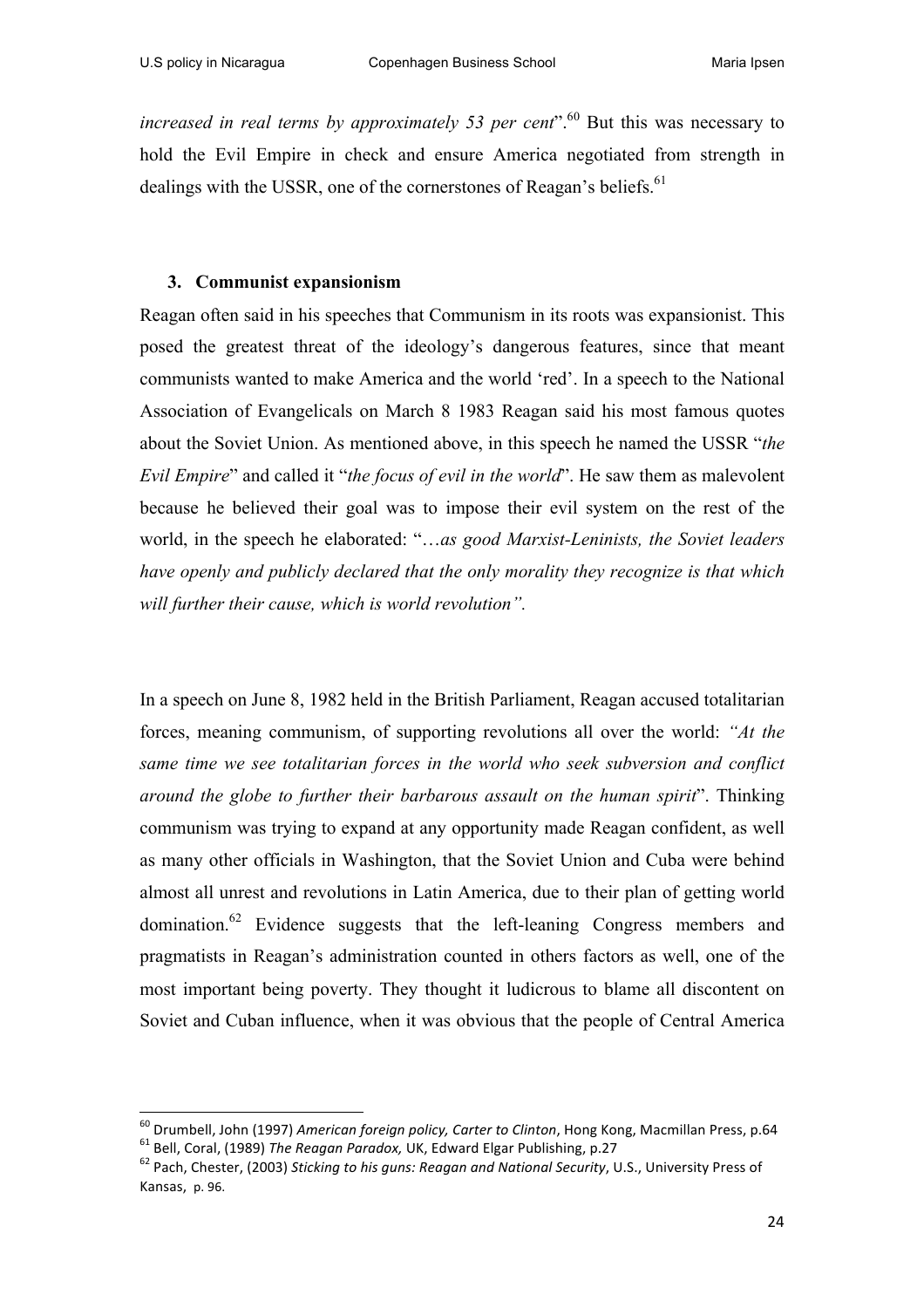*increased in real terms by approximately 53 per cent*".<sup>60</sup> But this was necessary to hold the Evil Empire in check and ensure America negotiated from strength in dealings with the USSR, one of the cornerstones of Reagan's beliefs.<sup>61</sup>

### **3. Communist expansionism**

Reagan often said in his speeches that Communism in its roots was expansionist. This posed the greatest threat of the ideology's dangerous features, since that meant communists wanted to make America and the world 'red'. In a speech to the National Association of Evangelicals on March 8 1983 Reagan said his most famous quotes about the Soviet Union. As mentioned above, in this speech he named the USSR "*the Evil Empire*" and called it "*the focus of evil in the world*". He saw them as malevolent because he believed their goal was to impose their evil system on the rest of the world, in the speech he elaborated: "…*as good Marxist-Leninists, the Soviet leaders have openly and publicly declared that the only morality they recognize is that which will further their cause, which is world revolution".*

In a speech on June 8, 1982 held in the British Parliament, Reagan accused totalitarian forces, meaning communism, of supporting revolutions all over the world: *"At the same time we see totalitarian forces in the world who seek subversion and conflict around the globe to further their barbarous assault on the human spirit*". Thinking communism was trying to expand at any opportunity made Reagan confident, as well as many other officials in Washington, that the Soviet Union and Cuba were behind almost all unrest and revolutions in Latin America, due to their plan of getting world domination.62 Evidence suggests that the left-leaning Congress members and pragmatists in Reagan's administration counted in others factors as well, one of the most important being poverty. They thought it ludicrous to blame all discontent on Soviet and Cuban influence, when it was obvious that the people of Central America

<sup>&</sup>lt;sup>60</sup> Drumbell, John (1997) American foreign policy, Carter to Clinton, Hong Kong, Macmillan Press, p.64<br><sup>61</sup> Bell, Coral, (1989) *The Reagan Paradox*, UK, Edward Elgar Publishing, p.27<br><sup>62</sup> Pach. Chester, (2003) Sticking

Kansas, p. 96.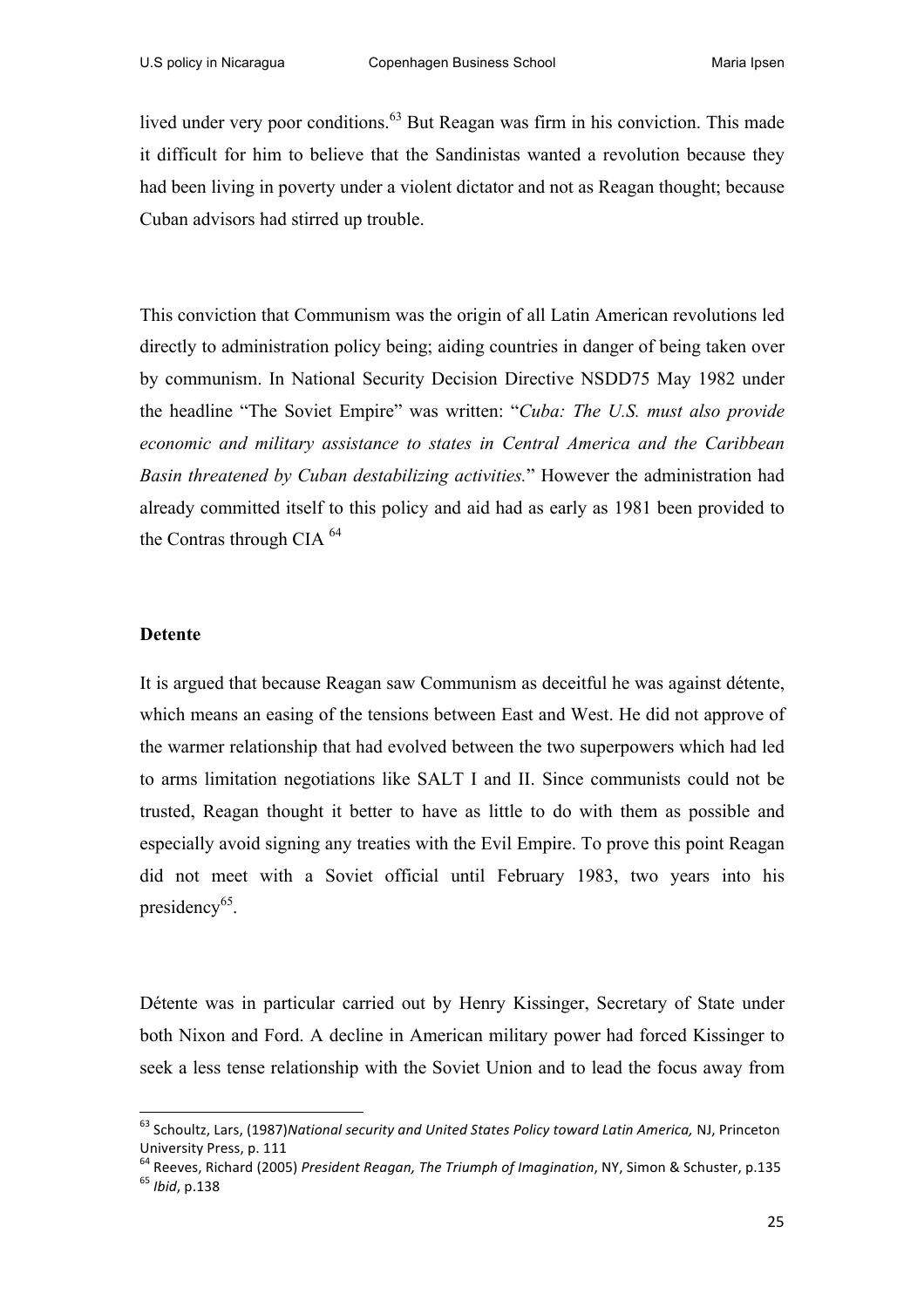lived under very poor conditions.<sup>63</sup> But Reagan was firm in his conviction. This made it difficult for him to believe that the Sandinistas wanted a revolution because they had been living in poverty under a violent dictator and not as Reagan thought; because Cuban advisors had stirred up trouble.

This conviction that Communism was the origin of all Latin American revolutions led directly to administration policy being; aiding countries in danger of being taken over by communism. In National Security Decision Directive NSDD75 May 1982 under the headline "The Soviet Empire" was written: "*Cuba: The U.S. must also provide economic and military assistance to states in Central America and the Caribbean Basin threatened by Cuban destabilizing activities.*" However the administration had already committed itself to this policy and aid had as early as 1981 been provided to the Contras through CIA 64

#### **Detente**

It is argued that because Reagan saw Communism as deceitful he was against détente, which means an easing of the tensions between East and West. He did not approve of the warmer relationship that had evolved between the two superpowers which had led to arms limitation negotiations like SALT I and II. Since communists could not be trusted, Reagan thought it better to have as little to do with them as possible and especially avoid signing any treaties with the Evil Empire. To prove this point Reagan did not meet with a Soviet official until February 1983, two years into his presidency<sup>65</sup>.

Détente was in particular carried out by Henry Kissinger, Secretary of State under both Nixon and Ford. A decline in American military power had forced Kissinger to seek a less tense relationship with the Soviet Union and to lead the focus away from

<sup>&</sup>lt;sup>63</sup> Schoultz, Lars, (1987)*National security and United States Policy toward Latin America, NJ, Princeton* University Press, p. 111

<sup>&</sup>lt;sup>64</sup> Reeves, Richard (2005) *President Reagan, The Triumph of Imagination*, NY, Simon & Schuster, p.135 <sup>65</sup> *Ibid.* p.138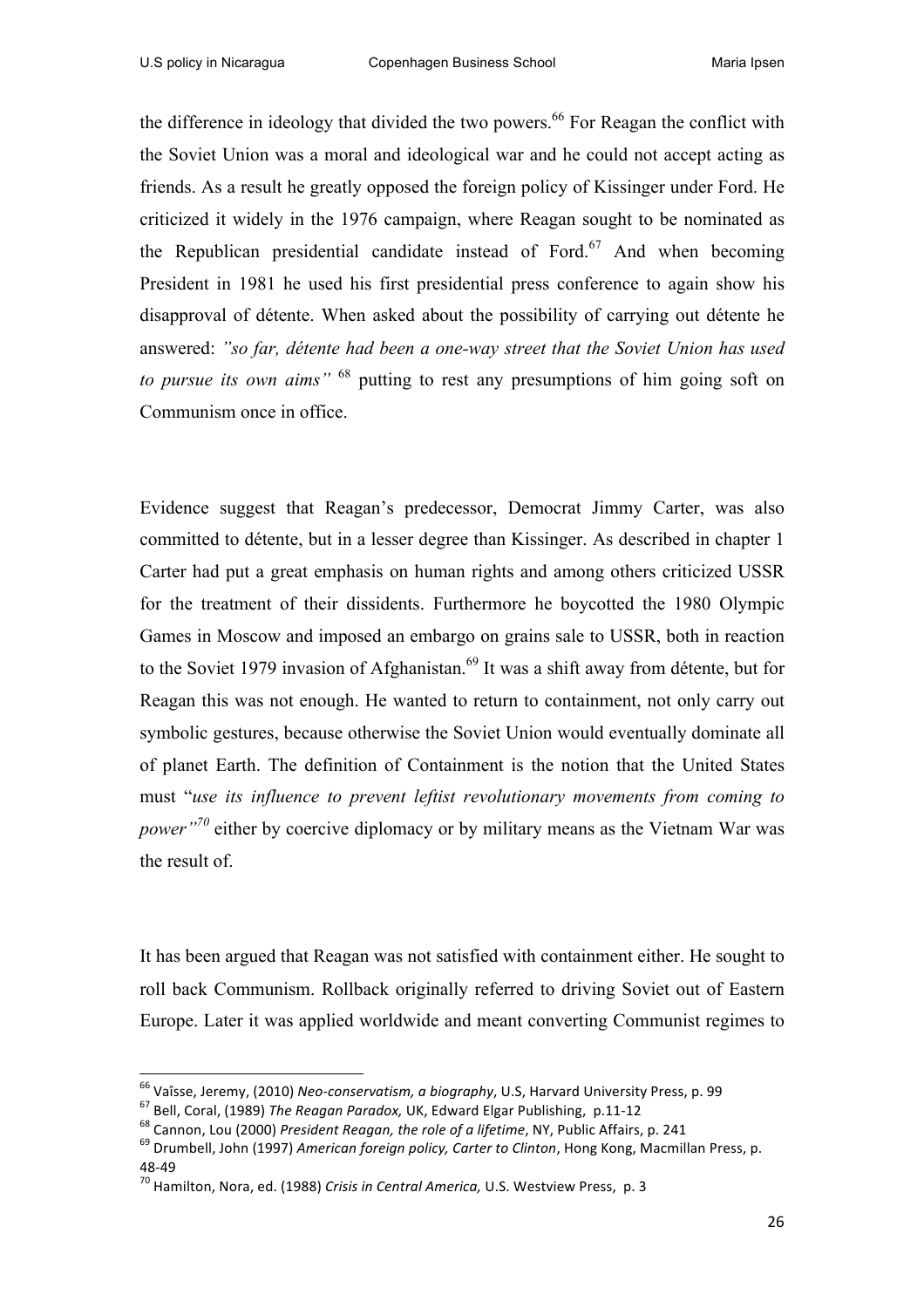the difference in ideology that divided the two powers.<sup>66</sup> For Reagan the conflict with the Soviet Union was a moral and ideological war and he could not accept acting as friends. As a result he greatly opposed the foreign policy of Kissinger under Ford. He criticized it widely in the 1976 campaign, where Reagan sought to be nominated as the Republican presidential candidate instead of Ford.<sup>67</sup> And when becoming President in 1981 he used his first presidential press conference to again show his disapproval of détente. When asked about the possibility of carrying out détente he answered: *"so far, détente had been a one-way street that the Soviet Union has used to pursue its own aims"* <sup>68</sup> putting to rest any presumptions of him going soft on Communism once in office.

Evidence suggest that Reagan's predecessor, Democrat Jimmy Carter, was also committed to détente, but in a lesser degree than Kissinger. As described in chapter 1 Carter had put a great emphasis on human rights and among others criticized USSR for the treatment of their dissidents. Furthermore he boycotted the 1980 Olympic Games in Moscow and imposed an embargo on grains sale to USSR, both in reaction to the Soviet 1979 invasion of Afghanistan.<sup>69</sup> It was a shift away from détente, but for Reagan this was not enough. He wanted to return to containment, not only carry out symbolic gestures, because otherwise the Soviet Union would eventually dominate all of planet Earth. The definition of Containment is the notion that the United States must "*use its influence to prevent leftist revolutionary movements from coming to power*<sup>"70</sup> either by coercive diplomacy or by military means as the Vietnam War was the result of.

It has been argued that Reagan was not satisfied with containment either. He sought to roll back Communism. Rollback originally referred to driving Soviet out of Eastern Europe. Later it was applied worldwide and meant converting Communist regimes to

<sup>&</sup>lt;sup>66</sup> Vaîsse, Jeremy, (2010) Neo-conservatism, a biography, U.S, Harvard University Press, p. 99<br><sup>67</sup> Bell, Coral, (1989) *The Reagan Paradox*, UK, Edward Elgar Publishing, p.11-12<br><sup>68</sup> Cannon, Lou (2000) *President Reagan* 

<sup>48-49&</sup>lt;br><sup>70</sup> Hamilton, Nora, ed. (1988) *Crisis in Central America,* U.S. Westview Press, p. 3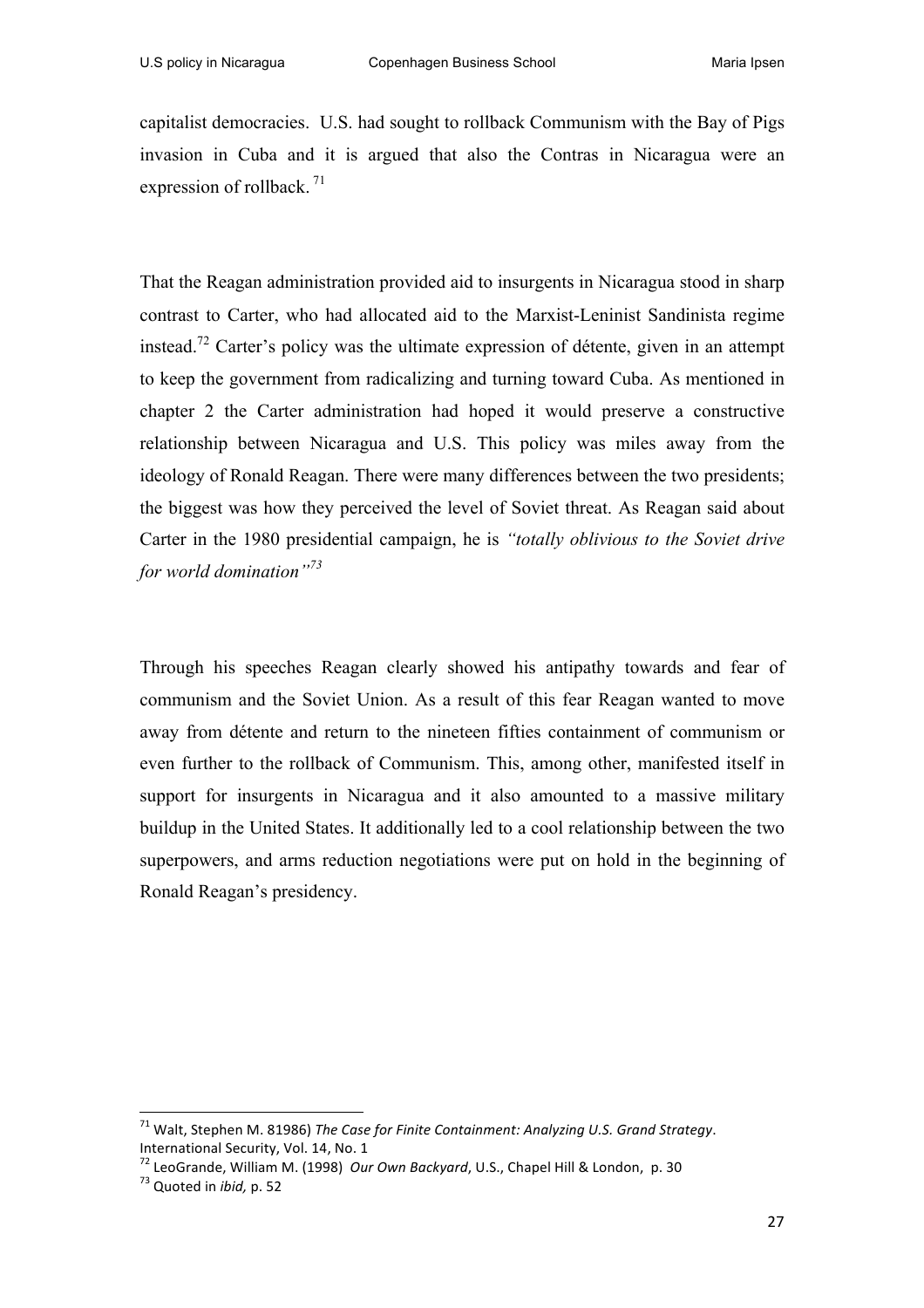capitalist democracies. U.S. had sought to rollback Communism with the Bay of Pigs invasion in Cuba and it is argued that also the Contras in Nicaragua were an expression of rollback.<sup>71</sup>

That the Reagan administration provided aid to insurgents in Nicaragua stood in sharp contrast to Carter, who had allocated aid to the Marxist-Leninist Sandinista regime instead.<sup>72</sup> Carter's policy was the ultimate expression of détente, given in an attempt to keep the government from radicalizing and turning toward Cuba. As mentioned in chapter 2 the Carter administration had hoped it would preserve a constructive relationship between Nicaragua and U.S. This policy was miles away from the ideology of Ronald Reagan. There were many differences between the two presidents; the biggest was how they perceived the level of Soviet threat. As Reagan said about Carter in the 1980 presidential campaign, he is *"totally oblivious to the Soviet drive for world domination"<sup>73</sup>*

Through his speeches Reagan clearly showed his antipathy towards and fear of communism and the Soviet Union. As a result of this fear Reagan wanted to move away from détente and return to the nineteen fifties containment of communism or even further to the rollback of Communism. This, among other, manifested itself in support for insurgents in Nicaragua and it also amounted to a massive military buildup in the United States. It additionally led to a cool relationship between the two superpowers, and arms reduction negotiations were put on hold in the beginning of Ronald Reagan's presidency.

<sup>&</sup>lt;sup>71</sup> Walt. Stephen M. 81986) The Case for Finite Containment: Analyzing U.S. Grand Strategy. International Security, Vol. 14, No. 1

<sup>&</sup>lt;sup>72</sup> LeoGrande, William M. (1998) *Our Own Backyard*, U.S., Chapel Hill & London, p. 30<br><sup>73</sup> Ouoted in *ibid*, p. 52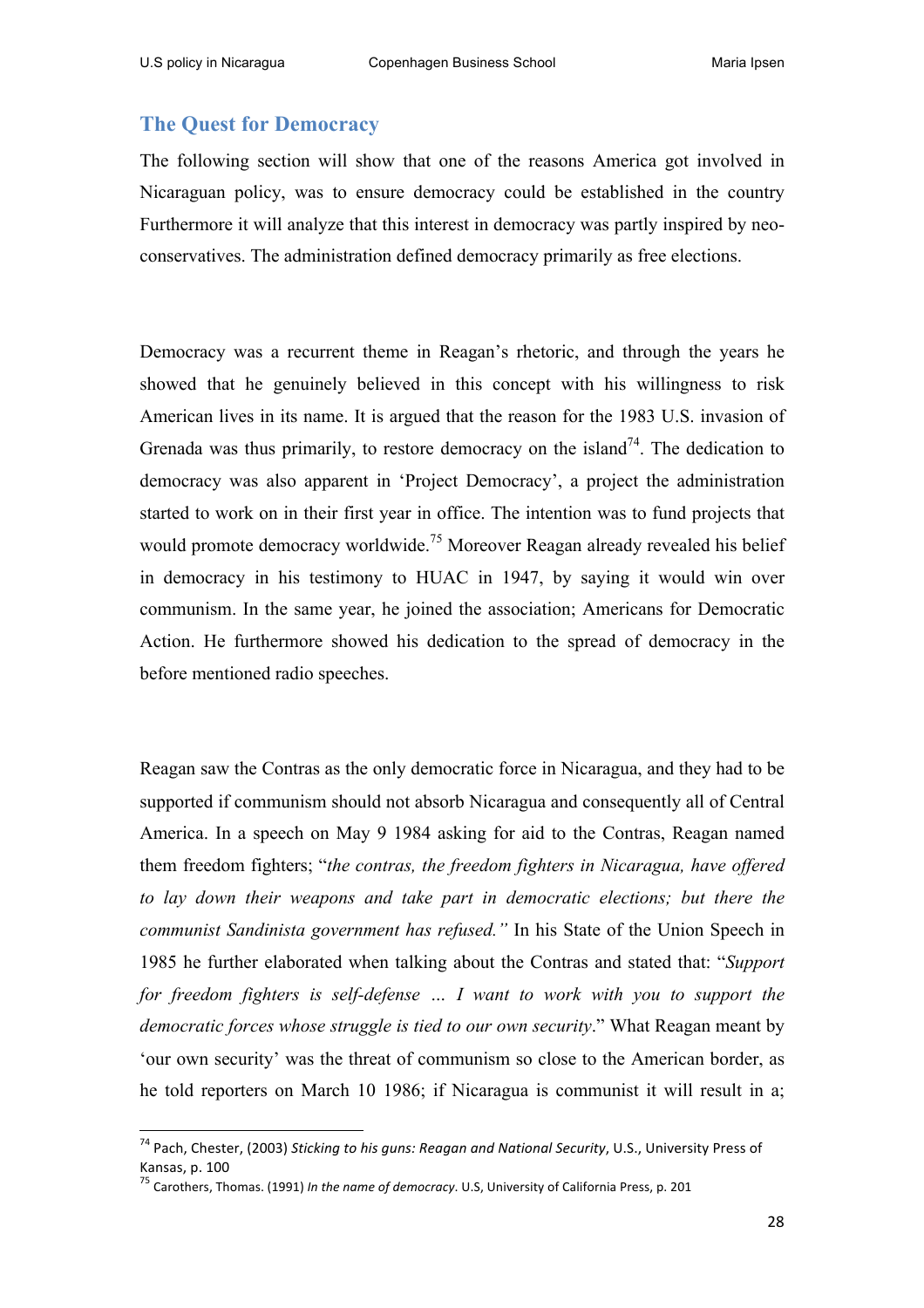### **The Quest for Democracy**

The following section will show that one of the reasons America got involved in Nicaraguan policy, was to ensure democracy could be established in the country Furthermore it will analyze that this interest in democracy was partly inspired by neoconservatives. The administration defined democracy primarily as free elections.

Democracy was a recurrent theme in Reagan's rhetoric, and through the years he showed that he genuinely believed in this concept with his willingness to risk American lives in its name. It is argued that the reason for the 1983 U.S. invasion of Grenada was thus primarily, to restore democracy on the island<sup>74</sup>. The dedication to democracy was also apparent in 'Project Democracy', a project the administration started to work on in their first year in office. The intention was to fund projects that would promote democracy worldwide.<sup>75</sup> Moreover Reagan already revealed his belief in democracy in his testimony to HUAC in 1947, by saying it would win over communism. In the same year, he joined the association; Americans for Democratic Action. He furthermore showed his dedication to the spread of democracy in the before mentioned radio speeches.

Reagan saw the Contras as the only democratic force in Nicaragua, and they had to be supported if communism should not absorb Nicaragua and consequently all of Central America. In a speech on May 9 1984 asking for aid to the Contras, Reagan named them freedom fighters; "*the contras, the freedom fighters in Nicaragua, have offered to lay down their weapons and take part in democratic elections; but there the communist Sandinista government has refused."* In his State of the Union Speech in 1985 he further elaborated when talking about the Contras and stated that: "*Support for freedom fighters is self-defense ... I want to work with you to support the democratic forces whose struggle is tied to our own security*." What Reagan meant by 'our own security' was the threat of communism so close to the American border, as he told reporters on March 10 1986; if Nicaragua is communist it will result in a;

<sup>&</sup>lt;sup>74</sup> Pach, Chester, (2003) Sticking to his guns: Reagan and National Security, U.S., University Press of Kansas, p. 100

<sup>75</sup> Carothers, Thomas. (1991) *In the name of democracy*. U.S, University of California Press, p. 201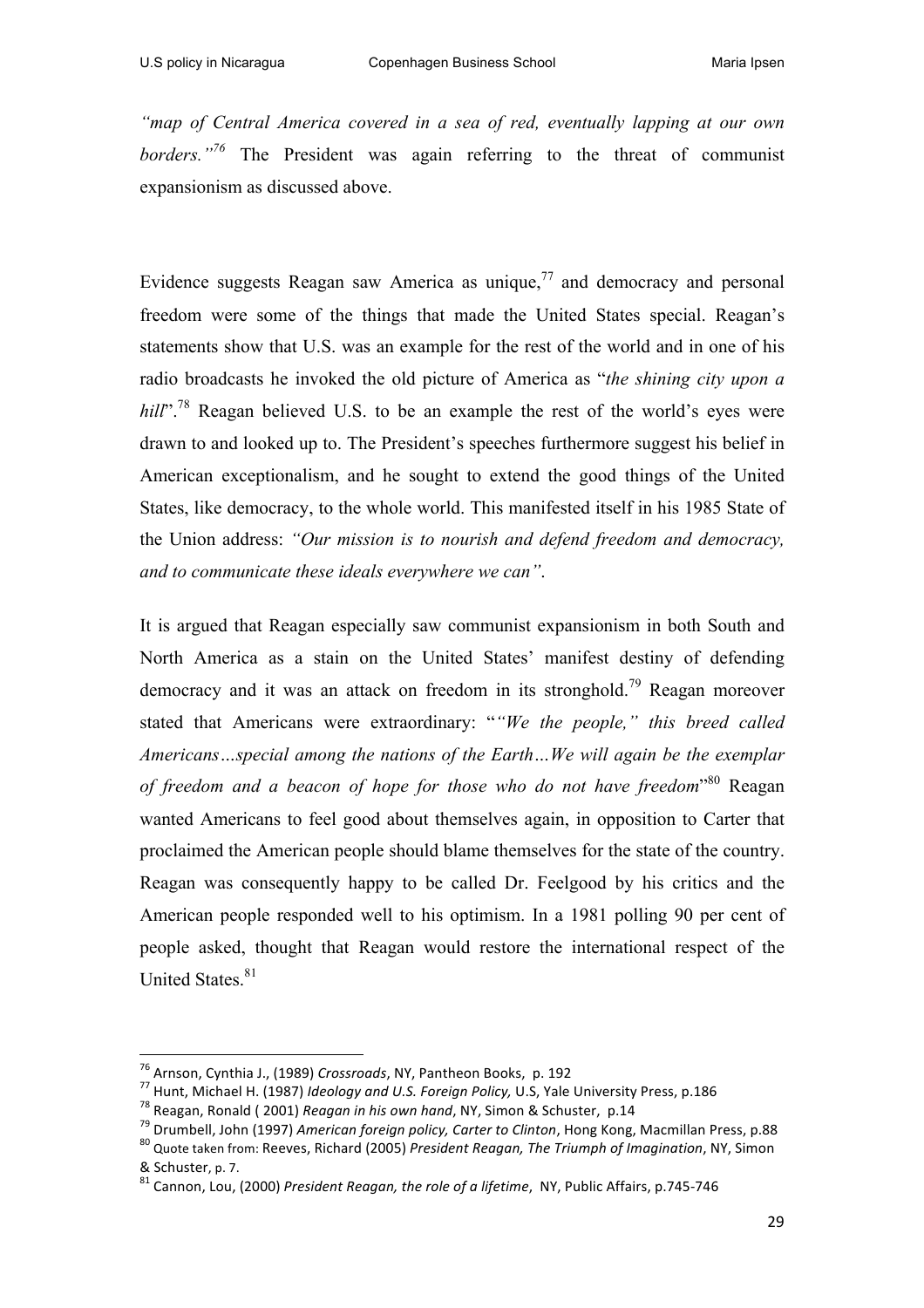*"map of Central America covered in a sea of red, eventually lapping at our own borders."<sup>76</sup>* The President was again referring to the threat of communist expansionism as discussed above.

Evidence suggests Reagan saw America as unique.<sup>77</sup> and democracy and personal freedom were some of the things that made the United States special. Reagan's statements show that U.S. was an example for the rest of the world and in one of his radio broadcasts he invoked the old picture of America as "*the shining city upon a hill*"<sup>.78</sup> Reagan believed U.S. to be an example the rest of the world's eyes were drawn to and looked up to. The President's speeches furthermore suggest his belief in American exceptionalism, and he sought to extend the good things of the United States, like democracy, to the whole world. This manifested itself in his 1985 State of the Union address: *"Our mission is to nourish and defend freedom and democracy, and to communicate these ideals everywhere we can"*.

It is argued that Reagan especially saw communist expansionism in both South and North America as a stain on the United States' manifest destiny of defending democracy and it was an attack on freedom in its stronghold.<sup>79</sup> Reagan moreover stated that Americans were extraordinary: "*"We the people," this breed called Americans…special among the nations of the Earth…We will again be the exemplar of freedom and a beacon of hope for those who do not have freedom*" <sup>80</sup> Reagan wanted Americans to feel good about themselves again, in opposition to Carter that proclaimed the American people should blame themselves for the state of the country. Reagan was consequently happy to be called Dr. Feelgood by his critics and the American people responded well to his optimism. In a 1981 polling 90 per cent of people asked, thought that Reagan would restore the international respect of the United States.<sup>81</sup>

 

<sup>&</sup>lt;sup>76</sup> Arnson, Cynthia J., (1989) Crossroads, NY, Pantheon Books, p. 192<br><sup>77</sup> Hunt, Michael H. (1987) *Ideology and U.S. Foreign Policy,* U.S, Yale University Press, p.186<br><sup>78</sup> Reagan, Ronald ( 2001) *Reagan in his own hand* 

<sup>&</sup>amp; Schuster, p. 7.<br><sup>81</sup> Cannon. Lou, (2000) *President Reagan, the role of a lifetime*, NY, Public Affairs, p.745-746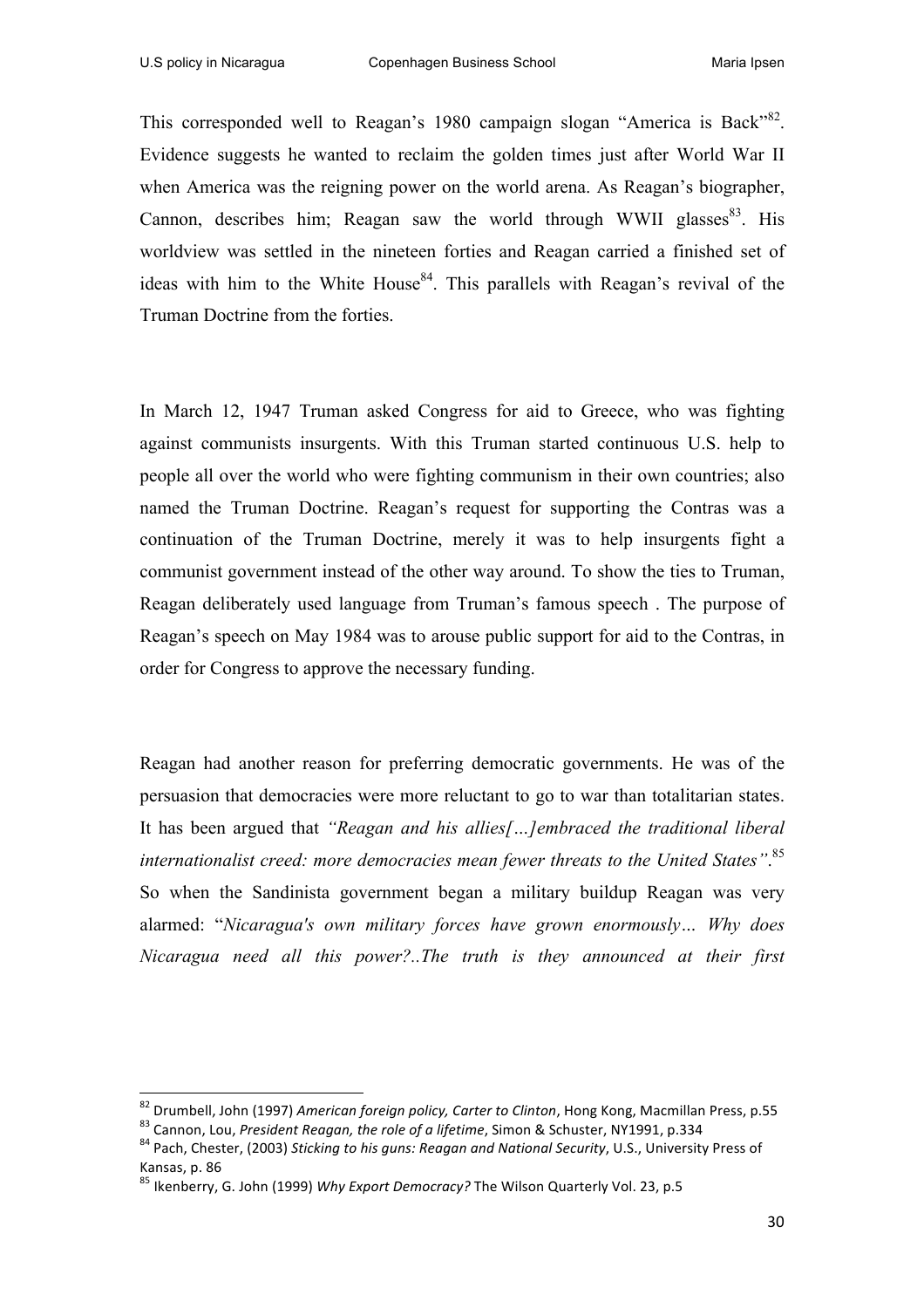This corresponded well to Reagan's 1980 campaign slogan "America is Back"<sup>82</sup>. Evidence suggests he wanted to reclaim the golden times just after World War II when America was the reigning power on the world arena. As Reagan's biographer, Cannon, describes him; Reagan saw the world through WWII glasses $83$ . His worldview was settled in the nineteen forties and Reagan carried a finished set of ideas with him to the White House<sup>84</sup>. This parallels with Reagan's revival of the Truman Doctrine from the forties.

In March 12, 1947 Truman asked Congress for aid to Greece, who was fighting against communists insurgents. With this Truman started continuous U.S. help to people all over the world who were fighting communism in their own countries; also named the Truman Doctrine. Reagan's request for supporting the Contras was a continuation of the Truman Doctrine, merely it was to help insurgents fight a communist government instead of the other way around. To show the ties to Truman, Reagan deliberately used language from Truman's famous speech . The purpose of Reagan's speech on May 1984 was to arouse public support for aid to the Contras, in order for Congress to approve the necessary funding.

Reagan had another reason for preferring democratic governments. He was of the persuasion that democracies were more reluctant to go to war than totalitarian states. It has been argued that *"Reagan and his allies[…]embraced the traditional liberal internationalist creed: more democracies mean fewer threats to the United States"*. 85 So when the Sandinista government began a military buildup Reagan was very alarmed: "*Nicaragua's own military forces have grown enormously… Why does Nicaragua need all this power?..The truth is they announced at their first* 

<sup>&</sup>lt;sup>82</sup> Drumbell, John (1997) *American foreign policy, Carter to Clinton*, Hong Kong, Macmillan Press, p.55<br><sup>83</sup> Cannon, Lou, *President Reagan, the role of a lifetime*, Simon & Schuster, NY1991, p.334<br><sup>84</sup> Pach, Chester, (2

Kansas, p. 86

<sup>&</sup>lt;sup>85</sup> Ikenberry, G. John (1999) *Why Export Democracy?* The Wilson Quarterly Vol. 23, p.5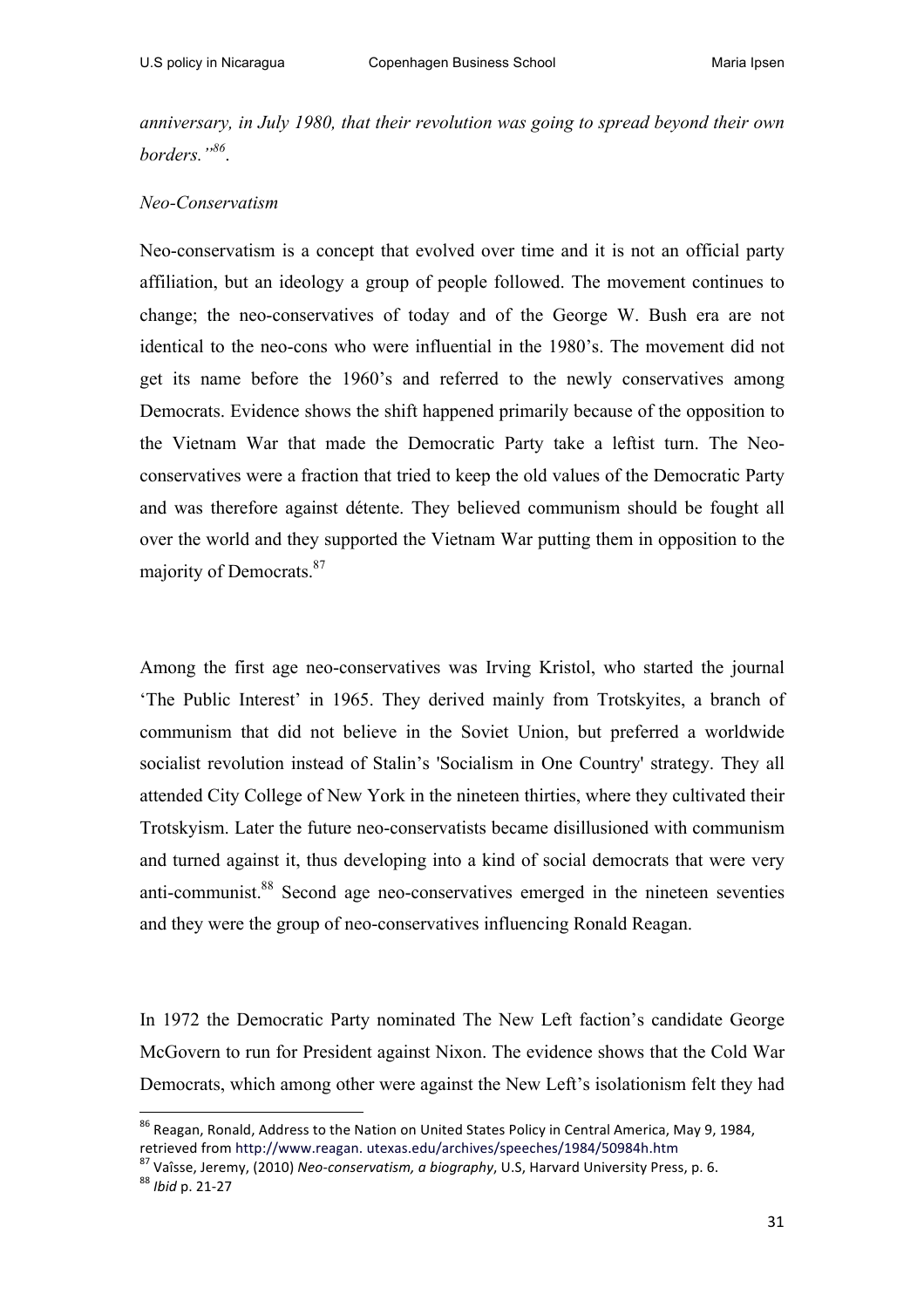*anniversary, in July 1980, that their revolution was going to spread beyond their own borders."<sup>86</sup>*.

#### *Neo-Conservatism*

Neo-conservatism is a concept that evolved over time and it is not an official party affiliation, but an ideology a group of people followed. The movement continues to change; the neo-conservatives of today and of the George W. Bush era are not identical to the neo-cons who were influential in the 1980's. The movement did not get its name before the 1960's and referred to the newly conservatives among Democrats. Evidence shows the shift happened primarily because of the opposition to the Vietnam War that made the Democratic Party take a leftist turn. The Neoconservatives were a fraction that tried to keep the old values of the Democratic Party and was therefore against détente. They believed communism should be fought all over the world and they supported the Vietnam War putting them in opposition to the majority of Democrats.<sup>87</sup>

Among the first age neo-conservatives was Irving Kristol, who started the journal 'The Public Interest' in 1965. They derived mainly from Trotskyites, a branch of communism that did not believe in the Soviet Union, but preferred a worldwide socialist revolution instead of Stalin's 'Socialism in One Country' strategy. They all attended City College of New York in the nineteen thirties, where they cultivated their Trotskyism. Later the future neo-conservatists became disillusioned with communism and turned against it, thus developing into a kind of social democrats that were very anti-communist.<sup>88</sup> Second age neo-conservatives emerged in the nineteen seventies and they were the group of neo-conservatives influencing Ronald Reagan.

In 1972 the Democratic Party nominated The New Left faction's candidate George McGovern to run for President against Nixon. The evidence shows that the Cold War Democrats, which among other were against the New Left's isolationism felt they had

<sup>&</sup>lt;sup>86</sup> Reagan, Ronald, Address to the Nation on United States Policy in Central America, May 9, 1984, retrieved from http://www.reagan. utexas.edu/archives/speeches/1984/50984h.htm <sup>87</sup> Vaîsse, Jeremy, (2010) *Neo-conservatism, a biography*, U.S, Harvard University Press, p. 6. 88 *Ibid* p. 21-27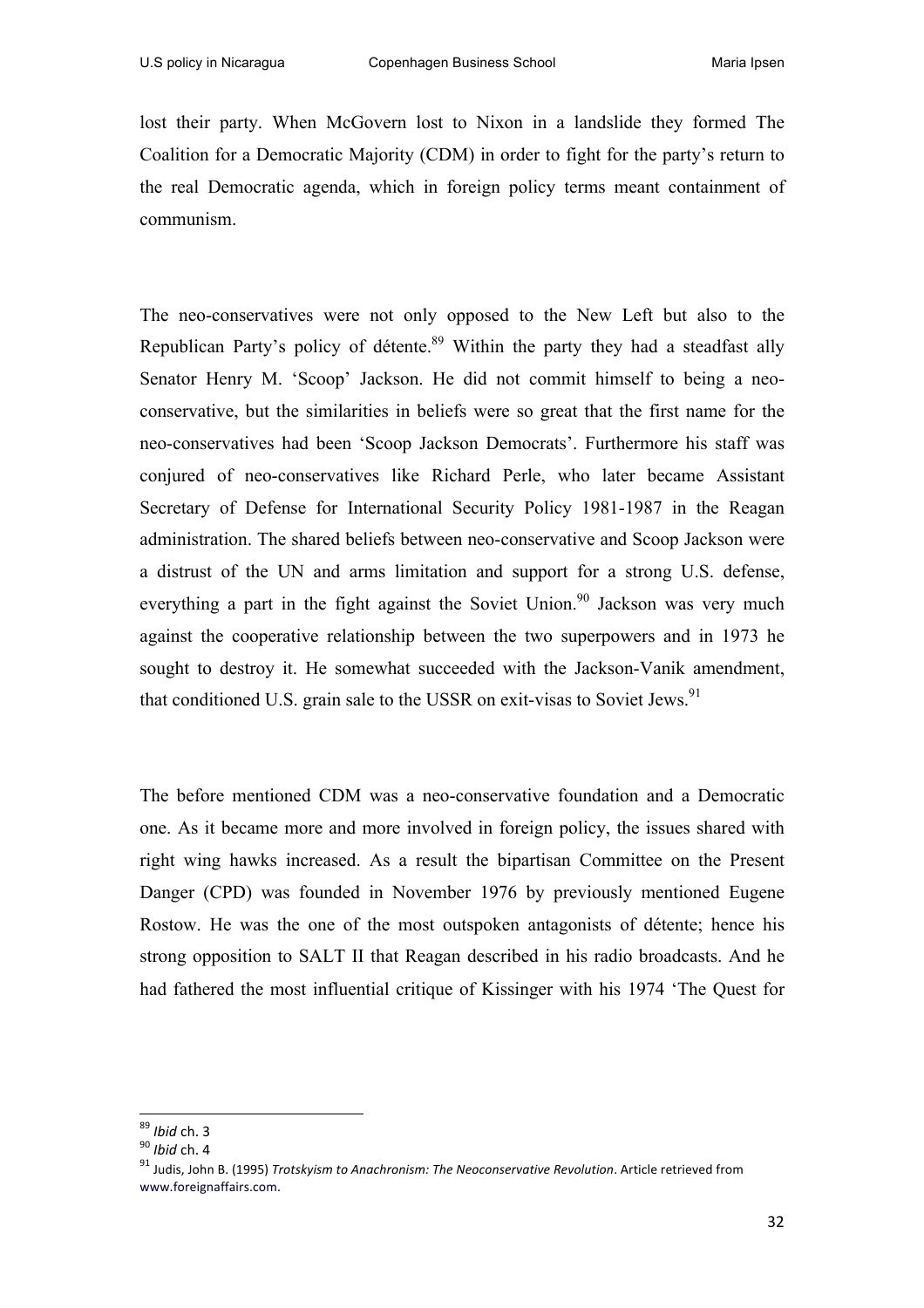lost their party. When McGovern lost to Nixon in a landslide they formed The Coalition for a Democratic Majority (CDM) in order to fight for the party's return to the real Democratic agenda, which in foreign policy terms meant containment of communism.

The neo-conservatives were not only opposed to the New Left but also to the Republican Party's policy of détente.<sup>89</sup> Within the party they had a steadfast ally Senator Henry M. 'Scoop' Jackson. He did not commit himself to being a neoconservative, but the similarities in beliefs were so great that the first name for the neo-conservatives had been 'Scoop Jackson Democrats'. Furthermore his staff was conjured of neo-conservatives like Richard Perle, who later became Assistant Secretary of Defense for International Security Policy 1981-1987 in the Reagan administration. The shared beliefs between neo-conservative and Scoop Jackson were a distrust of the UN and arms limitation and support for a strong U.S. defense, everything a part in the fight against the Soviet Union.<sup>90</sup> Jackson was very much against the cooperative relationship between the two superpowers and in 1973 he sought to destroy it. He somewhat succeeded with the Jackson-Vanik amendment, that conditioned U.S. grain sale to the USSR on exit-visas to Soviet Jews.<sup>91</sup>

The before mentioned CDM was a neo-conservative foundation and a Democratic one. As it became more and more involved in foreign policy, the issues shared with right wing hawks increased. As a result the bipartisan Committee on the Present Danger (CPD) was founded in November 1976 by previously mentioned Eugene Rostow. He was the one of the most outspoken antagonists of détente; hence his strong opposition to SALT II that Reagan described in his radio broadcasts. And he had fathered the most influential critique of Kissinger with his 1974 'The Quest for

 

<sup>&</sup>lt;sup>89</sup> *Ibid* ch. 3<br><sup>90</sup> *Ibid* ch. 4<br><sup>91</sup> Judis. John B. (1995) *Trotskvism to Anachronism: The Neoconservative Revolution*. Article retrieved from www.foreignaffairs.com.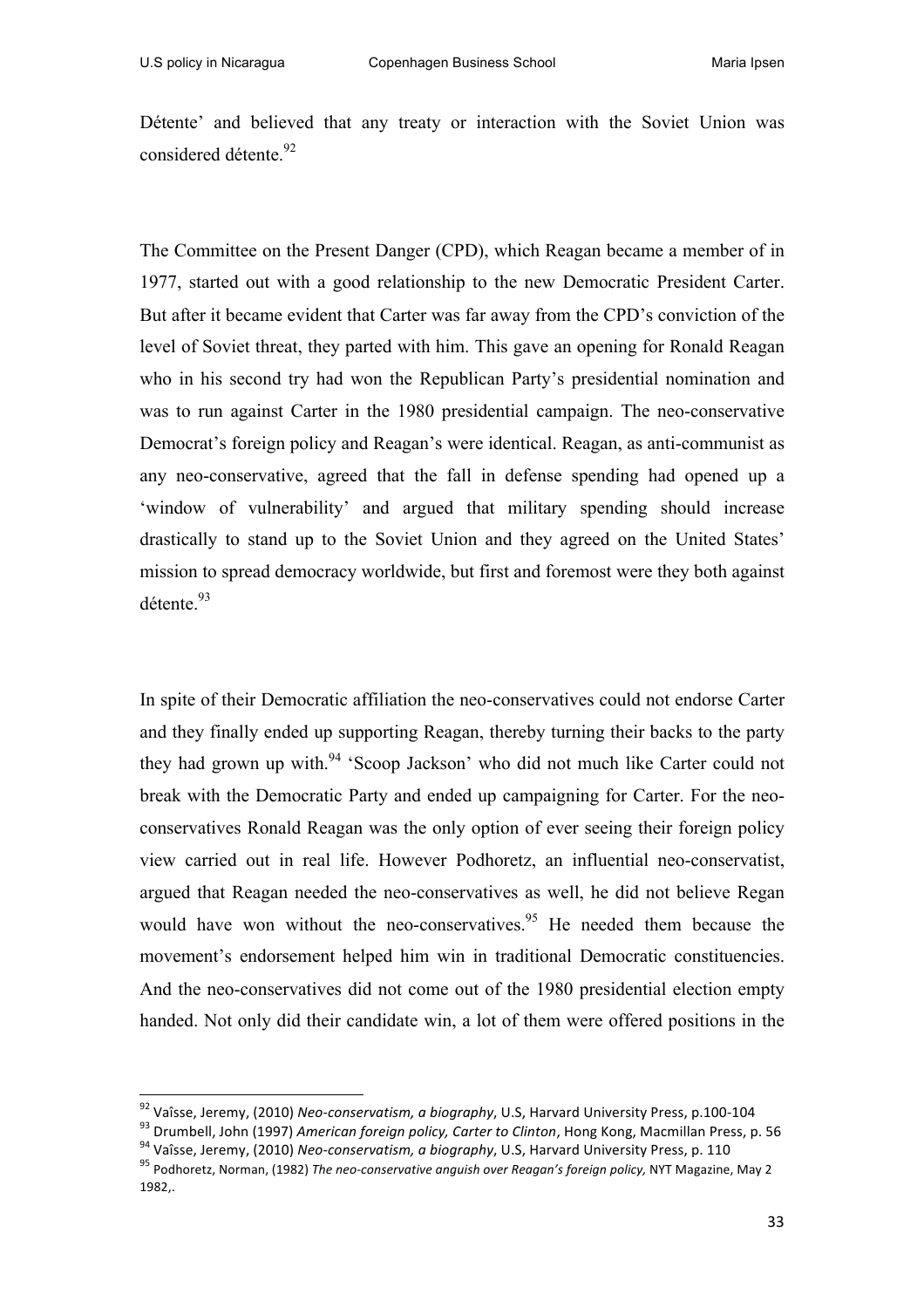Détente' and believed that any treaty or interaction with the Soviet Union was considered détente.<sup>92</sup>

The Committee on the Present Danger (CPD), which Reagan became a member of in 1977, started out with a good relationship to the new Democratic President Carter. But after it became evident that Carter was far away from the CPD's conviction of the level of Soviet threat, they parted with him. This gave an opening for Ronald Reagan who in his second try had won the Republican Party's presidential nomination and was to run against Carter in the 1980 presidential campaign. The neo-conservative Democrat's foreign policy and Reagan's were identical. Reagan, as anti-communist as any neo-conservative, agreed that the fall in defense spending had opened up a 'window of vulnerability' and argued that military spending should increase drastically to stand up to the Soviet Union and they agreed on the United States' mission to spread democracy worldwide, but first and foremost were they both against détente.<sup>93</sup>

In spite of their Democratic affiliation the neo-conservatives could not endorse Carter and they finally ended up supporting Reagan, thereby turning their backs to the party they had grown up with.<sup>94</sup> 'Scoop Jackson' who did not much like Carter could not break with the Democratic Party and ended up campaigning for Carter. For the neoconservatives Ronald Reagan was the only option of ever seeing their foreign policy view carried out in real life. However Podhoretz, an influential neo-conservatist, argued that Reagan needed the neo-conservatives as well, he did not believe Regan would have won without the neo-conservatives.<sup>95</sup> He needed them because the movement's endorsement helped him win in traditional Democratic constituencies. And the neo-conservatives did not come out of the 1980 presidential election empty handed. Not only did their candidate win, a lot of them were offered positions in the

<sup>&</sup>lt;sup>92</sup> Vaîsse, Jeremy, (2010) Neo-conservatism, a biography, U.S, Harvard University Press, p.100-104<br><sup>93</sup> Drumbell, John (1997) *American foreign policy, Carter to Clinton*, Hong Kong, Macmillan Press, p. 56<br><sup>94</sup> Vaîsse, J

<sup>1982,.</sup>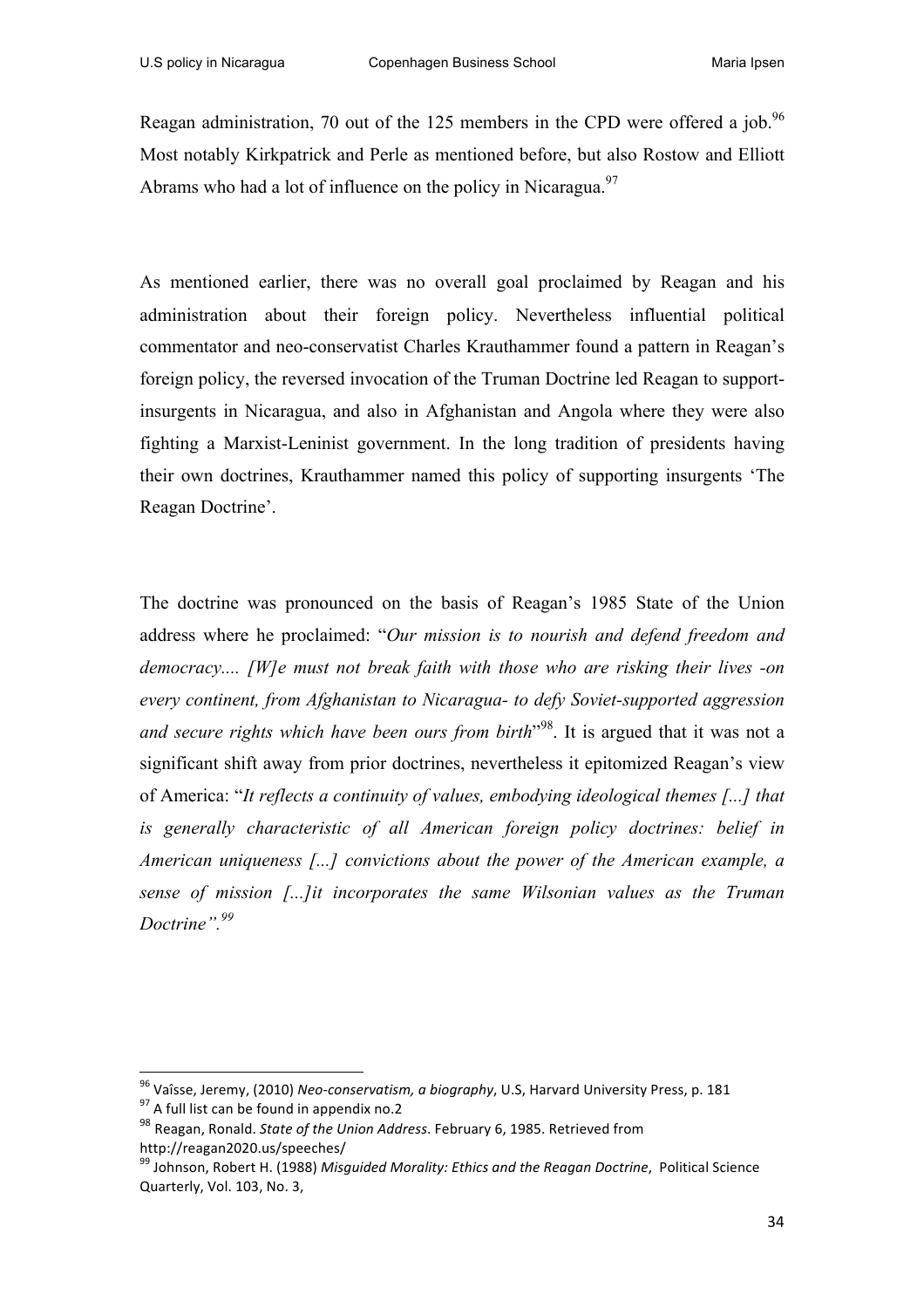Reagan administration, 70 out of the 125 members in the CPD were offered a job.<sup>96</sup> Most notably Kirkpatrick and Perle as mentioned before, but also Rostow and Elliott Abrams who had a lot of influence on the policy in Nicaragua.<sup>97</sup>

As mentioned earlier, there was no overall goal proclaimed by Reagan and his administration about their foreign policy. Nevertheless influential political commentator and neo-conservatist Charles Krauthammer found a pattern in Reagan's foreign policy, the reversed invocation of the Truman Doctrine led Reagan to supportinsurgents in Nicaragua, and also in Afghanistan and Angola where they were also fighting a Marxist-Leninist government. In the long tradition of presidents having their own doctrines, Krauthammer named this policy of supporting insurgents 'The Reagan Doctrine'.

The doctrine was pronounced on the basis of Reagan's 1985 State of the Union address where he proclaimed: "*Our mission is to nourish and defend freedom and democracy.... [W]e must not break faith with those who are risking their lives -on every continent, from Afghanistan to Nicaragua- to defy Soviet-supported aggression and secure rights which have been ours from birth*" 98. It is argued that it was not a significant shift away from prior doctrines, nevertheless it epitomized Reagan's view of America: "*It reflects a continuity of values, embodying ideological themes [...] that is generally characteristic of all American foreign policy doctrines: belief in American uniqueness [...] convictions about the power of the American example, a sense of mission [...]it incorporates the same Wilsonian values as the Truman Doctrine".99*

<sup>&</sup>lt;sup>96</sup> Vaîsse, Jeremy, (2010) *Neo-conservatism, a biography,* U.S, Harvard University Press, p. 181<br><sup>97</sup> A full list can be found in appendix no.2

<sup>98</sup> Reagan, Ronald. *State of the Union Address*. February 6, 1985. Retrieved from http://reagan2020.us/speeches/

<sup>&</sup>lt;sup>99</sup> Johnson, Robert H. (1988) Misguided Morality: Ethics and the Reagan Doctrine, Political Science Quarterly, Vol. 103, No. 3,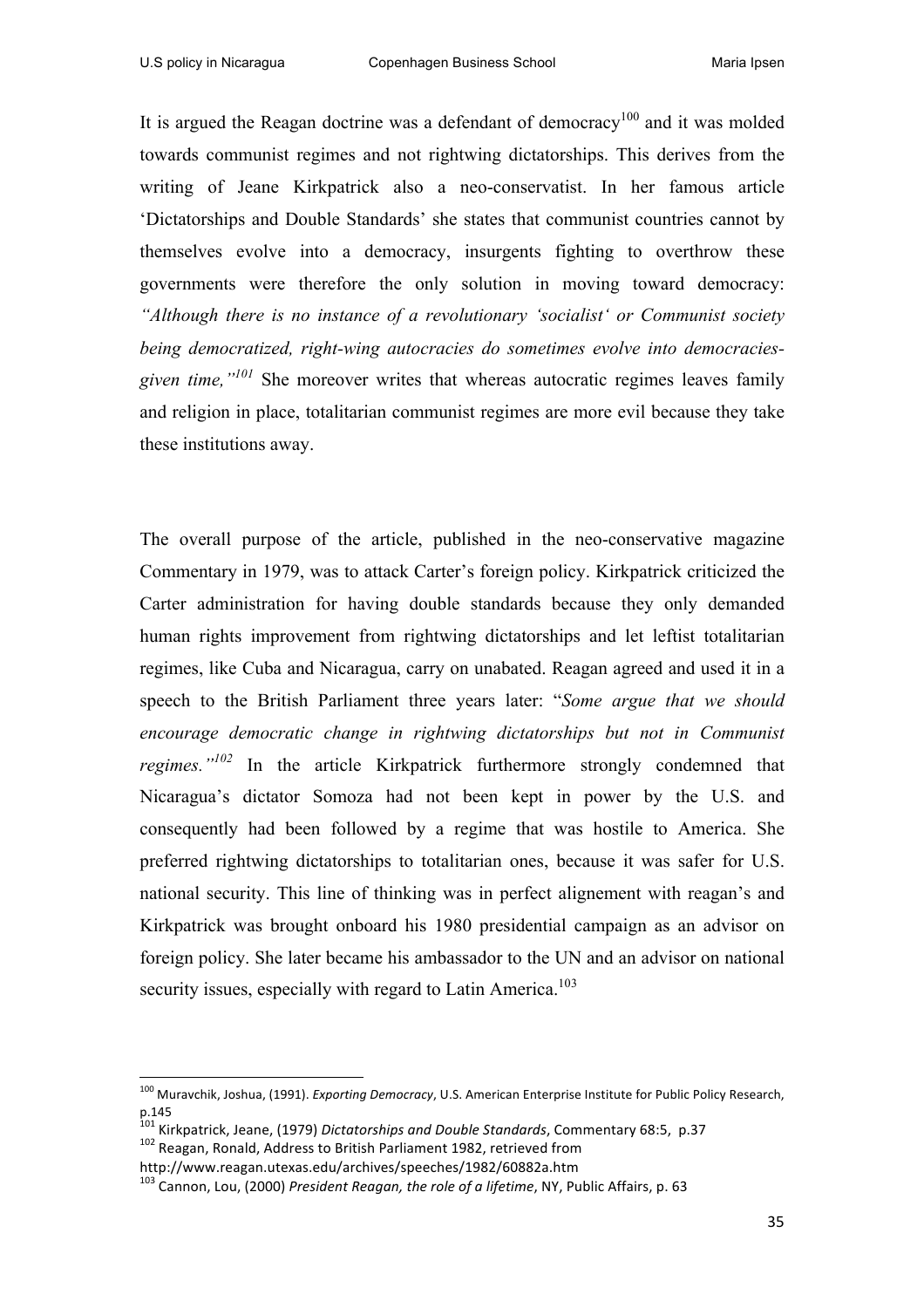It is argued the Reagan doctrine was a defendant of democracy<sup>100</sup> and it was molded towards communist regimes and not rightwing dictatorships. This derives from the writing of Jeane Kirkpatrick also a neo-conservatist. In her famous article 'Dictatorships and Double Standards' she states that communist countries cannot by themselves evolve into a democracy, insurgents fighting to overthrow these governments were therefore the only solution in moving toward democracy: *"Although there is no instance of a revolutionary 'socialist' or Communist society being democratized, right-wing autocracies do sometimes evolve into democraciesgiven time,"101* She moreover writes that whereas autocratic regimes leaves family and religion in place, totalitarian communist regimes are more evil because they take these institutions away.

The overall purpose of the article, published in the neo-conservative magazine Commentary in 1979, was to attack Carter's foreign policy. Kirkpatrick criticized the Carter administration for having double standards because they only demanded human rights improvement from rightwing dictatorships and let leftist totalitarian regimes, like Cuba and Nicaragua, carry on unabated. Reagan agreed and used it in a speech to the British Parliament three years later: "*Some argue that we should encourage democratic change in rightwing dictatorships but not in Communist regimes."<sup>102</sup>* In the article Kirkpatrick furthermore strongly condemned that Nicaragua's dictator Somoza had not been kept in power by the U.S. and consequently had been followed by a regime that was hostile to America. She preferred rightwing dictatorships to totalitarian ones, because it was safer for U.S. national security. This line of thinking was in perfect alignement with reagan's and Kirkpatrick was brought onboard his 1980 presidential campaign as an advisor on foreign policy. She later became his ambassador to the UN and an advisor on national security issues, especially with regard to Latin America.<sup>103</sup>

<sup>&</sup>lt;sup>100</sup> Muravchik, Joshua, (1991). *Exporting Democracy*, U.S. American Enterprise Institute for Public Policy Research, p.145

<sup>&</sup>lt;sup>101</sup> Kirkpatrick, Jeane, (1979) *Dictatorships and Double Standards*, Commentary 68:5,  $p.37$ <br><sup>102</sup> Reagan, Ronald, Address to British Parliament 1982, retrieved from

http://www.reagan.utexas.edu/archives/speeches/1982/60882a.htm

<sup>&</sup>lt;sup>103</sup> Cannon, Lou, (2000) President Reagan, the role of a lifetime, NY, Public Affairs, p. 63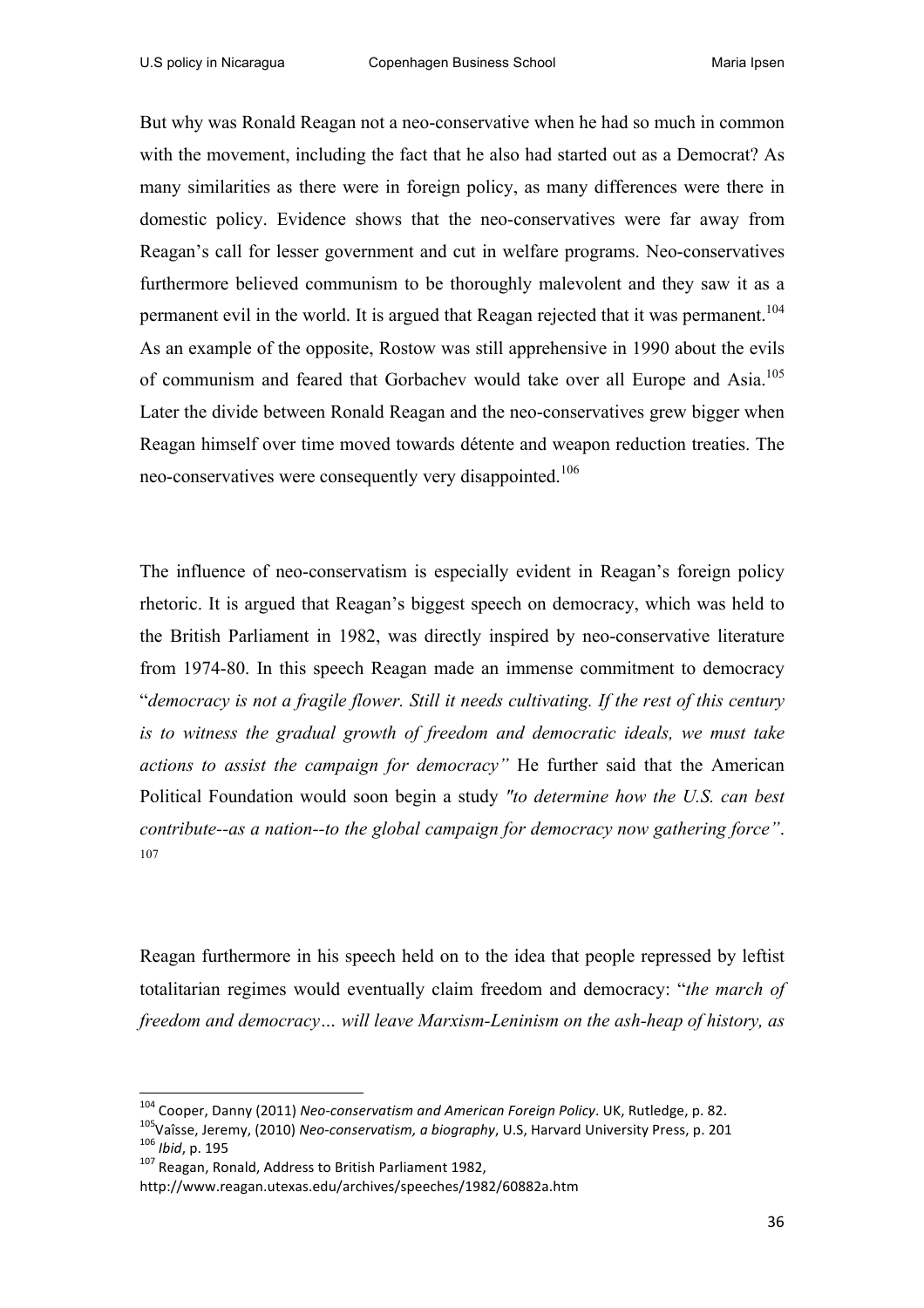But why was Ronald Reagan not a neo-conservative when he had so much in common with the movement, including the fact that he also had started out as a Democrat? As many similarities as there were in foreign policy, as many differences were there in domestic policy. Evidence shows that the neo-conservatives were far away from Reagan's call for lesser government and cut in welfare programs. Neo-conservatives furthermore believed communism to be thoroughly malevolent and they saw it as a permanent evil in the world. It is argued that Reagan rejected that it was permanent.<sup>104</sup> As an example of the opposite, Rostow was still apprehensive in 1990 about the evils of communism and feared that Gorbachev would take over all Europe and Asia.<sup>105</sup> Later the divide between Ronald Reagan and the neo-conservatives grew bigger when Reagan himself over time moved towards détente and weapon reduction treaties. The neo-conservatives were consequently very disappointed.<sup>106</sup>

The influence of neo-conservatism is especially evident in Reagan's foreign policy rhetoric. It is argued that Reagan's biggest speech on democracy, which was held to the British Parliament in 1982, was directly inspired by neo-conservative literature from 1974-80. In this speech Reagan made an immense commitment to democracy "*democracy is not a fragile flower. Still it needs cultivating. If the rest of this century is to witness the gradual growth of freedom and democratic ideals, we must take actions to assist the campaign for democracy"* He further said that the American Political Foundation would soon begin a study *"to determine how the U.S. can best contribute--as a nation--to the global campaign for democracy now gathering force"*. 107

Reagan furthermore in his speech held on to the idea that people repressed by leftist totalitarian regimes would eventually claim freedom and democracy: "*the march of freedom and democracy… will leave Marxism-Leninism on the ash-heap of history, as* 

<sup>&</sup>lt;sup>104</sup> Cooper, Danny (2011) *Neo-conservatism and American Foreign Policy*. UK, Rutledge, p. 82.<br><sup>105</sup>Vaîsse, Jeremy, (2010) *Neo-conservatism, a biography*, U.S, Harvard University Press, p. 201<br><sup>106</sup> *Ibid*, p. 195<br><sup>107</sup>

http://www.reagan.utexas.edu/archives/speeches/1982/60882a.htm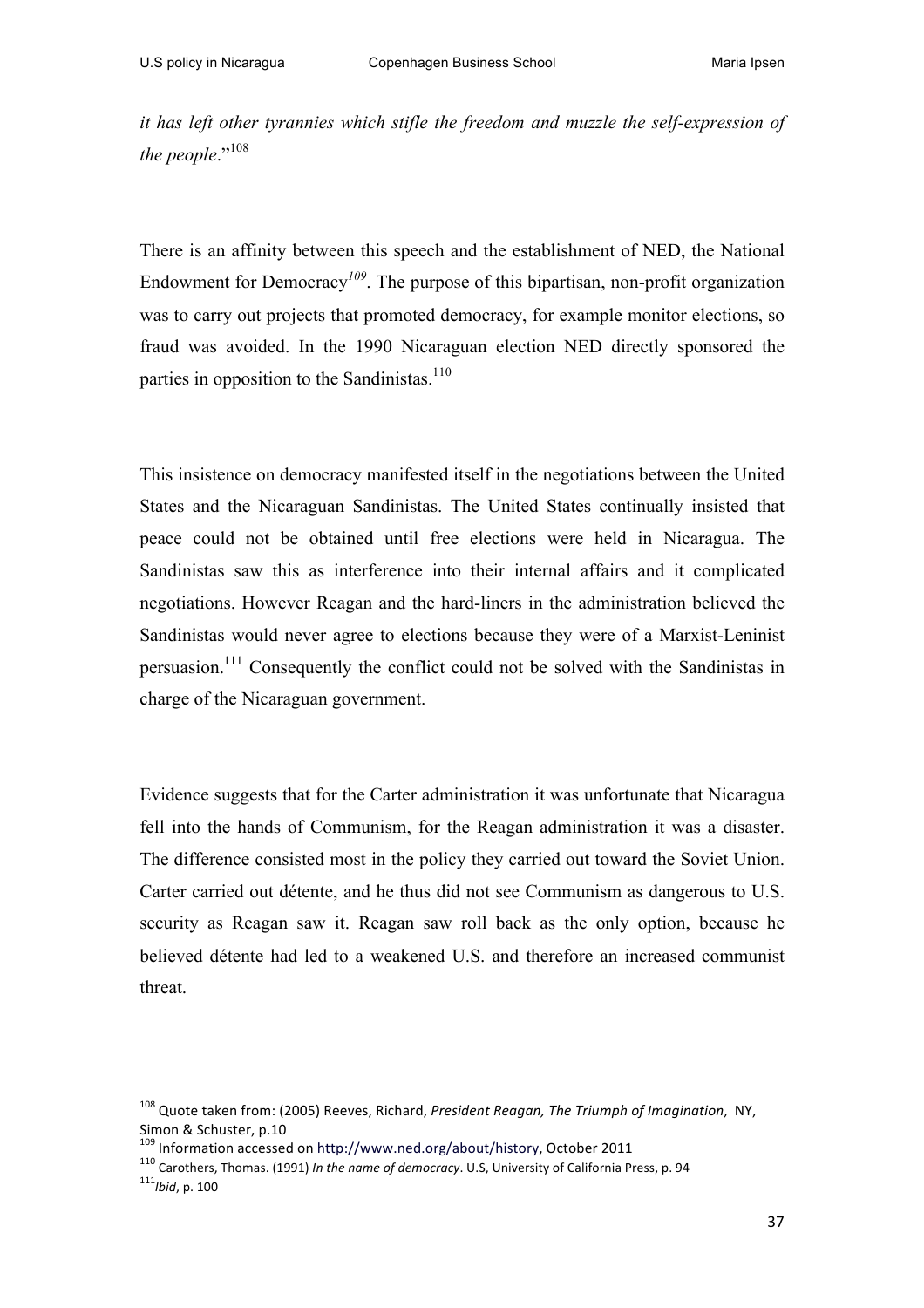*it has left other tyrannies which stifle the freedom and muzzle the self-expression of*  the people."<sup>108</sup>

There is an affinity between this speech and the establishment of NED, the National Endowment for Democracy*<sup>109</sup>*. The purpose of this bipartisan, non-profit organization was to carry out projects that promoted democracy, for example monitor elections, so fraud was avoided. In the 1990 Nicaraguan election NED directly sponsored the parties in opposition to the Sandinistas.<sup>110</sup>

This insistence on democracy manifested itself in the negotiations between the United States and the Nicaraguan Sandinistas. The United States continually insisted that peace could not be obtained until free elections were held in Nicaragua. The Sandinistas saw this as interference into their internal affairs and it complicated negotiations. However Reagan and the hard-liners in the administration believed the Sandinistas would never agree to elections because they were of a Marxist-Leninist persuasion.111 Consequently the conflict could not be solved with the Sandinistas in charge of the Nicaraguan government.

Evidence suggests that for the Carter administration it was unfortunate that Nicaragua fell into the hands of Communism, for the Reagan administration it was a disaster. The difference consisted most in the policy they carried out toward the Soviet Union. Carter carried out détente, and he thus did not see Communism as dangerous to U.S. security as Reagan saw it. Reagan saw roll back as the only option, because he believed détente had led to a weakened U.S. and therefore an increased communist threat.

<sup>&</sup>lt;sup>108</sup> Quote taken from: (2005) Reeves, Richard, *President Reagan, The Triumph of Imagination*, NY, Simon & Schuster, p.10<br><sup>109</sup> Information accessed on http://www.ned.org/about/history, October 2011

<sup>&</sup>lt;sup>110</sup> Carothers, Thomas. (1991) *In the name of democracy*. U.S, University of California Press, p. 94 111*Ibid*, p. 100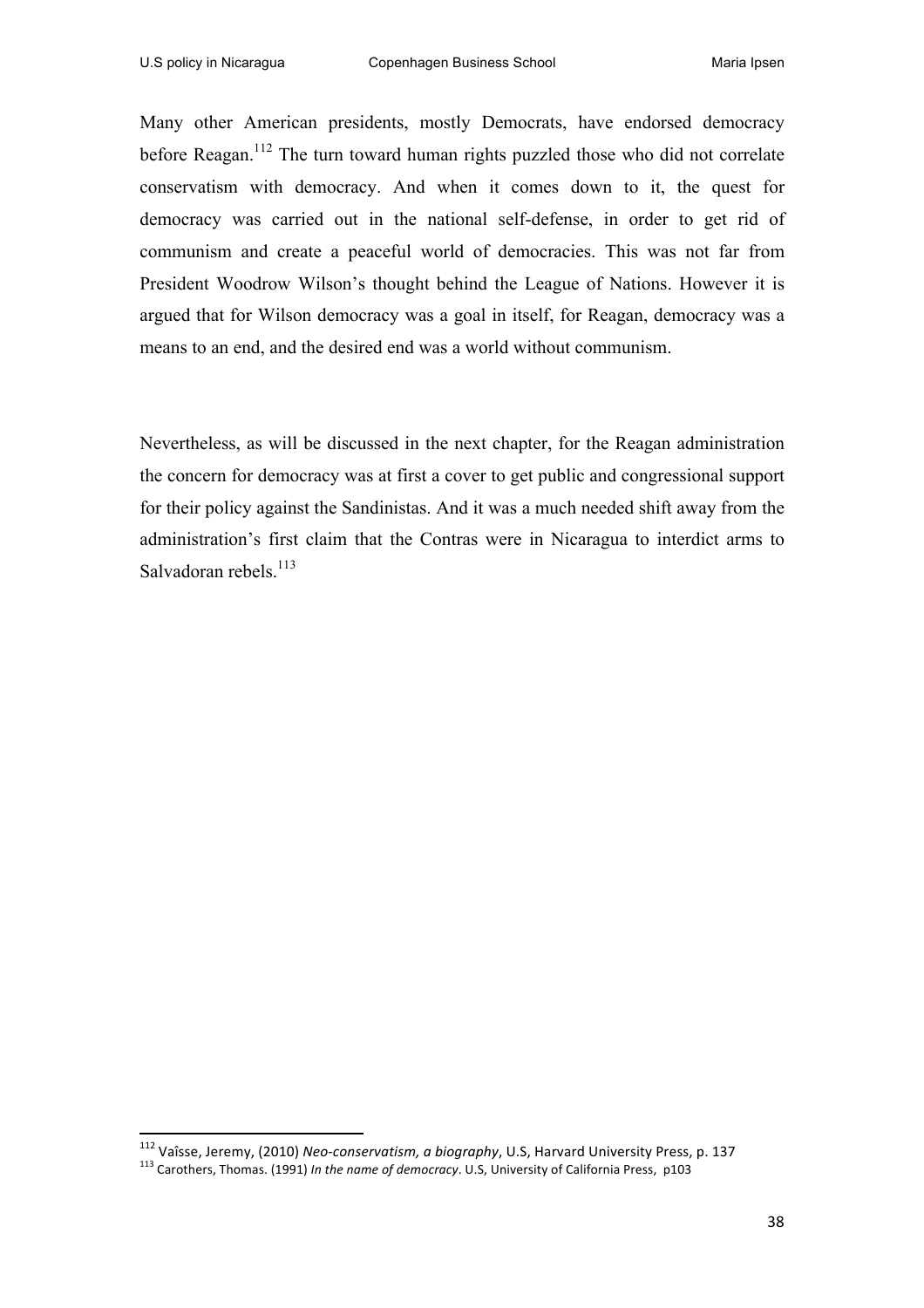Many other American presidents, mostly Democrats, have endorsed democracy before Reagan.<sup>112</sup> The turn toward human rights puzzled those who did not correlate conservatism with democracy. And when it comes down to it, the quest for democracy was carried out in the national self-defense, in order to get rid of communism and create a peaceful world of democracies. This was not far from President Woodrow Wilson's thought behind the League of Nations. However it is argued that for Wilson democracy was a goal in itself, for Reagan, democracy was a means to an end, and the desired end was a world without communism.

Nevertheless, as will be discussed in the next chapter, for the Reagan administration the concern for democracy was at first a cover to get public and congressional support for their policy against the Sandinistas. And it was a much needed shift away from the administration's first claim that the Contras were in Nicaragua to interdict arms to Salvadoran rebels.<sup>113</sup>

 

<sup>&</sup>lt;sup>112</sup> Vaîsse, Jeremy, (2010) *Neo-conservatism, a biography,* U.S, Harvard University Press, p. 137<br><sup>113</sup> Carothers, Thomas. (1991) *In the name of democracy*. U.S, University of California Press, p103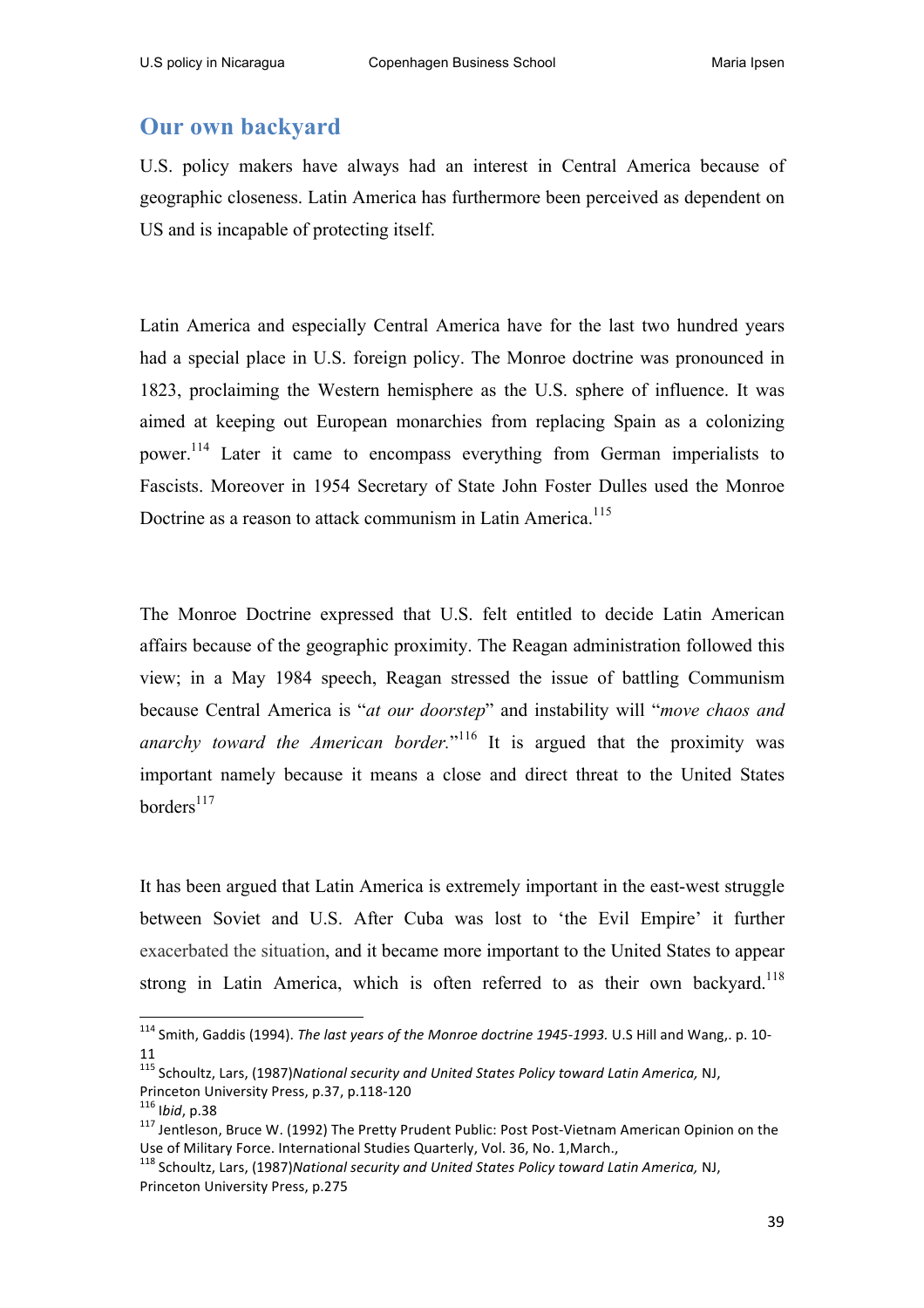# **Our own backyard**

U.S. policy makers have always had an interest in Central America because of geographic closeness. Latin America has furthermore been perceived as dependent on US and is incapable of protecting itself.

Latin America and especially Central America have for the last two hundred years had a special place in U.S. foreign policy. The Monroe doctrine was pronounced in 1823, proclaiming the Western hemisphere as the U.S. sphere of influence. It was aimed at keeping out European monarchies from replacing Spain as a colonizing power.114 Later it came to encompass everything from German imperialists to Fascists. Moreover in 1954 Secretary of State John Foster Dulles used the Monroe Doctrine as a reason to attack communism in Latin America.<sup>115</sup>

The Monroe Doctrine expressed that U.S. felt entitled to decide Latin American affairs because of the geographic proximity. The Reagan administration followed this view; in a May 1984 speech, Reagan stressed the issue of battling Communism because Central America is "*at our doorstep*" and instability will "*move chaos and anarchy toward the American border.*" <sup>116</sup> It is argued that the proximity was important namely because it means a close and direct threat to the United States borders $117$ 

It has been argued that Latin America is extremely important in the east-west struggle between Soviet and U.S. After Cuba was lost to 'the Evil Empire' it further exacerbated the situation, and it became more important to the United States to appear strong in Latin America, which is often referred to as their own backyard.<sup>118</sup>

<sup>&</sup>lt;sup>114</sup> Smith, Gaddis (1994). *The last years of the Monroe doctrine 1945-1993*. U.S Hill and Wang,. p. 10-11

<sup>&</sup>lt;sup>115</sup> Schoultz, Lars, (1987)National security and United States Policy toward Latin America, NJ,

Princeton University Press, p.37, p.118-120<br><sup>116</sup> Ibid, p.38<br><sup>117</sup> Jentleson, Bruce W. (1992) The Pretty Prudent Public: Post Post-Vietnam American Opinion on the Use of Military Force. International Studies Quarterly, Vol. 36, No. 1, March.,

<sup>&</sup>lt;sup>118</sup> Schoultz, Lars, (1987)National security and United States Policy toward Latin America, NJ, Princeton University Press, p.275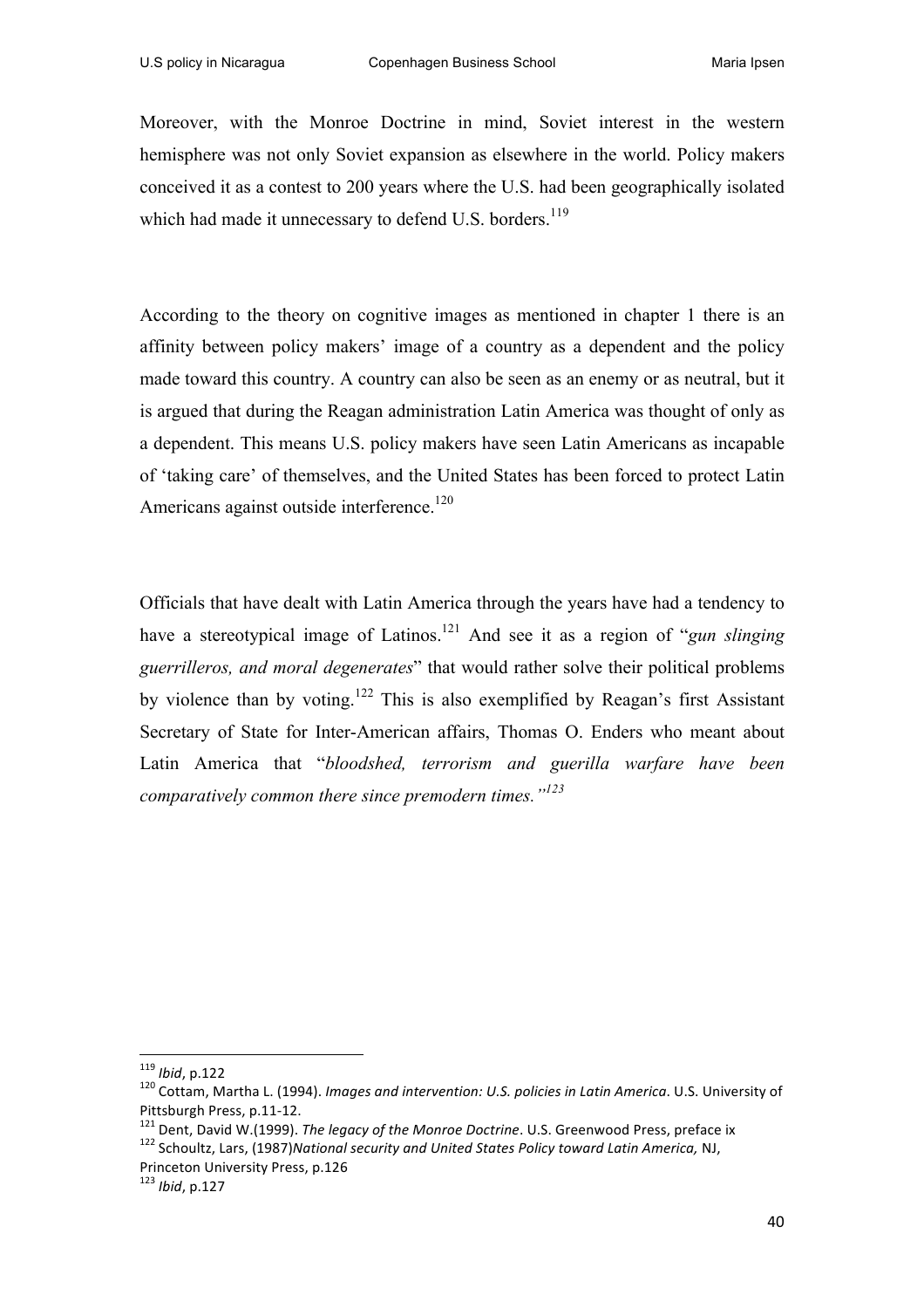Moreover, with the Monroe Doctrine in mind, Soviet interest in the western hemisphere was not only Soviet expansion as elsewhere in the world. Policy makers conceived it as a contest to 200 years where the U.S. had been geographically isolated which had made it unnecessary to defend U.S. borders.<sup>119</sup>

According to the theory on cognitive images as mentioned in chapter 1 there is an affinity between policy makers' image of a country as a dependent and the policy made toward this country. A country can also be seen as an enemy or as neutral, but it is argued that during the Reagan administration Latin America was thought of only as a dependent. This means U.S. policy makers have seen Latin Americans as incapable of 'taking care' of themselves, and the United States has been forced to protect Latin Americans against outside interference.<sup>120</sup>

Officials that have dealt with Latin America through the years have had a tendency to have a stereotypical image of Latinos.121 And see it as a region of "*gun slinging guerrilleros, and moral degenerates*" that would rather solve their political problems by violence than by voting.<sup>122</sup> This is also exemplified by Reagan's first Assistant Secretary of State for Inter-American affairs, Thomas O. Enders who meant about Latin America that "*bloodshed, terrorism and guerilla warfare have been comparatively common there since premodern times."<sup>123</sup>*

 

<sup>&</sup>lt;sup>119</sup> *Ibid*, p.122<br><sup>120</sup> Cottam, Martha L. (1994). *Images and intervention: U.S. policies in Latin America*. U.S. University of

Pittsburgh Press, p.11-12.<br><sup>121</sup> Dent, David W.(1999). The legacy of the Monroe Doctrine. U.S. Greenwood Press, preface ix<br><sup>122</sup> Schoultz, Lars, (1987)National security and United States Policy toward Latin America, NJ,

Princeton University Press, p.126

<sup>&</sup>lt;sup>123</sup> *Ibid*, p.127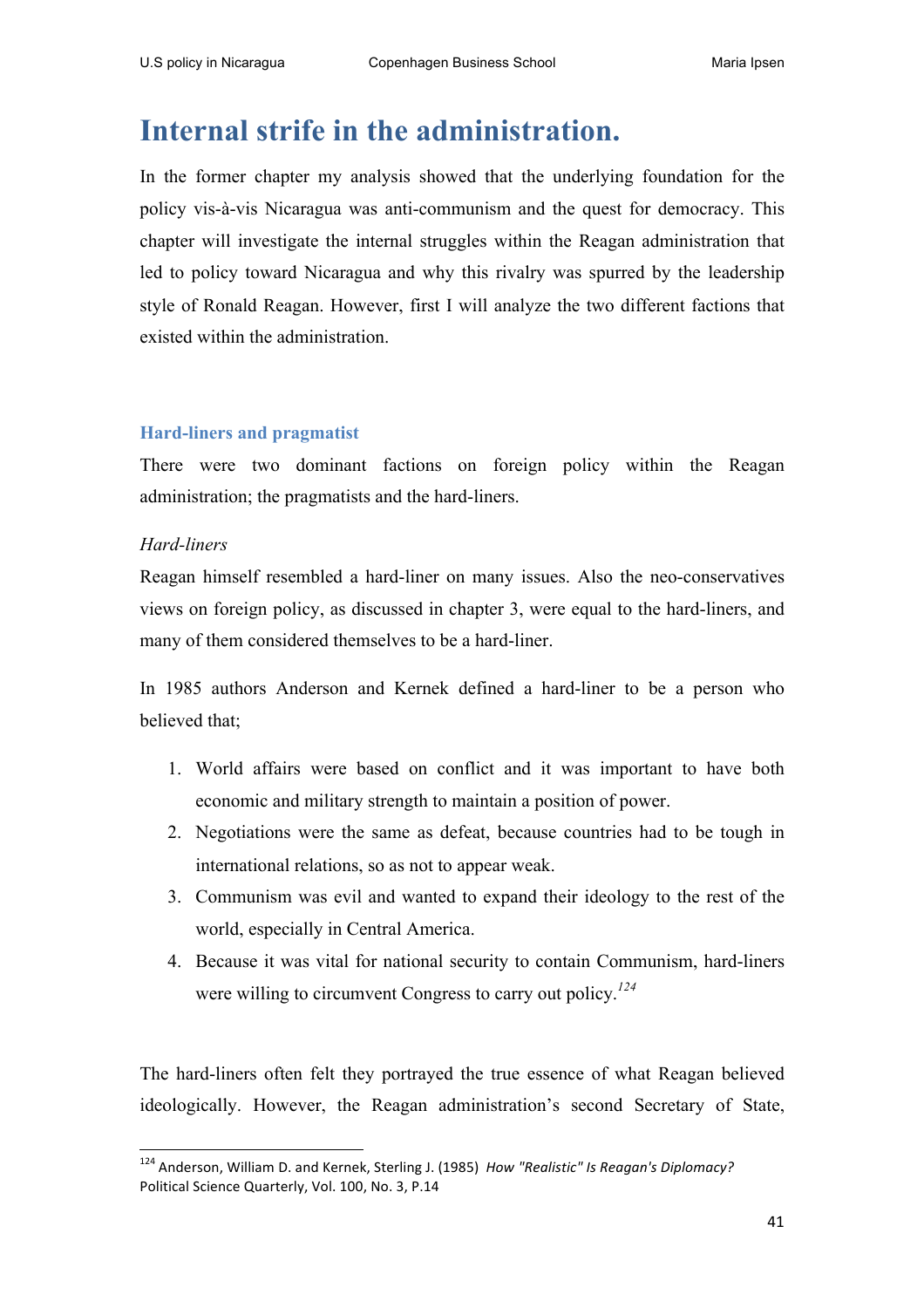# **Internal strife in the administration.**

In the former chapter my analysis showed that the underlying foundation for the policy vis-à-vis Nicaragua was anti-communism and the quest for democracy. This chapter will investigate the internal struggles within the Reagan administration that led to policy toward Nicaragua and why this rivalry was spurred by the leadership style of Ronald Reagan. However, first I will analyze the two different factions that existed within the administration.

## **Hard-liners and pragmatist**

<u> 1989 - Jan Samuel Barbara, margaret e</u>

There were two dominant factions on foreign policy within the Reagan administration; the pragmatists and the hard-liners.

## *Hard-liners*

Reagan himself resembled a hard-liner on many issues. Also the neo-conservatives views on foreign policy, as discussed in chapter 3, were equal to the hard-liners, and many of them considered themselves to be a hard-liner.

In 1985 authors Anderson and Kernek defined a hard-liner to be a person who believed that;

- 1. World affairs were based on conflict and it was important to have both economic and military strength to maintain a position of power.
- 2. Negotiations were the same as defeat, because countries had to be tough in international relations, so as not to appear weak.
- 3. Communism was evil and wanted to expand their ideology to the rest of the world, especially in Central America.
- 4. Because it was vital for national security to contain Communism, hard-liners were willing to circumvent Congress to carry out policy.*<sup>124</sup>*

The hard-liners often felt they portrayed the true essence of what Reagan believed ideologically. However, the Reagan administration's second Secretary of State,

<sup>&</sup>lt;sup>124</sup> Anderson, William D. and Kernek, Sterling J. (1985) *How "Realistic" Is Reagan's Diplomacy?* Political Science Quarterly, Vol. 100, No. 3, P.14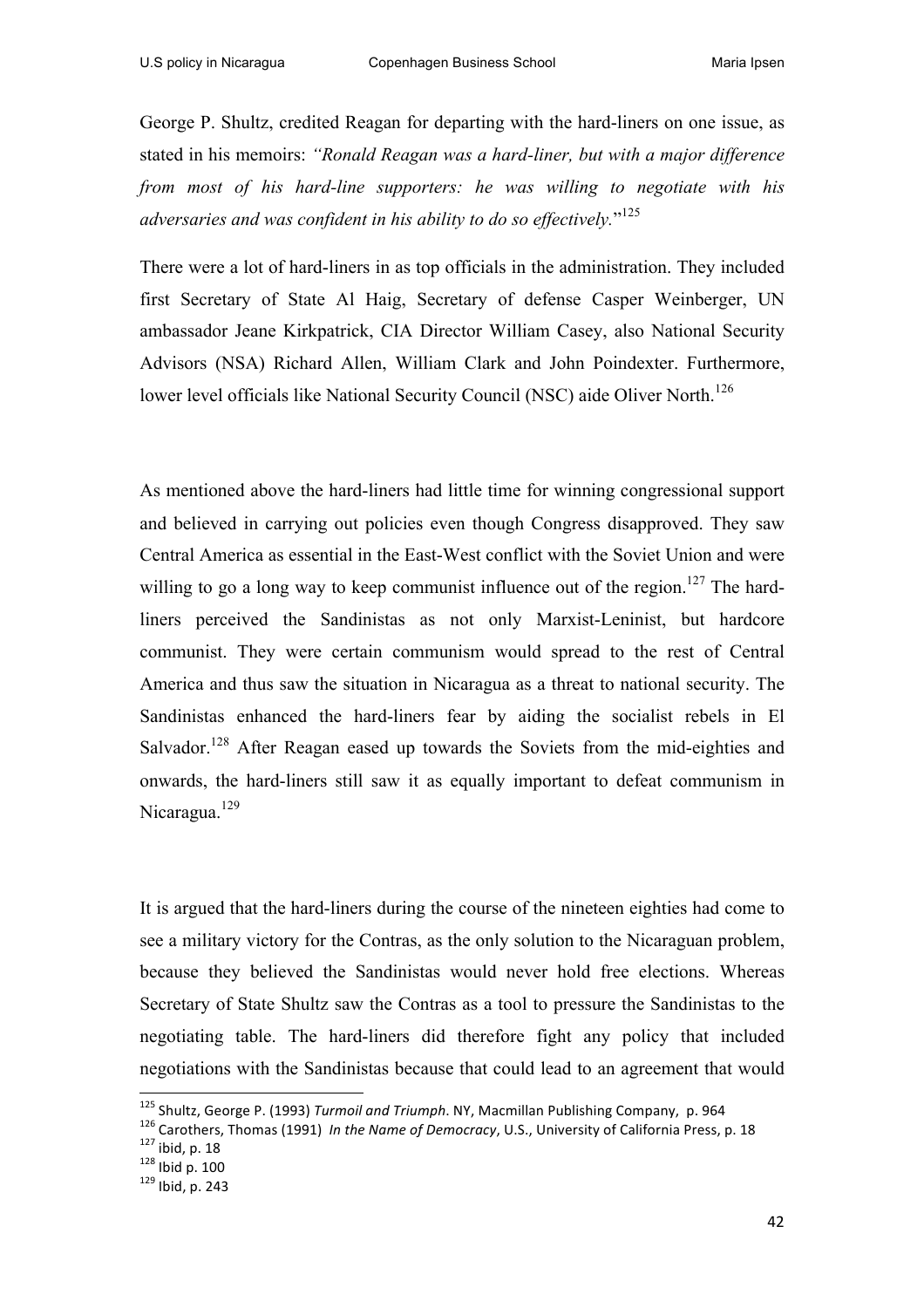George P. Shultz, credited Reagan for departing with the hard-liners on one issue, as stated in his memoirs: *"Ronald Reagan was a hard-liner, but with a major difference from most of his hard-line supporters: he was willing to negotiate with his adversaries and was confident in his ability to do so effectively.*" 125

There were a lot of hard-liners in as top officials in the administration. They included first Secretary of State Al Haig, Secretary of defense Casper Weinberger, UN ambassador Jeane Kirkpatrick, CIA Director William Casey, also National Security Advisors (NSA) Richard Allen, William Clark and John Poindexter. Furthermore, lower level officials like National Security Council (NSC) aide Oliver North.<sup>126</sup>

As mentioned above the hard-liners had little time for winning congressional support and believed in carrying out policies even though Congress disapproved. They saw Central America as essential in the East-West conflict with the Soviet Union and were willing to go a long way to keep communist influence out of the region.<sup>127</sup> The hardliners perceived the Sandinistas as not only Marxist-Leninist, but hardcore communist. They were certain communism would spread to the rest of Central America and thus saw the situation in Nicaragua as a threat to national security. The Sandinistas enhanced the hard-liners fear by aiding the socialist rebels in El Salvador.<sup>128</sup> After Reagan eased up towards the Soviets from the mid-eighties and onwards, the hard-liners still saw it as equally important to defeat communism in Nicaragua.<sup>129</sup>

It is argued that the hard-liners during the course of the nineteen eighties had come to see a military victory for the Contras, as the only solution to the Nicaraguan problem, because they believed the Sandinistas would never hold free elections. Whereas Secretary of State Shultz saw the Contras as a tool to pressure the Sandinistas to the negotiating table. The hard-liners did therefore fight any policy that included negotiations with the Sandinistas because that could lead to an agreement that would

<sup>&</sup>lt;sup>125</sup> Shultz, George P. (1993) Turmoil and Triumph. NY, Macmillan Publishing Company, p. 964

<sup>&</sup>lt;sup>126</sup> Carothers, Thomas (1991) *In the Name of Democracy*, U.S., University of California Press, p. 18<br><sup>127</sup> ibid, p. 18<br><sup>128</sup> lbid p. 100<br><sup>129</sup> lbid. p. 243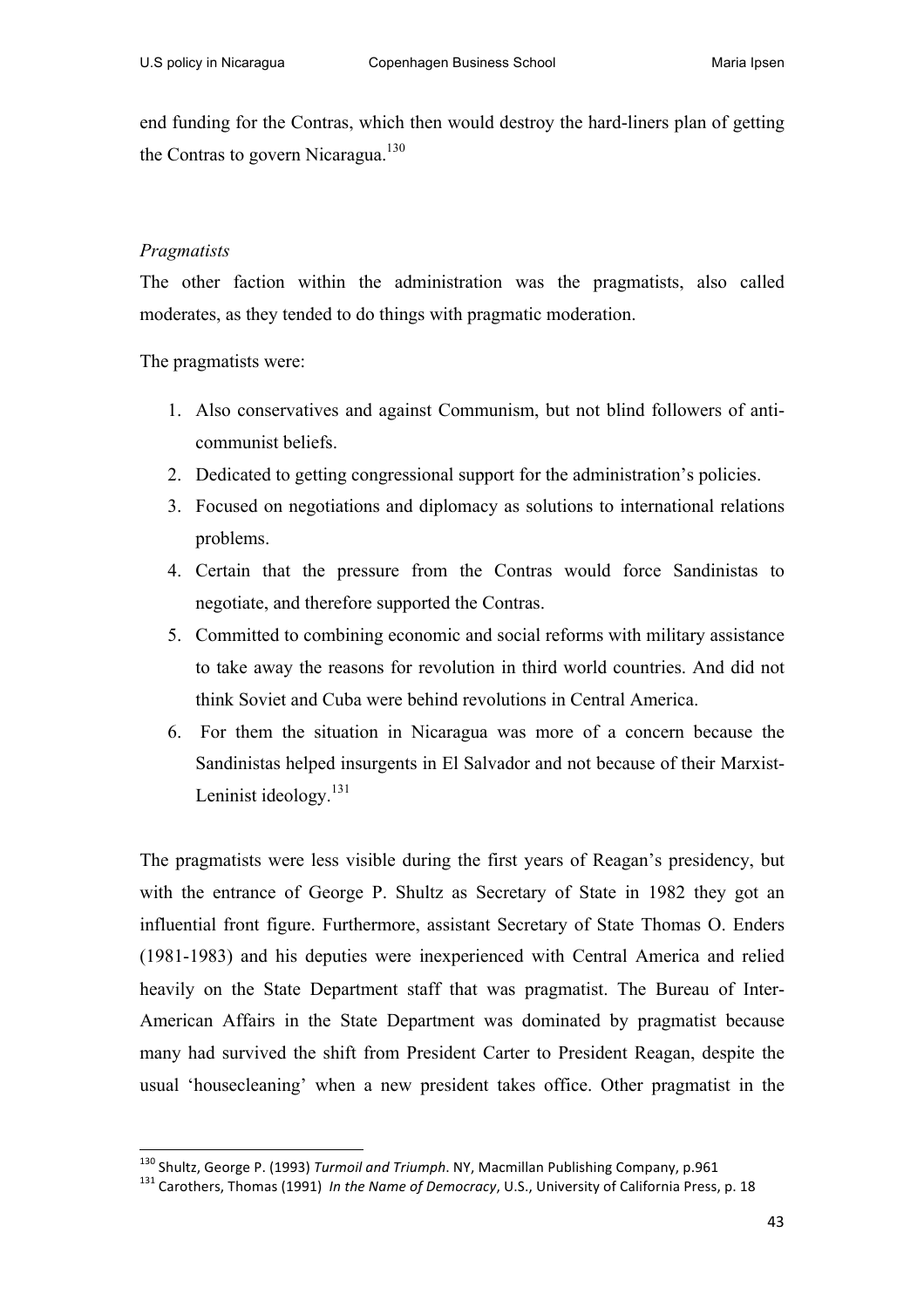end funding for the Contras, which then would destroy the hard-liners plan of getting the Contras to govern Nicaragua.<sup>130</sup>

## *Pragmatists*

The other faction within the administration was the pragmatists, also called moderates, as they tended to do things with pragmatic moderation.

The pragmatists were:

- 1. Also conservatives and against Communism, but not blind followers of anticommunist beliefs.
- 2. Dedicated to getting congressional support for the administration's policies.
- 3. Focused on negotiations and diplomacy as solutions to international relations problems.
- 4. Certain that the pressure from the Contras would force Sandinistas to negotiate, and therefore supported the Contras.
- 5. Committed to combining economic and social reforms with military assistance to take away the reasons for revolution in third world countries. And did not think Soviet and Cuba were behind revolutions in Central America.
- 6. For them the situation in Nicaragua was more of a concern because the Sandinistas helped insurgents in El Salvador and not because of their Marxist-Leninist ideology.<sup>131</sup>

The pragmatists were less visible during the first years of Reagan's presidency, but with the entrance of George P. Shultz as Secretary of State in 1982 they got an influential front figure. Furthermore, assistant Secretary of State Thomas O. Enders (1981-1983) and his deputies were inexperienced with Central America and relied heavily on the State Department staff that was pragmatist. The Bureau of Inter-American Affairs in the State Department was dominated by pragmatist because many had survived the shift from President Carter to President Reagan, despite the usual 'housecleaning' when a new president takes office. Other pragmatist in the

<sup>&</sup>lt;sup>130</sup> Shultz, George P. (1993) Turmoil and Triumph. NY, Macmillan Publishing Company, p.961

<sup>&</sup>lt;sup>131</sup> Carothers. Thomas (1991) In the Name of Democracy, U.S., University of California Press, p. 18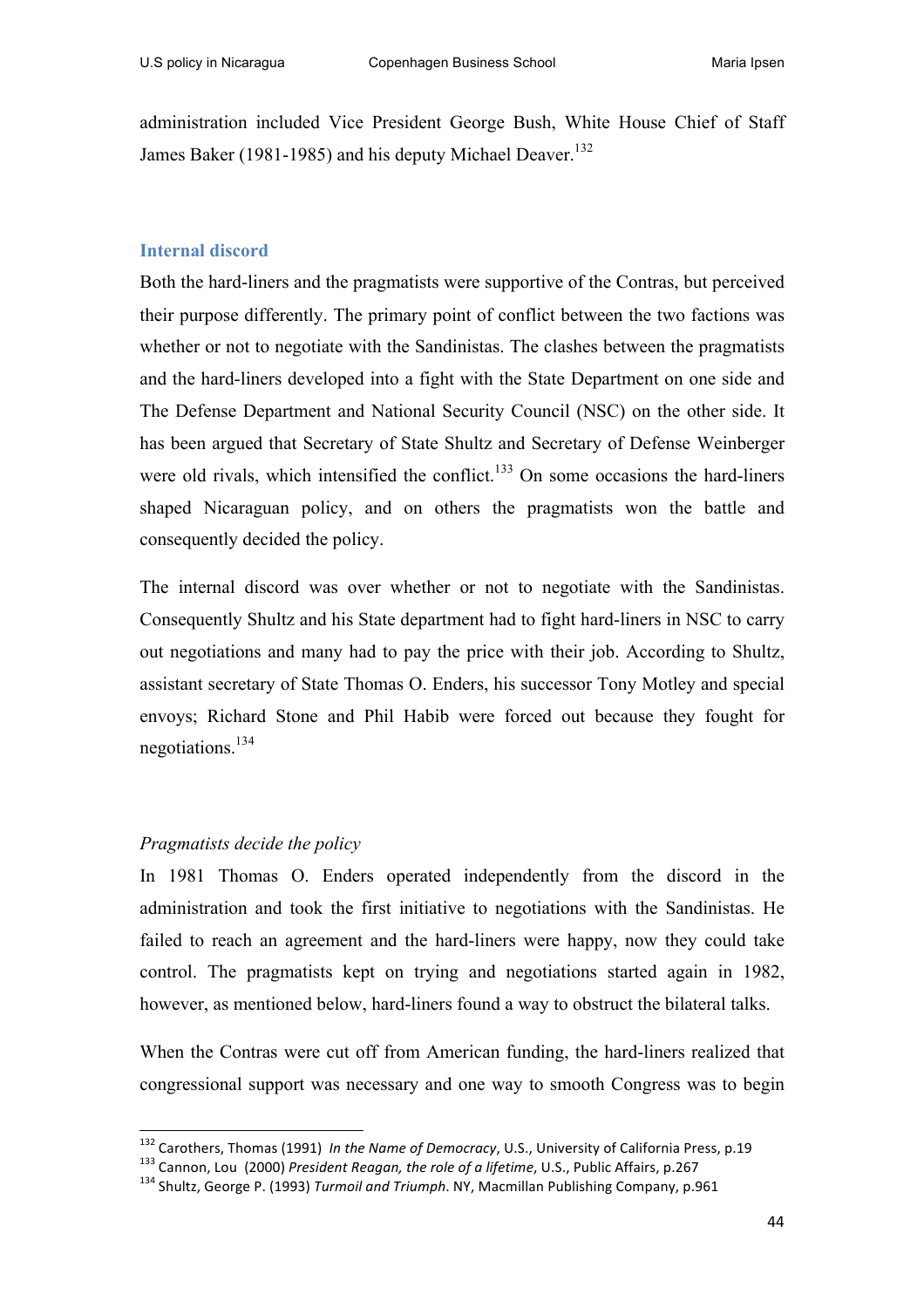administration included Vice President George Bush, White House Chief of Staff James Baker (1981-1985) and his deputy Michael Deaver.<sup>132</sup>

#### **Internal discord**

Both the hard-liners and the pragmatists were supportive of the Contras, but perceived their purpose differently. The primary point of conflict between the two factions was whether or not to negotiate with the Sandinistas. The clashes between the pragmatists and the hard-liners developed into a fight with the State Department on one side and The Defense Department and National Security Council (NSC) on the other side. It has been argued that Secretary of State Shultz and Secretary of Defense Weinberger were old rivals, which intensified the conflict. $133$  On some occasions the hard-liners shaped Nicaraguan policy, and on others the pragmatists won the battle and consequently decided the policy.

The internal discord was over whether or not to negotiate with the Sandinistas. Consequently Shultz and his State department had to fight hard-liners in NSC to carry out negotiations and many had to pay the price with their job. According to Shultz, assistant secretary of State Thomas O. Enders, his successor Tony Motley and special envoys; Richard Stone and Phil Habib were forced out because they fought for negotiations.<sup>134</sup>

#### *Pragmatists decide the policy*

<u> 1989 - Jan Samuel Barbara, margaret e</u>

In 1981 Thomas O. Enders operated independently from the discord in the administration and took the first initiative to negotiations with the Sandinistas. He failed to reach an agreement and the hard-liners were happy, now they could take control. The pragmatists kept on trying and negotiations started again in 1982, however, as mentioned below, hard-liners found a way to obstruct the bilateral talks.

When the Contras were cut off from American funding, the hard-liners realized that congressional support was necessary and one way to smooth Congress was to begin

<sup>&</sup>lt;sup>132</sup> Carothers, Thomas (1991) *In the Name of Democracy,* U.S., University of California Press, p.19<br><sup>133</sup> Cannon, Lou (2000) *President Reagan, the role of a lifetime,* U.S., Public Affairs, p.267<br><sup>134</sup> Shultz, George P.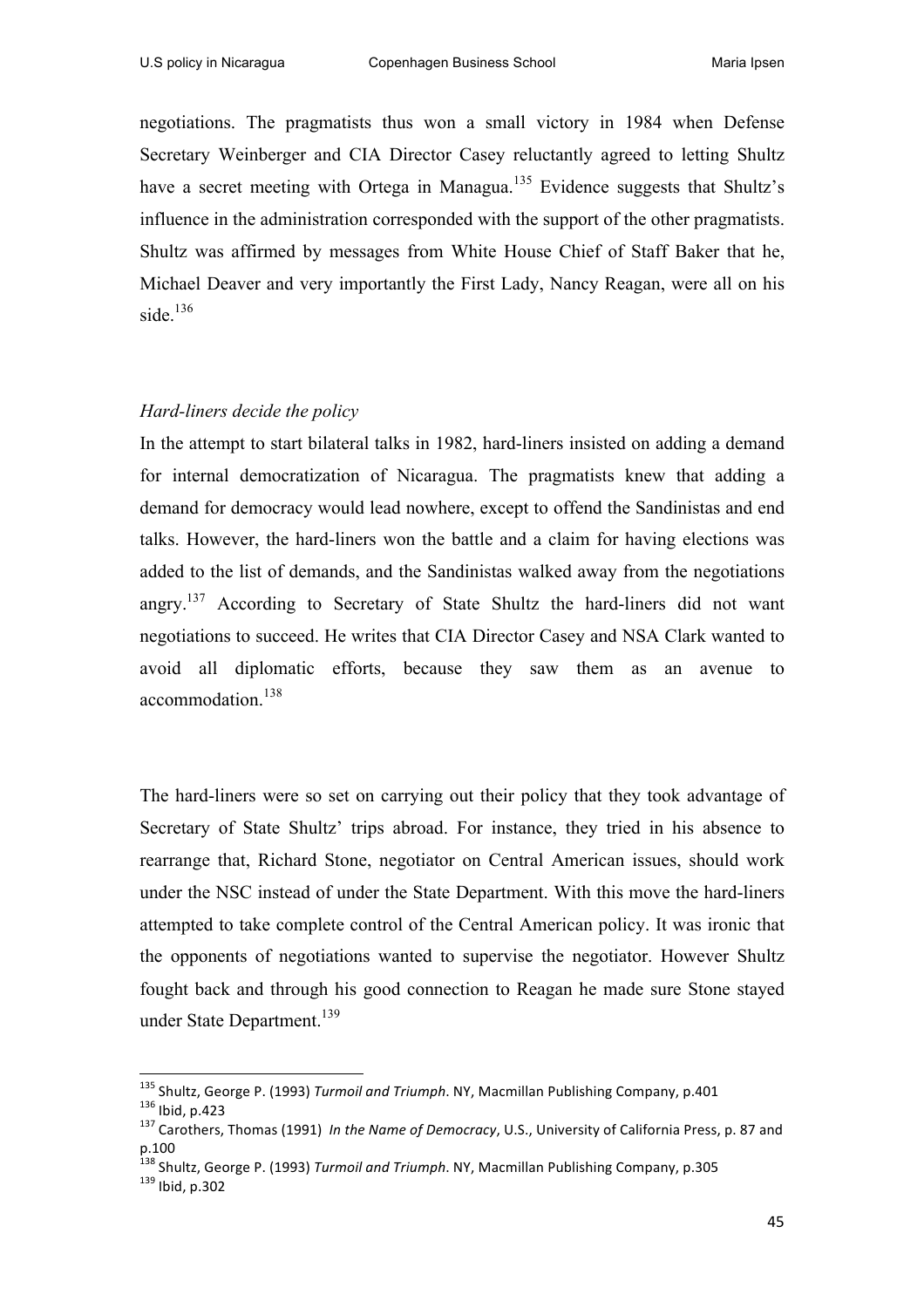negotiations. The pragmatists thus won a small victory in 1984 when Defense Secretary Weinberger and CIA Director Casey reluctantly agreed to letting Shultz have a secret meeting with Ortega in Managua.<sup>135</sup> Evidence suggests that Shultz's influence in the administration corresponded with the support of the other pragmatists. Shultz was affirmed by messages from White House Chief of Staff Baker that he, Michael Deaver and very importantly the First Lady, Nancy Reagan, were all on his side. $136$ 

#### *Hard-liners decide the policy*

In the attempt to start bilateral talks in 1982, hard-liners insisted on adding a demand for internal democratization of Nicaragua. The pragmatists knew that adding a demand for democracy would lead nowhere, except to offend the Sandinistas and end talks. However, the hard-liners won the battle and a claim for having elections was added to the list of demands, and the Sandinistas walked away from the negotiations angry.<sup>137</sup> According to Secretary of State Shultz the hard-liners did not want negotiations to succeed. He writes that CIA Director Casey and NSA Clark wanted to avoid all diplomatic efforts, because they saw them as an avenue to accommodation.<sup>138</sup>

The hard-liners were so set on carrying out their policy that they took advantage of Secretary of State Shultz' trips abroad. For instance, they tried in his absence to rearrange that, Richard Stone, negotiator on Central American issues, should work under the NSC instead of under the State Department. With this move the hard-liners attempted to take complete control of the Central American policy. It was ironic that the opponents of negotiations wanted to supervise the negotiator. However Shultz fought back and through his good connection to Reagan he made sure Stone stayed under State Department. 139

<sup>&</sup>lt;sup>135</sup> Shultz, George P. (1993) Turmoil and Triumph. NY, Macmillan Publishing Company, p.401 136 Ibid, p.423<br><sup>136</sup> Ibid, p.423<br><sup>137</sup> Carothers, Thomas (1991) *In the Name of Democracy*, U.S., University of California Press, p. 87 and

p.100

<sup>&</sup>lt;sup>138</sup> Shultz, George P. (1993) *Turmoil and Triumph*. NY, Macmillan Publishing Company, p.305 139 Ibid. p.302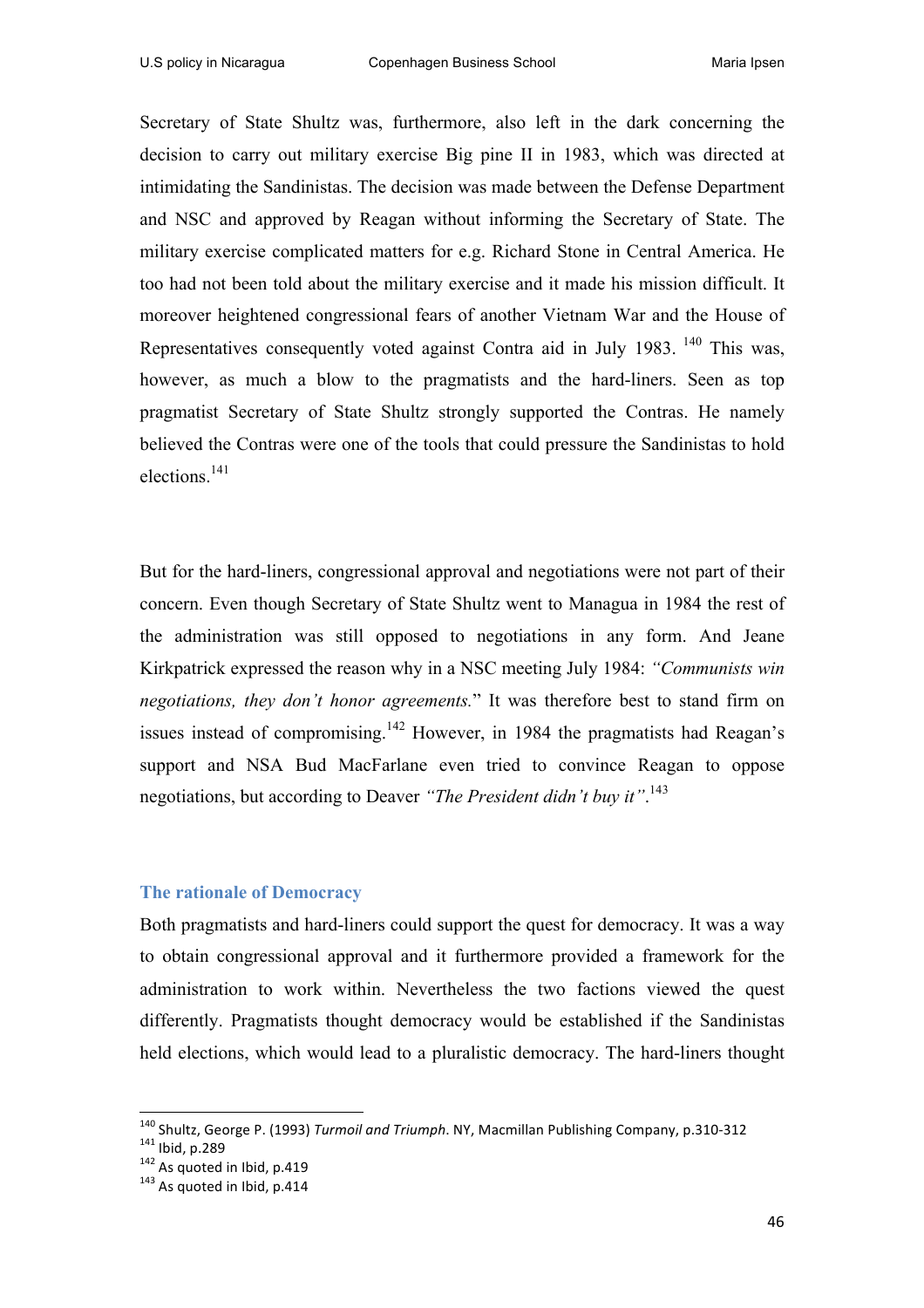Secretary of State Shultz was, furthermore, also left in the dark concerning the decision to carry out military exercise Big pine II in 1983, which was directed at intimidating the Sandinistas. The decision was made between the Defense Department and NSC and approved by Reagan without informing the Secretary of State. The military exercise complicated matters for e.g. Richard Stone in Central America. He too had not been told about the military exercise and it made his mission difficult. It moreover heightened congressional fears of another Vietnam War and the House of Representatives consequently voted against Contra aid in July 1983. <sup>140</sup> This was. however, as much a blow to the pragmatists and the hard-liners. Seen as top pragmatist Secretary of State Shultz strongly supported the Contras. He namely believed the Contras were one of the tools that could pressure the Sandinistas to hold elections.141

But for the hard-liners, congressional approval and negotiations were not part of their concern. Even though Secretary of State Shultz went to Managua in 1984 the rest of the administration was still opposed to negotiations in any form. And Jeane Kirkpatrick expressed the reason why in a NSC meeting July 1984: *"Communists win negotiations, they don't honor agreements.*" It was therefore best to stand firm on issues instead of compromising.<sup>142</sup> However, in 1984 the pragmatists had Reagan's support and NSA Bud MacFarlane even tried to convince Reagan to oppose negotiations, but according to Deaver *"The President didn't buy it"*. 143

#### **The rationale of Democracy**

Both pragmatists and hard-liners could support the quest for democracy. It was a way to obtain congressional approval and it furthermore provided a framework for the administration to work within. Nevertheless the two factions viewed the quest differently. Pragmatists thought democracy would be established if the Sandinistas held elections, which would lead to a pluralistic democracy. The hard-liners thought

<sup>&</sup>lt;sup>140</sup> Shultz, George P. (1993) *Turmoil and Triumph*. NY, Macmillan Publishing Company, p.310-312<br><sup>141</sup> Ibid, p.289<br><sup>142</sup> As quoted in Ibid, p.419 143 As auoted in Ibid, p.414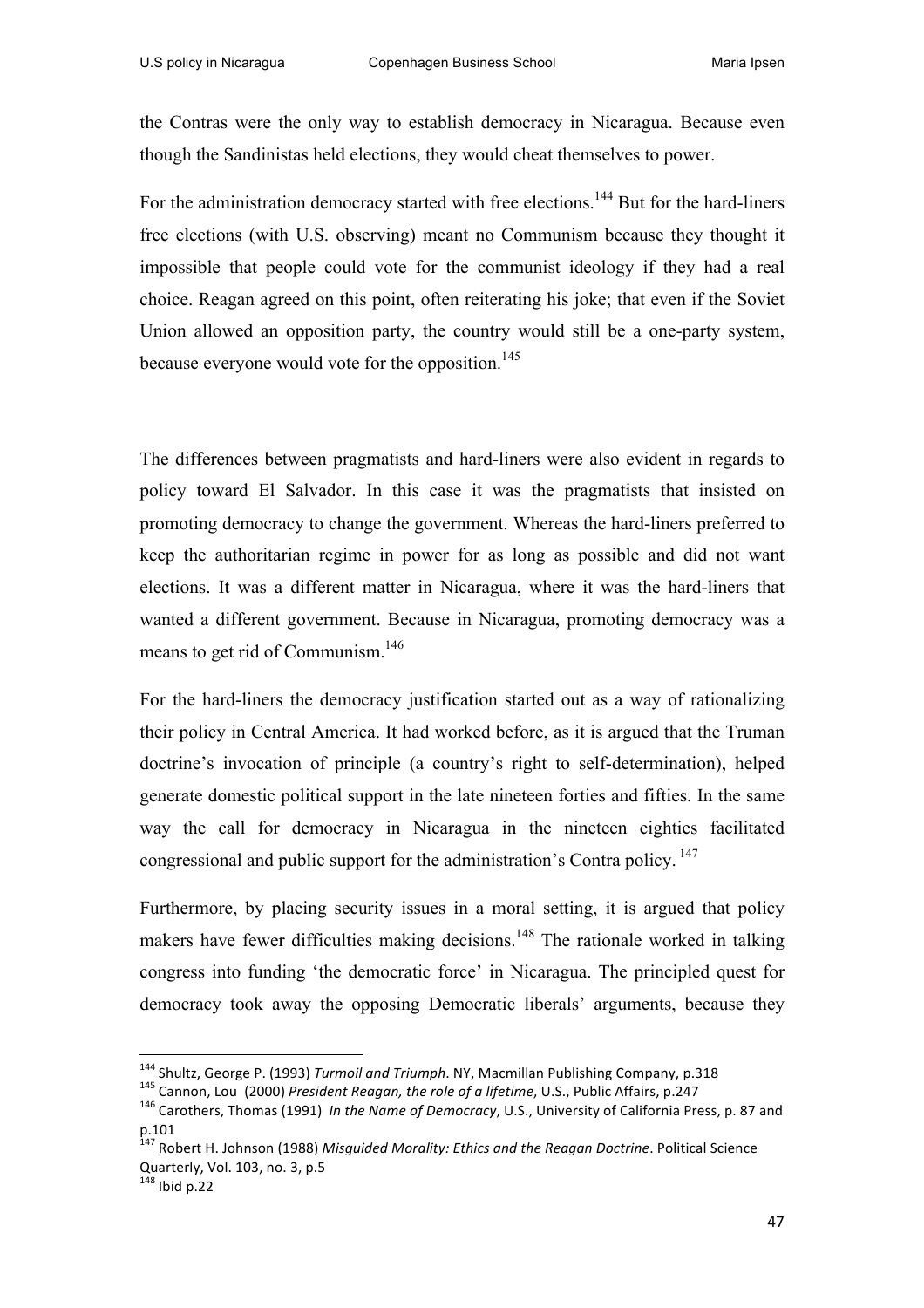the Contras were the only way to establish democracy in Nicaragua. Because even though the Sandinistas held elections, they would cheat themselves to power.

For the administration democracy started with free elections.<sup>144</sup> But for the hard-liners free elections (with U.S. observing) meant no Communism because they thought it impossible that people could vote for the communist ideology if they had a real choice. Reagan agreed on this point, often reiterating his joke; that even if the Soviet Union allowed an opposition party, the country would still be a one-party system, because everyone would vote for the opposition.<sup>145</sup>

The differences between pragmatists and hard-liners were also evident in regards to policy toward El Salvador. In this case it was the pragmatists that insisted on promoting democracy to change the government. Whereas the hard-liners preferred to keep the authoritarian regime in power for as long as possible and did not want elections. It was a different matter in Nicaragua, where it was the hard-liners that wanted a different government. Because in Nicaragua, promoting democracy was a means to get rid of Communism.<sup>146</sup>

For the hard-liners the democracy justification started out as a way of rationalizing their policy in Central America. It had worked before, as it is argued that the Truman doctrine's invocation of principle (a country's right to self-determination), helped generate domestic political support in the late nineteen forties and fifties. In the same way the call for democracy in Nicaragua in the nineteen eighties facilitated congressional and public support for the administration's Contra policy.<sup>147</sup>

Furthermore, by placing security issues in a moral setting, it is argued that policy makers have fewer difficulties making decisions.<sup>148</sup> The rationale worked in talking congress into funding 'the democratic force' in Nicaragua. The principled quest for democracy took away the opposing Democratic liberals' arguments, because they

 

<sup>&</sup>lt;sup>144</sup> Shultz, George P. (1993) Turmoil and Triumph. NY, Macmillan Publishing Company, p.318<br><sup>145</sup> Cannon, Lou (2000) *President Reagan, the role of a lifetime*, U.S., Public Affairs, p.247<br><sup>146</sup> Carothers, Thomas (1991) p.101

<sup>&</sup>lt;sup>147</sup> Robert H. Johnson (1988) Misguided Morality: Ethics and the Reagan Doctrine. Political Science Quarterly, Vol. 103, no. 3, p.5

 $148$  Ibid p.22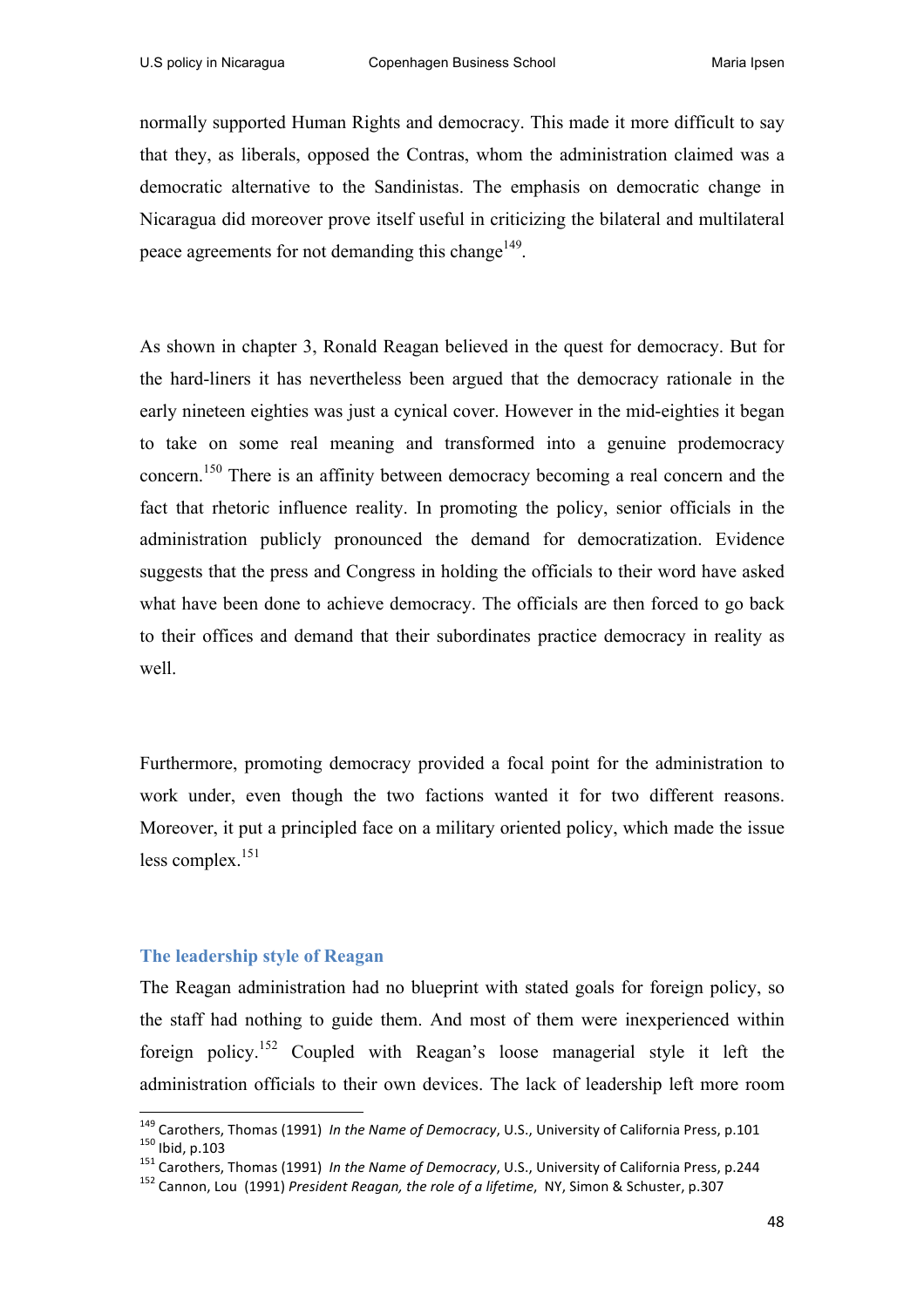normally supported Human Rights and democracy. This made it more difficult to say that they, as liberals, opposed the Contras, whom the administration claimed was a democratic alternative to the Sandinistas. The emphasis on democratic change in Nicaragua did moreover prove itself useful in criticizing the bilateral and multilateral peace agreements for not demanding this change<sup>149</sup>.

As shown in chapter 3, Ronald Reagan believed in the quest for democracy. But for the hard-liners it has nevertheless been argued that the democracy rationale in the early nineteen eighties was just a cynical cover. However in the mid-eighties it began to take on some real meaning and transformed into a genuine prodemocracy concern.<sup>150</sup> There is an affinity between democracy becoming a real concern and the fact that rhetoric influence reality. In promoting the policy, senior officials in the administration publicly pronounced the demand for democratization. Evidence suggests that the press and Congress in holding the officials to their word have asked what have been done to achieve democracy. The officials are then forced to go back to their offices and demand that their subordinates practice democracy in reality as well.

Furthermore, promoting democracy provided a focal point for the administration to work under, even though the two factions wanted it for two different reasons. Moreover, it put a principled face on a military oriented policy, which made the issue less complex.151

#### **The leadership style of Reagan**

The Reagan administration had no blueprint with stated goals for foreign policy, so the staff had nothing to guide them. And most of them were inexperienced within foreign policy.<sup>152</sup> Coupled with Reagan's loose managerial style it left the administration officials to their own devices. The lack of leadership left more room

<sup>&</sup>lt;sup>149</sup> Carothers, Thomas (1991) *In the Name of Democracy*, U.S., University of California Press, p.101<br><sup>150</sup> Ibid, p.103<br><sup>151</sup> Carothers, Thomas (1991) *In the Name of Democracy*, U.S., University of California Press, p.2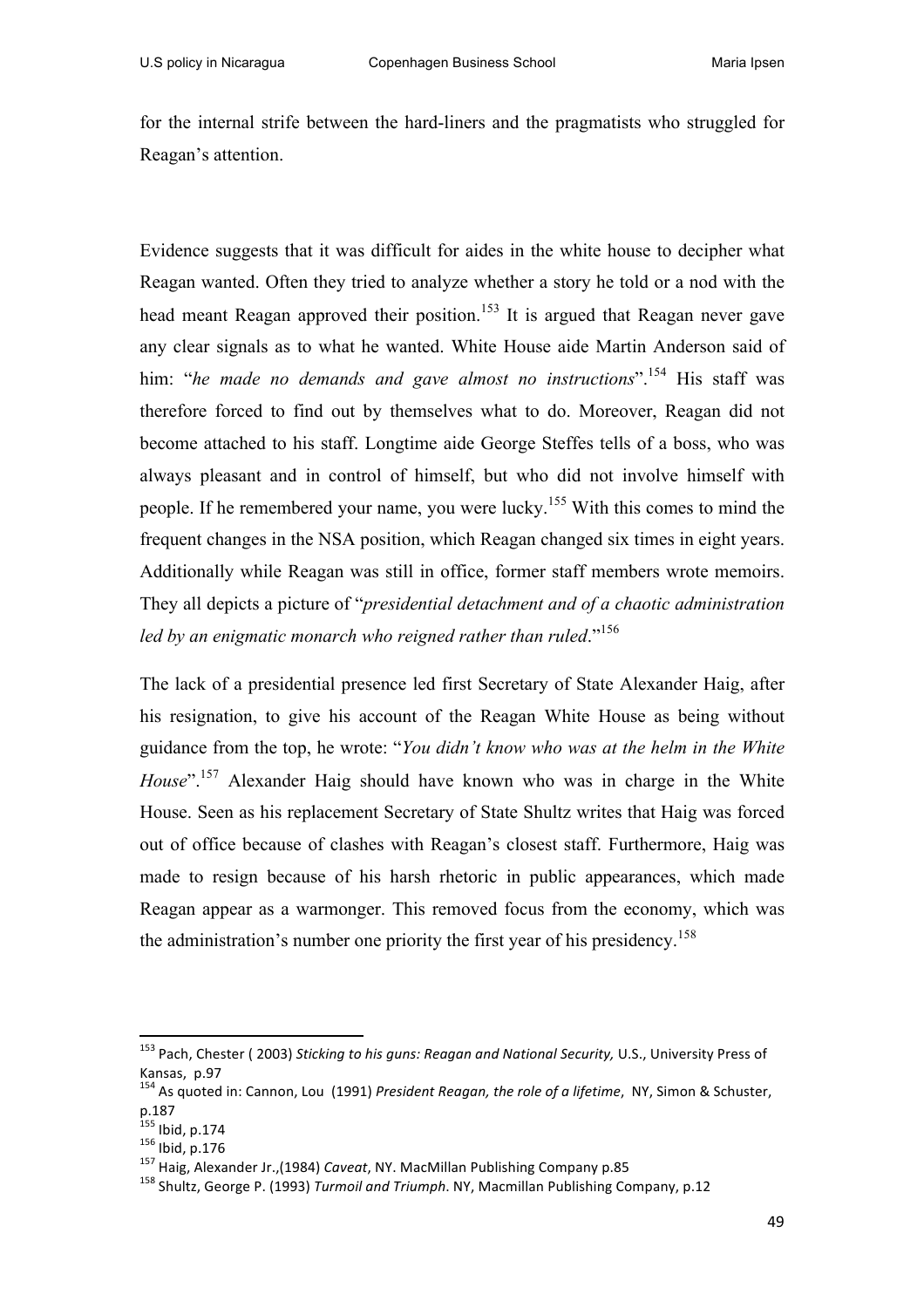for the internal strife between the hard-liners and the pragmatists who struggled for Reagan's attention.

Evidence suggests that it was difficult for aides in the white house to decipher what Reagan wanted. Often they tried to analyze whether a story he told or a nod with the head meant Reagan approved their position.<sup>153</sup> It is argued that Reagan never gave any clear signals as to what he wanted. White House aide Martin Anderson said of him: "*he made no demands and gave almost no instructions*".<sup>154</sup> His staff was therefore forced to find out by themselves what to do. Moreover, Reagan did not become attached to his staff. Longtime aide George Steffes tells of a boss, who was always pleasant and in control of himself, but who did not involve himself with people. If he remembered your name, you were lucky.<sup>155</sup> With this comes to mind the frequent changes in the NSA position, which Reagan changed six times in eight years. Additionally while Reagan was still in office, former staff members wrote memoirs. They all depicts a picture of "*presidential detachment and of a chaotic administration led by an enigmatic monarch who reigned rather than ruled*."<sup>156</sup>

The lack of a presidential presence led first Secretary of State Alexander Haig, after his resignation, to give his account of the Reagan White House as being without guidance from the top, he wrote: "*You didn't know who was at the helm in the White House*".<sup>157</sup> Alexander Haig should have known who was in charge in the White House. Seen as his replacement Secretary of State Shultz writes that Haig was forced out of office because of clashes with Reagan's closest staff. Furthermore, Haig was made to resign because of his harsh rhetoric in public appearances, which made Reagan appear as a warmonger. This removed focus from the economy, which was the administration's number one priority the first year of his presidency. 158

<sup>&</sup>lt;sup>153</sup> Pach, Chester ( 2003) *Sticking to his guns: Reagan and National Security,* U.S., University Press of Kansas, p.97

<sup>154</sup> As quoted in: Cannon, Lou (1991) *President Reagan, the role of a lifetime*, NY, Simon & Schuster, p.187<br><sup>155</sup> Ibid, p.174

<sup>156</sup> Ibid, p.176<br><sup>155</sup> Ibid, p.176<br><sup>157</sup> Haig, Alexander Jr.,(1984) *Caveat*, NY. MacMillan Publishing Company, p.12 158 Shultz, George P. (1993) *Turmoil and Triumph*. NY, Macmillan Publishing Company, p.12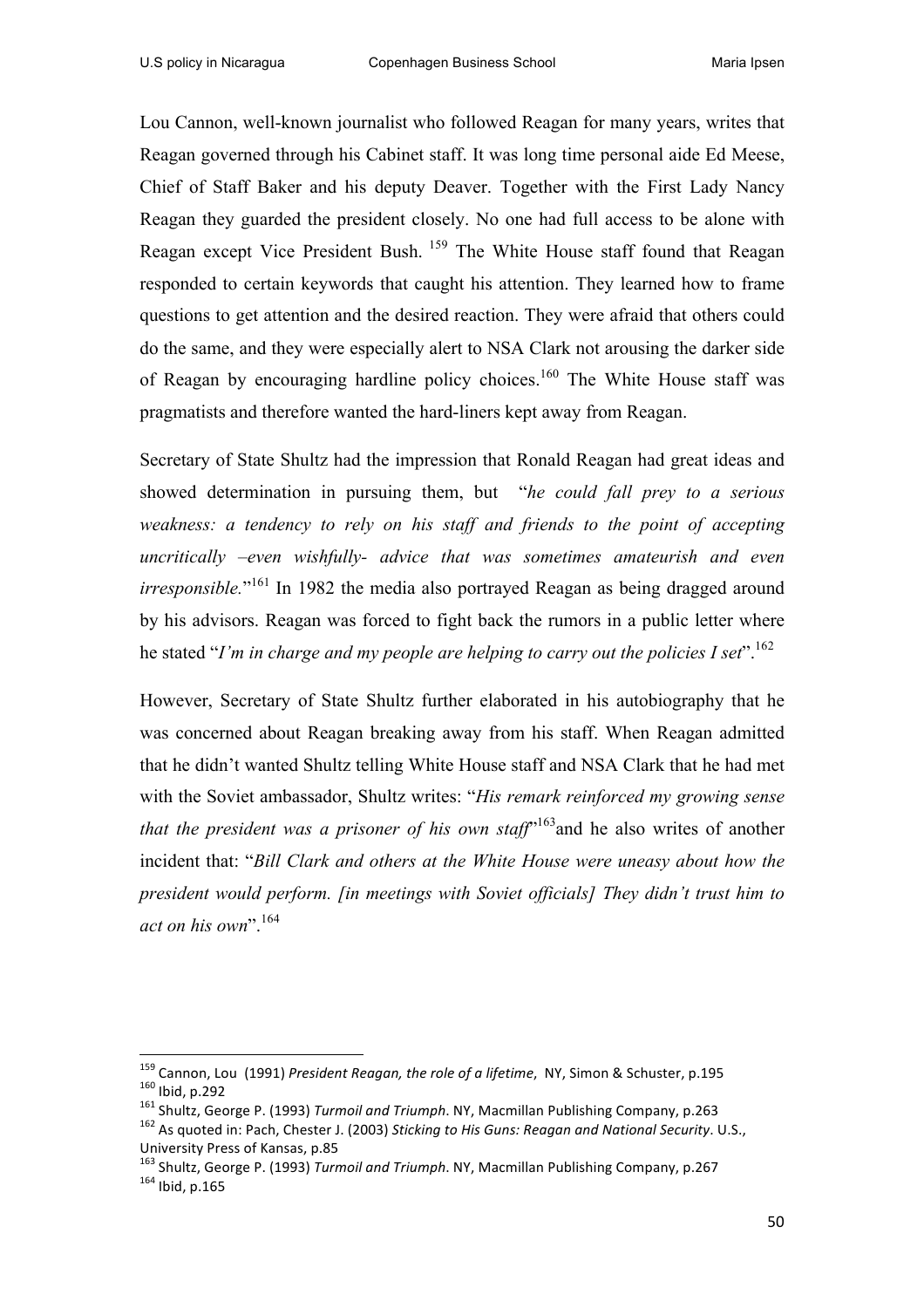Lou Cannon, well-known journalist who followed Reagan for many years, writes that Reagan governed through his Cabinet staff. It was long time personal aide Ed Meese, Chief of Staff Baker and his deputy Deaver. Together with the First Lady Nancy Reagan they guarded the president closely. No one had full access to be alone with Reagan except Vice President Bush. <sup>159</sup> The White House staff found that Reagan responded to certain keywords that caught his attention. They learned how to frame questions to get attention and the desired reaction. They were afraid that others could do the same, and they were especially alert to NSA Clark not arousing the darker side of Reagan by encouraging hardline policy choices.160 The White House staff was pragmatists and therefore wanted the hard-liners kept away from Reagan.

Secretary of State Shultz had the impression that Ronald Reagan had great ideas and showed determination in pursuing them, but "*he could fall prey to a serious weakness: a tendency to rely on his staff and friends to the point of accepting uncritically –even wishfully- advice that was sometimes amateurish and even irresponsible*."<sup>161</sup> In 1982 the media also portrayed Reagan as being dragged around by his advisors. Reagan was forced to fight back the rumors in a public letter where he stated "*I'm in charge and my people are helping to carry out the policies I set*".<sup>162</sup>

However, Secretary of State Shultz further elaborated in his autobiography that he was concerned about Reagan breaking away from his staff. When Reagan admitted that he didn't wanted Shultz telling White House staff and NSA Clark that he had met with the Soviet ambassador, Shultz writes: "*His remark reinforced my growing sense that the president was a prisoner of his own staff*<sup> $163$ </sup> and he also writes of another incident that: "*Bill Clark and others at the White House were uneasy about how the president would perform. [in meetings with Soviet officials] They didn't trust him to act on his own*".<sup>164</sup>

 

<sup>&</sup>lt;sup>159</sup> Cannon, Lou (1991) President Reagan, the role of a lifetime, NY, Simon & Schuster, p.195<br><sup>160</sup> Ibid, p.292<br><sup>161</sup> Shultz, George P. (1993) Turmoil and Triumph. NY, Macmillan Publishing Company, p.263<br><sup>162</sup> As auoted

University Press of Kansas, p.85

<sup>&</sup>lt;sup>163</sup> Shultz, George P. (1993) *Turmoil and Triumph*. NY, Macmillan Publishing Company, p.267 <sup>164</sup> Ibid. p.165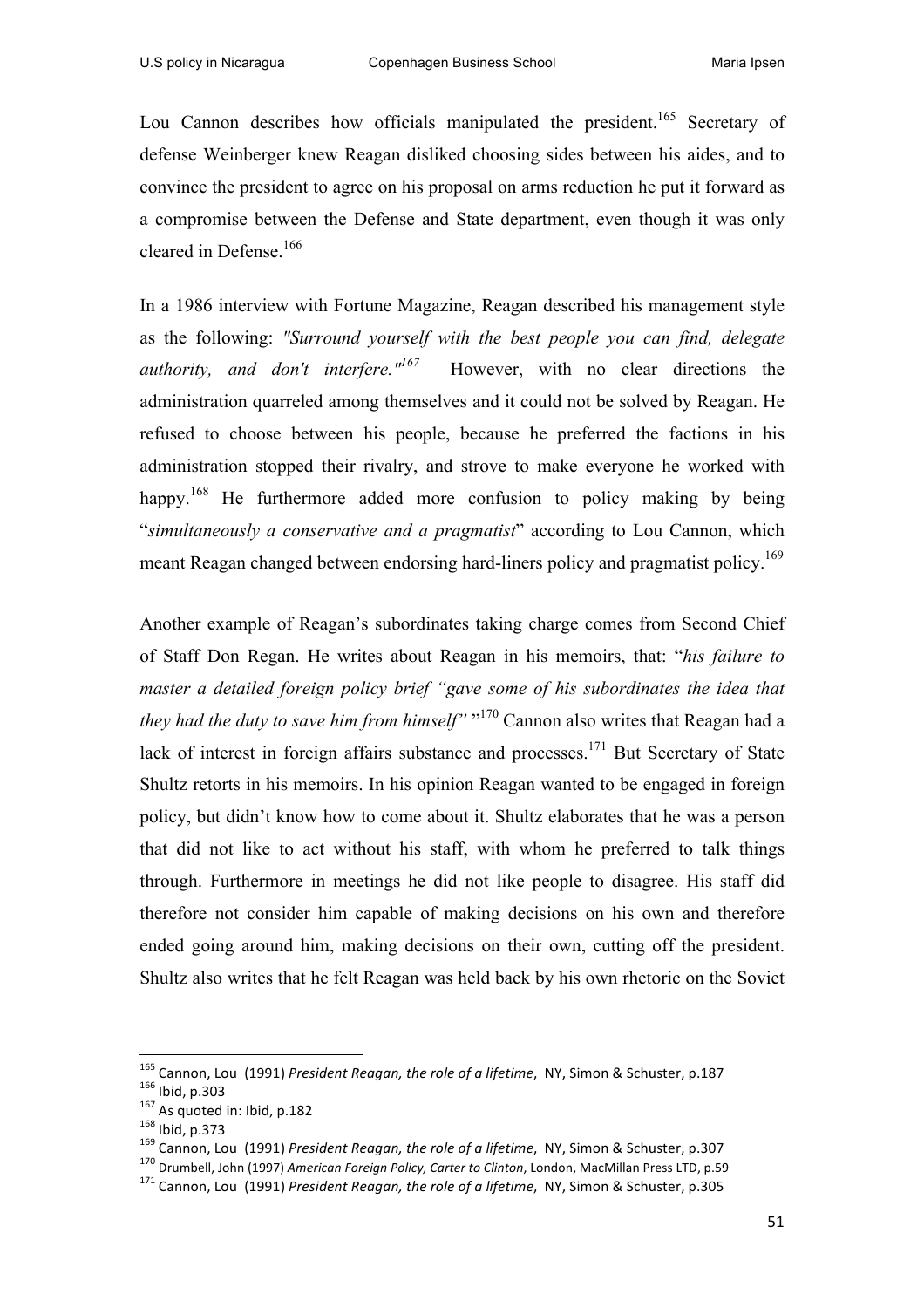Lou Cannon describes how officials manipulated the president.<sup>165</sup> Secretary of defense Weinberger knew Reagan disliked choosing sides between his aides, and to convince the president to agree on his proposal on arms reduction he put it forward as a compromise between the Defense and State department, even though it was only cleared in Defense.<sup>166</sup>

In a 1986 interview with Fortune Magazine, Reagan described his management style as the following: *"Surround yourself with the best people you can find, delegate authority, and don't interfere."167* However, with no clear directions the administration quarreled among themselves and it could not be solved by Reagan. He refused to choose between his people, because he preferred the factions in his administration stopped their rivalry, and strove to make everyone he worked with happy.<sup>168</sup> He furthermore added more confusion to policy making by being "*simultaneously a conservative and a pragmatist*" according to Lou Cannon, which meant Reagan changed between endorsing hard-liners policy and pragmatist policy.<sup>169</sup>

Another example of Reagan's subordinates taking charge comes from Second Chief of Staff Don Regan. He writes about Reagan in his memoirs, that: "*his failure to master a detailed foreign policy brief "gave some of his subordinates the idea that they had the duty to save him from himself"* " <sup>170</sup> Cannon also writes that Reagan had a lack of interest in foreign affairs substance and processes.<sup>171</sup> But Secretary of State Shultz retorts in his memoirs. In his opinion Reagan wanted to be engaged in foreign policy, but didn't know how to come about it. Shultz elaborates that he was a person that did not like to act without his staff, with whom he preferred to talk things through. Furthermore in meetings he did not like people to disagree. His staff did therefore not consider him capable of making decisions on his own and therefore ended going around him, making decisions on their own, cutting off the president. Shultz also writes that he felt Reagan was held back by his own rhetoric on the Soviet

 

<sup>&</sup>lt;sup>165</sup> Cannon, Lou (1991) President Reagan, the role of a lifetime, NY, Simon & Schuster, p.187<br><sup>166</sup> Ibid, p.303<br><sup>167</sup> As quoted in: Ibid, p.182<br><sup>168</sup> Ibid, p.373<br><sup>169</sup> Cannon, Lou (1991) President Reagan, the role of a l

<sup>&</sup>lt;sup>171</sup> Cannon, Lou (1991) President Reagan, the role of a lifetime, NY, Simon & Schuster, p.305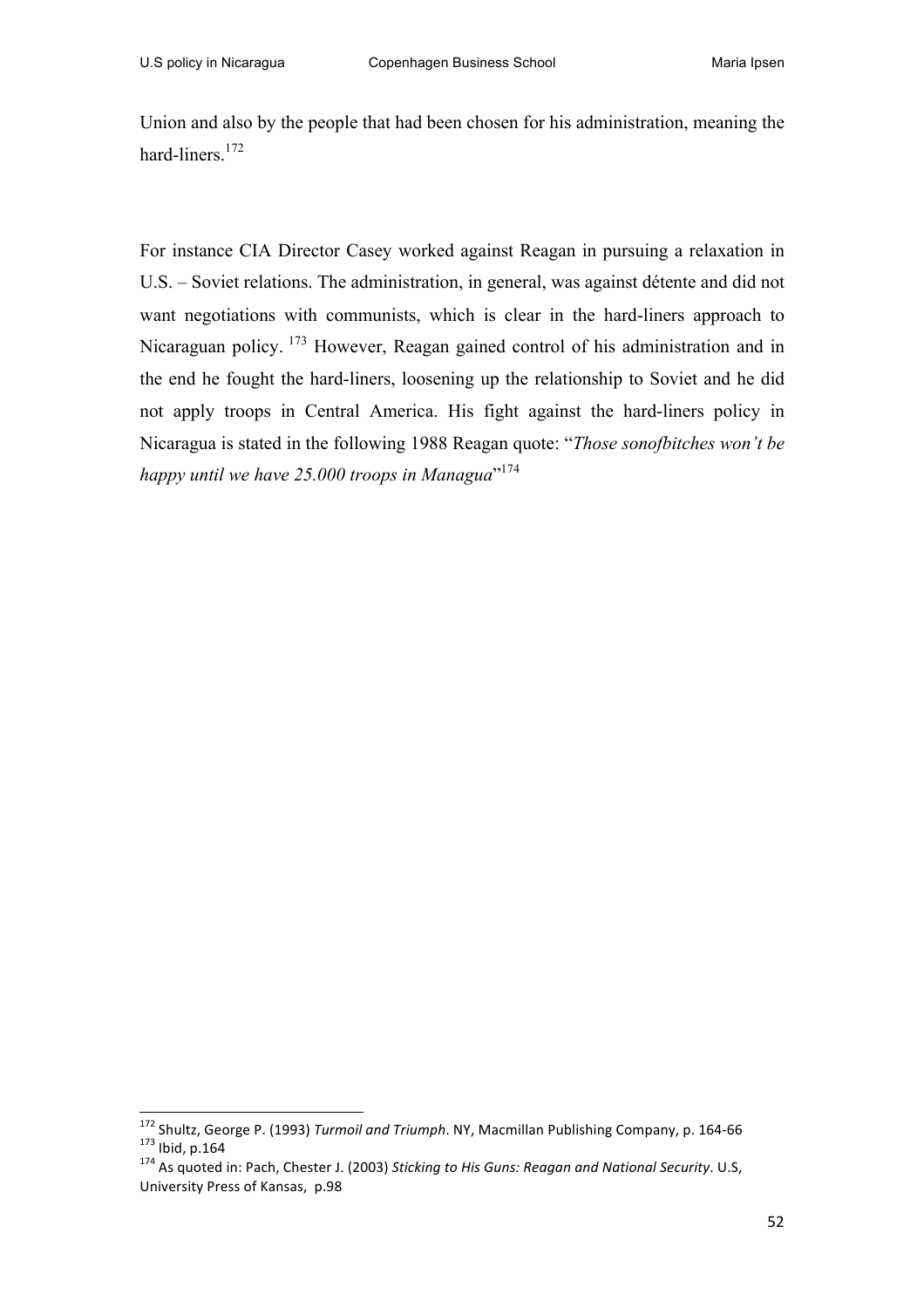Union and also by the people that had been chosen for his administration, meaning the hard-liners.<sup>172</sup>

For instance CIA Director Casey worked against Reagan in pursuing a relaxation in U.S. – Soviet relations. The administration, in general, was against détente and did not want negotiations with communists, which is clear in the hard-liners approach to Nicaraguan policy. <sup>173</sup> However, Reagan gained control of his administration and in the end he fought the hard-liners, loosening up the relationship to Soviet and he did not apply troops in Central America. His fight against the hard-liners policy in Nicaragua is stated in the following 1988 Reagan quote: "*Those sonofbitches won't be happy until we have 25.000 troops in Managua*" 174

<sup>&</sup>lt;sup>172</sup> Shultz, George P. (1993) *Turmoil and Triumph*. NY, Macmillan Publishing Company, p. 164-66 <sup>173</sup> Ibid, p.164<br><sup>173</sup> Ibid, p.164<br><sup>174</sup> As quoted in: Pach, Chester J. (2003) *Sticking to His Guns: Reagan and National S* 

University Press of Kansas, p.98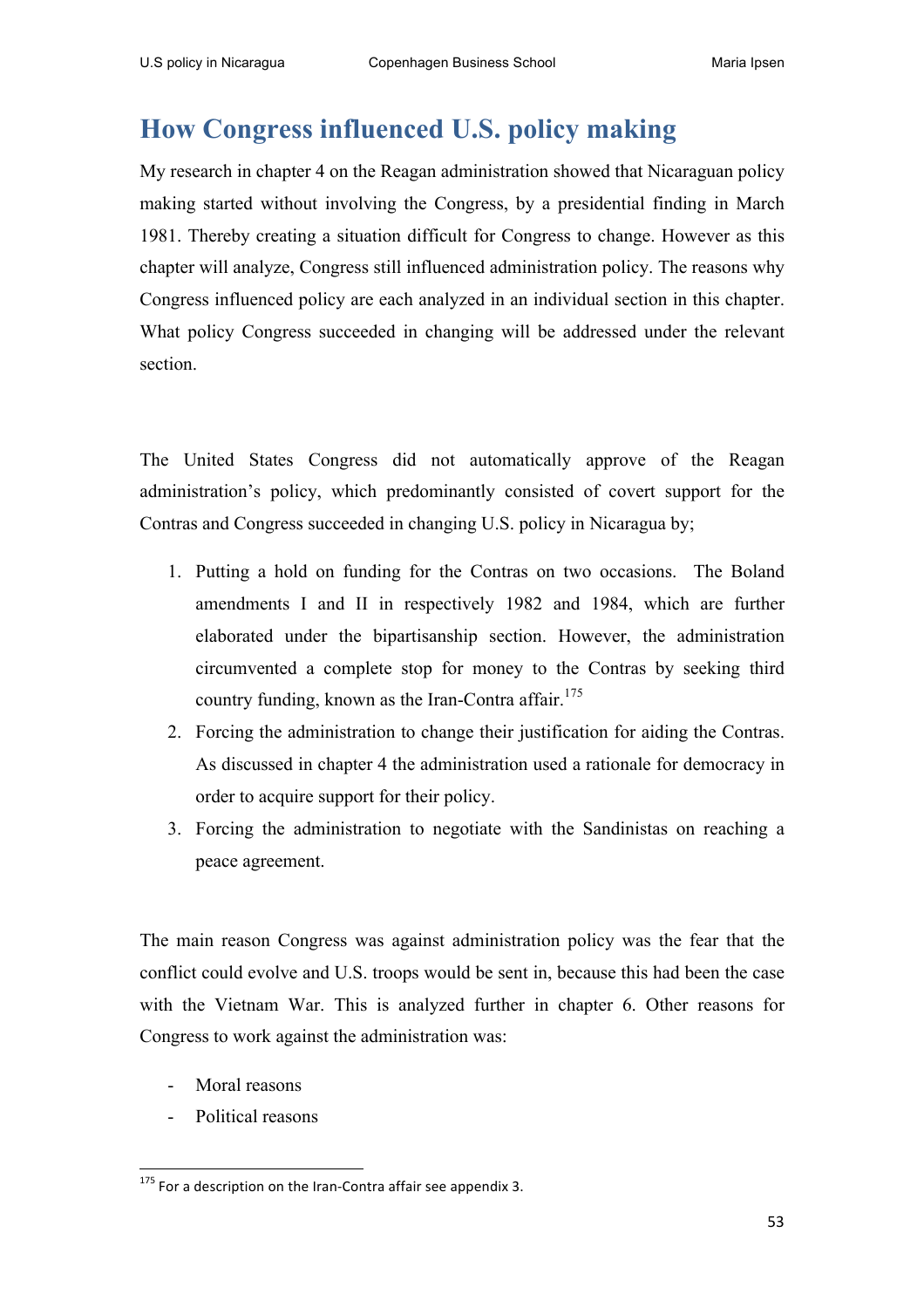# **How Congress influenced U.S. policy making**

My research in chapter 4 on the Reagan administration showed that Nicaraguan policy making started without involving the Congress, by a presidential finding in March 1981. Thereby creating a situation difficult for Congress to change. However as this chapter will analyze, Congress still influenced administration policy. The reasons why Congress influenced policy are each analyzed in an individual section in this chapter. What policy Congress succeeded in changing will be addressed under the relevant section.

The United States Congress did not automatically approve of the Reagan administration's policy, which predominantly consisted of covert support for the Contras and Congress succeeded in changing U.S. policy in Nicaragua by;

- 1. Putting a hold on funding for the Contras on two occasions. The Boland amendments I and II in respectively 1982 and 1984, which are further elaborated under the bipartisanship section. However, the administration circumvented a complete stop for money to the Contras by seeking third country funding, known as the Iran-Contra affair.<sup>175</sup>
- 2. Forcing the administration to change their justification for aiding the Contras. As discussed in chapter 4 the administration used a rationale for democracy in order to acquire support for their policy.
- 3. Forcing the administration to negotiate with the Sandinistas on reaching a peace agreement.

The main reason Congress was against administration policy was the fear that the conflict could evolve and U.S. troops would be sent in, because this had been the case with the Vietnam War. This is analyzed further in chapter 6. Other reasons for Congress to work against the administration was:

- Moral reasons
- Political reasons

<sup>&</sup>lt;u> 1989 - Jan Samuel Barbara, margaret e</u>  $175$  For a description on the Iran-Contra affair see appendix 3.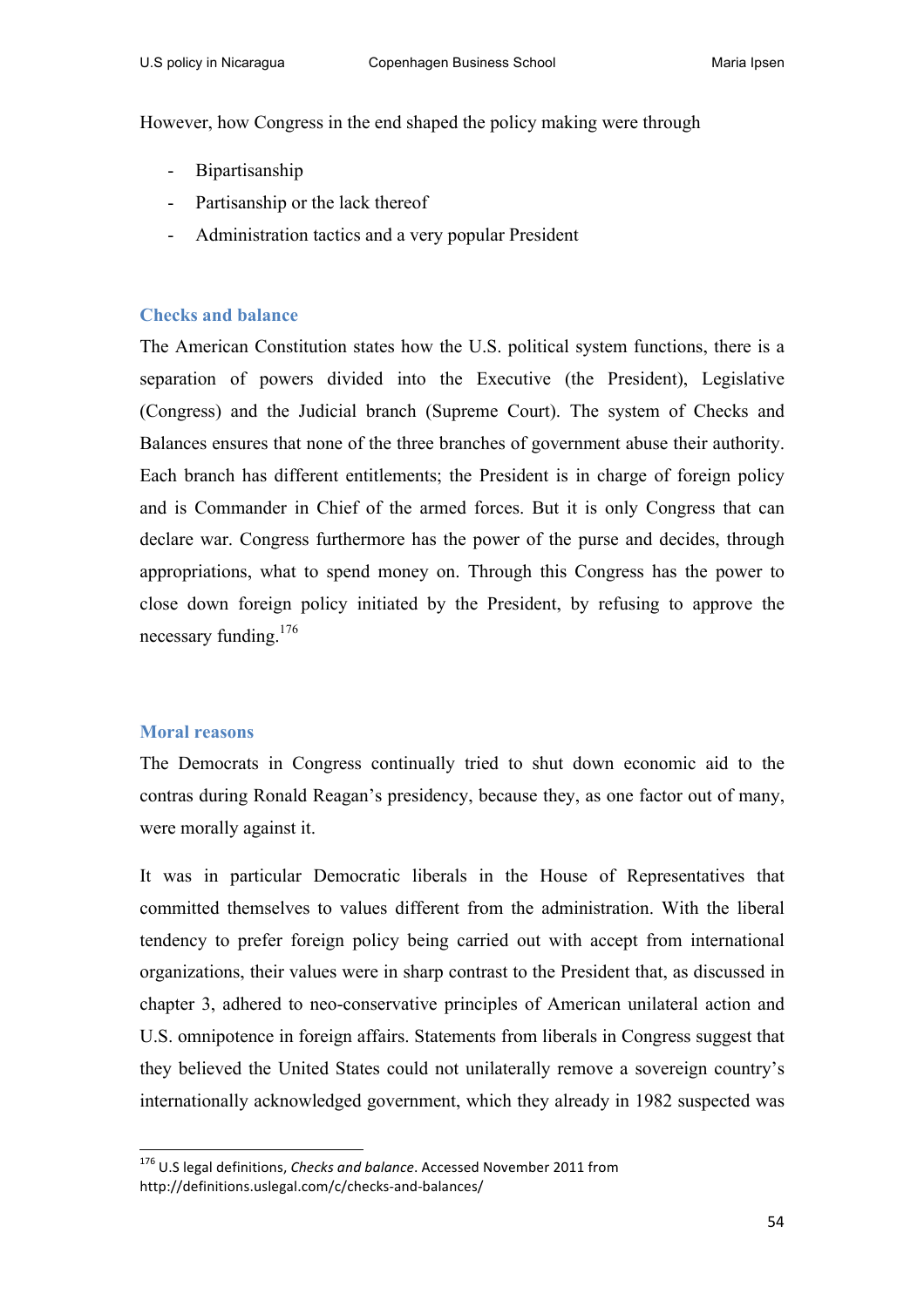However, how Congress in the end shaped the policy making were through

- Bipartisanship
- Partisanship or the lack thereof
- Administration tactics and a very popular President

# **Checks and balance**

The American Constitution states how the U.S. political system functions, there is a separation of powers divided into the Executive (the President), Legislative (Congress) and the Judicial branch (Supreme Court). The system of Checks and Balances ensures that none of the three branches of government abuse their authority. Each branch has different entitlements; the President is in charge of foreign policy and is Commander in Chief of the armed forces. But it is only Congress that can declare war. Congress furthermore has the power of the purse and decides, through appropriations, what to spend money on. Through this Congress has the power to close down foreign policy initiated by the President, by refusing to approve the necessary funding.<sup>176</sup>

# **Moral reasons**

The Democrats in Congress continually tried to shut down economic aid to the contras during Ronald Reagan's presidency, because they, as one factor out of many, were morally against it.

It was in particular Democratic liberals in the House of Representatives that committed themselves to values different from the administration. With the liberal tendency to prefer foreign policy being carried out with accept from international organizations, their values were in sharp contrast to the President that, as discussed in chapter 3, adhered to neo-conservative principles of American unilateral action and U.S. omnipotence in foreign affairs. Statements from liberals in Congress suggest that they believed the United States could not unilaterally remove a sovereign country's internationally acknowledged government, which they already in 1982 suspected was

<sup>&</sup>lt;sup>176</sup> U.S legal definitions, *Checks and balance*. Accessed November 2011 from http://definitions.uslegal.com/c/checks-and-balances/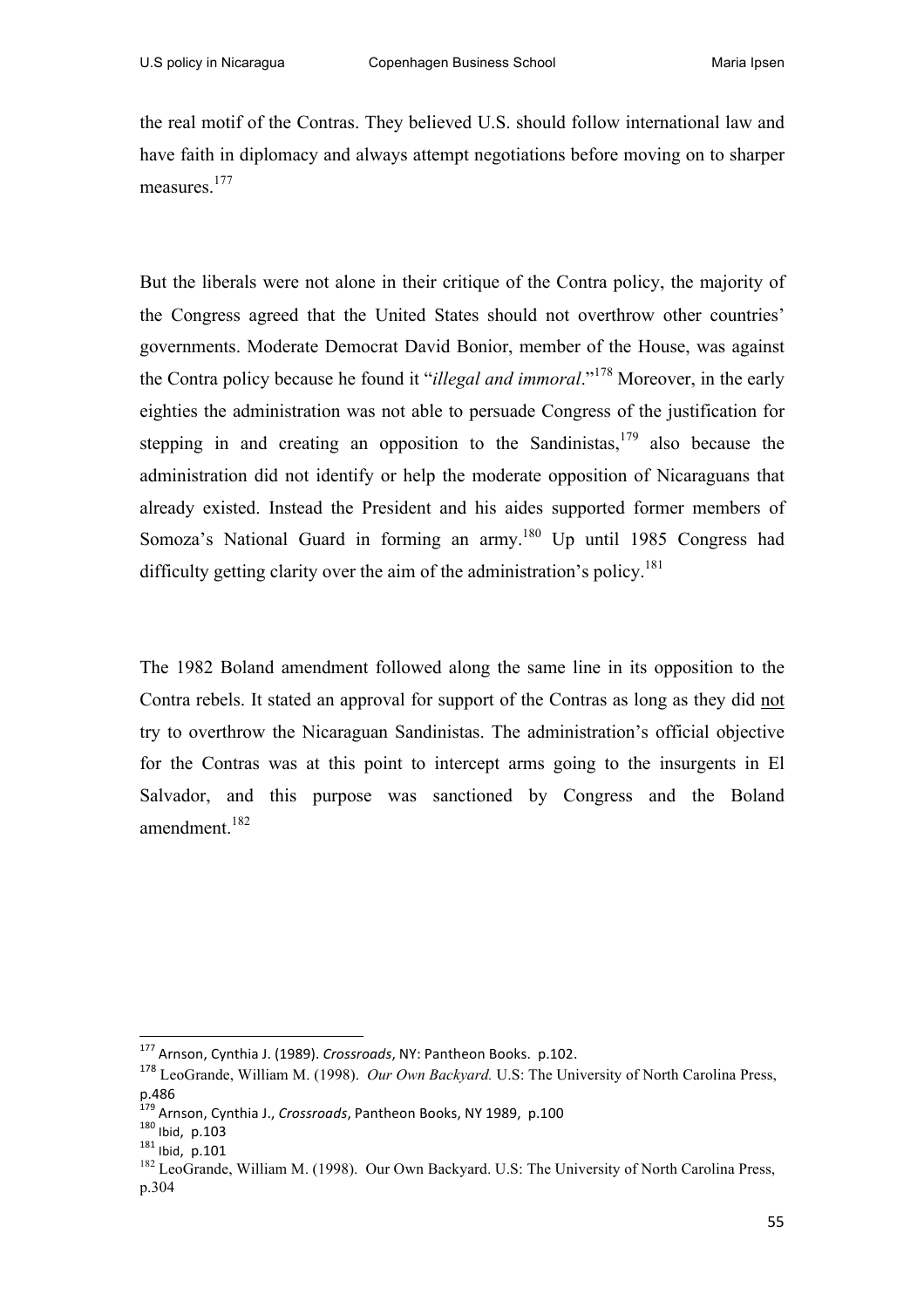the real motif of the Contras. They believed U.S. should follow international law and have faith in diplomacy and always attempt negotiations before moving on to sharper measures.<sup>177</sup>

But the liberals were not alone in their critique of the Contra policy, the majority of the Congress agreed that the United States should not overthrow other countries' governments. Moderate Democrat David Bonior, member of the House, was against the Contra policy because he found it "*illegal and immoral*."<sup>178</sup> Moreover, in the early eighties the administration was not able to persuade Congress of the justification for stepping in and creating an opposition to the Sandinistas,  $179$  also because the administration did not identify or help the moderate opposition of Nicaraguans that already existed. Instead the President and his aides supported former members of Somoza's National Guard in forming an army.<sup>180</sup> Up until 1985 Congress had difficulty getting clarity over the aim of the administration's policy.<sup>181</sup>

The 1982 Boland amendment followed along the same line in its opposition to the Contra rebels. It stated an approval for support of the Contras as long as they did not try to overthrow the Nicaraguan Sandinistas. The administration's official objective for the Contras was at this point to intercept arms going to the insurgents in El Salvador, and this purpose was sanctioned by Congress and the Boland amendment.<sup>182</sup>

 

<sup>&</sup>lt;sup>177</sup> Arnson, Cynthia J. (1989). *Crossroads*, NY: Pantheon Books. p.102.

<sup>178</sup> LeoGrande, William M. (1998). *Our Own Backyard.* U.S: The University of North Carolina Press, p.486

<sup>&</sup>lt;sup>179</sup> Arnson, Cynthia J., *Crossroads*, Pantheon Books, NY 1989, p.100<br><sup>180</sup> Ibid, p.103<br><sup>181</sup> Ibid, p.101

 $\frac{181}{182}$  lbid, p.101<br><sup>182</sup> LeoGrande, William M. (1998). Our Own Backyard. U.S: The University of North Carolina Press, p.304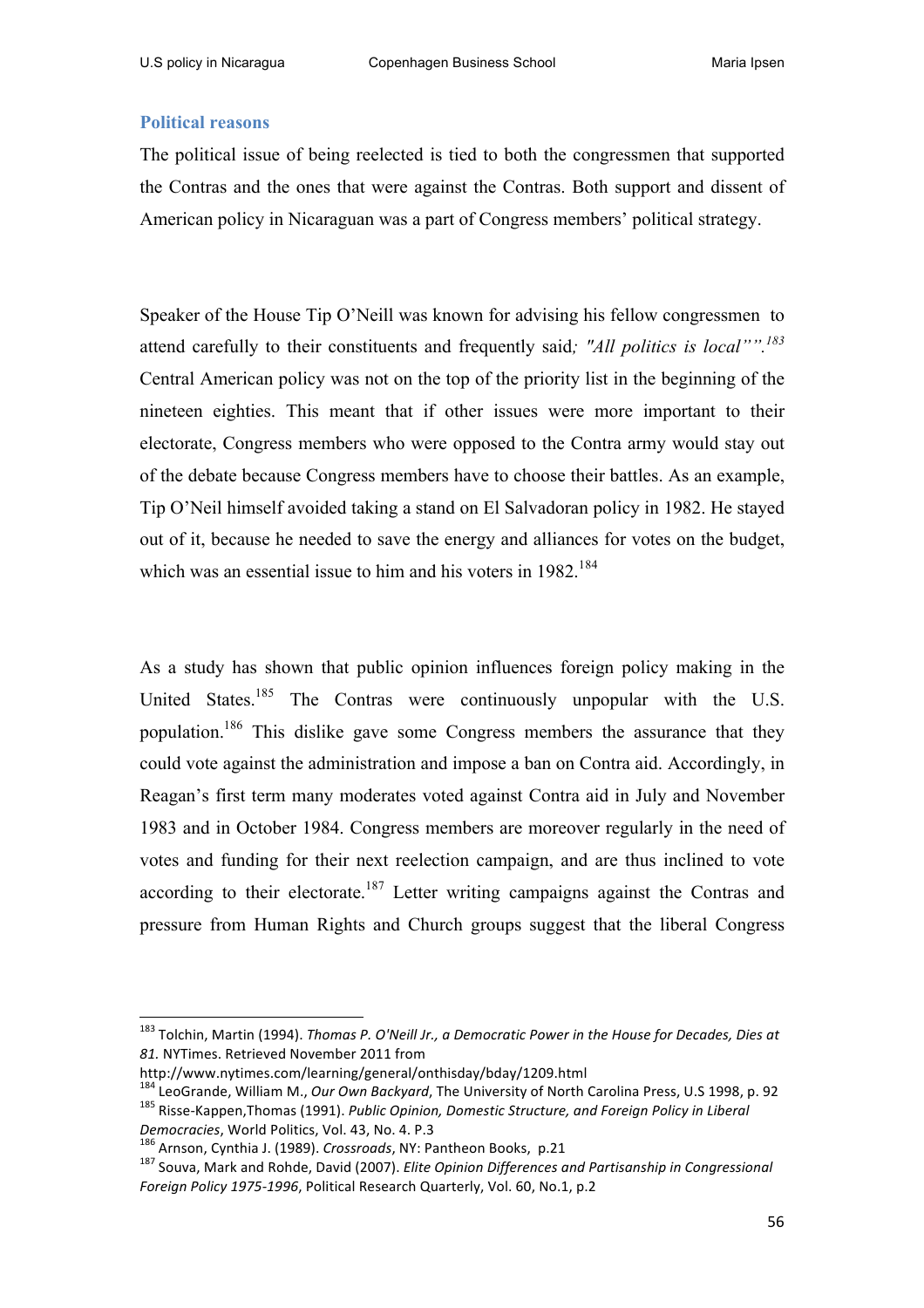#### **Political reasons**

The political issue of being reelected is tied to both the congressmen that supported the Contras and the ones that were against the Contras. Both support and dissent of American policy in Nicaraguan was a part of Congress members' political strategy.

Speaker of the House Tip O'Neill was known for advising his fellow congressmen to attend carefully to their constituents and frequently said*; "All politics is local"".183* Central American policy was not on the top of the priority list in the beginning of the nineteen eighties. This meant that if other issues were more important to their electorate, Congress members who were opposed to the Contra army would stay out of the debate because Congress members have to choose their battles. As an example, Tip O'Neil himself avoided taking a stand on El Salvadoran policy in 1982. He stayed out of it, because he needed to save the energy and alliances for votes on the budget, which was an essential issue to him and his voters in  $1982^{184}$ 

As a study has shown that public opinion influences foreign policy making in the United States.<sup>185</sup> The Contras were continuously unpopular with the U.S. population.186 This dislike gave some Congress members the assurance that they could vote against the administration and impose a ban on Contra aid. Accordingly, in Reagan's first term many moderates voted against Contra aid in July and November 1983 and in October 1984. Congress members are moreover regularly in the need of votes and funding for their next reelection campaign, and are thus inclined to vote according to their electorate.<sup>187</sup> Letter writing campaigns against the Contras and pressure from Human Rights and Church groups suggest that the liberal Congress

<sup>&</sup>lt;sup>183</sup> Tolchin, Martin (1994). *Thomas P. O'Neill Jr., a Democratic Power in the House for Decades, Dies at* 81. NYTimes. Retrieved November 2011 from

http://www.nytimes.com/learning/general/onthisday/bday/1209.html

<sup>&</sup>lt;sup>184</sup> LeoGrande, William M., *Our Own Backyard*, The University of North Carolina Press, U.S 1998, p. 92 <sup>185</sup> Risse-Kappen,Thomas (1991). *Public Opinion, Domestic Structure, and Foreign Policy in Liberal* 

Democracies, World Politics, Vol. 43, No. 4. P.3<br><sup>186</sup> Arnson, Cynthia J. (1989). *Crossroads*, NY: Pantheon Books, p.21<br><sup>187</sup> Souva, Mark and Rohde, David (2007). *Elite Opinion Differences and Partisanship in Congression Foreign Policy 1975-1996*, Political Research Quarterly, Vol. 60, No.1, p.2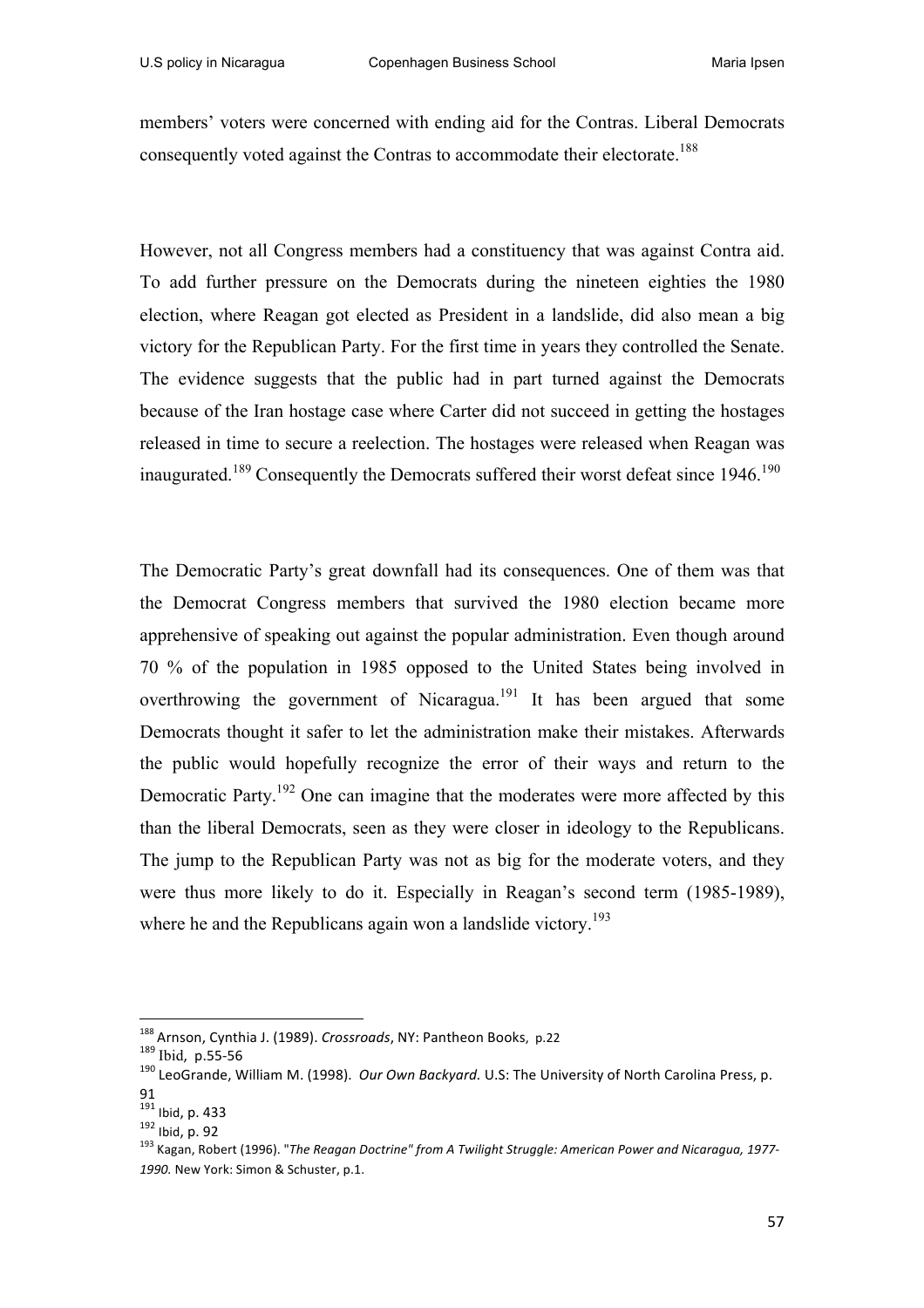members' voters were concerned with ending aid for the Contras. Liberal Democrats consequently voted against the Contras to accommodate their electorate.<sup>188</sup>

However, not all Congress members had a constituency that was against Contra aid. To add further pressure on the Democrats during the nineteen eighties the 1980 election, where Reagan got elected as President in a landslide, did also mean a big victory for the Republican Party. For the first time in years they controlled the Senate. The evidence suggests that the public had in part turned against the Democrats because of the Iran hostage case where Carter did not succeed in getting the hostages released in time to secure a reelection. The hostages were released when Reagan was inaugurated.<sup>189</sup> Consequently the Democrats suffered their worst defeat since  $1946$ <sup>190</sup>

The Democratic Party's great downfall had its consequences. One of them was that the Democrat Congress members that survived the 1980 election became more apprehensive of speaking out against the popular administration. Even though around 70 % of the population in 1985 opposed to the United States being involved in overthrowing the government of Nicaragua.<sup>191</sup> It has been argued that some Democrats thought it safer to let the administration make their mistakes. Afterwards the public would hopefully recognize the error of their ways and return to the Democratic Party.<sup>192</sup> One can imagine that the moderates were more affected by this than the liberal Democrats, seen as they were closer in ideology to the Republicans. The jump to the Republican Party was not as big for the moderate voters, and they were thus more likely to do it. Especially in Reagan's second term (1985-1989), where he and the Republicans again won a landslide victory.<sup>193</sup>

<sup>&</sup>lt;sup>188</sup> Arnson, Cynthia J. (1989). *Crossroads*, NY: Pantheon Books, p.22<br><sup>189</sup> Ibid, p.55-56<br><sup>190</sup> LeoGrande, William M. (1998). *Our Own Backyard.* U.S: The University of North Carolina Press, p. 91<br><sup>191</sup> Ibid, p. 433

<sup>191</sup> Ibid, p. 433<br>1<sup>92</sup> Ibid, p. 92<br><sup>193</sup> Kagan, Robert (1996). "*The Reagan Doctrine" from A Twilight Struggle: American Power and Nicaragua, 1977-*1990. New York: Simon & Schuster, p.1.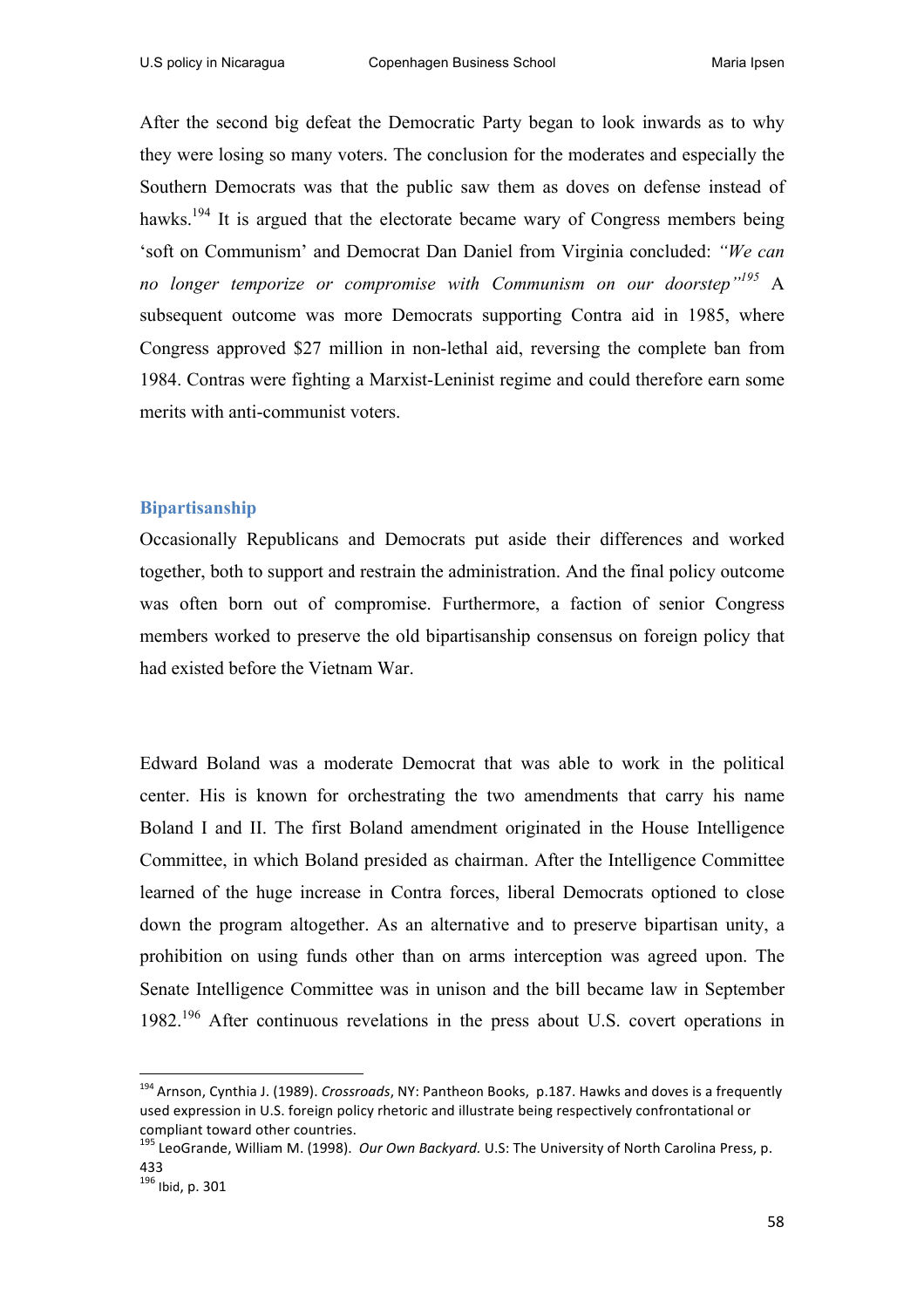After the second big defeat the Democratic Party began to look inwards as to why they were losing so many voters. The conclusion for the moderates and especially the Southern Democrats was that the public saw them as doves on defense instead of hawks.<sup>194</sup> It is argued that the electorate became wary of Congress members being 'soft on Communism' and Democrat Dan Daniel from Virginia concluded: *"We can no longer temporize or compromise with Communism on our doorstep"195* A subsequent outcome was more Democrats supporting Contra aid in 1985, where Congress approved \$27 million in non-lethal aid, reversing the complete ban from 1984. Contras were fighting a Marxist-Leninist regime and could therefore earn some merits with anti-communist voters.

#### **Bipartisanship**

Occasionally Republicans and Democrats put aside their differences and worked together, both to support and restrain the administration. And the final policy outcome was often born out of compromise. Furthermore, a faction of senior Congress members worked to preserve the old bipartisanship consensus on foreign policy that had existed before the Vietnam War.

Edward Boland was a moderate Democrat that was able to work in the political center. His is known for orchestrating the two amendments that carry his name Boland I and II. The first Boland amendment originated in the House Intelligence Committee, in which Boland presided as chairman. After the Intelligence Committee learned of the huge increase in Contra forces, liberal Democrats optioned to close down the program altogether. As an alternative and to preserve bipartisan unity, a prohibition on using funds other than on arms interception was agreed upon. The Senate Intelligence Committee was in unison and the bill became law in September 1982.<sup>196</sup> After continuous revelations in the press about U.S. covert operations in

<sup>&</sup>lt;sup>194</sup> Arnson, Cynthia J. (1989). *Crossroads*, NY: Pantheon Books, p.187. Hawks and doves is a frequently used expression in U.S. foreign policy rhetoric and illustrate being respectively confrontational or compliant toward other countries.

<sup>&</sup>lt;sup>195</sup> LeoGrande, William M. (1998). *Our Own Backyard.* U.S: The University of North Carolina Press, p. 433

 $196$  Ibid, p. 301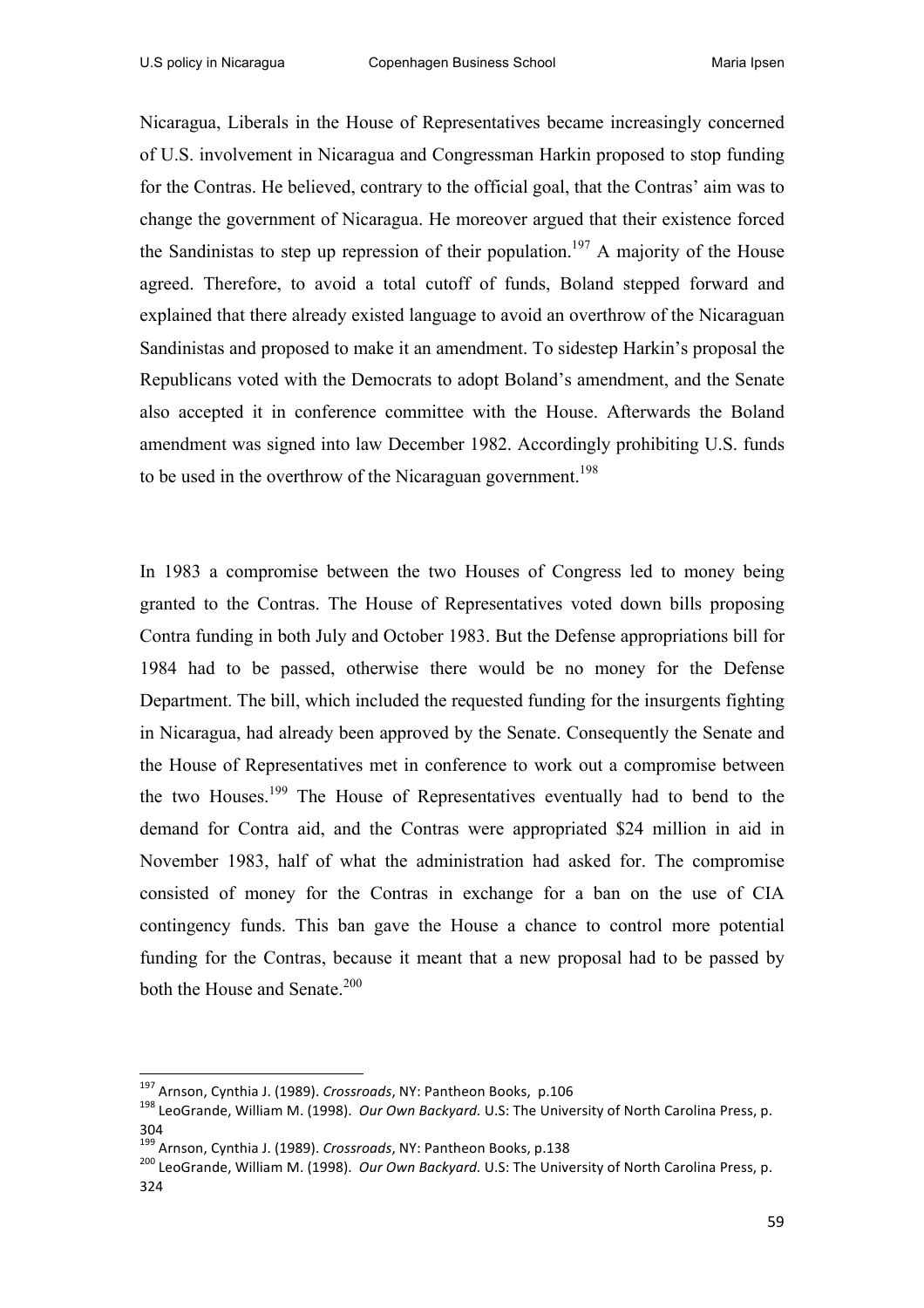Nicaragua, Liberals in the House of Representatives became increasingly concerned of U.S. involvement in Nicaragua and Congressman Harkin proposed to stop funding for the Contras. He believed, contrary to the official goal, that the Contras' aim was to change the government of Nicaragua. He moreover argued that their existence forced the Sandinistas to step up repression of their population.<sup>197</sup> A majority of the House agreed. Therefore, to avoid a total cutoff of funds, Boland stepped forward and explained that there already existed language to avoid an overthrow of the Nicaraguan Sandinistas and proposed to make it an amendment. To sidestep Harkin's proposal the Republicans voted with the Democrats to adopt Boland's amendment, and the Senate also accepted it in conference committee with the House. Afterwards the Boland amendment was signed into law December 1982. Accordingly prohibiting U.S. funds to be used in the overthrow of the Nicaraguan government.<sup>198</sup>

In 1983 a compromise between the two Houses of Congress led to money being granted to the Contras. The House of Representatives voted down bills proposing Contra funding in both July and October 1983. But the Defense appropriations bill for 1984 had to be passed, otherwise there would be no money for the Defense Department. The bill, which included the requested funding for the insurgents fighting in Nicaragua, had already been approved by the Senate. Consequently the Senate and the House of Representatives met in conference to work out a compromise between the two Houses.<sup>199</sup> The House of Representatives eventually had to bend to the demand for Contra aid, and the Contras were appropriated \$24 million in aid in November 1983, half of what the administration had asked for. The compromise consisted of money for the Contras in exchange for a ban on the use of CIA contingency funds. This ban gave the House a chance to control more potential funding for the Contras, because it meant that a new proposal had to be passed by both the House and Senate.<sup>200</sup>

<sup>&</sup>lt;sup>197</sup> Arnson, Cynthia J. (1989). *Crossroads*, NY: Pantheon Books, p.106<br><sup>198</sup> LeoGrande. William M. (1998). *Our Own Backyard.* U.S: The University of North Carolina Press, p.

<sup>&</sup>lt;sup>199</sup> Arnson, Cynthia J. (1989). Crossroads, NY: Pantheon Books, p.138

<sup>&</sup>lt;sup>200</sup> LeoGrande, William M. (1998). *Our Own Backyard*. U.S: The University of North Carolina Press, p. 324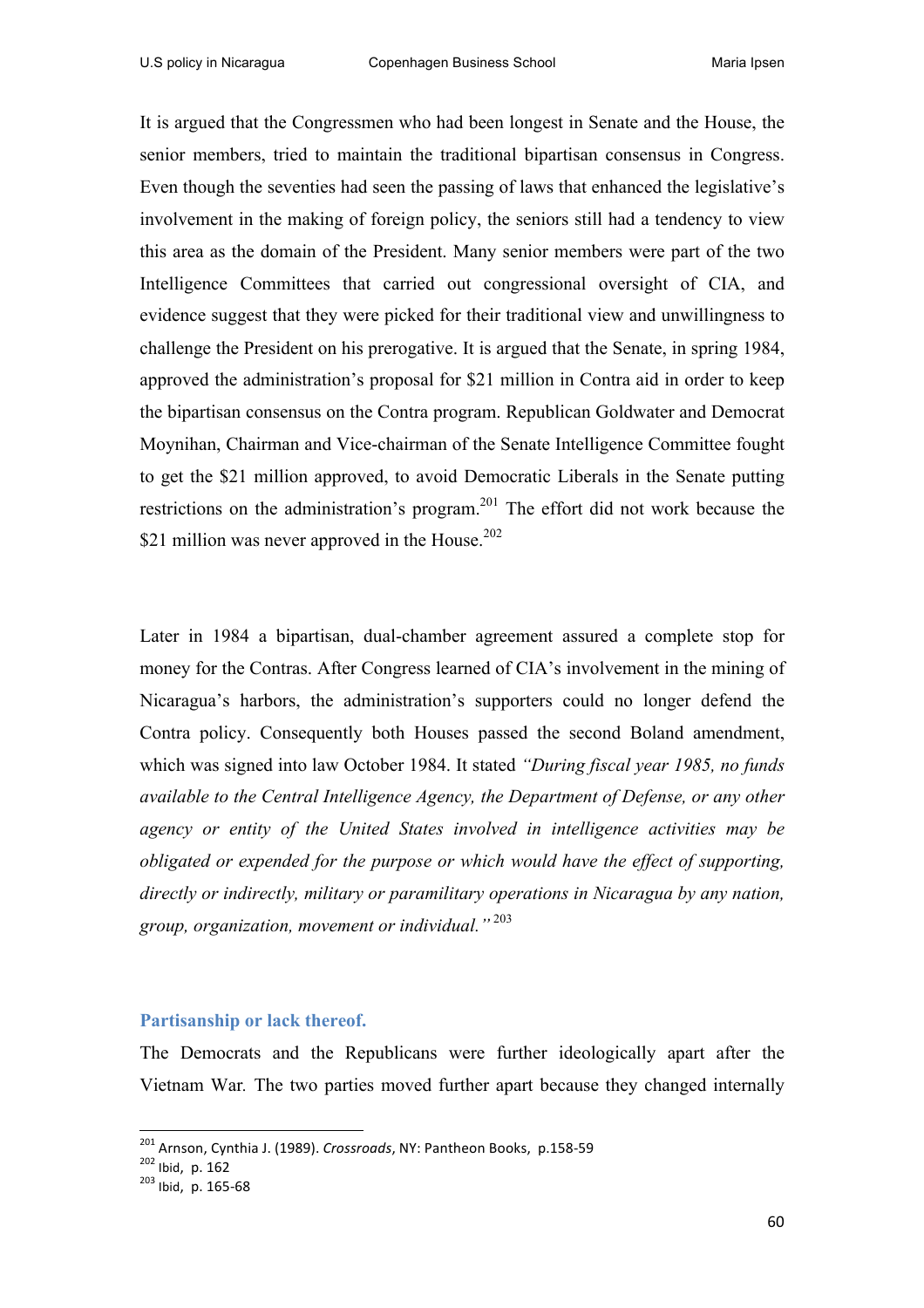It is argued that the Congressmen who had been longest in Senate and the House, the senior members, tried to maintain the traditional bipartisan consensus in Congress. Even though the seventies had seen the passing of laws that enhanced the legislative's involvement in the making of foreign policy, the seniors still had a tendency to view this area as the domain of the President. Many senior members were part of the two Intelligence Committees that carried out congressional oversight of CIA, and evidence suggest that they were picked for their traditional view and unwillingness to challenge the President on his prerogative. It is argued that the Senate, in spring 1984, approved the administration's proposal for \$21 million in Contra aid in order to keep the bipartisan consensus on the Contra program. Republican Goldwater and Democrat Moynihan, Chairman and Vice-chairman of the Senate Intelligence Committee fought to get the \$21 million approved, to avoid Democratic Liberals in the Senate putting restrictions on the administration's program.<sup>201</sup> The effort did not work because the \$21 million was never approved in the House.<sup>202</sup>

Later in 1984 a bipartisan, dual-chamber agreement assured a complete stop for money for the Contras. After Congress learned of CIA's involvement in the mining of Nicaragua's harbors, the administration's supporters could no longer defend the Contra policy. Consequently both Houses passed the second Boland amendment, which was signed into law October 1984. It stated *"During fiscal year 1985, no funds available to the Central Intelligence Agency, the Department of Defense, or any other agency or entity of the United States involved in intelligence activities may be obligated or expended for the purpose or which would have the effect of supporting, directly or indirectly, military or paramilitary operations in Nicaragua by any nation, group, organization, movement or individual."* <sup>203</sup>

#### **Partisanship or lack thereof.**

<u> 1989 - Jan Samuel Barbara, margaret e</u>

The Democrats and the Republicans were further ideologically apart after the Vietnam War*.* The two parties moved further apart because they changed internally

<sup>&</sup>lt;sup>201</sup> Arnson, Cynthia J. (1989). *Crossroads*, NY: Pantheon Books, p.158-59<br><sup>202</sup> Ibid, p. 162<br><sup>203</sup> Ibid, p. 165-68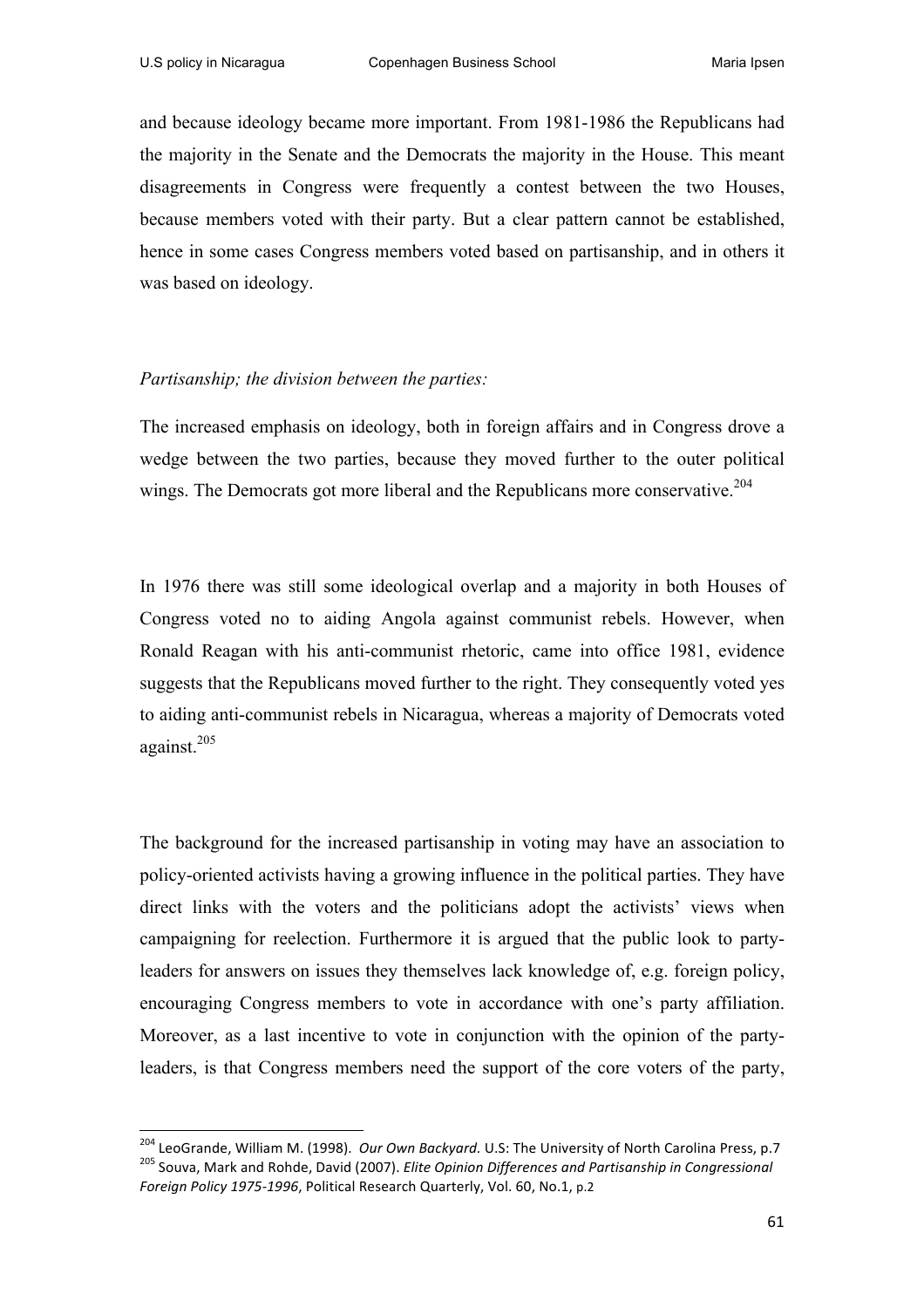and because ideology became more important. From 1981-1986 the Republicans had the majority in the Senate and the Democrats the majority in the House. This meant disagreements in Congress were frequently a contest between the two Houses, because members voted with their party. But a clear pattern cannot be established, hence in some cases Congress members voted based on partisanship, and in others it was based on ideology.

#### *Partisanship; the division between the parties:*

<u> 1989 - Jan Samuel Barbara, margaret e</u>

The increased emphasis on ideology, both in foreign affairs and in Congress drove a wedge between the two parties, because they moved further to the outer political wings. The Democrats got more liberal and the Republicans more conservative.<sup>204</sup>

In 1976 there was still some ideological overlap and a majority in both Houses of Congress voted no to aiding Angola against communist rebels. However, when Ronald Reagan with his anti-communist rhetoric, came into office 1981, evidence suggests that the Republicans moved further to the right. They consequently voted yes to aiding anti-communist rebels in Nicaragua, whereas a majority of Democrats voted against.<sup>205</sup>

The background for the increased partisanship in voting may have an association to policy-oriented activists having a growing influence in the political parties. They have direct links with the voters and the politicians adopt the activists' views when campaigning for reelection. Furthermore it is argued that the public look to partyleaders for answers on issues they themselves lack knowledge of, e.g. foreign policy, encouraging Congress members to vote in accordance with one's party affiliation. Moreover, as a last incentive to vote in conjunction with the opinion of the partyleaders, is that Congress members need the support of the core voters of the party,

<sup>&</sup>lt;sup>204</sup> LeoGrande, William M. (1998). *Our Own Backyard.* U.S: The University of North Carolina Press, p.7 <sup>205</sup> Souva, Mark and Rohde, David (2007). *Elite Opinion Differences and Partisanship in Congressional Foreign Policy 1975-1996*, Political Research Quarterly, Vol. 60, No.1, p.2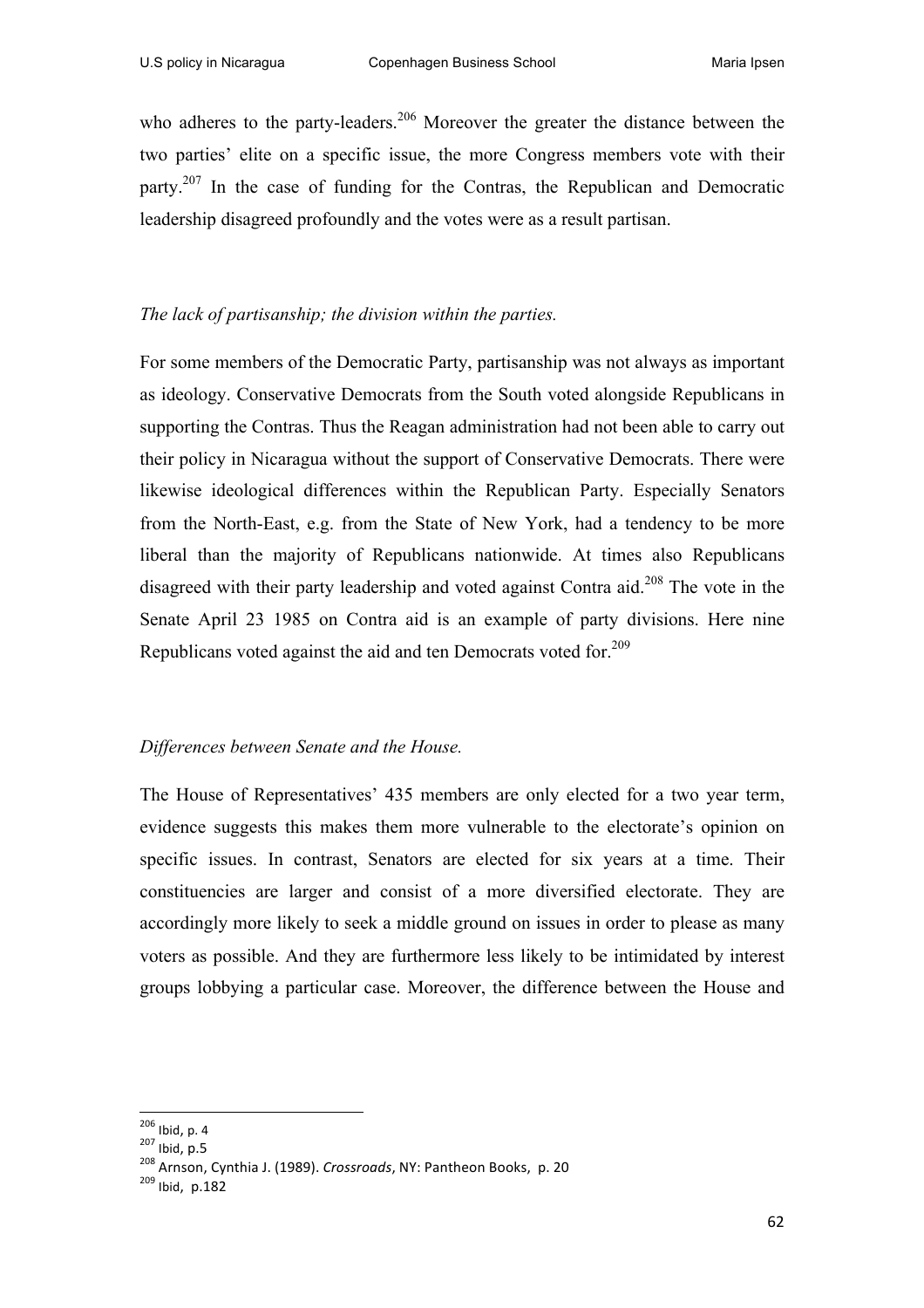who adheres to the party-leaders.<sup>206</sup> Moreover the greater the distance between the two parties' elite on a specific issue, the more Congress members vote with their party.207 In the case of funding for the Contras, the Republican and Democratic leadership disagreed profoundly and the votes were as a result partisan.

# *The lack of partisanship; the division within the parties.*

For some members of the Democratic Party, partisanship was not always as important as ideology. Conservative Democrats from the South voted alongside Republicans in supporting the Contras. Thus the Reagan administration had not been able to carry out their policy in Nicaragua without the support of Conservative Democrats. There were likewise ideological differences within the Republican Party. Especially Senators from the North-East, e.g. from the State of New York, had a tendency to be more liberal than the majority of Republicans nationwide. At times also Republicans disagreed with their party leadership and voted against Contra aid.<sup>208</sup> The vote in the Senate April 23 1985 on Contra aid is an example of party divisions. Here nine Republicans voted against the aid and ten Democrats voted for.<sup>209</sup>

# *Differences between Senate and the House.*

The House of Representatives' 435 members are only elected for a two year term, evidence suggests this makes them more vulnerable to the electorate's opinion on specific issues. In contrast, Senators are elected for six years at a time. Their constituencies are larger and consist of a more diversified electorate. They are accordingly more likely to seek a middle ground on issues in order to please as many voters as possible. And they are furthermore less likely to be intimidated by interest groups lobbying a particular case. Moreover, the difference between the House and

<sup>&</sup>lt;sup>206</sup> Ibid, p. 4<br><sup>207</sup> Ibid, p.5<br><sup>208</sup> Arnson, Cynthia J. (1989). *Crossroads*, NY: Pantheon Books, p. 20<br><sup>209</sup> Ibid. p.182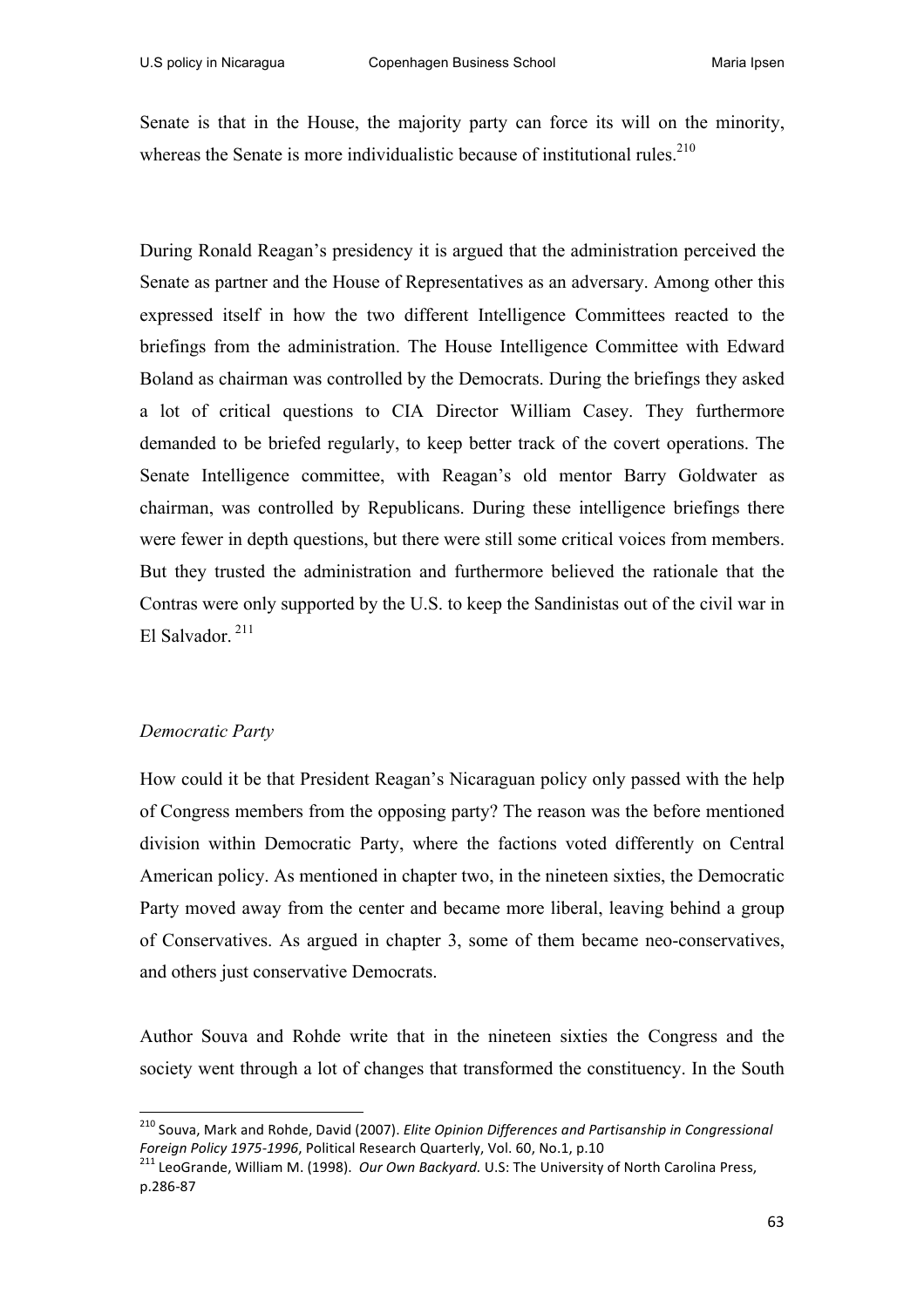Senate is that in the House, the majority party can force its will on the minority, whereas the Senate is more individualistic because of institutional rules.<sup>210</sup>

During Ronald Reagan's presidency it is argued that the administration perceived the Senate as partner and the House of Representatives as an adversary. Among other this expressed itself in how the two different Intelligence Committees reacted to the briefings from the administration. The House Intelligence Committee with Edward Boland as chairman was controlled by the Democrats. During the briefings they asked a lot of critical questions to CIA Director William Casey. They furthermore demanded to be briefed regularly, to keep better track of the covert operations. The Senate Intelligence committee, with Reagan's old mentor Barry Goldwater as chairman, was controlled by Republicans. During these intelligence briefings there were fewer in depth questions, but there were still some critical voices from members. But they trusted the administration and furthermore believed the rationale that the Contras were only supported by the U.S. to keep the Sandinistas out of the civil war in El Salvador. <sup>211</sup>

# *Democratic Party*

How could it be that President Reagan's Nicaraguan policy only passed with the help of Congress members from the opposing party? The reason was the before mentioned division within Democratic Party, where the factions voted differently on Central American policy. As mentioned in chapter two, in the nineteen sixties, the Democratic Party moved away from the center and became more liberal, leaving behind a group of Conservatives. As argued in chapter 3, some of them became neo-conservatives, and others just conservative Democrats.

Author Souva and Rohde write that in the nineteen sixties the Congress and the society went through a lot of changes that transformed the constituency. In the South

<sup>&</sup>lt;sup>210</sup> Souva, Mark and Rohde, David (2007). *Elite Opinion Differences and Partisanship in Congressional Foreign Policy 1975-1996*, Political Research Quarterly, Vol. 60, No.1, p.10<br><sup>211</sup> LeoGrande, William M. (1998). *Our Own Backyard.* U.S: The University of North Carolina Press,

p.286-87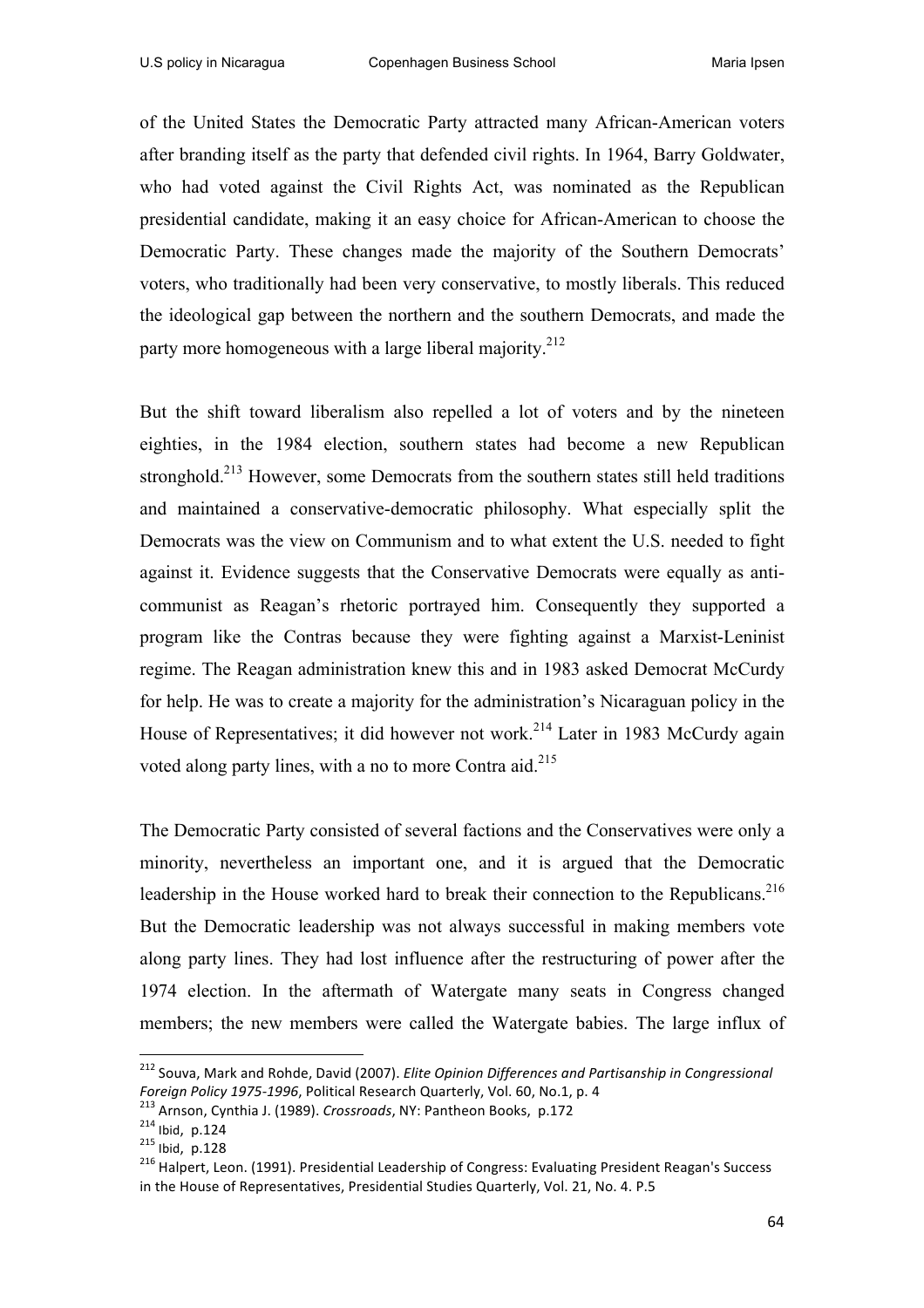of the United States the Democratic Party attracted many African-American voters after branding itself as the party that defended civil rights. In 1964, Barry Goldwater, who had voted against the Civil Rights Act, was nominated as the Republican presidential candidate, making it an easy choice for African-American to choose the Democratic Party. These changes made the majority of the Southern Democrats' voters, who traditionally had been very conservative, to mostly liberals. This reduced the ideological gap between the northern and the southern Democrats, and made the party more homogeneous with a large liberal majority.<sup>212</sup>

But the shift toward liberalism also repelled a lot of voters and by the nineteen eighties, in the 1984 election, southern states had become a new Republican stronghold.<sup>213</sup> However, some Democrats from the southern states still held traditions and maintained a conservative-democratic philosophy. What especially split the Democrats was the view on Communism and to what extent the U.S. needed to fight against it. Evidence suggests that the Conservative Democrats were equally as anticommunist as Reagan's rhetoric portrayed him. Consequently they supported a program like the Contras because they were fighting against a Marxist-Leninist regime. The Reagan administration knew this and in 1983 asked Democrat McCurdy for help. He was to create a majority for the administration's Nicaraguan policy in the House of Representatives; it did however not work.<sup>214</sup> Later in 1983 McCurdy again voted along party lines, with a no to more Contra aid.<sup>215</sup>

The Democratic Party consisted of several factions and the Conservatives were only a minority, nevertheless an important one, and it is argued that the Democratic leadership in the House worked hard to break their connection to the Republicans.<sup>216</sup> But the Democratic leadership was not always successful in making members vote along party lines. They had lost influence after the restructuring of power after the 1974 election. In the aftermath of Watergate many seats in Congress changed members; the new members were called the Watergate babies. The large influx of

 

<sup>&</sup>lt;sup>212</sup> Souva, Mark and Rohde, David (2007). *Elite Opinion Differences and Partisanship in Congressional* Foreign Policy 1975-1996, Political Research Quarterly, Vol. 60, No.1, p. 4<br><sup>213</sup> Arnson, Cynthia J. (1989). *Crossroads*, NY: Pantheon Books, p.172<br><sup>214</sup> Ibid, p.124<br><sup>215</sup> Ibid, p.128<br><sup>216</sup> Halpert, Leon. (1991). Presiden

in the House of Representatives, Presidential Studies Quarterly, Vol. 21, No. 4. P.5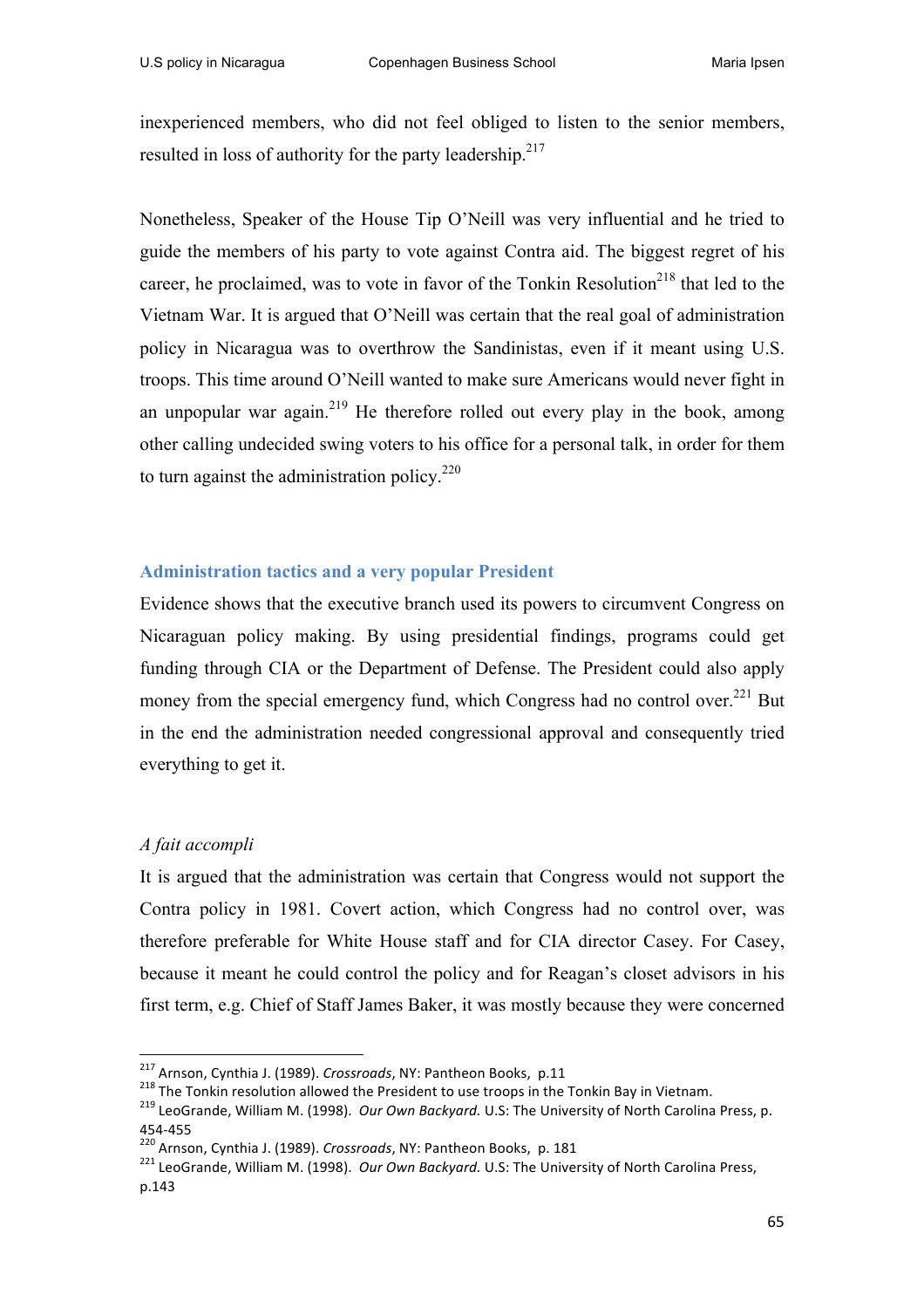inexperienced members, who did not feel obliged to listen to the senior members, resulted in loss of authority for the party leadership.<sup>217</sup>

Nonetheless, Speaker of the House Tip O'Neill was very influential and he tried to guide the members of his party to vote against Contra aid. The biggest regret of his career, he proclaimed, was to vote in favor of the Tonkin Resolution<sup>218</sup> that led to the Vietnam War. It is argued that O'Neill was certain that the real goal of administration policy in Nicaragua was to overthrow the Sandinistas, even if it meant using U.S. troops. This time around O'Neill wanted to make sure Americans would never fight in an unpopular war again.<sup>219</sup> He therefore rolled out every play in the book, among other calling undecided swing voters to his office for a personal talk, in order for them to turn against the administration policy. $220$ 

# **Administration tactics and a very popular President**

Evidence shows that the executive branch used its powers to circumvent Congress on Nicaraguan policy making. By using presidential findings, programs could get funding through CIA or the Department of Defense. The President could also apply money from the special emergency fund, which Congress had no control over.<sup>221</sup> But in the end the administration needed congressional approval and consequently tried everything to get it.

# *A fait accompli*

It is argued that the administration was certain that Congress would not support the Contra policy in 1981. Covert action, which Congress had no control over, was therefore preferable for White House staff and for CIA director Casey. For Casey, because it meant he could control the policy and for Reagan's closet advisors in his first term, e.g. Chief of Staff James Baker, it was mostly because they were concerned

<sup>&</sup>lt;sup>217</sup> Arnson, Cynthia J. (1989). Crossroads, NY: Pantheon Books, p.11

<sup>218</sup> The Tonkin resolution allowed the President to use troops in the Tonkin Bay in Vietnam.<br><sup>219</sup> LeoGrande, William M. (1998). *Our Own Backyard*. U.S: The University of North Carolina Press, p.

<sup>454-455&</sup>lt;br><sup>220</sup> Arnson, Cynthia J. (1989). *Crossroads*, NY: Pantheon Books, p. 181<br><sup>221</sup> LeoGrande, William M. (1998). *Our Own Backyard.* U.S: The University of North Carolina Press, p.143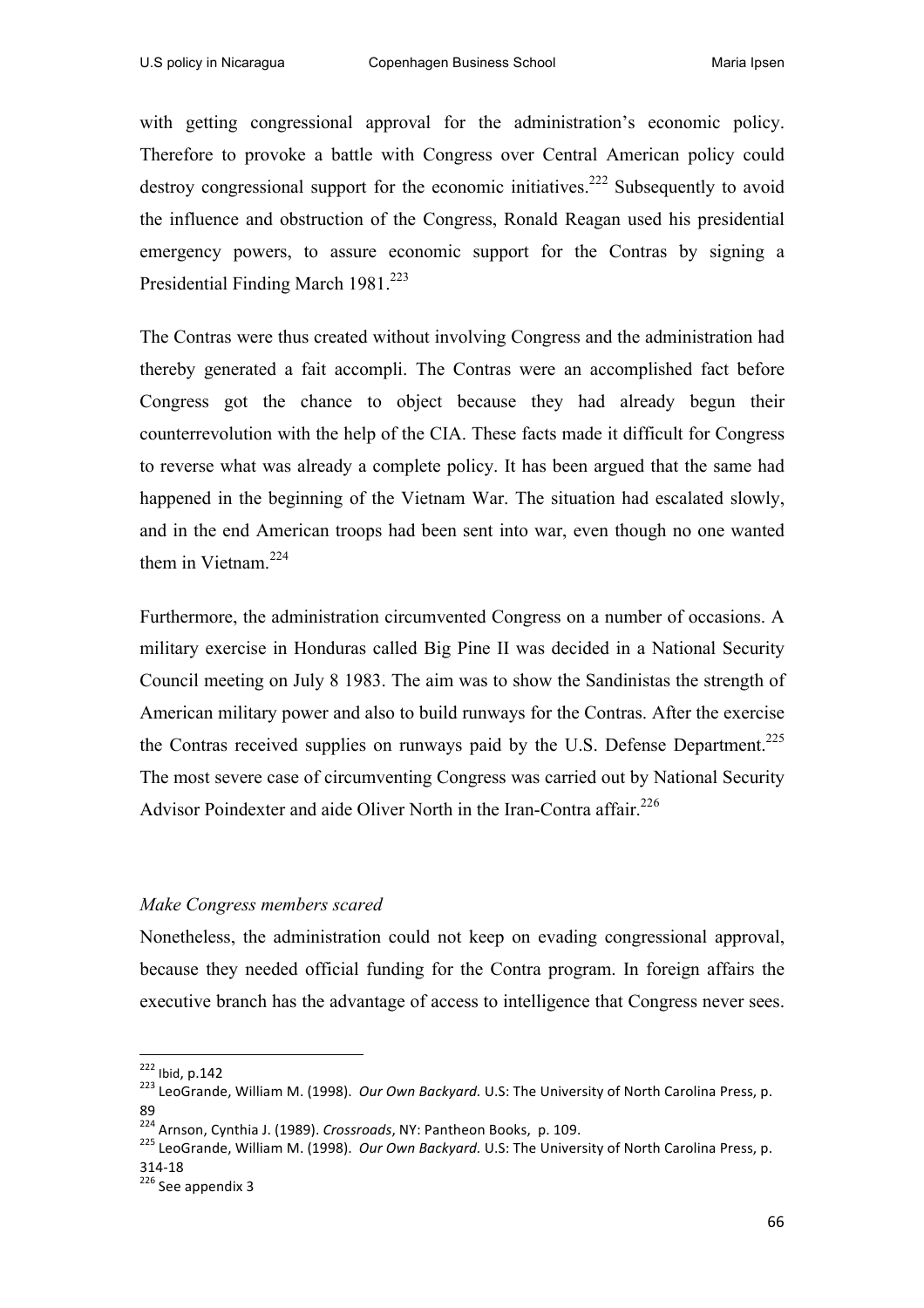with getting congressional approval for the administration's economic policy. Therefore to provoke a battle with Congress over Central American policy could destroy congressional support for the economic initiatives.<sup>222</sup> Subsequently to avoid the influence and obstruction of the Congress, Ronald Reagan used his presidential emergency powers, to assure economic support for the Contras by signing a Presidential Finding March 1981.<sup>223</sup>

The Contras were thus created without involving Congress and the administration had thereby generated a fait accompli. The Contras were an accomplished fact before Congress got the chance to object because they had already begun their counterrevolution with the help of the CIA. These facts made it difficult for Congress to reverse what was already a complete policy. It has been argued that the same had happened in the beginning of the Vietnam War. The situation had escalated slowly, and in the end American troops had been sent into war, even though no one wanted them in Vietnam.<sup>224</sup>

Furthermore, the administration circumvented Congress on a number of occasions. A military exercise in Honduras called Big Pine II was decided in a National Security Council meeting on July 8 1983. The aim was to show the Sandinistas the strength of American military power and also to build runways for the Contras. After the exercise the Contras received supplies on runways paid by the U.S. Defense Department.<sup>225</sup> The most severe case of circumventing Congress was carried out by National Security Advisor Poindexter and aide Oliver North in the Iran-Contra affair.<sup>226</sup>

#### *Make Congress members scared*

 

Nonetheless, the administration could not keep on evading congressional approval, because they needed official funding for the Contra program. In foreign affairs the executive branch has the advantage of access to intelligence that Congress never sees.

<sup>&</sup>lt;sup>222</sup> Ibid, p.142<br><sup>223</sup> LeoGrande, William M. (1998). *Our Own Backyard.* U.S: The University of North Carolina Press, p. 89

<sup>&</sup>lt;sup>224</sup> Arnson, Cynthia J. (1989). *Crossroads,* NY: Pantheon Books, p. 109.<br><sup>225</sup> LeoGrande, William M. (1998). *Our Own Backyard.* U.S: The University of North Carolina Press, p. 314-18<br> $226$  See appendix 3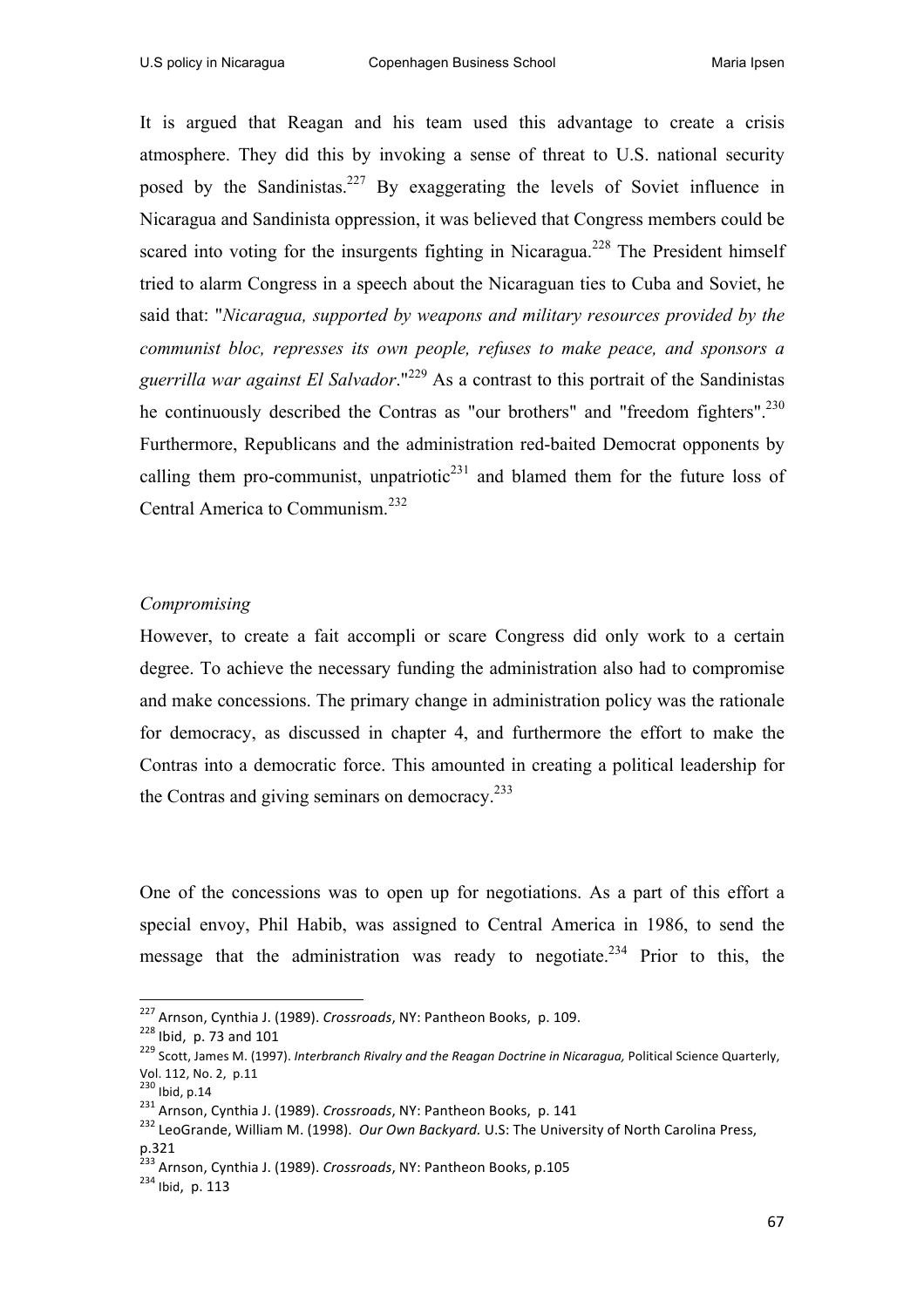It is argued that Reagan and his team used this advantage to create a crisis atmosphere. They did this by invoking a sense of threat to U.S. national security posed by the Sandinistas.<sup>227</sup> By exaggerating the levels of Soviet influence in Nicaragua and Sandinista oppression, it was believed that Congress members could be scared into voting for the insurgents fighting in Nicaragua.<sup>228</sup> The President himself tried to alarm Congress in a speech about the Nicaraguan ties to Cuba and Soviet, he said that: "*Nicaragua, supported by weapons and military resources provided by the communist bloc, represses its own people, refuses to make peace, and sponsors a guerrilla war against El Salvador*."<sup>229</sup> As a contrast to this portrait of the Sandinistas he continuously described the Contras as "our brothers" and "freedom fighters".<sup>230</sup> Furthermore, Republicans and the administration red-baited Democrat opponents by calling them pro-communist, unpatriotic<sup>231</sup> and blamed them for the future loss of Central America to Communism.232

#### *Compromising*

However, to create a fait accompli or scare Congress did only work to a certain degree. To achieve the necessary funding the administration also had to compromise and make concessions. The primary change in administration policy was the rationale for democracy, as discussed in chapter 4, and furthermore the effort to make the Contras into a democratic force. This amounted in creating a political leadership for the Contras and giving seminars on democracy.<sup>233</sup>

One of the concessions was to open up for negotiations. As a part of this effort a special envoy, Phil Habib, was assigned to Central America in 1986, to send the message that the administration was ready to negotiate.<sup>234</sup> Prior to this, the

<sup>&</sup>lt;sup>227</sup> Arnson, Cynthia J. (1989). Crossroads, NY: Pantheon Books, p. 109.

<sup>&</sup>lt;sup>228</sup> Ibid, p. 73 and 101<br><sup>229</sup> Scott, James M. (1997). *Interbranch Rivalry and the Reagan Doctrine in Nicaragua, Political Science Quarterly,* Vol. 112, No. 2, p.11

vol. 112, ivo. 2, p.11<br><sup>230</sup> Ibid, p.14<br><sup>231</sup> Arnson, Cynthia J. (1989). *Crossroads*, NY: Pantheon Books, p. 141

<sup>&</sup>lt;sup>232</sup> LeoGrande, William M. (1998). *Our Own Backyard*. U.S: The University of North Carolina Press, p.321 

 $233$  Arnson, Cynthia J. (1989). *Crossroads*, NY: Pantheon Books, p.105  $234$  Ibid. p. 113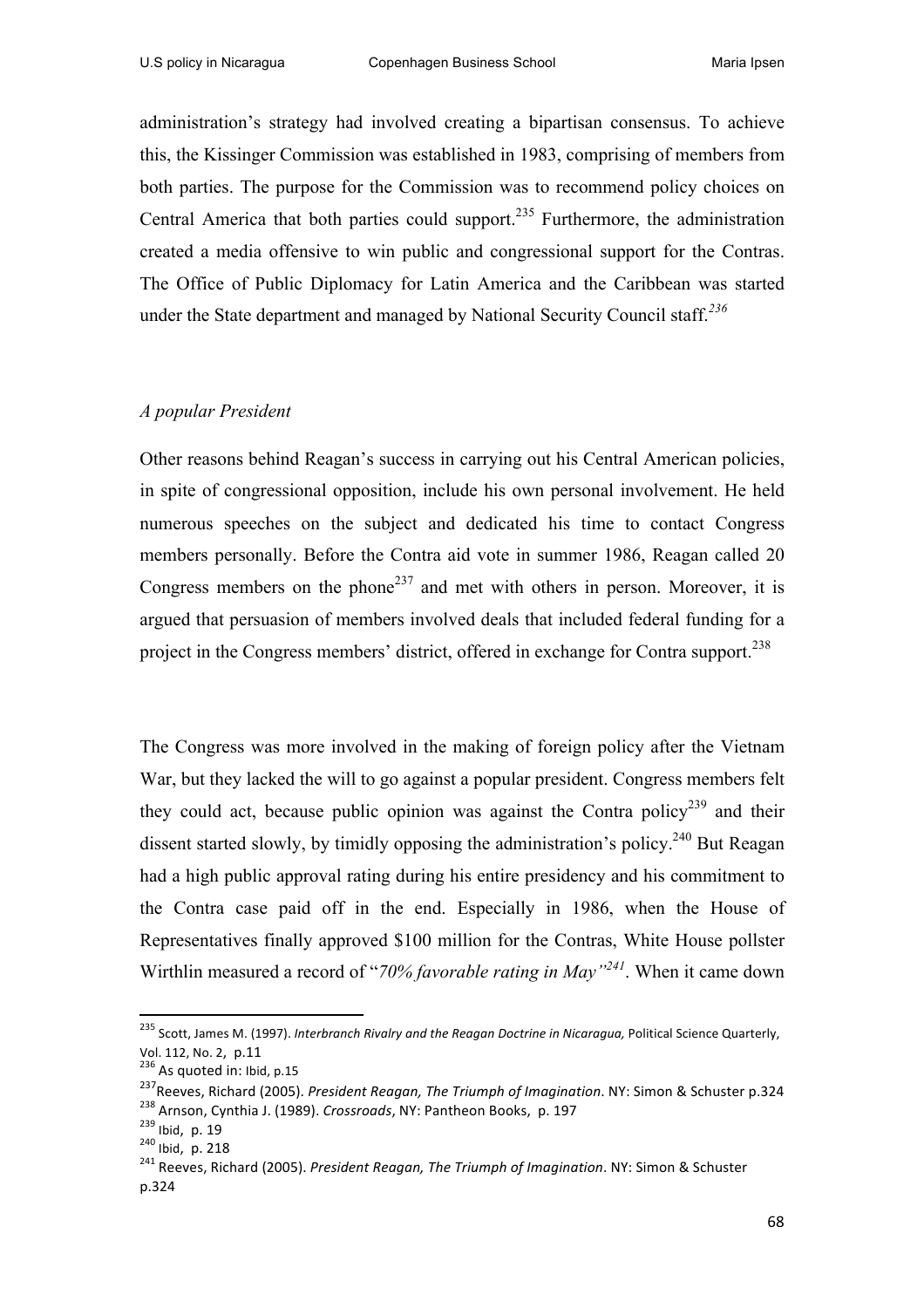administration's strategy had involved creating a bipartisan consensus. To achieve this, the Kissinger Commission was established in 1983, comprising of members from both parties. The purpose for the Commission was to recommend policy choices on Central America that both parties could support.<sup>235</sup> Furthermore, the administration created a media offensive to win public and congressional support for the Contras. The Office of Public Diplomacy for Latin America and the Caribbean was started under the State department and managed by National Security Council staff.*<sup>236</sup>*

#### *A popular President*

Other reasons behind Reagan's success in carrying out his Central American policies, in spite of congressional opposition, include his own personal involvement. He held numerous speeches on the subject and dedicated his time to contact Congress members personally. Before the Contra aid vote in summer 1986, Reagan called 20 Congress members on the phone<sup>237</sup> and met with others in person. Moreover, it is argued that persuasion of members involved deals that included federal funding for a project in the Congress members' district, offered in exchange for Contra support.<sup>238</sup>

The Congress was more involved in the making of foreign policy after the Vietnam War, but they lacked the will to go against a popular president. Congress members felt they could act, because public opinion was against the Contra policy<sup>239</sup> and their dissent started slowly, by timidly opposing the administration's policy.<sup>240</sup> But Reagan had a high public approval rating during his entire presidency and his commitment to the Contra case paid off in the end. Especially in 1986, when the House of Representatives finally approved \$100 million for the Contras, White House pollster Wirthlin measured a record of "*70% favorable rating in May"241*. When it came down

<sup>&</sup>lt;sup>235</sup> Scott, James M. (1997). *Interbranch Rivalry and the Reagan Doctrine in Nicaragua,* Political Science Quarterly, Vol. 112, No. 2,  $p.11$ <br> $^{236}$  As quoted in: Ibid, p.15

<sup>&</sup>lt;sup>237</sup> Reeves, Richard (2005). *President Reagan, The Triumph of Imagination*. NY: Simon & Schuster p.324<br><sup>238</sup> Arnson. Cvnthia J. (1989). *Crossroads*, NY: Pantheon Books, p. 197

<sup>239</sup> Ibid, p. 19<br><sup>238</sup> Ibid, p. 19<br><sup>240</sup> Ibid, p. 218<br><sup>241</sup> Reeves, Richard (2005). *President Reagan, The Triumph of Imagination*. NY: Simon & Schuster p.324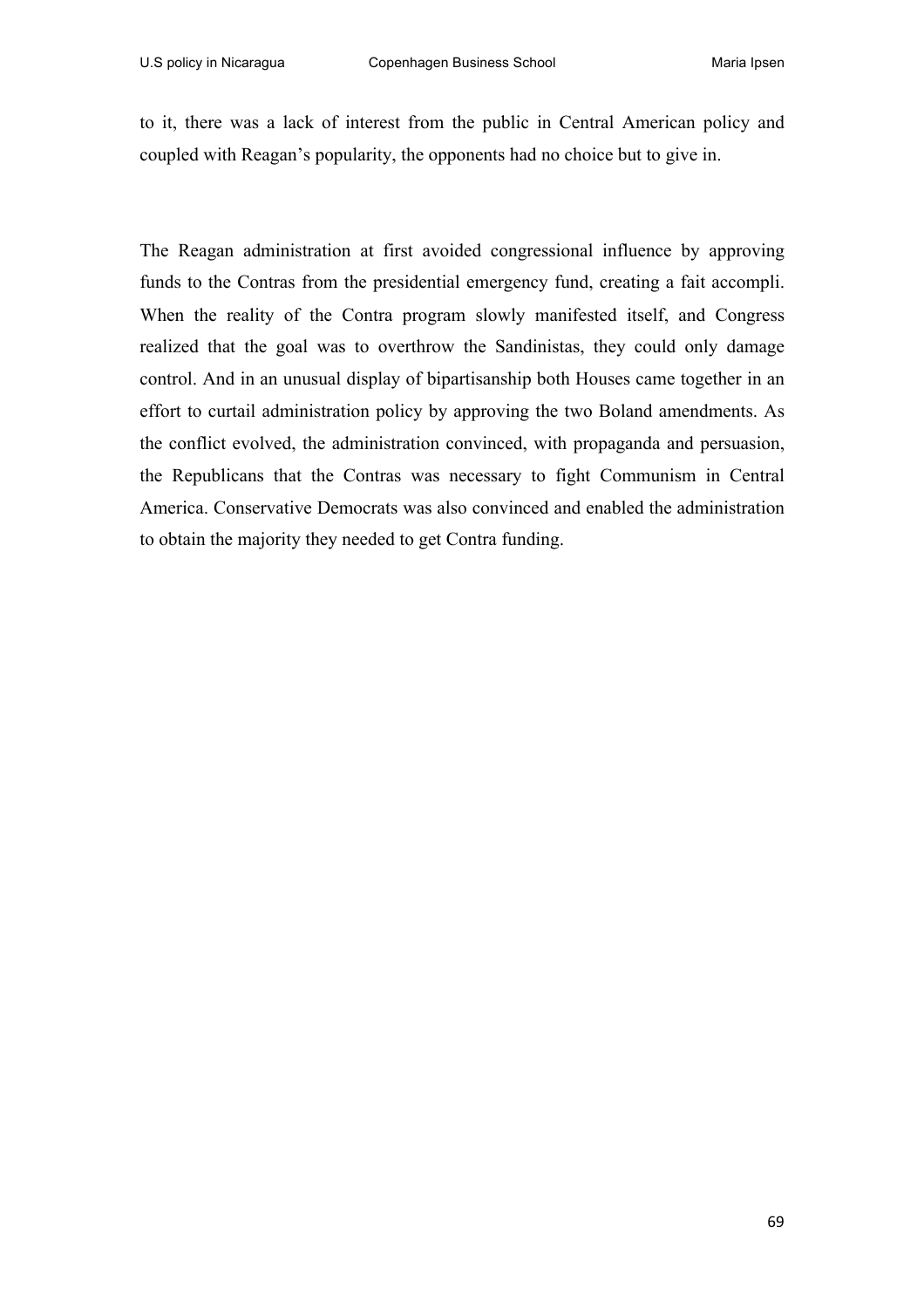to it, there was a lack of interest from the public in Central American policy and coupled with Reagan's popularity, the opponents had no choice but to give in.

The Reagan administration at first avoided congressional influence by approving funds to the Contras from the presidential emergency fund, creating a fait accompli. When the reality of the Contra program slowly manifested itself, and Congress realized that the goal was to overthrow the Sandinistas, they could only damage control. And in an unusual display of bipartisanship both Houses came together in an effort to curtail administration policy by approving the two Boland amendments. As the conflict evolved, the administration convinced, with propaganda and persuasion, the Republicans that the Contras was necessary to fight Communism in Central America. Conservative Democrats was also convinced and enabled the administration to obtain the majority they needed to get Contra funding.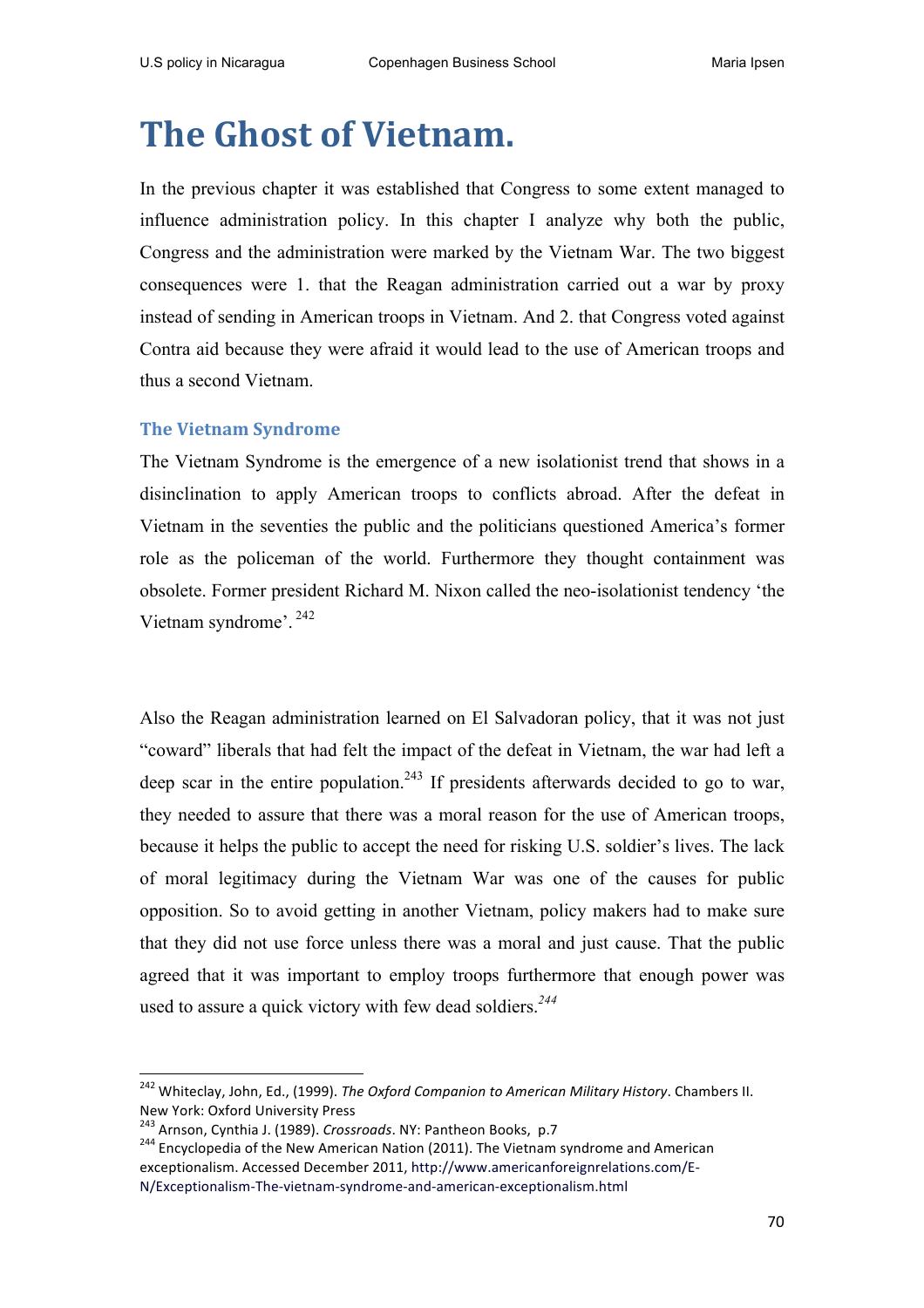# **The Ghost of Vietnam.**

In the previous chapter it was established that Congress to some extent managed to influence administration policy. In this chapter I analyze why both the public, Congress and the administration were marked by the Vietnam War. The two biggest consequences were 1. that the Reagan administration carried out a war by proxy instead of sending in American troops in Vietnam. And 2. that Congress voted against Contra aid because they were afraid it would lead to the use of American troops and thus a second Vietnam.

# **The Vietnam Syndrome**

The Vietnam Syndrome is the emergence of a new isolationist trend that shows in a disinclination to apply American troops to conflicts abroad. After the defeat in Vietnam in the seventies the public and the politicians questioned America's former role as the policeman of the world. Furthermore they thought containment was obsolete. Former president Richard M. Nixon called the neo-isolationist tendency 'the Vietnam syndrome'. <sup>242</sup>

Also the Reagan administration learned on El Salvadoran policy, that it was not just "coward" liberals that had felt the impact of the defeat in Vietnam, the war had left a deep scar in the entire population.<sup>243</sup> If presidents afterwards decided to go to war, they needed to assure that there was a moral reason for the use of American troops, because it helps the public to accept the need for risking U.S. soldier's lives. The lack of moral legitimacy during the Vietnam War was one of the causes for public opposition. So to avoid getting in another Vietnam, policy makers had to make sure that they did not use force unless there was a moral and just cause. That the public agreed that it was important to employ troops furthermore that enough power was used to assure a quick victory with few dead soldiers.*<sup>244</sup>*

<u> 1989 - Johann Stein, fransk politiker (d. 1989)</u>

<sup>&</sup>lt;sup>242</sup> Whiteclay, John, Ed., (1999). *The Oxford Companion to American Military History*. Chambers II. New York: Oxford University Press<br><sup>243</sup> Arnson, Cynthia J. (1989). *Crossroads*. NY: Pantheon Books, p.7

<sup>&</sup>lt;sup>244</sup> Encyclopedia of the New American Nation (2011). The Vietnam syndrome and American exceptionalism. Accessed December 2011, http://www.americanforeignrelations.com/E-N/Exceptionalism-The-vietnam-syndrome-and-american-exceptionalism.html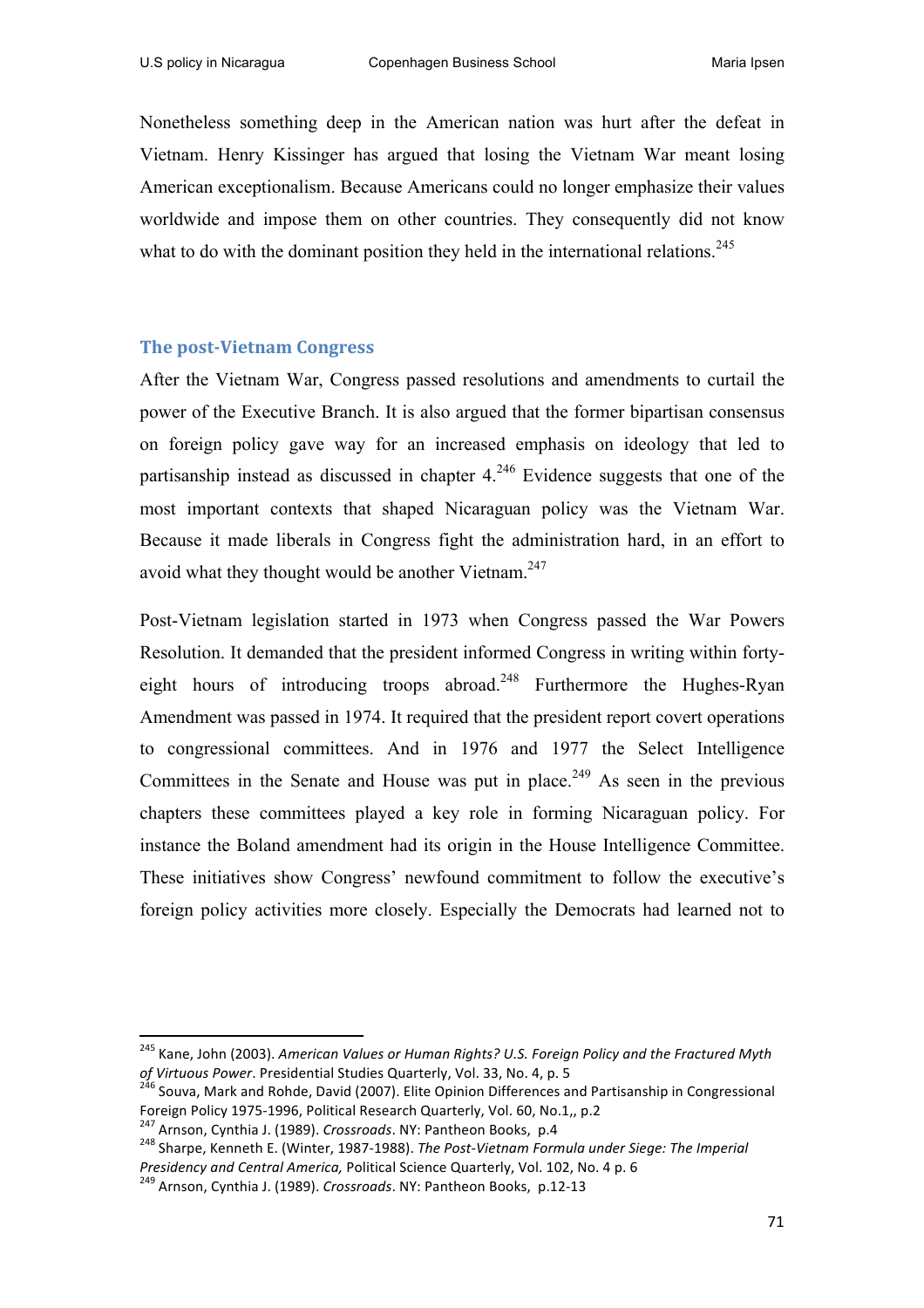Nonetheless something deep in the American nation was hurt after the defeat in Vietnam. Henry Kissinger has argued that losing the Vietnam War meant losing American exceptionalism. Because Americans could no longer emphasize their values worldwide and impose them on other countries. They consequently did not know what to do with the dominant position they held in the international relations.<sup>245</sup>

#### **The post-Vietnam Congress**

After the Vietnam War, Congress passed resolutions and amendments to curtail the power of the Executive Branch. It is also argued that the former bipartisan consensus on foreign policy gave way for an increased emphasis on ideology that led to partisanship instead as discussed in chapter  $4^{246}$  Evidence suggests that one of the most important contexts that shaped Nicaraguan policy was the Vietnam War. Because it made liberals in Congress fight the administration hard, in an effort to avoid what they thought would be another Vietnam. $247$ 

Post-Vietnam legislation started in 1973 when Congress passed the War Powers Resolution. It demanded that the president informed Congress in writing within fortyeight hours of introducing troops abroad.<sup>248</sup> Furthermore the Hughes-Ryan Amendment was passed in 1974. It required that the president report covert operations to congressional committees. And in 1976 and 1977 the Select Intelligence Committees in the Senate and House was put in place.<sup>249</sup> As seen in the previous chapters these committees played a key role in forming Nicaraguan policy. For instance the Boland amendment had its origin in the House Intelligence Committee. These initiatives show Congress' newfound commitment to follow the executive's foreign policy activities more closely. Especially the Democrats had learned not to

<u> 1989 - Johann Stein, fransk politiker (d. 1989)</u>

<sup>&</sup>lt;sup>245</sup> Kane, John (2003). American Values or Human Rights? U.S. Foreign Policy and the Fractured Myth

*of Virtuous Power*. Presidential Studies Quarterly, Vol. 33, No. 4, p. 5<br><sup>246</sup> Souva, Mark and Rohde, David (2007). Elite Opinion Differences and Partisanship in Congressional<br>Foreign Policy 1975-1996, Political Research

<sup>&</sup>lt;sup>247</sup> Arnson, Cynthia J. (1989). *Crossroads*. NY: Pantheon Books, p.4<br><sup>248</sup> Sharpe, Kenneth E. (Winter, 1987-1988). *The Post-Vietnam Formula under Siege: The Imperial*<br>*Presidency and Central America, Political Science Q* 

<sup>&</sup>lt;sup>249</sup> Arnson, Cynthia J. (1989). *Crossroads*. NY: Pantheon Books, p.12-13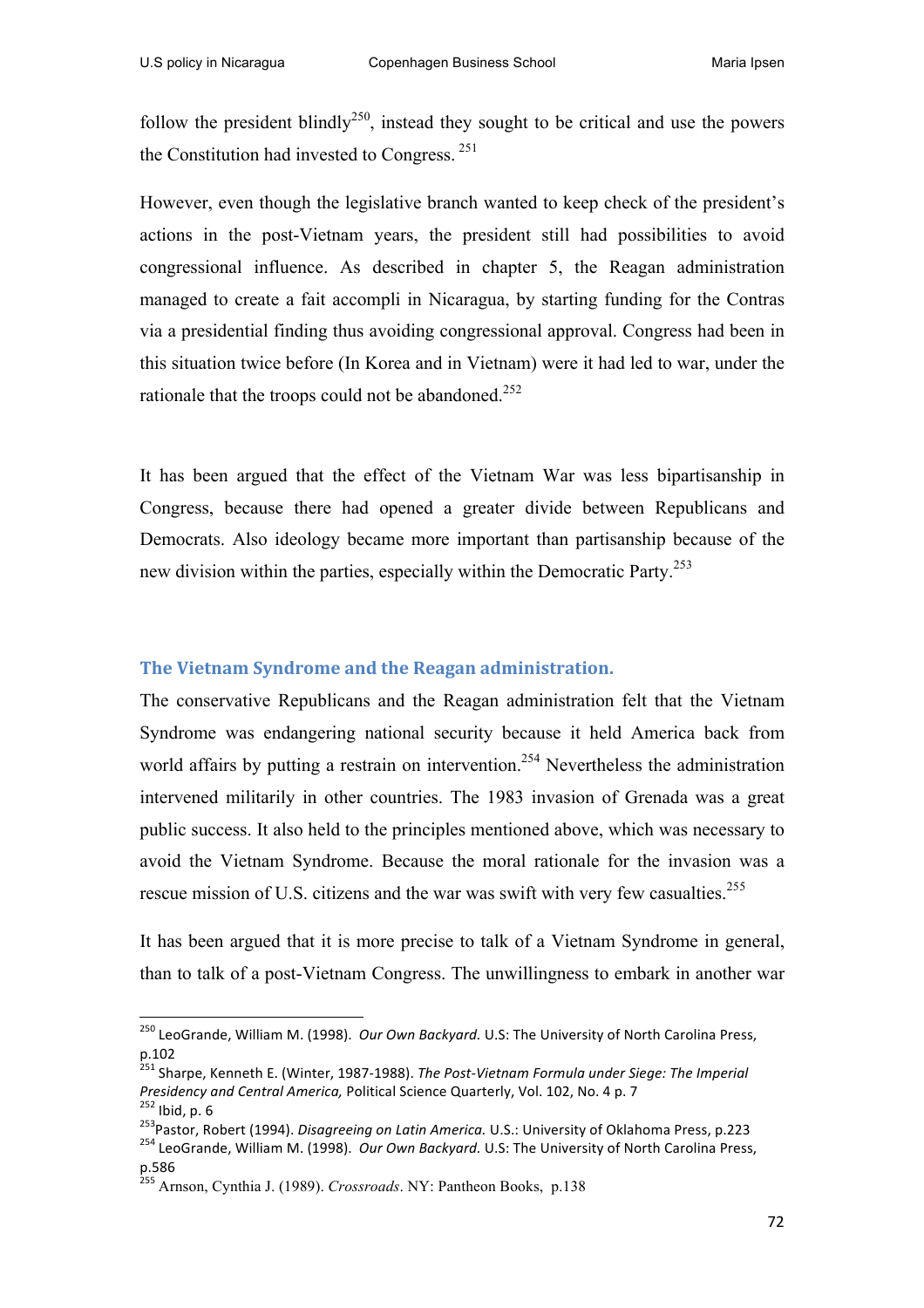follow the president blindly<sup>250</sup>, instead they sought to be critical and use the powers the Constitution had invested to Congress. <sup>251</sup>

However, even though the legislative branch wanted to keep check of the president's actions in the post-Vietnam years, the president still had possibilities to avoid congressional influence. As described in chapter 5, the Reagan administration managed to create a fait accompli in Nicaragua, by starting funding for the Contras via a presidential finding thus avoiding congressional approval. Congress had been in this situation twice before (In Korea and in Vietnam) were it had led to war, under the rationale that the troops could not be abandoned.<sup>252</sup>

It has been argued that the effect of the Vietnam War was less bipartisanship in Congress, because there had opened a greater divide between Republicans and Democrats. Also ideology became more important than partisanship because of the new division within the parties, especially within the Democratic Party.<sup>253</sup>

#### **The Vietnam Syndrome and the Reagan administration.**

The conservative Republicans and the Reagan administration felt that the Vietnam Syndrome was endangering national security because it held America back from world affairs by putting a restrain on intervention.<sup>254</sup> Nevertheless the administration intervened militarily in other countries. The 1983 invasion of Grenada was a great public success. It also held to the principles mentioned above, which was necessary to avoid the Vietnam Syndrome. Because the moral rationale for the invasion was a rescue mission of U.S. citizens and the war was swift with very few casualties.<sup>255</sup>

It has been argued that it is more precise to talk of a Vietnam Syndrome in general, than to talk of a post-Vietnam Congress. The unwillingness to embark in another war

<u> 1989 - Johann Stein, fransk politiker (d. 1989)</u>

<sup>&</sup>lt;sup>250</sup> LeoGrande, William M. (1998). *Our Own Backyard.* U.S: The University of North Carolina Press, p.102

<sup>&</sup>lt;sup>251</sup> Sharpe, Kenneth E. (Winter, 1987-1988). *The Post-Vietnam Formula under Siege: The Imperial* 

Presidency and Central America, Political Science Quarterly, Vol. 102, No. 4 p. 7<br><sup>252</sup> Ibid, p. 6<br><sup>253</sup> Pastor, Robert (1994). *Disagreeing on Latin America*. U.S.: University of Oklahoma Press, p.223<br><sup>254</sup> LeoGrande. Wil p.586

<sup>255</sup> Arnson, Cynthia J. (1989). *Crossroads*. NY: Pantheon Books, p.138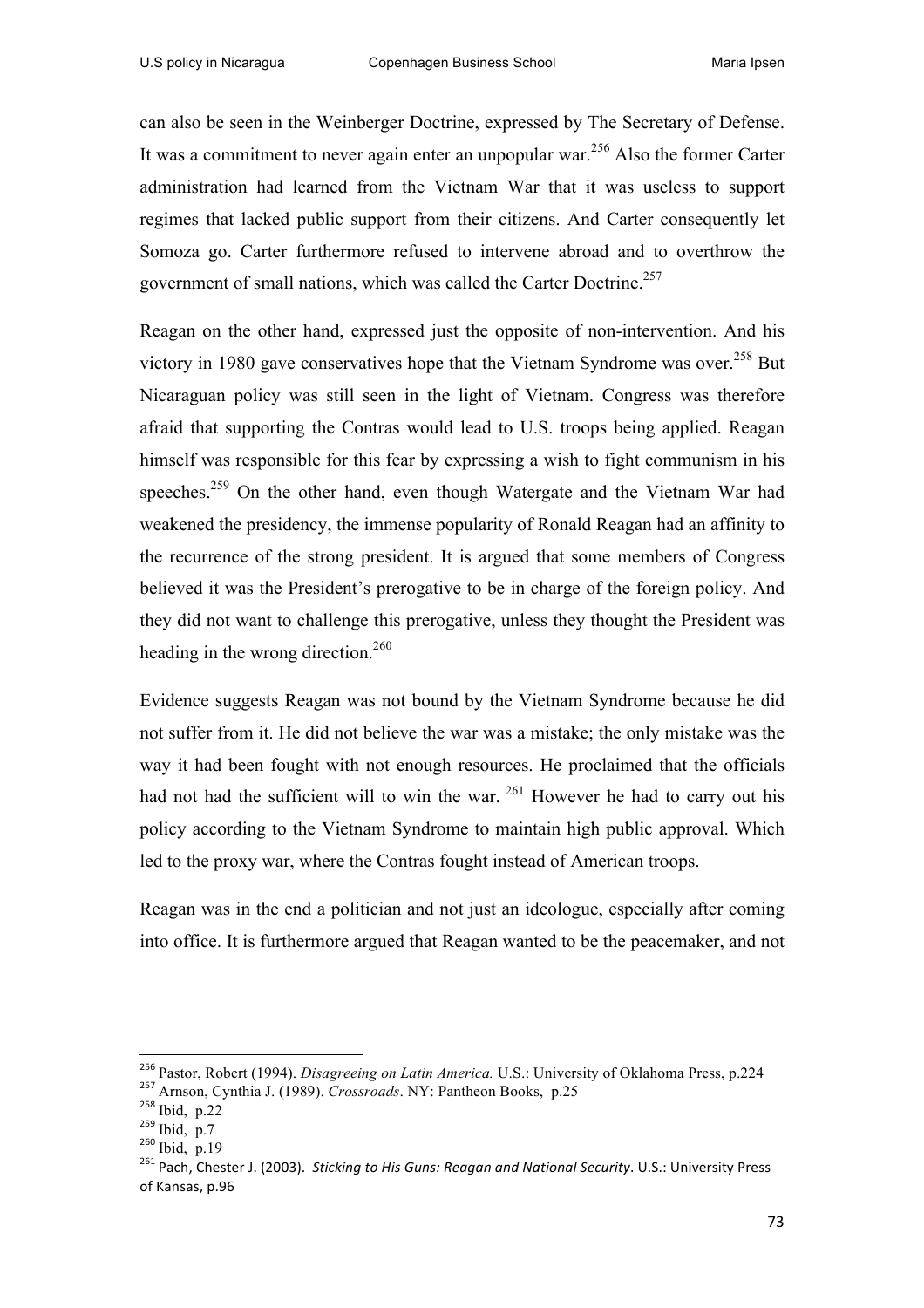can also be seen in the Weinberger Doctrine, expressed by The Secretary of Defense. It was a commitment to never again enter an unpopular war.<sup>256</sup> Also the former Carter administration had learned from the Vietnam War that it was useless to support regimes that lacked public support from their citizens. And Carter consequently let Somoza go. Carter furthermore refused to intervene abroad and to overthrow the government of small nations, which was called the Carter Doctrine.<sup>257</sup>

Reagan on the other hand, expressed just the opposite of non-intervention. And his victory in 1980 gave conservatives hope that the Vietnam Syndrome was over.<sup>258</sup> But Nicaraguan policy was still seen in the light of Vietnam. Congress was therefore afraid that supporting the Contras would lead to U.S. troops being applied. Reagan himself was responsible for this fear by expressing a wish to fight communism in his speeches.<sup>259</sup> On the other hand, even though Watergate and the Vietnam War had weakened the presidency, the immense popularity of Ronald Reagan had an affinity to the recurrence of the strong president. It is argued that some members of Congress believed it was the President's prerogative to be in charge of the foreign policy. And they did not want to challenge this prerogative, unless they thought the President was heading in the wrong direction.<sup>260</sup>

Evidence suggests Reagan was not bound by the Vietnam Syndrome because he did not suffer from it. He did not believe the war was a mistake; the only mistake was the way it had been fought with not enough resources. He proclaimed that the officials had not had the sufficient will to win the war.  $^{261}$  However he had to carry out his policy according to the Vietnam Syndrome to maintain high public approval. Which led to the proxy war, where the Contras fought instead of American troops.

Reagan was in the end a politician and not just an ideologue, especially after coming into office. It is furthermore argued that Reagan wanted to be the peacemaker, and not

 

<sup>256</sup> Pastor, Robert (1994). *Disagreeing on Latin America.* U.S.: University of Oklahoma Press, p.224 <sup>257</sup> Arnson, Cynthia J. (1989). *Crossroads*. NY: Pantheon Books, p.25

 $^{258}$  Ibid, p.22<br> $^{259}$  Ibid, p.7

 $260$  Ibid, p.19

<sup>&</sup>lt;sup>261</sup> Pach, Chester J. (2003). Sticking to His Guns: Reagan and National Security. U.S.: University Press of Kansas, p.96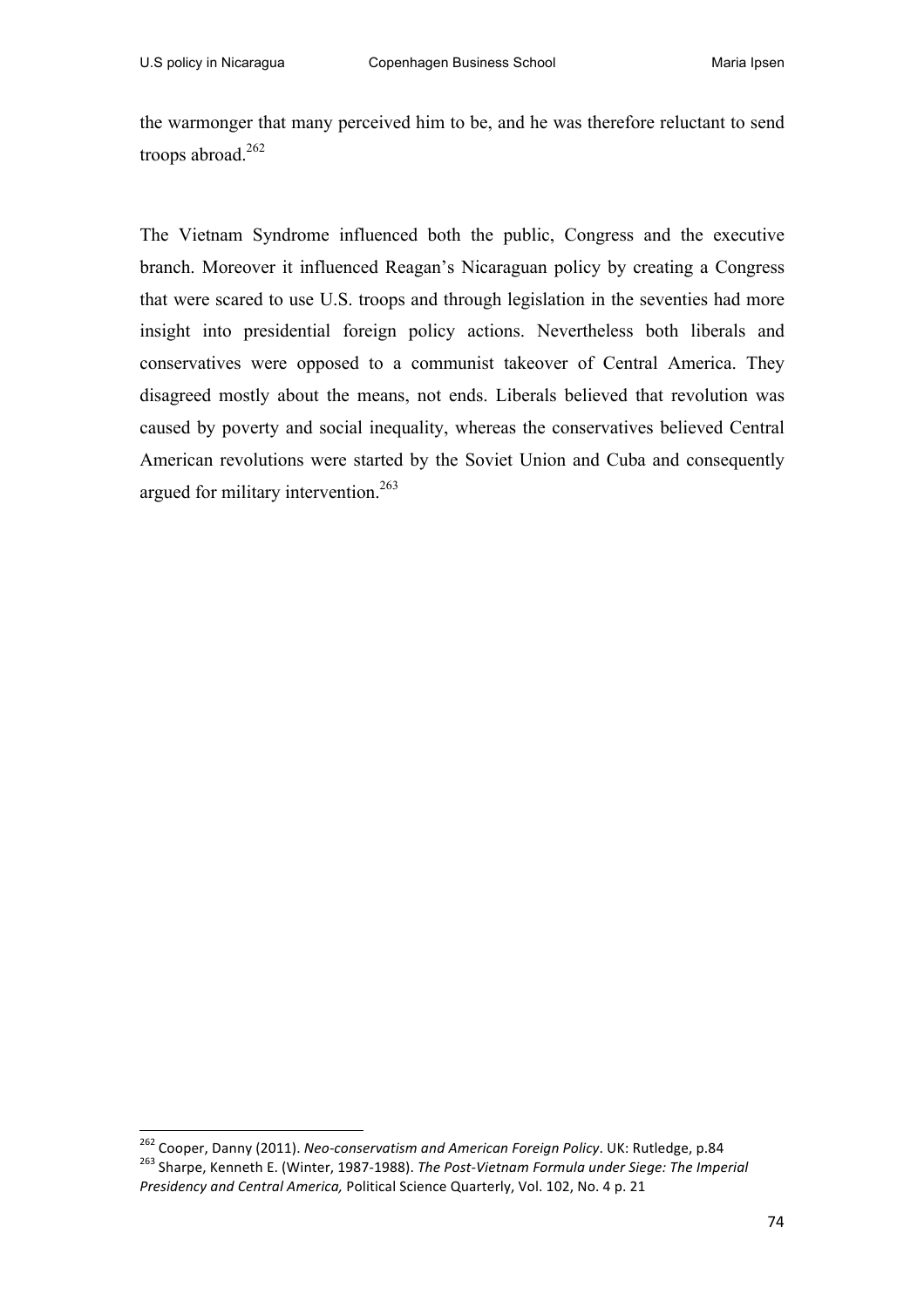the warmonger that many perceived him to be, and he was therefore reluctant to send troops abroad.<sup>262</sup>

The Vietnam Syndrome influenced both the public, Congress and the executive branch. Moreover it influenced Reagan's Nicaraguan policy by creating a Congress that were scared to use U.S. troops and through legislation in the seventies had more insight into presidential foreign policy actions. Nevertheless both liberals and conservatives were opposed to a communist takeover of Central America. They disagreed mostly about the means, not ends. Liberals believed that revolution was caused by poverty and social inequality, whereas the conservatives believed Central American revolutions were started by the Soviet Union and Cuba and consequently argued for military intervention.<sup>263</sup>

<sup>&</sup>lt;sup>262</sup> Cooper, Danny (2011). Neo-conservatism and American Foreign Policy. UK: Rutledge, p.84 <sup>263</sup> Sharpe, Kenneth E. (Winter, 1987-1988). The Post-Vietnam Formula under Siege: The Imperial *Presidency and Central America, Political Science Quarterly, Vol. 102, No. 4 p. 21*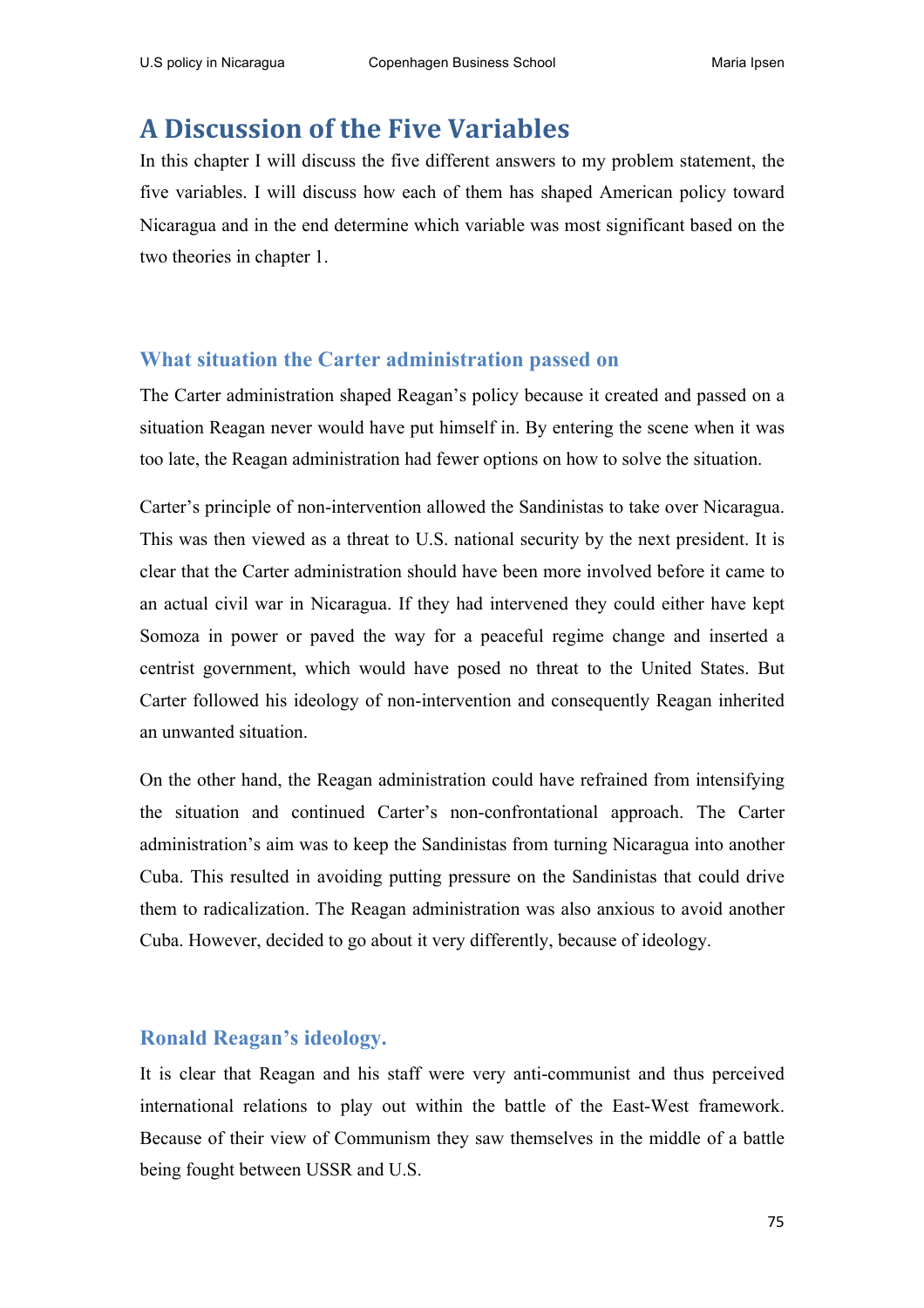# **A Discussion of the Five Variables**

In this chapter I will discuss the five different answers to my problem statement, the five variables. I will discuss how each of them has shaped American policy toward Nicaragua and in the end determine which variable was most significant based on the two theories in chapter 1.

## **What situation the Carter administration passed on**

The Carter administration shaped Reagan's policy because it created and passed on a situation Reagan never would have put himself in. By entering the scene when it was too late, the Reagan administration had fewer options on how to solve the situation.

Carter's principle of non-intervention allowed the Sandinistas to take over Nicaragua. This was then viewed as a threat to U.S. national security by the next president. It is clear that the Carter administration should have been more involved before it came to an actual civil war in Nicaragua. If they had intervened they could either have kept Somoza in power or paved the way for a peaceful regime change and inserted a centrist government, which would have posed no threat to the United States. But Carter followed his ideology of non-intervention and consequently Reagan inherited an unwanted situation.

On the other hand, the Reagan administration could have refrained from intensifying the situation and continued Carter's non-confrontational approach. The Carter administration's aim was to keep the Sandinistas from turning Nicaragua into another Cuba. This resulted in avoiding putting pressure on the Sandinistas that could drive them to radicalization. The Reagan administration was also anxious to avoid another Cuba. However, decided to go about it very differently, because of ideology.

## **Ronald Reagan's ideology.**

It is clear that Reagan and his staff were very anti-communist and thus perceived international relations to play out within the battle of the East-West framework. Because of their view of Communism they saw themselves in the middle of a battle being fought between USSR and U.S.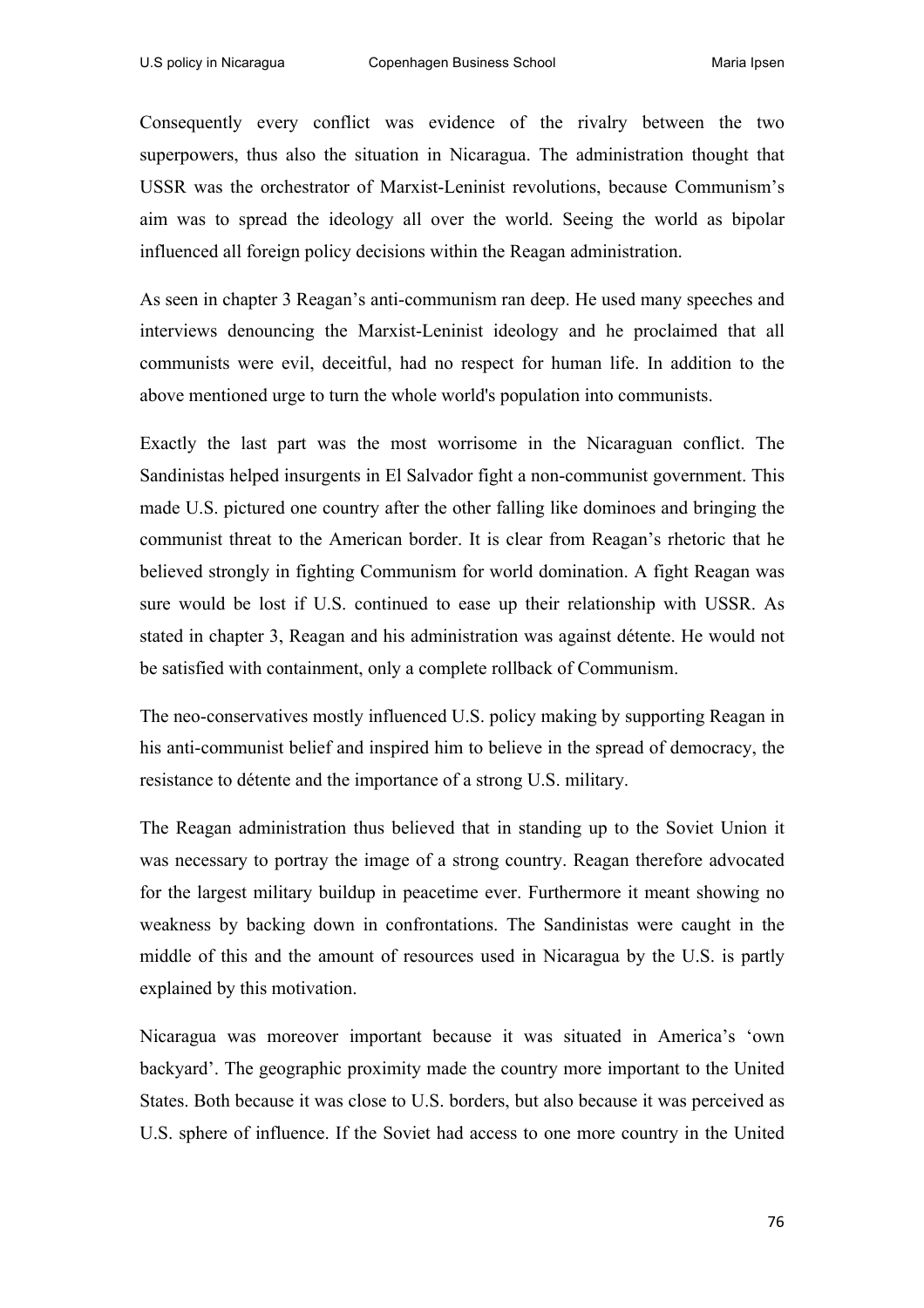Consequently every conflict was evidence of the rivalry between the two superpowers, thus also the situation in Nicaragua. The administration thought that USSR was the orchestrator of Marxist-Leninist revolutions, because Communism's aim was to spread the ideology all over the world. Seeing the world as bipolar influenced all foreign policy decisions within the Reagan administration.

As seen in chapter 3 Reagan's anti-communism ran deep. He used many speeches and interviews denouncing the Marxist-Leninist ideology and he proclaimed that all communists were evil, deceitful, had no respect for human life. In addition to the above mentioned urge to turn the whole world's population into communists.

Exactly the last part was the most worrisome in the Nicaraguan conflict. The Sandinistas helped insurgents in El Salvador fight a non-communist government. This made U.S. pictured one country after the other falling like dominoes and bringing the communist threat to the American border. It is clear from Reagan's rhetoric that he believed strongly in fighting Communism for world domination. A fight Reagan was sure would be lost if U.S. continued to ease up their relationship with USSR. As stated in chapter 3, Reagan and his administration was against détente. He would not be satisfied with containment, only a complete rollback of Communism.

The neo-conservatives mostly influenced U.S. policy making by supporting Reagan in his anti-communist belief and inspired him to believe in the spread of democracy, the resistance to détente and the importance of a strong U.S. military.

The Reagan administration thus believed that in standing up to the Soviet Union it was necessary to portray the image of a strong country. Reagan therefore advocated for the largest military buildup in peacetime ever. Furthermore it meant showing no weakness by backing down in confrontations. The Sandinistas were caught in the middle of this and the amount of resources used in Nicaragua by the U.S. is partly explained by this motivation.

Nicaragua was moreover important because it was situated in America's 'own backyard'. The geographic proximity made the country more important to the United States. Both because it was close to U.S. borders, but also because it was perceived as U.S. sphere of influence. If the Soviet had access to one more country in the United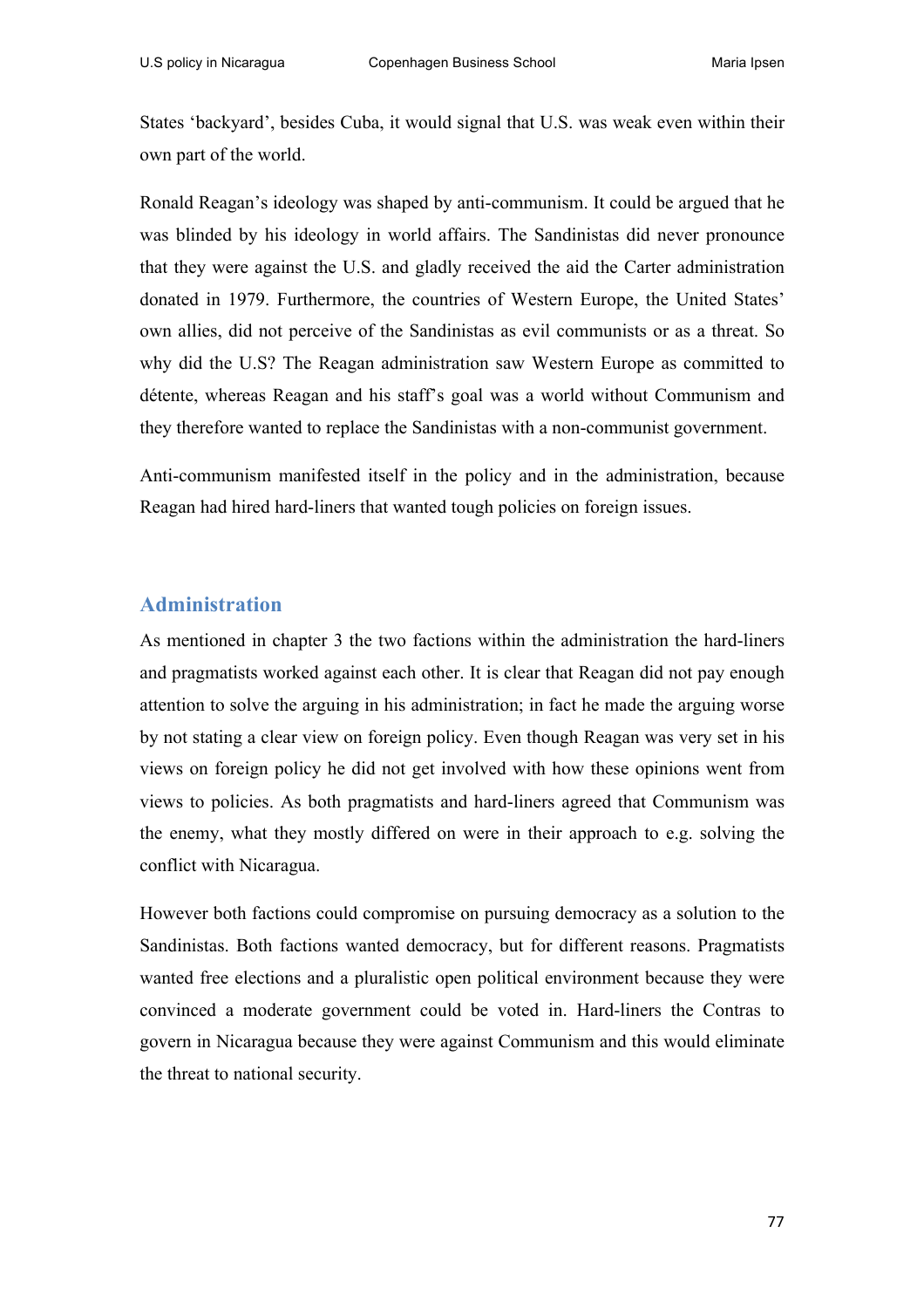States 'backyard', besides Cuba, it would signal that U.S. was weak even within their own part of the world.

Ronald Reagan's ideology was shaped by anti-communism. It could be argued that he was blinded by his ideology in world affairs. The Sandinistas did never pronounce that they were against the U.S. and gladly received the aid the Carter administration donated in 1979. Furthermore, the countries of Western Europe, the United States' own allies, did not perceive of the Sandinistas as evil communists or as a threat. So why did the U.S? The Reagan administration saw Western Europe as committed to détente, whereas Reagan and his staff's goal was a world without Communism and they therefore wanted to replace the Sandinistas with a non-communist government.

Anti-communism manifested itself in the policy and in the administration, because Reagan had hired hard-liners that wanted tough policies on foreign issues.

## **Administration**

As mentioned in chapter 3 the two factions within the administration the hard-liners and pragmatists worked against each other. It is clear that Reagan did not pay enough attention to solve the arguing in his administration; in fact he made the arguing worse by not stating a clear view on foreign policy. Even though Reagan was very set in his views on foreign policy he did not get involved with how these opinions went from views to policies. As both pragmatists and hard-liners agreed that Communism was the enemy, what they mostly differed on were in their approach to e.g. solving the conflict with Nicaragua.

However both factions could compromise on pursuing democracy as a solution to the Sandinistas. Both factions wanted democracy, but for different reasons. Pragmatists wanted free elections and a pluralistic open political environment because they were convinced a moderate government could be voted in. Hard-liners the Contras to govern in Nicaragua because they were against Communism and this would eliminate the threat to national security.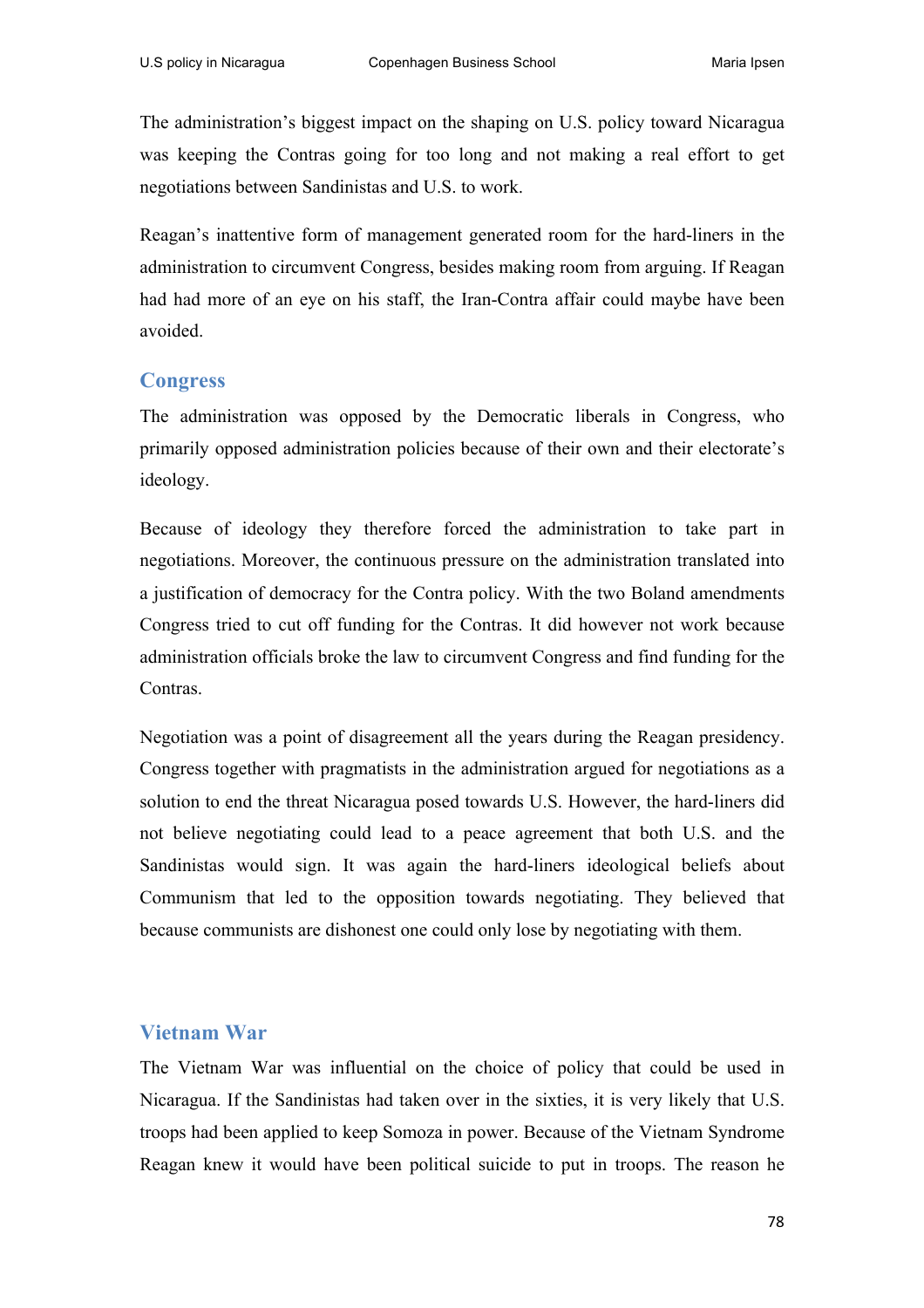The administration's biggest impact on the shaping on U.S. policy toward Nicaragua was keeping the Contras going for too long and not making a real effort to get negotiations between Sandinistas and U.S. to work.

Reagan's inattentive form of management generated room for the hard-liners in the administration to circumvent Congress, besides making room from arguing. If Reagan had had more of an eye on his staff, the Iran-Contra affair could maybe have been avoided.

### **Congress**

The administration was opposed by the Democratic liberals in Congress, who primarily opposed administration policies because of their own and their electorate's ideology.

Because of ideology they therefore forced the administration to take part in negotiations. Moreover, the continuous pressure on the administration translated into a justification of democracy for the Contra policy. With the two Boland amendments Congress tried to cut off funding for the Contras. It did however not work because administration officials broke the law to circumvent Congress and find funding for the Contras.

Negotiation was a point of disagreement all the years during the Reagan presidency. Congress together with pragmatists in the administration argued for negotiations as a solution to end the threat Nicaragua posed towards U.S. However, the hard-liners did not believe negotiating could lead to a peace agreement that both U.S. and the Sandinistas would sign. It was again the hard-liners ideological beliefs about Communism that led to the opposition towards negotiating. They believed that because communists are dishonest one could only lose by negotiating with them.

### **Vietnam War**

The Vietnam War was influential on the choice of policy that could be used in Nicaragua. If the Sandinistas had taken over in the sixties, it is very likely that U.S. troops had been applied to keep Somoza in power. Because of the Vietnam Syndrome Reagan knew it would have been political suicide to put in troops. The reason he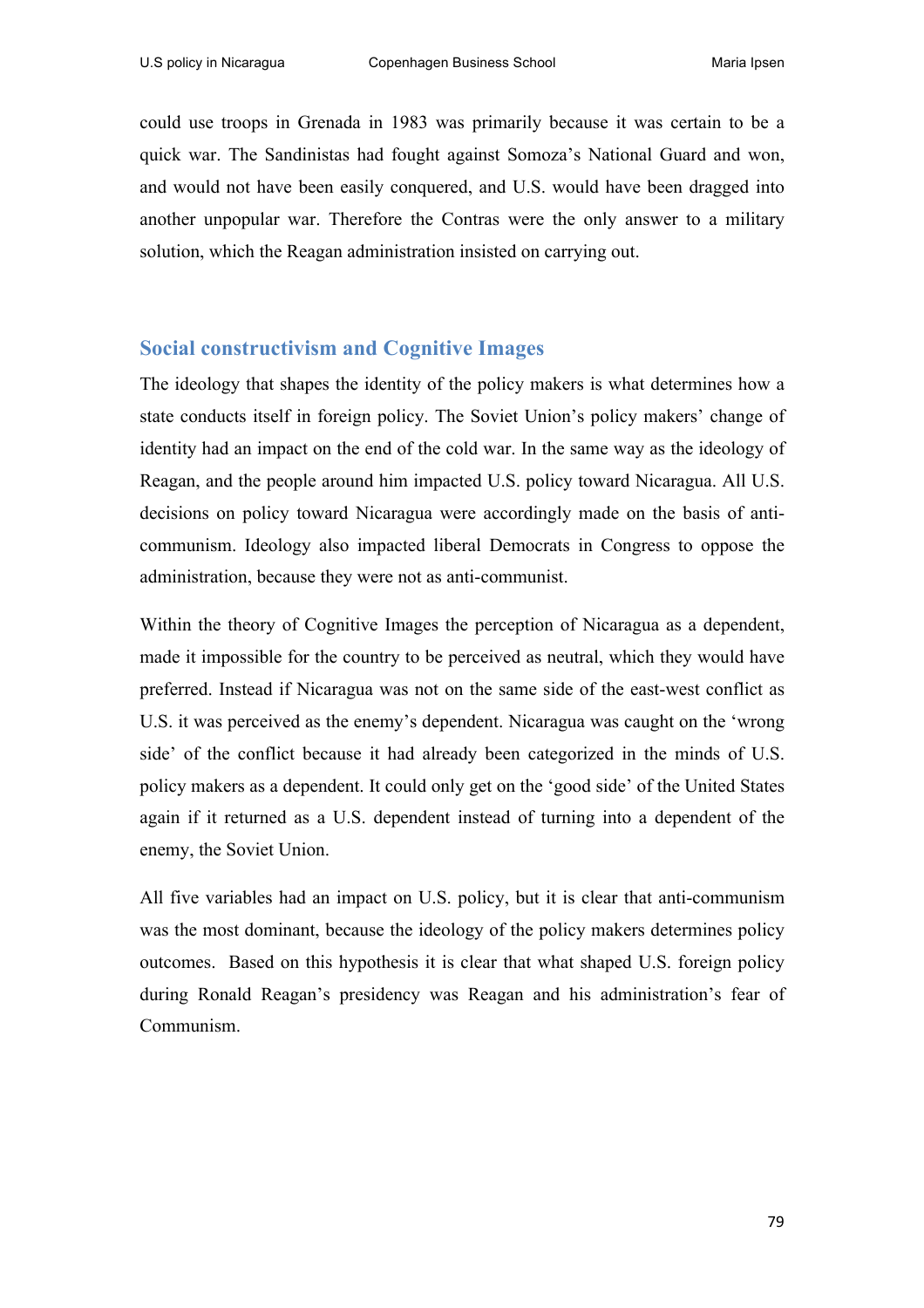could use troops in Grenada in 1983 was primarily because it was certain to be a quick war. The Sandinistas had fought against Somoza's National Guard and won, and would not have been easily conquered, and U.S. would have been dragged into another unpopular war. Therefore the Contras were the only answer to a military solution, which the Reagan administration insisted on carrying out.

### **Social constructivism and Cognitive Images**

The ideology that shapes the identity of the policy makers is what determines how a state conducts itself in foreign policy. The Soviet Union's policy makers' change of identity had an impact on the end of the cold war. In the same way as the ideology of Reagan, and the people around him impacted U.S. policy toward Nicaragua. All U.S. decisions on policy toward Nicaragua were accordingly made on the basis of anticommunism. Ideology also impacted liberal Democrats in Congress to oppose the administration, because they were not as anti-communist.

Within the theory of Cognitive Images the perception of Nicaragua as a dependent, made it impossible for the country to be perceived as neutral, which they would have preferred. Instead if Nicaragua was not on the same side of the east-west conflict as U.S. it was perceived as the enemy's dependent. Nicaragua was caught on the 'wrong side' of the conflict because it had already been categorized in the minds of U.S. policy makers as a dependent. It could only get on the 'good side' of the United States again if it returned as a U.S. dependent instead of turning into a dependent of the enemy, the Soviet Union.

All five variables had an impact on U.S. policy, but it is clear that anti-communism was the most dominant, because the ideology of the policy makers determines policy outcomes. Based on this hypothesis it is clear that what shaped U.S. foreign policy during Ronald Reagan's presidency was Reagan and his administration's fear of Communism.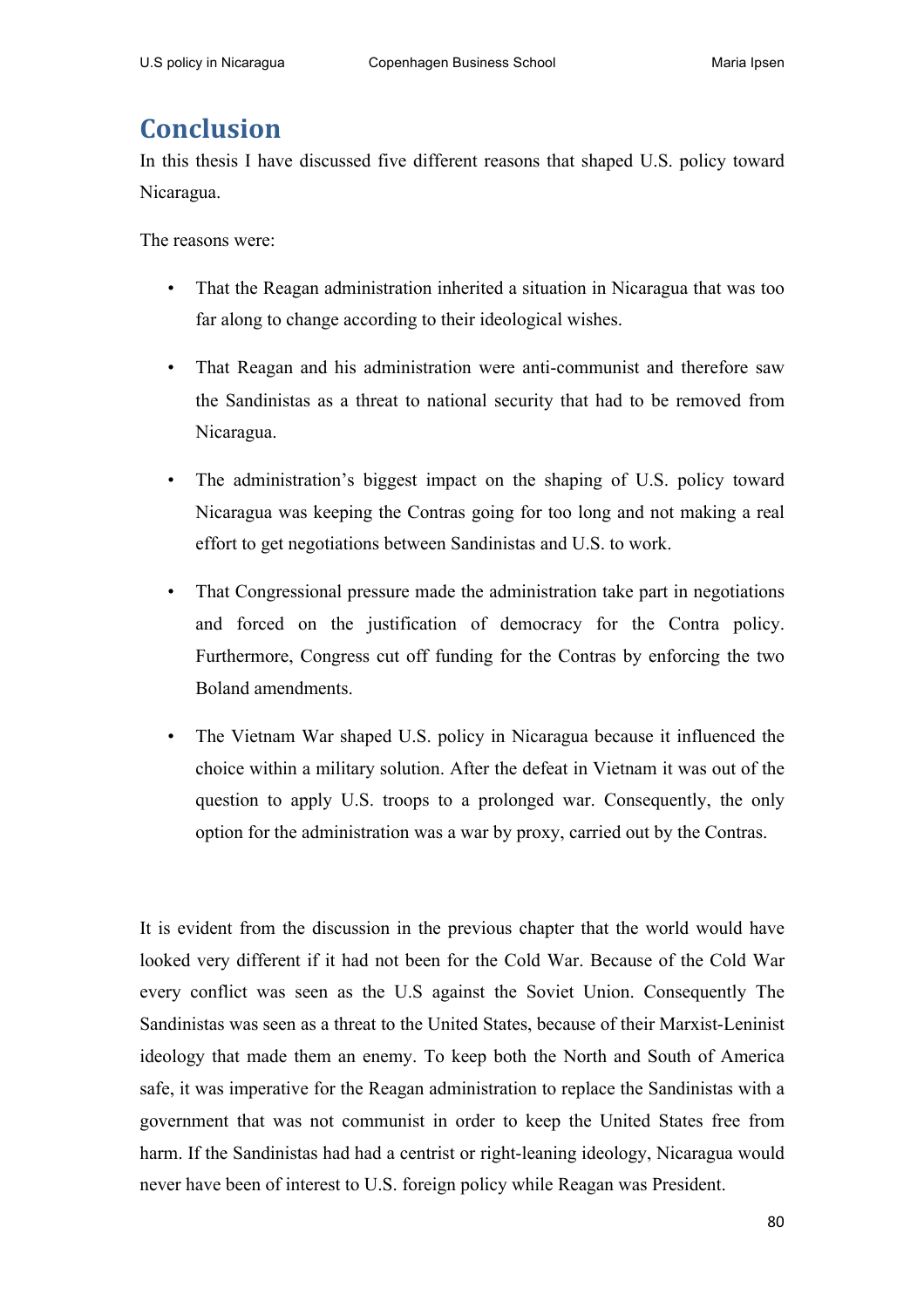# **Conclusion**

In this thesis I have discussed five different reasons that shaped U.S. policy toward Nicaragua.

The reasons were:

- That the Reagan administration inherited a situation in Nicaragua that was too far along to change according to their ideological wishes.
- That Reagan and his administration were anti-communist and therefore saw the Sandinistas as a threat to national security that had to be removed from Nicaragua.
- The administration's biggest impact on the shaping of U.S. policy toward Nicaragua was keeping the Contras going for too long and not making a real effort to get negotiations between Sandinistas and U.S. to work.
- That Congressional pressure made the administration take part in negotiations and forced on the justification of democracy for the Contra policy. Furthermore, Congress cut off funding for the Contras by enforcing the two Boland amendments.
- The Vietnam War shaped U.S. policy in Nicaragua because it influenced the choice within a military solution. After the defeat in Vietnam it was out of the question to apply U.S. troops to a prolonged war. Consequently, the only option for the administration was a war by proxy, carried out by the Contras.

It is evident from the discussion in the previous chapter that the world would have looked very different if it had not been for the Cold War. Because of the Cold War every conflict was seen as the U.S against the Soviet Union. Consequently The Sandinistas was seen as a threat to the United States, because of their Marxist-Leninist ideology that made them an enemy. To keep both the North and South of America safe, it was imperative for the Reagan administration to replace the Sandinistas with a government that was not communist in order to keep the United States free from harm. If the Sandinistas had had a centrist or right-leaning ideology, Nicaragua would never have been of interest to U.S. foreign policy while Reagan was President.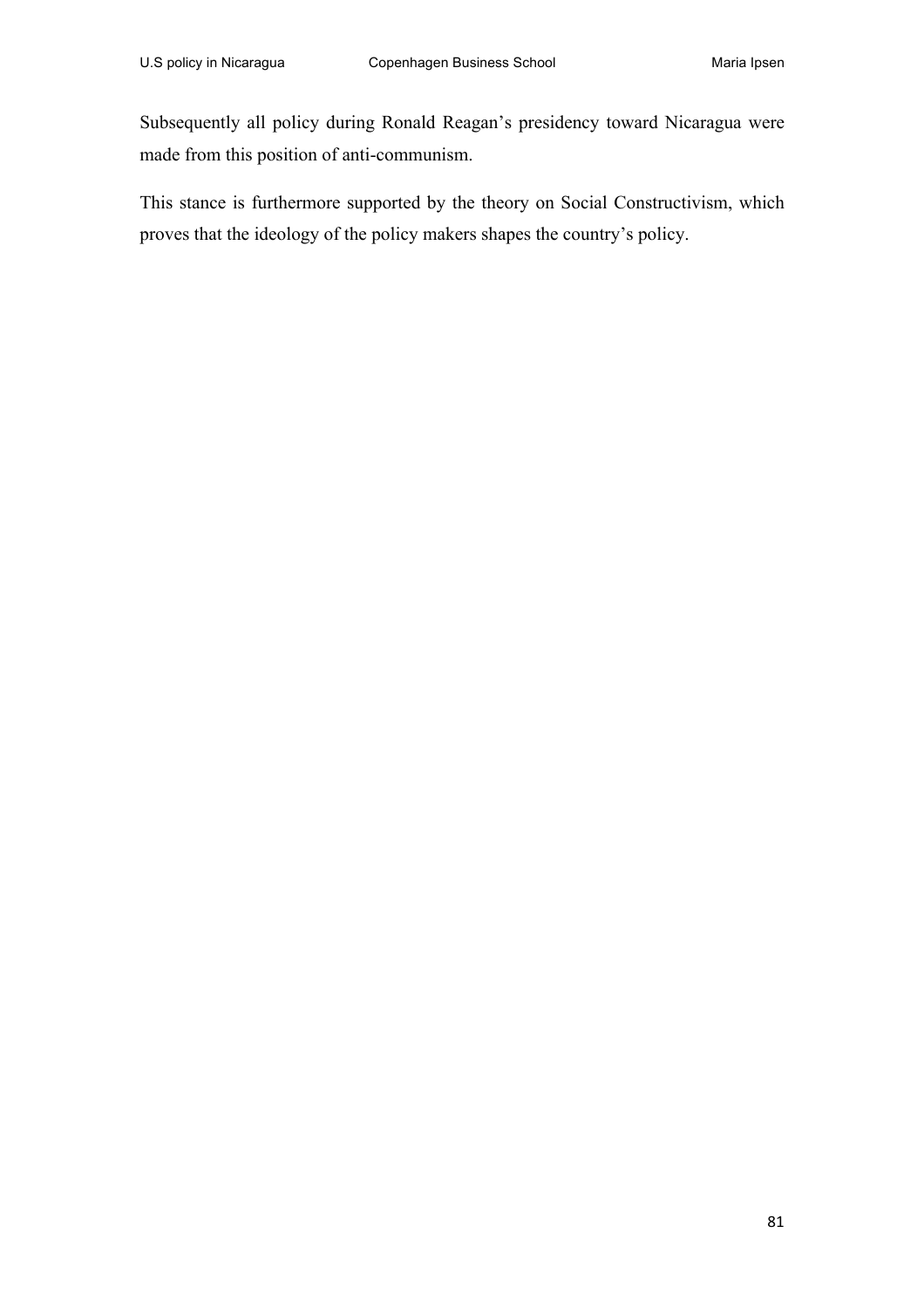Subsequently all policy during Ronald Reagan's presidency toward Nicaragua were made from this position of anti-communism.

This stance is furthermore supported by the theory on Social Constructivism, which proves that the ideology of the policy makers shapes the country's policy.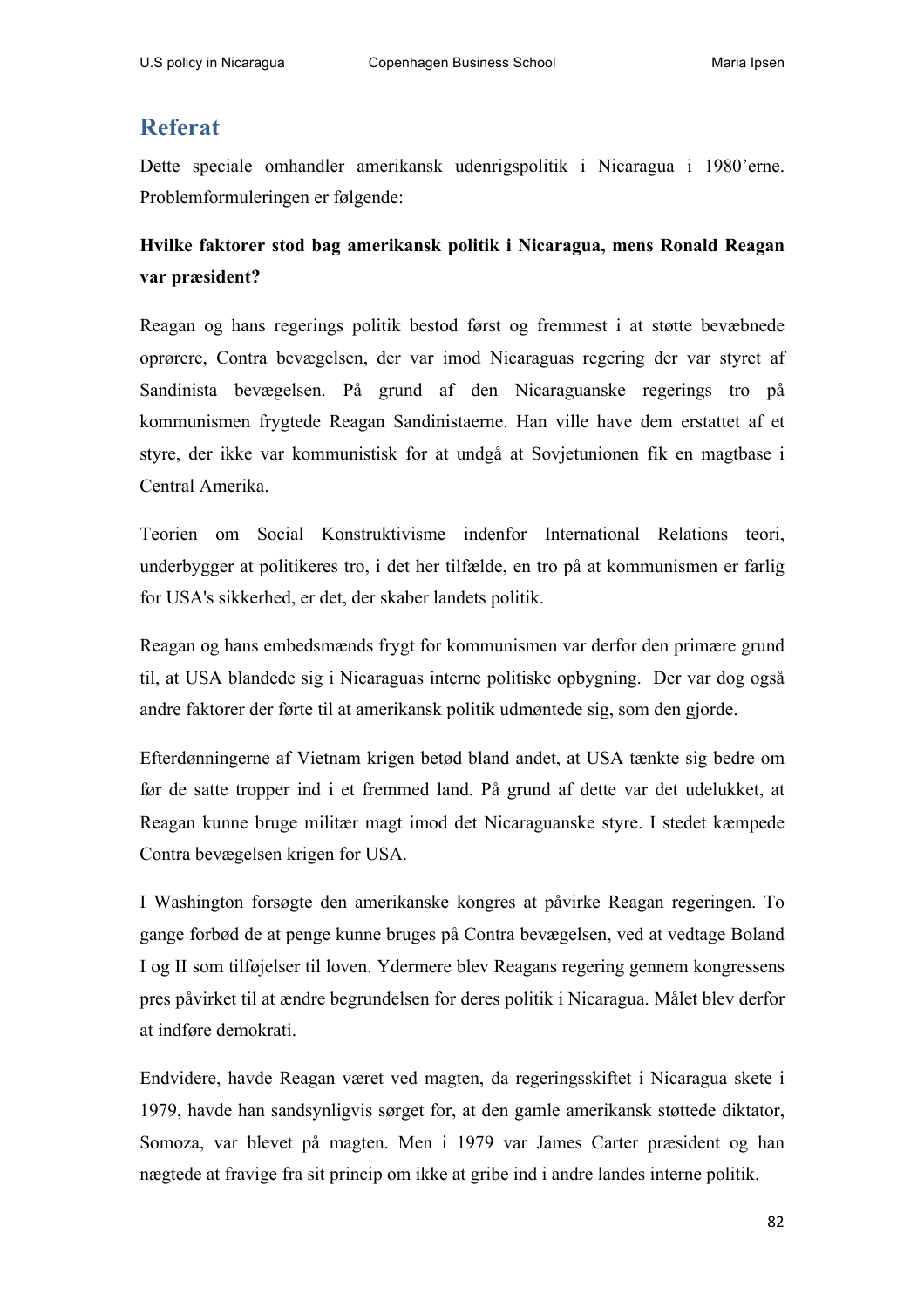## **Referat**

Dette speciale omhandler amerikansk udenrigspolitik i Nicaragua i 1980'erne. Problemformuleringen er følgende:

## **Hvilke faktorer stod bag amerikansk politik i Nicaragua, mens Ronald Reagan var præsident?**

Reagan og hans regerings politik bestod først og fremmest i at støtte bevæbnede oprørere, Contra bevægelsen, der var imod Nicaraguas regering der var styret af Sandinista bevægelsen. På grund af den Nicaraguanske regerings tro på kommunismen frygtede Reagan Sandinistaerne. Han ville have dem erstattet af et styre, der ikke var kommunistisk for at undgå at Sovjetunionen fik en magtbase i Central Amerika.

Teorien om Social Konstruktivisme indenfor International Relations teori, underbygger at politikeres tro, i det her tilfælde, en tro på at kommunismen er farlig for USA's sikkerhed, er det, der skaber landets politik.

Reagan og hans embedsmænds frygt for kommunismen var derfor den primære grund til, at USA blandede sig i Nicaraguas interne politiske opbygning. Der var dog også andre faktorer der førte til at amerikansk politik udmøntede sig, som den gjorde.

Efterdønningerne af Vietnam krigen betød bland andet, at USA tænkte sig bedre om før de satte tropper ind i et fremmed land. På grund af dette var det udelukket, at Reagan kunne bruge militær magt imod det Nicaraguanske styre. I stedet kæmpede Contra bevægelsen krigen for USA.

I Washington forsøgte den amerikanske kongres at påvirke Reagan regeringen. To gange forbød de at penge kunne bruges på Contra bevægelsen, ved at vedtage Boland I og II som tilføjelser til loven. Ydermere blev Reagans regering gennem kongressens pres påvirket til at ændre begrundelsen for deres politik i Nicaragua. Målet blev derfor at indføre demokrati.

Endvidere, havde Reagan været ved magten, da regeringsskiftet i Nicaragua skete i 1979, havde han sandsynligvis sørget for, at den gamle amerikansk støttede diktator, Somoza, var blevet på magten. Men i 1979 var James Carter præsident og han nægtede at fravige fra sit princip om ikke at gribe ind i andre landes interne politik.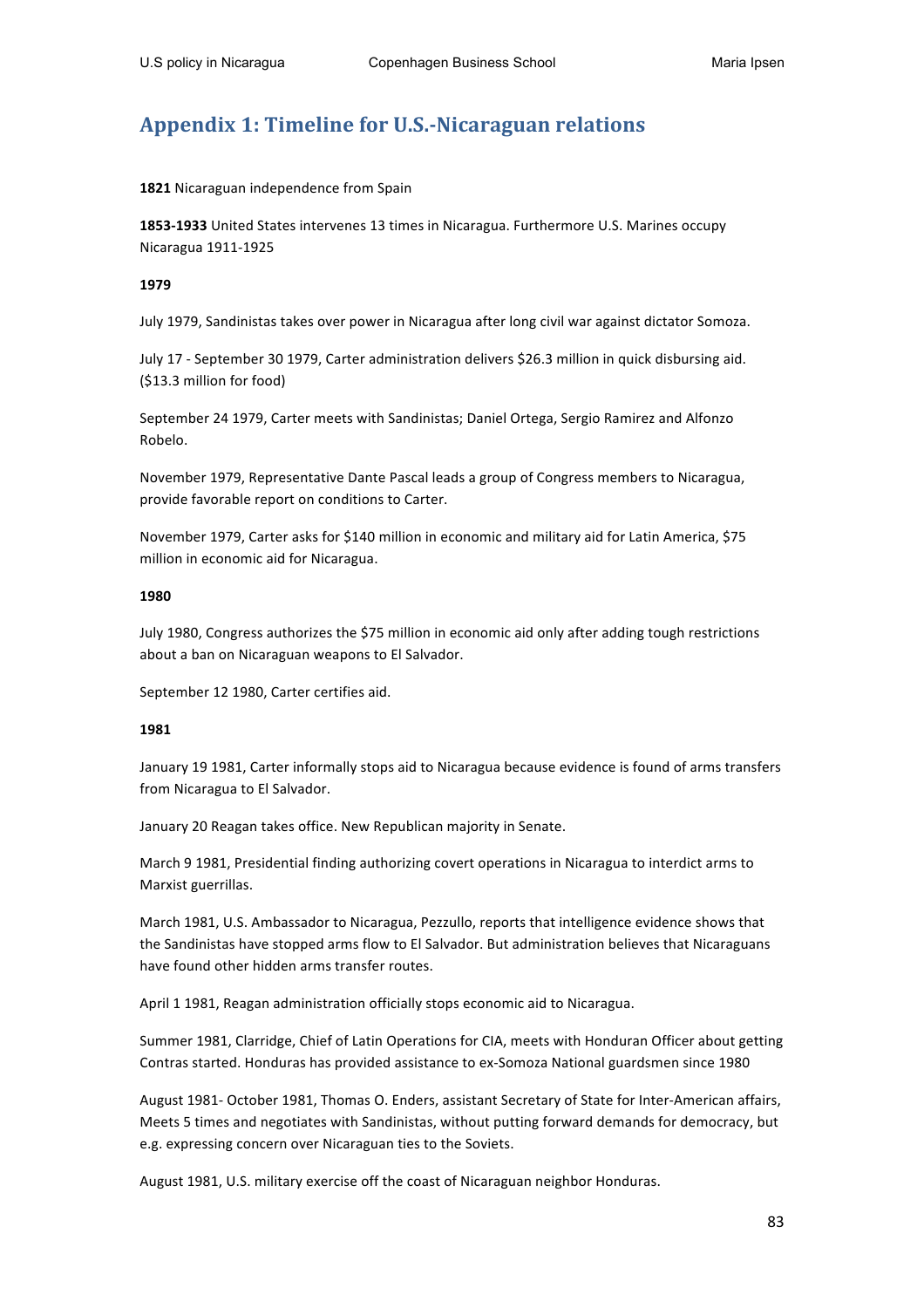## **Appendix 1: Timeline for U.S.-Nicaraguan relations**

1821 Nicaraguan independence from Spain

**1853-1933** United States intervenes 13 times in Nicaragua. Furthermore U.S. Marines occupy Nicaragua 1911-1925

#### **1979**

July 1979, Sandinistas takes over power in Nicaragua after long civil war against dictator Somoza.

July 17 - September 30 1979, Carter administration delivers \$26.3 million in quick disbursing aid. (\$13.3 million for food)

September 24 1979, Carter meets with Sandinistas; Daniel Ortega, Sergio Ramirez and Alfonzo Robelo. 

November 1979, Representative Dante Pascal leads a group of Congress members to Nicaragua, provide favorable report on conditions to Carter.

November 1979, Carter asks for \$140 million in economic and military aid for Latin America, \$75 million in economic aid for Nicaragua.

#### **1980**

July 1980, Congress authorizes the \$75 million in economic aid only after adding tough restrictions about a ban on Nicaraguan weapons to El Salvador.

September 12 1980, Carter certifies aid.

#### **1981**

January 19 1981, Carter informally stops aid to Nicaragua because evidence is found of arms transfers from Nicaragua to El Salvador.

January 20 Reagan takes office. New Republican majority in Senate.

March 9 1981, Presidential finding authorizing covert operations in Nicaragua to interdict arms to Marxist guerrillas.

March 1981, U.S. Ambassador to Nicaragua, Pezzullo, reports that intelligence evidence shows that the Sandinistas have stopped arms flow to El Salvador. But administration believes that Nicaraguans have found other hidden arms transfer routes.

April 1 1981, Reagan administration officially stops economic aid to Nicaragua.

Summer 1981, Clarridge, Chief of Latin Operations for CIA, meets with Honduran Officer about getting Contras started. Honduras has provided assistance to ex-Somoza National guardsmen since 1980

August 1981- October 1981, Thomas O. Enders, assistant Secretary of State for Inter-American affairs, Meets 5 times and negotiates with Sandinistas, without putting forward demands for democracy, but e.g. expressing concern over Nicaraguan ties to the Soviets.

August 1981, U.S. military exercise off the coast of Nicaraguan neighbor Honduras.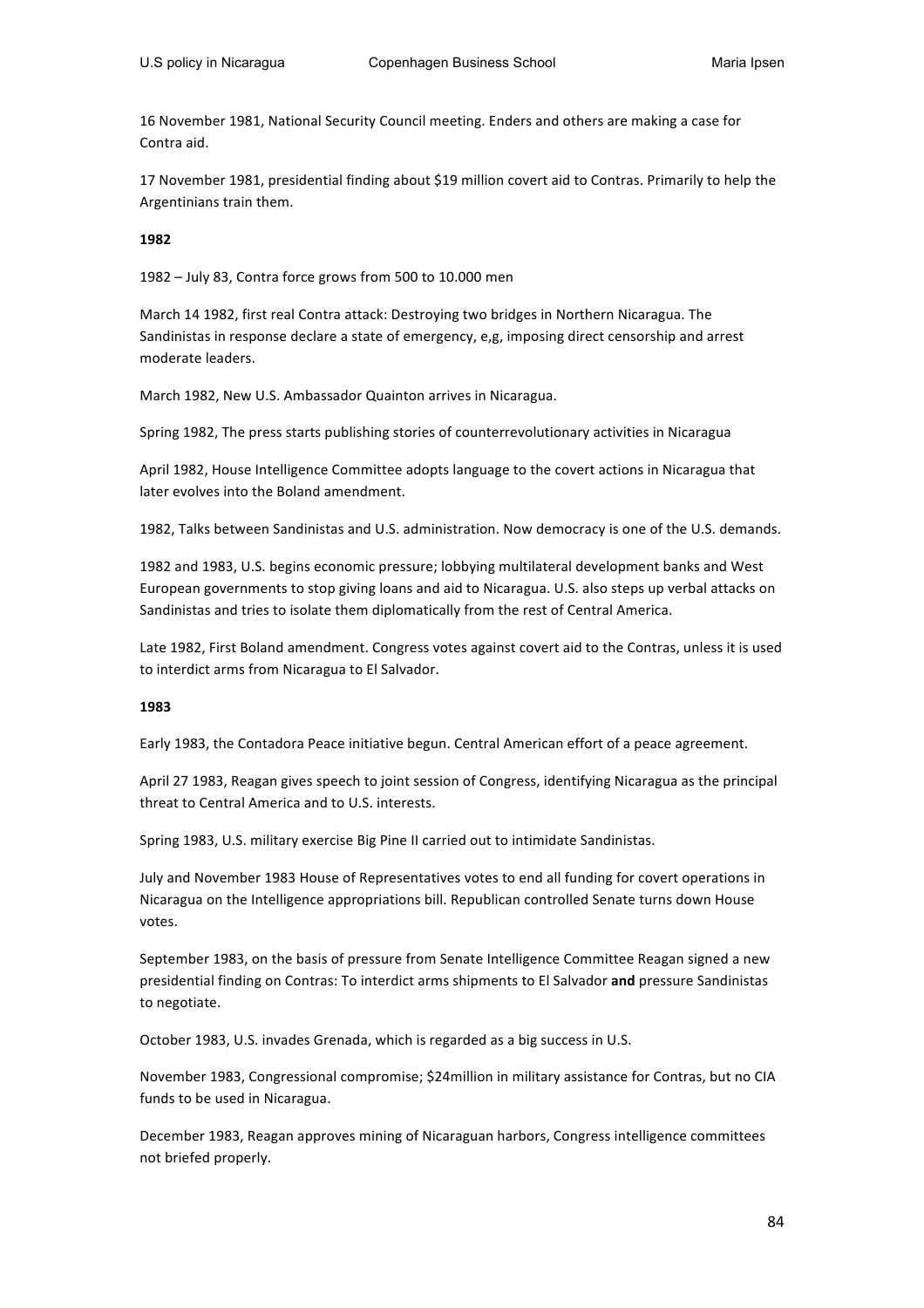16 November 1981, National Security Council meeting. Enders and others are making a case for Contra aid.

17 November 1981, presidential finding about \$19 million covert aid to Contras. Primarily to help the Argentinians train them.

#### **1982**

1982 – July 83, Contra force grows from 500 to 10.000 men

March 14 1982, first real Contra attack: Destroying two bridges in Northern Nicaragua. The Sandinistas in response declare a state of emergency, e,g, imposing direct censorship and arrest moderate leaders.

March 1982, New U.S. Ambassador Quainton arrives in Nicaragua.

Spring 1982, The press starts publishing stories of counterrevolutionary activities in Nicaragua

April 1982, House Intelligence Committee adopts language to the covert actions in Nicaragua that later evolves into the Boland amendment.

1982, Talks between Sandinistas and U.S. administration. Now democracy is one of the U.S. demands.

1982 and 1983, U.S. begins economic pressure; lobbying multilateral development banks and West European governments to stop giving loans and aid to Nicaragua. U.S. also steps up verbal attacks on Sandinistas and tries to isolate them diplomatically from the rest of Central America.

Late 1982, First Boland amendment. Congress votes against covert aid to the Contras, unless it is used to interdict arms from Nicaragua to El Salvador.

#### **1983**

Early 1983, the Contadora Peace initiative begun. Central American effort of a peace agreement.

April 27 1983, Reagan gives speech to joint session of Congress, identifying Nicaragua as the principal threat to Central America and to U.S. interests.

Spring 1983, U.S. military exercise Big Pine II carried out to intimidate Sandinistas.

July and November 1983 House of Representatives votes to end all funding for covert operations in Nicaragua on the Intelligence appropriations bill. Republican controlled Senate turns down House votes. 

September 1983, on the basis of pressure from Senate Intelligence Committee Reagan signed a new presidential finding on Contras: To interdict arms shipments to El Salvador and pressure Sandinistas to negotiate.

October 1983, U.S. invades Grenada, which is regarded as a big success in U.S.

November 1983, Congressional compromise; \$24million in military assistance for Contras, but no CIA funds to be used in Nicaragua.

December 1983, Reagan approves mining of Nicaraguan harbors, Congress intelligence committees not briefed properly.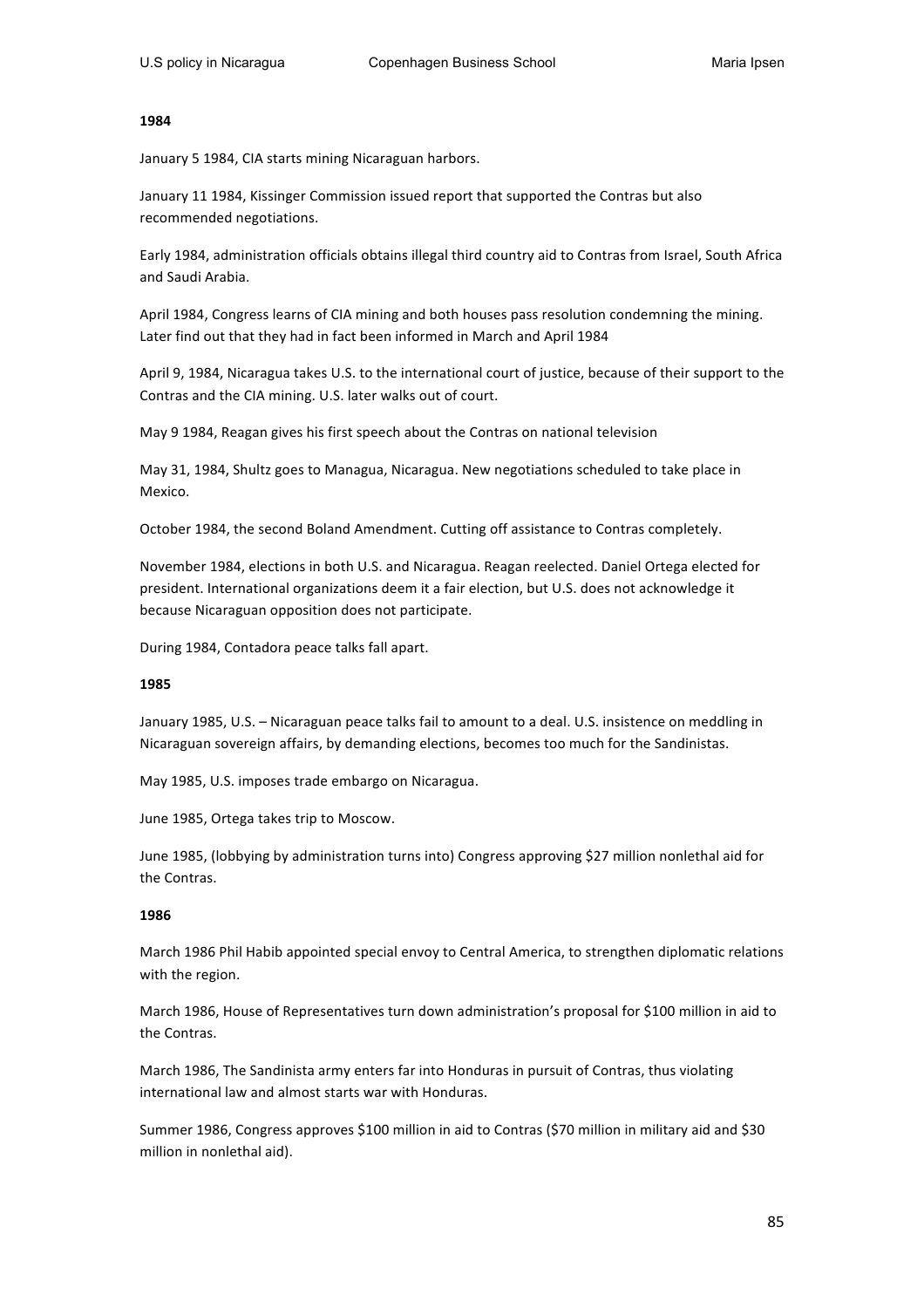#### **1984**

January 5 1984, CIA starts mining Nicaraguan harbors.

January 11 1984, Kissinger Commission issued report that supported the Contras but also recommended negotiations.

Early 1984, administration officials obtains illegal third country aid to Contras from Israel, South Africa and Saudi Arabia.

April 1984, Congress learns of CIA mining and both houses pass resolution condemning the mining. Later find out that they had in fact been informed in March and April 1984

April 9, 1984, Nicaragua takes U.S. to the international court of justice, because of their support to the Contras and the CIA mining. U.S. later walks out of court.

May 9 1984, Reagan gives his first speech about the Contras on national television

May 31, 1984, Shultz goes to Managua, Nicaragua. New negotiations scheduled to take place in Mexico.

October 1984, the second Boland Amendment. Cutting off assistance to Contras completely.

November 1984, elections in both U.S. and Nicaragua. Reagan reelected. Daniel Ortega elected for president. International organizations deem it a fair election, but U.S. does not acknowledge it because Nicaraguan opposition does not participate.

During 1984, Contadora peace talks fall apart.

#### **1985**

January 1985, U.S. - Nicaraguan peace talks fail to amount to a deal. U.S. insistence on meddling in Nicaraguan sovereign affairs, by demanding elections, becomes too much for the Sandinistas.

May 1985, U.S. imposes trade embargo on Nicaragua.

June 1985, Ortega takes trip to Moscow.

June 1985, (lobbying by administration turns into) Congress approving \$27 million nonlethal aid for the Contras.

#### **1986**

March 1986 Phil Habib appointed special envoy to Central America, to strengthen diplomatic relations with the region.

March 1986, House of Representatives turn down administration's proposal for \$100 million in aid to the Contras.

March 1986, The Sandinista army enters far into Honduras in pursuit of Contras, thus violating international law and almost starts war with Honduras.

Summer 1986, Congress approves \$100 million in aid to Contras (\$70 million in military aid and \$30 million in nonlethal aid).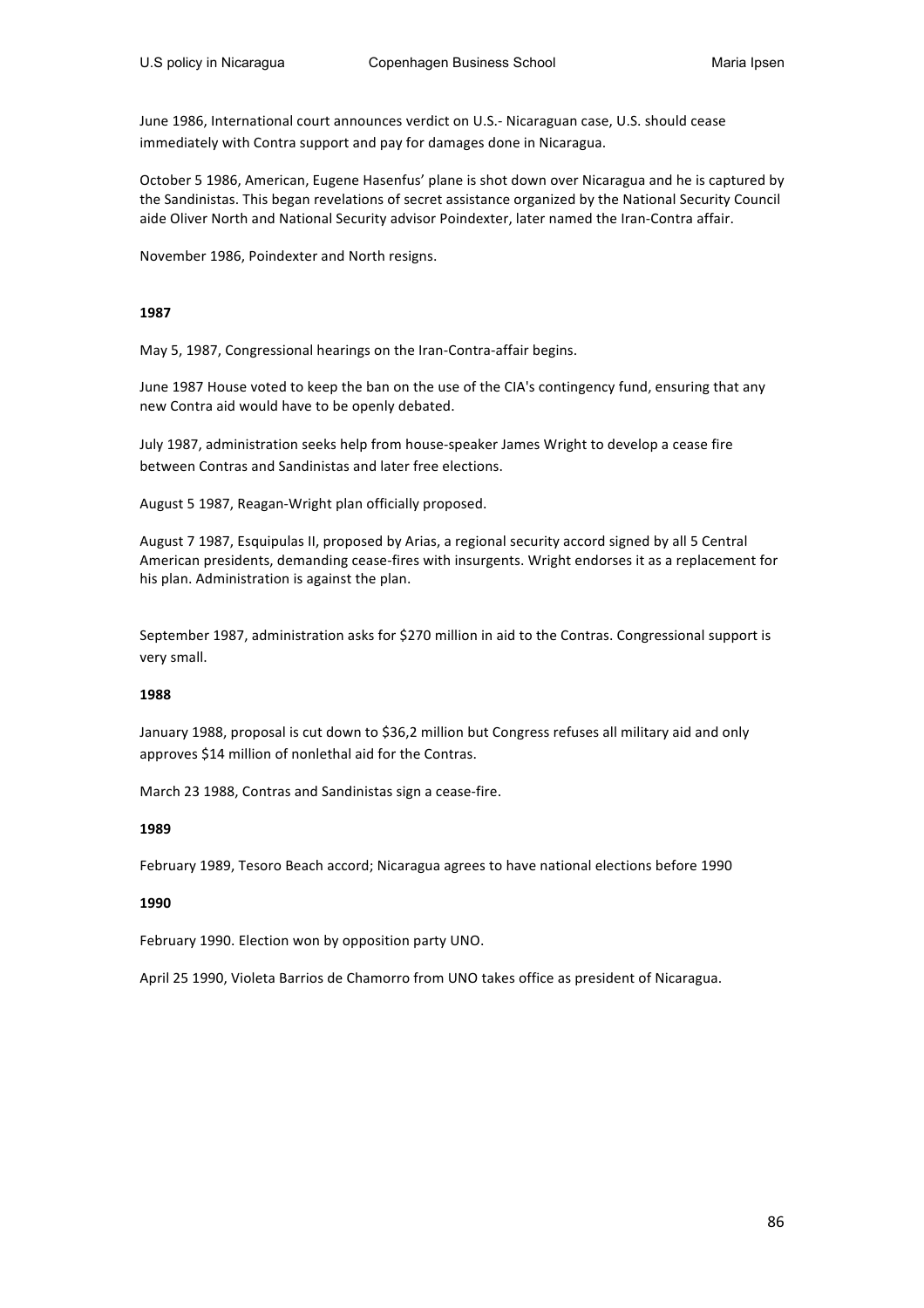June 1986, International court announces verdict on U.S.- Nicaraguan case, U.S. should cease immediately with Contra support and pay for damages done in Nicaragua.

October 5 1986, American, Eugene Hasenfus' plane is shot down over Nicaragua and he is captured by the Sandinistas. This began revelations of secret assistance organized by the National Security Council aide Oliver North and National Security advisor Poindexter, later named the Iran-Contra affair.

November 1986, Poindexter and North resigns.

#### **1987**

May 5, 1987, Congressional hearings on the Iran-Contra-affair begins.

June 1987 House voted to keep the ban on the use of the CIA's contingency fund, ensuring that any new Contra aid would have to be openly debated.

July 1987, administration seeks help from house-speaker James Wright to develop a cease fire between Contras and Sandinistas and later free elections.

August 5 1987, Reagan-Wright plan officially proposed.

August 7 1987, Esquipulas II, proposed by Arias, a regional security accord signed by all 5 Central American presidents, demanding cease-fires with insurgents. Wright endorses it as a replacement for his plan. Administration is against the plan.

September 1987, administration asks for \$270 million in aid to the Contras. Congressional support is very small.

#### **1988**

January 1988, proposal is cut down to \$36,2 million but Congress refuses all military aid and only approves \$14 million of nonlethal aid for the Contras.

March 23 1988, Contras and Sandinistas sign a cease-fire.

#### **1989**

February 1989, Tesoro Beach accord; Nicaragua agrees to have national elections before 1990

#### **1990**

February 1990. Election won by opposition party UNO.

April 25 1990, Violeta Barrios de Chamorro from UNO takes office as president of Nicaragua.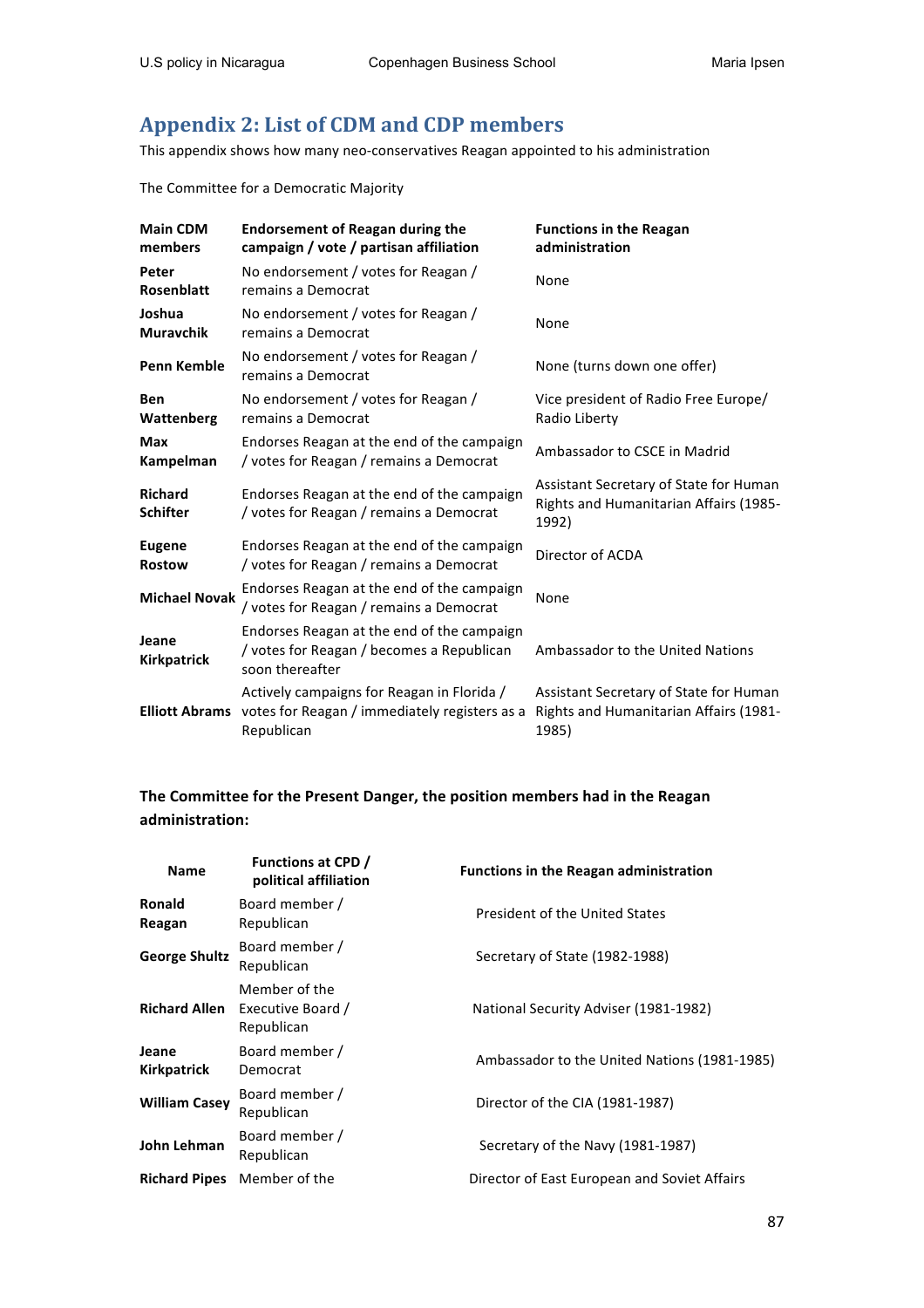## Appendix 2: List of CDM and CDP members

This appendix shows how many neo-conservatives Reagan appointed to his administration

The Committee for a Democratic Majority

| <b>Main CDM</b><br>members        | <b>Endorsement of Reagan during the</b><br>campaign / vote / partisan affiliation                          | <b>Functions in the Reagan</b><br>administration                                          |  |
|-----------------------------------|------------------------------------------------------------------------------------------------------------|-------------------------------------------------------------------------------------------|--|
| Peter<br><b>Rosenblatt</b>        | No endorsement / votes for Reagan /<br>remains a Democrat                                                  | None                                                                                      |  |
| Joshua<br><b>Muravchik</b>        | No endorsement / votes for Reagan /<br>remains a Democrat                                                  | None                                                                                      |  |
| <b>Penn Kemble</b>                | No endorsement / votes for Reagan /<br>remains a Democrat                                                  | None (turns down one offer)                                                               |  |
| Ben<br>Wattenberg                 | No endorsement / votes for Reagan /<br>remains a Democrat                                                  | Vice president of Radio Free Europe/<br>Radio Liberty                                     |  |
| <b>Max</b><br>Kampelman           | Endorses Reagan at the end of the campaign<br>/ votes for Reagan / remains a Democrat                      | Ambassador to CSCE in Madrid                                                              |  |
| <b>Richard</b><br><b>Schifter</b> | Endorses Reagan at the end of the campaign<br>/ votes for Reagan / remains a Democrat                      | Assistant Secretary of State for Human<br>Rights and Humanitarian Affairs (1985-<br>1992) |  |
| <b>Eugene</b><br><b>Rostow</b>    | Endorses Reagan at the end of the campaign<br>/ votes for Reagan / remains a Democrat                      | Director of ACDA                                                                          |  |
| <b>Michael Novak</b>              | Endorses Reagan at the end of the campaign<br>/ votes for Reagan / remains a Democrat                      | None                                                                                      |  |
| Jeane<br><b>Kirkpatrick</b>       | Endorses Reagan at the end of the campaign<br>/ votes for Reagan / becomes a Republican<br>soon thereafter | Ambassador to the United Nations                                                          |  |
| <b>Elliott Abrams</b>             | Actively campaigns for Reagan in Florida /<br>votes for Reagan / immediately registers as a<br>Republican  | Assistant Secretary of State for Human<br>Rights and Humanitarian Affairs (1981-<br>1985) |  |

## The Committee for the Present Danger, the position members had in the Reagan **administration:**

| <b>Name</b>                 | <b>Functions at CPD /</b><br>political affiliation | <b>Functions in the Reagan administration</b> |
|-----------------------------|----------------------------------------------------|-----------------------------------------------|
| <b>Ronald</b><br>Reagan     | Board member /<br>Republican                       | President of the United States                |
| <b>George Shultz</b>        | Board member /<br>Republican                       | Secretary of State (1982-1988)                |
| <b>Richard Allen</b>        | Member of the<br>Executive Board /<br>Republican   | National Security Adviser (1981-1982)         |
| Jeane<br><b>Kirkpatrick</b> | Board member /<br>Democrat                         | Ambassador to the United Nations (1981-1985)  |
| <b>William Casey</b>        | Board member /<br>Republican                       | Director of the CIA (1981-1987)               |
| John Lehman                 | Board member /<br>Republican                       | Secretary of the Navy (1981-1987)             |
| <b>Richard Pipes</b>        | Member of the                                      | Director of East European and Soviet Affairs  |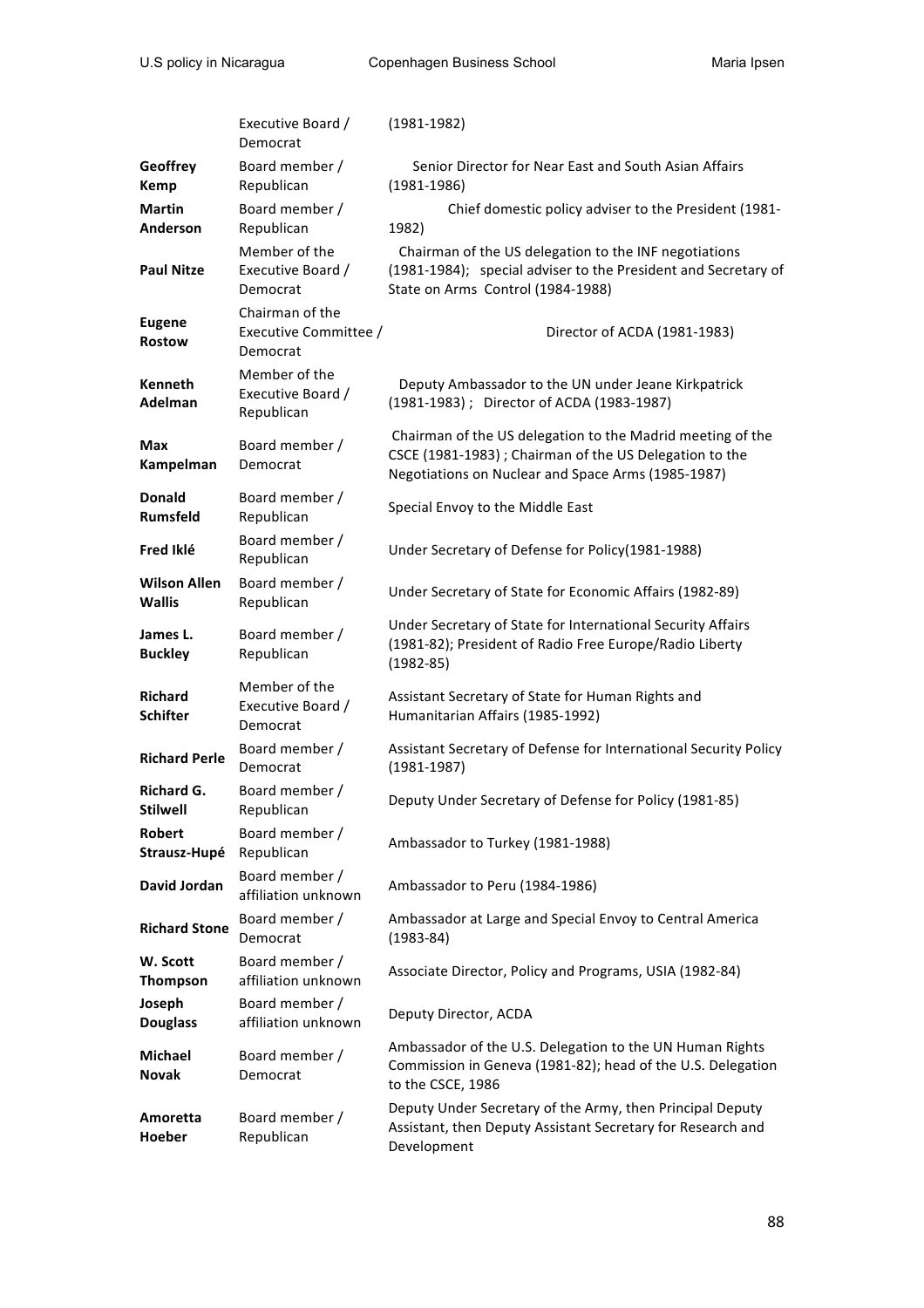|                                      | Executive Board /<br>Democrat                        | $(1981 - 1982)$                                                                                                                                                             |
|--------------------------------------|------------------------------------------------------|-----------------------------------------------------------------------------------------------------------------------------------------------------------------------------|
| Geoffrey<br><b>Kemp</b>              | Board member /<br>Republican                         | Senior Director for Near East and South Asian Affairs<br>$(1981 - 1986)$                                                                                                    |
| <b>Martin</b><br>Anderson            | Board member /<br>Republican                         | Chief domestic policy adviser to the President (1981-<br>1982)                                                                                                              |
| <b>Paul Nitze</b>                    | Member of the<br>Executive Board /<br>Democrat       | Chairman of the US delegation to the INF negotiations<br>(1981-1984); special adviser to the President and Secretary of<br>State on Arms Control (1984-1988)                |
| <b>Eugene</b><br><b>Rostow</b>       | Chairman of the<br>Executive Committee /<br>Democrat | Director of ACDA (1981-1983)                                                                                                                                                |
| <b>Kenneth</b><br>Adelman            | Member of the<br>Executive Board /<br>Republican     | Deputy Ambassador to the UN under Jeane Kirkpatrick<br>(1981-1983); Director of ACDA (1983-1987)                                                                            |
| Max<br>Kampelman                     | Board member /<br>Democrat                           | Chairman of the US delegation to the Madrid meeting of the<br>CSCE (1981-1983) ; Chairman of the US Delegation to the<br>Negotiations on Nuclear and Space Arms (1985-1987) |
| <b>Donald</b><br><b>Rumsfeld</b>     | Board member /<br>Republican                         | Special Envoy to the Middle East                                                                                                                                            |
| Fred Iklé                            | Board member /<br>Republican                         | Under Secretary of Defense for Policy(1981-1988)                                                                                                                            |
| <b>Wilson Allen</b><br><b>Wallis</b> | Board member /<br>Republican                         | Under Secretary of State for Economic Affairs (1982-89)                                                                                                                     |
| James L.<br><b>Buckley</b>           | Board member /<br>Republican                         | Under Secretary of State for International Security Affairs<br>(1981-82); President of Radio Free Europe/Radio Liberty<br>$(1982 - 85)$                                     |
| <b>Richard</b><br><b>Schifter</b>    | Member of the<br>Executive Board /<br>Democrat       | Assistant Secretary of State for Human Rights and<br>Humanitarian Affairs (1985-1992)                                                                                       |
| <b>Richard Perle</b>                 | Board member /<br>Democrat                           | Assistant Secretary of Defense for International Security Policy<br>$(1981 - 1987)$                                                                                         |
| Richard G.<br>Stilwell               | Board member /<br>Republican                         | Deputy Under Secretary of Defense for Policy (1981-85)                                                                                                                      |
| <b>Robert</b><br>Strausz-Hupé        | Board member /<br>Republican                         | Ambassador to Turkey (1981-1988)                                                                                                                                            |
| David Jordan                         | Board member /<br>affiliation unknown                | Ambassador to Peru (1984-1986)                                                                                                                                              |
| <b>Richard Stone</b>                 | Board member /<br>Democrat                           | Ambassador at Large and Special Envoy to Central America<br>$(1983 - 84)$                                                                                                   |
| W. Scott<br><b>Thompson</b>          | Board member /<br>affiliation unknown                | Associate Director, Policy and Programs, USIA (1982-84)                                                                                                                     |
| Joseph<br><b>Douglass</b>            | Board member /<br>affiliation unknown                | Deputy Director, ACDA                                                                                                                                                       |
| <b>Michael</b><br><b>Novak</b>       | Board member /<br>Democrat                           | Ambassador of the U.S. Delegation to the UN Human Rights<br>Commission in Geneva (1981-82); head of the U.S. Delegation<br>to the CSCE, 1986                                |
| Amoretta<br>Hoeber                   | Board member /<br>Republican                         | Deputy Under Secretary of the Army, then Principal Deputy<br>Assistant, then Deputy Assistant Secretary for Research and<br>Development                                     |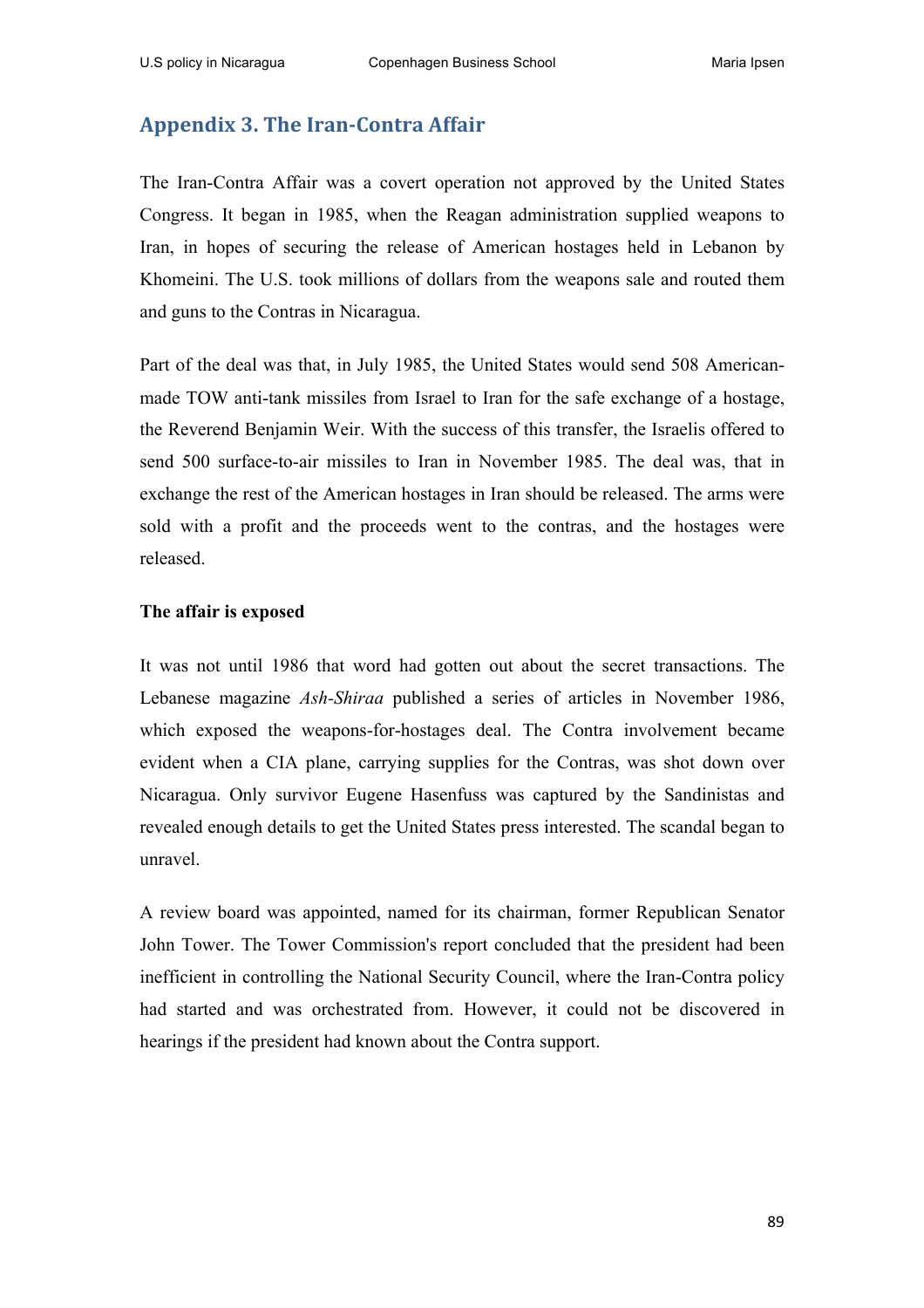## **Appendix 3. The Iran-Contra Affair**

The Iran-Contra Affair was a covert operation not approved by the United States Congress. It began in 1985, when the Reagan administration supplied weapons to Iran, in hopes of securing the release of American hostages held in Lebanon by Khomeini. The U.S. took millions of dollars from the weapons sale and routed them and guns to the Contras in Nicaragua.

Part of the deal was that, in July 1985, the United States would send 508 Americanmade TOW anti-tank missiles from Israel to Iran for the safe exchange of a hostage, the Reverend Benjamin Weir. With the success of this transfer, the Israelis offered to send 500 surface-to-air missiles to Iran in November 1985. The deal was, that in exchange the rest of the American hostages in Iran should be released. The arms were sold with a profit and the proceeds went to the contras, and the hostages were released.

### **The affair is exposed**

It was not until 1986 that word had gotten out about the secret transactions. The Lebanese magazine *Ash-Shiraa* published a series of articles in November 1986, which exposed the weapons-for-hostages deal. The Contra involvement became evident when a CIA plane, carrying supplies for the Contras, was shot down over Nicaragua. Only survivor Eugene Hasenfuss was captured by the Sandinistas and revealed enough details to get the United States press interested. The scandal began to unravel.

A review board was appointed, named for its chairman, former Republican Senator John Tower. The Tower Commission's report concluded that the president had been inefficient in controlling the National Security Council, where the Iran-Contra policy had started and was orchestrated from. However, it could not be discovered in hearings if the president had known about the Contra support.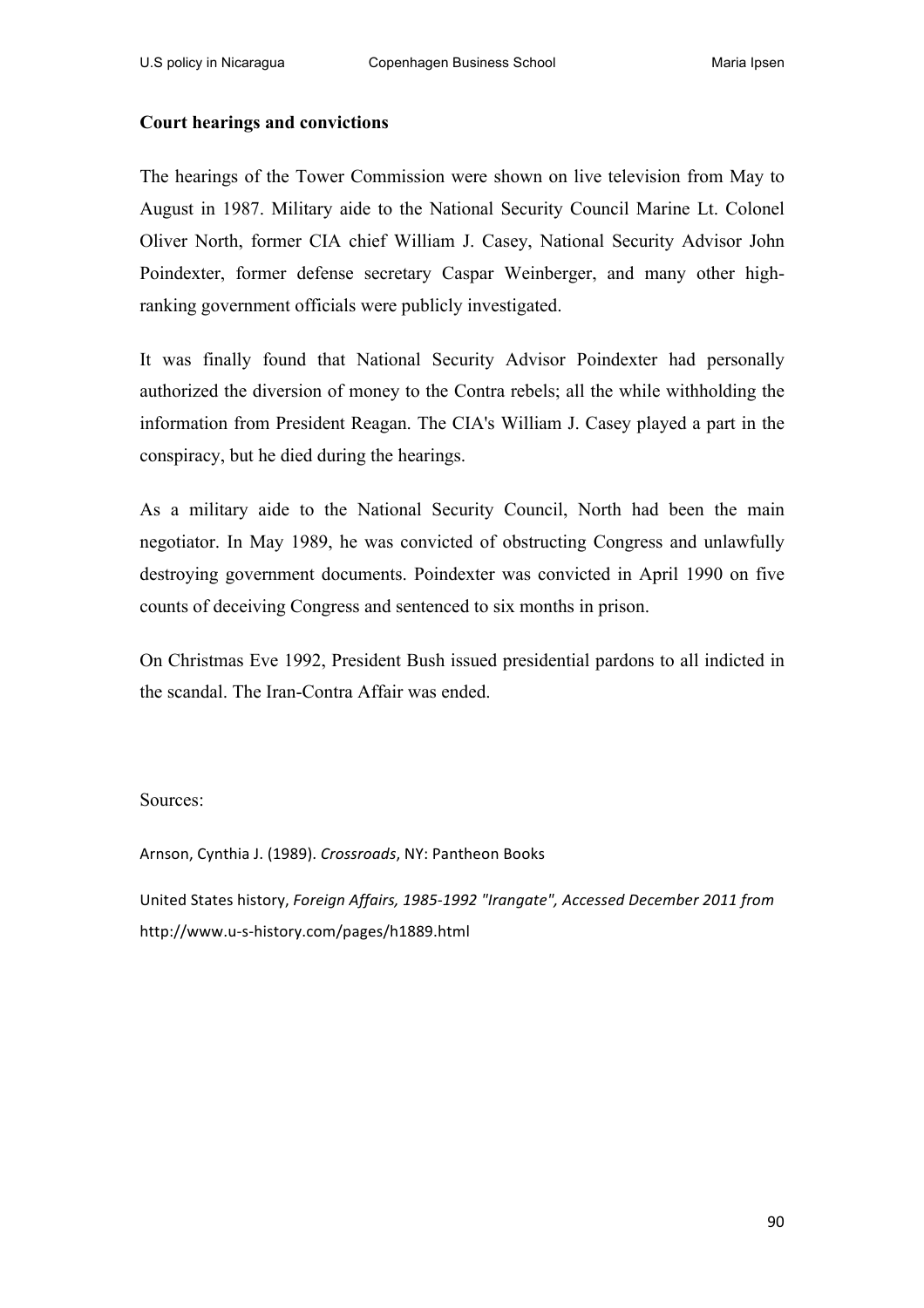### **Court hearings and convictions**

The hearings of the Tower Commission were shown on live television from May to August in 1987. Military aide to the National Security Council Marine Lt. Colonel Oliver North, former CIA chief William J. Casey, National Security Advisor John Poindexter, former defense secretary Caspar Weinberger, and many other highranking government officials were publicly investigated.

It was finally found that National Security Advisor Poindexter had personally authorized the diversion of money to the Contra rebels; all the while withholding the information from President Reagan. The CIA's William J. Casey played a part in the conspiracy, but he died during the hearings.

As a military aide to the National Security Council, North had been the main negotiator. In May 1989, he was convicted of obstructing Congress and unlawfully destroying government documents. Poindexter was convicted in April 1990 on five counts of deceiving Congress and sentenced to six months in prison.

On Christmas Eve 1992, President Bush issued presidential pardons to all indicted in the scandal. The Iran-Contra Affair was ended.

#### Sources:

Arnson, Cynthia J. (1989). *Crossroads*, NY: Pantheon Books

United States history, *Foreign Affairs, 1985-1992 "Irangate", Accessed December 2011 from* http://www.u-s-history.com/pages/h1889.html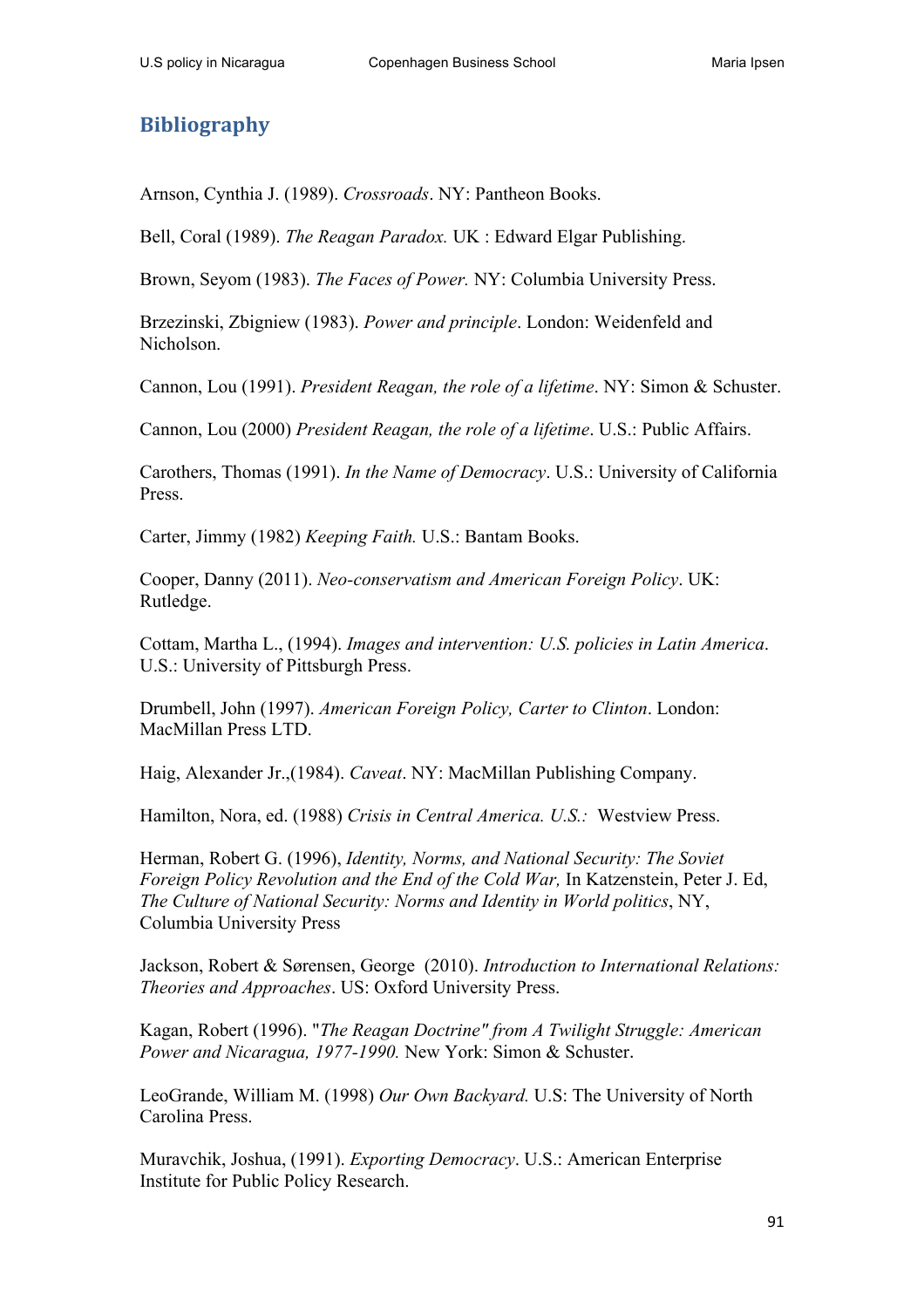## **Bibliography**

Arnson, Cynthia J. (1989). *Crossroads*. NY: Pantheon Books.

Bell, Coral (1989). *The Reagan Paradox.* UK : Edward Elgar Publishing.

Brown, Seyom (1983). *The Faces of Power.* NY: Columbia University Press.

Brzezinski, Zbigniew (1983). *Power and principle*. London: Weidenfeld and Nicholson.

Cannon, Lou (1991). *President Reagan, the role of a lifetime*. NY: Simon & Schuster.

Cannon, Lou (2000) *President Reagan, the role of a lifetime*. U.S.: Public Affairs.

Carothers, Thomas (1991). *In the Name of Democracy*. U.S.: University of California Press.

Carter, Jimmy (1982) *Keeping Faith.* U.S.: Bantam Books.

Cooper, Danny (2011). *Neo-conservatism and American Foreign Policy*. UK: Rutledge.

Cottam, Martha L., (1994). *Images and intervention: U.S. policies in Latin America*. U.S.: University of Pittsburgh Press.

Drumbell, John (1997). *American Foreign Policy, Carter to Clinton*. London: MacMillan Press LTD.

Haig, Alexander Jr.,(1984). *Caveat*. NY: MacMillan Publishing Company.

Hamilton, Nora, ed. (1988) *Crisis in Central America. U.S.:* Westview Press.

Herman, Robert G. (1996), *Identity, Norms, and National Security: The Soviet Foreign Policy Revolution and the End of the Cold War,* In Katzenstein, Peter J. Ed, *The Culture of National Security: Norms and Identity in World politics*, NY, Columbia University Press

Jackson, Robert & Sørensen, George (2010). *Introduction to International Relations: Theories and Approaches*. US: Oxford University Press.

Kagan, Robert (1996). "*The Reagan Doctrine" from A Twilight Struggle: American Power and Nicaragua, 1977-1990.* New York: Simon & Schuster.

LeoGrande, William M. (1998) *Our Own Backyard.* U.S: The University of North Carolina Press.

Muravchik, Joshua, (1991). *Exporting Democracy*. U.S.: American Enterprise Institute for Public Policy Research.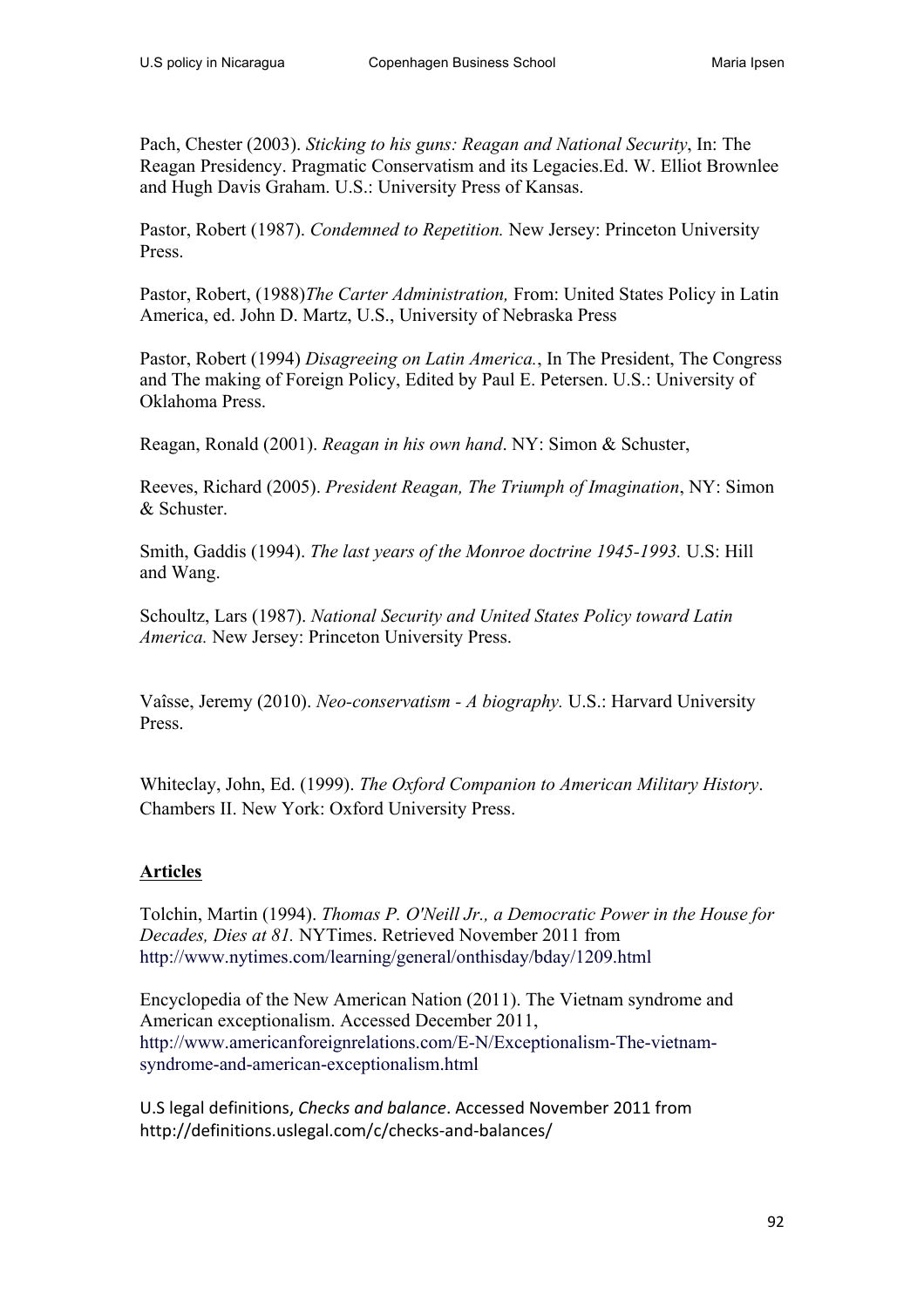Pach, Chester (2003). *Sticking to his guns: Reagan and National Security*, In: The Reagan Presidency. Pragmatic Conservatism and its Legacies.Ed. W. Elliot Brownlee and Hugh Davis Graham. U.S.: University Press of Kansas.

Pastor, Robert (1987). *Condemned to Repetition.* New Jersey: Princeton University Press.

Pastor, Robert, (1988)*The Carter Administration,* From: United States Policy in Latin America, ed. John D. Martz, U.S., University of Nebraska Press

Pastor, Robert (1994) *Disagreeing on Latin America.*, In The President, The Congress and The making of Foreign Policy, Edited by Paul E. Petersen. U.S.: University of Oklahoma Press.

Reagan, Ronald (2001). *Reagan in his own hand*. NY: Simon & Schuster,

Reeves, Richard (2005). *President Reagan, The Triumph of Imagination*, NY: Simon & Schuster.

Smith, Gaddis (1994). *The last years of the Monroe doctrine 1945-1993.* U.S: Hill and Wang.

Schoultz, Lars (1987). *National Security and United States Policy toward Latin America.* New Jersey: Princeton University Press.

Vaîsse, Jeremy (2010). *Neo-conservatism - A biography.* U.S.: Harvard University Press.

Whiteclay, John, Ed. (1999). *The Oxford Companion to American Military History*. Chambers II. New York: Oxford University Press.

## **Articles**

Tolchin, Martin (1994). *Thomas P. O'Neill Jr., a Democratic Power in the House for Decades, Dies at 81.* NYTimes. Retrieved November 2011 from http://www.nytimes.com/learning/general/onthisday/bday/1209.html

Encyclopedia of the New American Nation (2011). The Vietnam syndrome and American exceptionalism. Accessed December 2011, http://www.americanforeignrelations.com/E-N/Exceptionalism-The-vietnamsyndrome-and-american-exceptionalism.html

U.S legal definitions, *Checks and balance*. Accessed November 2011 from http://definitions.uslegal.com/c/checks-and-balances/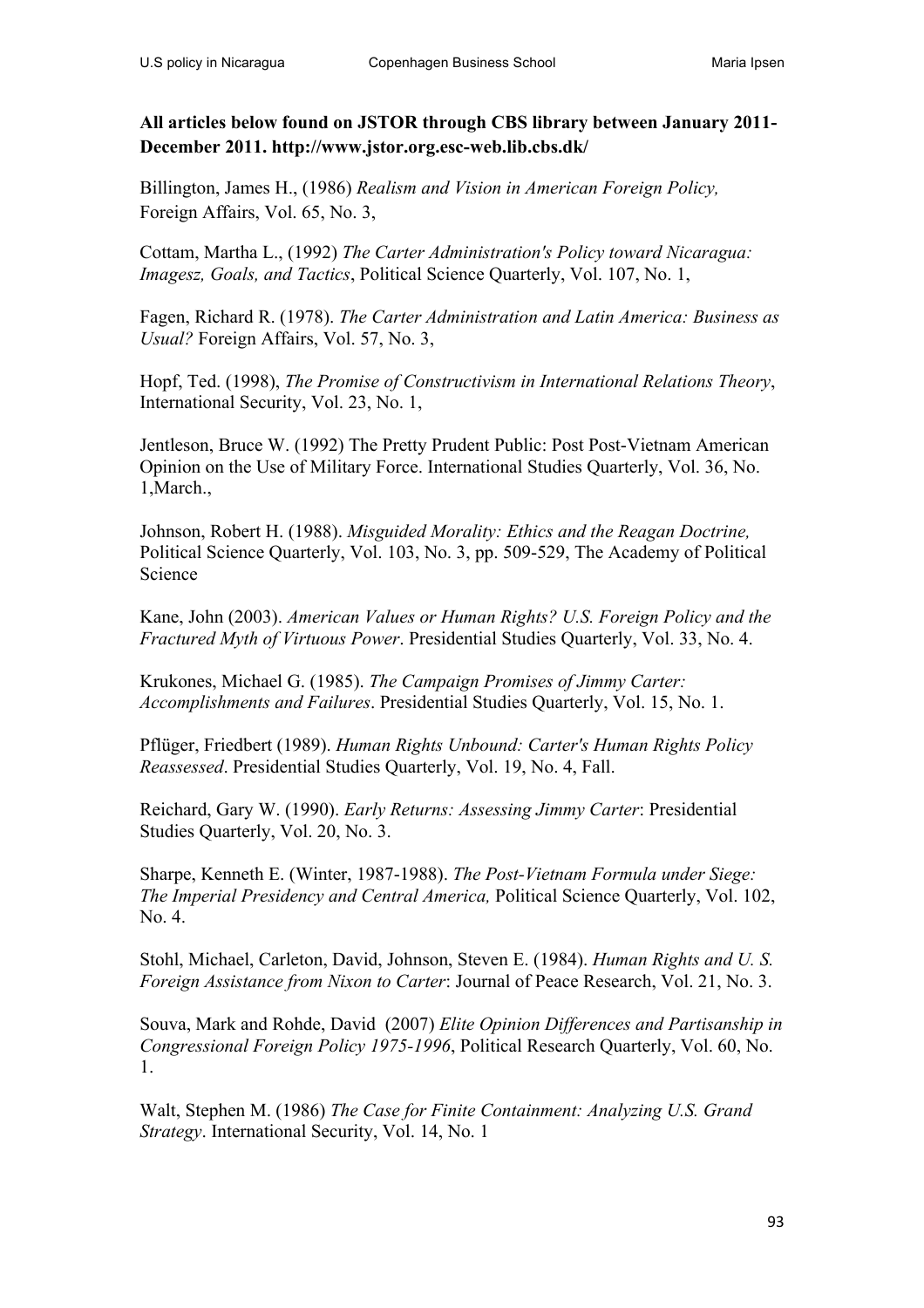## **All articles below found on JSTOR through CBS library between January 2011- December 2011. http://www.jstor.org.esc-web.lib.cbs.dk/**

Billington, James H., (1986) *Realism and Vision in American Foreign Policy,*  Foreign Affairs, Vol. 65, No. 3,

Cottam, Martha L., (1992) *The Carter Administration's Policy toward Nicaragua: Imagesz, Goals, and Tactics*, Political Science Quarterly, Vol. 107, No. 1,

Fagen, Richard R. (1978). *The Carter Administration and Latin America: Business as Usual?* Foreign Affairs, Vol. 57, No. 3,

Hopf, Ted. (1998), *The Promise of Constructivism in International Relations Theory*, International Security, Vol. 23, No. 1,

Jentleson, Bruce W. (1992) The Pretty Prudent Public: Post Post-Vietnam American Opinion on the Use of Military Force. International Studies Quarterly, Vol. 36, No. 1,March.,

Johnson, Robert H. (1988). *Misguided Morality: Ethics and the Reagan Doctrine,* Political Science Quarterly, Vol. 103, No. 3, pp. 509-529, The Academy of Political Science

Kane, John (2003). *American Values or Human Rights? U.S. Foreign Policy and the Fractured Myth of Virtuous Power*. Presidential Studies Quarterly, Vol. 33, No. 4.

Krukones, Michael G. (1985). *The Campaign Promises of Jimmy Carter: Accomplishments and Failures*. Presidential Studies Quarterly, Vol. 15, No. 1.

Pflüger, Friedbert (1989). *Human Rights Unbound: Carter's Human Rights Policy Reassessed*. Presidential Studies Quarterly, Vol. 19, No. 4, Fall.

Reichard, Gary W. (1990). *Early Returns: Assessing Jimmy Carter*: Presidential Studies Quarterly, Vol. 20, No. 3.

Sharpe, Kenneth E. (Winter, 1987-1988). *The Post-Vietnam Formula under Siege: The Imperial Presidency and Central America,* Political Science Quarterly, Vol. 102, No. 4.

Stohl, Michael, Carleton, David, Johnson, Steven E. (1984). *Human Rights and U. S. Foreign Assistance from Nixon to Carter*: Journal of Peace Research, Vol. 21, No. 3.

Souva, Mark and Rohde, David (2007) *Elite Opinion Differences and Partisanship in Congressional Foreign Policy 1975-1996*, Political Research Quarterly, Vol. 60, No. 1.

Walt, Stephen M. (1986) *The Case for Finite Containment: Analyzing U.S. Grand Strategy*. International Security, Vol. 14, No. 1